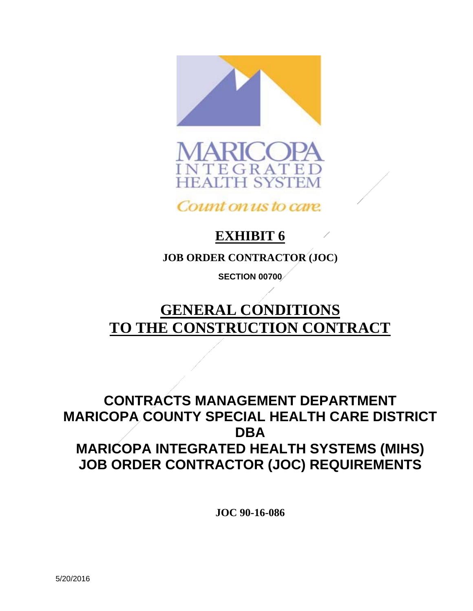



Count on us to care.

# **EXHIBIT 6**

**JOB ORDER CONTRACTOR (JOC)** 

**SECTION 00700** 

# **GENERAL CONDITIONS TO THE CONSTRUCTION CONTRACT**

## **CONTRACTS MANAGEMENT DEPARTMENT MARICOPA COUNTY SPECIAL HEALTH CARE DISTRICT DBA MARICOPA INTEGRATED HEALTH SYSTEMS (MIHS) JOB ORDER CONTRACTOR (JOC) REQUIREMENTS**

 **JOC 90-16-086**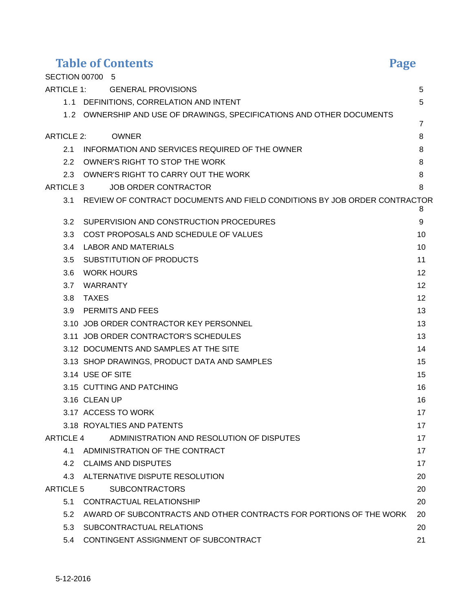| <b>Table of Contents</b> |                                                                               | <b>Page</b>    |
|--------------------------|-------------------------------------------------------------------------------|----------------|
|                          | SECTION 00700 5                                                               |                |
|                          | ARTICLE 1: GENERAL PROVISIONS                                                 | 5              |
|                          | 1.1 DEFINITIONS, CORRELATION AND INTENT                                       | 5              |
|                          | 1.2 OWNERSHIP AND USE OF DRAWINGS, SPECIFICATIONS AND OTHER DOCUMENTS         |                |
|                          |                                                                               | $\overline{7}$ |
| <b>ARTICLE 2:</b>        | <b>OWNER</b>                                                                  | 8              |
|                          | 2.1 INFORMATION AND SERVICES REQUIRED OF THE OWNER                            | 8              |
| 2.2                      | OWNER'S RIGHT TO STOP THE WORK                                                | 8              |
|                          | 2.3 OWNER'S RIGHT TO CARRY OUT THE WORK                                       | 8              |
| ARTICLE 3                | <b>JOB ORDER CONTRACTOR</b>                                                   | 8              |
|                          | 3.1 REVIEW OF CONTRACT DOCUMENTS AND FIELD CONDITIONS BY JOB ORDER CONTRACTOR |                |
| 3.2                      | SUPERVISION AND CONSTRUCTION PROCEDURES                                       | 8<br>9         |
| 3.3                      | COST PROPOSALS AND SCHEDULE OF VALUES                                         | 10             |
| 3.4                      | LABOR AND MATERIALS                                                           | 10             |
| 3.5                      | SUBSTITUTION OF PRODUCTS                                                      | 11             |
| 3.6                      | <b>WORK HOURS</b>                                                             | 12             |
|                          | 3.7 WARRANTY                                                                  | 12             |
| 3.8                      | <b>TAXES</b>                                                                  | 12             |
|                          | 3.9 PERMITS AND FEES                                                          | 13             |
|                          | 3.10 JOB ORDER CONTRACTOR KEY PERSONNEL                                       | 13             |
|                          | 3.11 JOB ORDER CONTRACTOR'S SCHEDULES                                         | 13             |
|                          | 3.12 DOCUMENTS AND SAMPLES AT THE SITE                                        | 14             |
|                          | 3.13 SHOP DRAWINGS, PRODUCT DATA AND SAMPLES                                  | 15             |
|                          | 3.14 USE OF SITE                                                              | 15             |
|                          | 3.15 CUTTING AND PATCHING                                                     | 16             |
|                          | 3.16 CLEAN UP                                                                 | 16             |
|                          | 3.17 ACCESS TO WORK                                                           | 17             |
|                          | 3.18 ROYALTIES AND PATENTS                                                    | 17             |
|                          | ARTICLE 4 ADMINISTRATION AND RESOLUTION OF DISPUTES                           | 17             |
|                          | 4.1 ADMINISTRATION OF THE CONTRACT                                            | 17             |
|                          | 4.2 CLAIMS AND DISPUTES                                                       | 17             |
|                          | 4.3 ALTERNATIVE DISPUTE RESOLUTION                                            | 20             |
| ARTICLE 5                | <b>SUBCONTRACTORS</b>                                                         | 20             |
|                          | 5.1 CONTRACTUAL RELATIONSHIP                                                  | 20             |
|                          | 5.2 AWARD OF SUBCONTRACTS AND OTHER CONTRACTS FOR PORTIONS OF THE WORK        | 20             |
| 5.3                      | SUBCONTRACTUAL RELATIONS                                                      | 20             |
| 5.4                      | CONTINGENT ASSIGNMENT OF SUBCONTRACT                                          | 21             |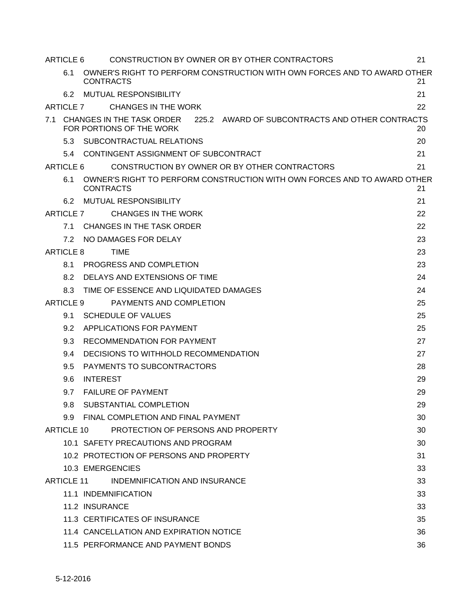|     | ARTICLE 6        | CONSTRUCTION BY OWNER OR BY OTHER CONTRACTORS                                                            | 21 |
|-----|------------------|----------------------------------------------------------------------------------------------------------|----|
|     | 6.1              | OWNER'S RIGHT TO PERFORM CONSTRUCTION WITH OWN FORCES AND TO AWARD OTHER<br><b>CONTRACTS</b>             | 21 |
|     | 6.2              | <b>MUTUAL RESPONSIBILITY</b>                                                                             | 21 |
|     | <b>ARTICLE 7</b> | CHANGES IN THE WORK                                                                                      | 22 |
| 7.1 |                  | 225.2 AWARD OF SUBCONTRACTS AND OTHER CONTRACTS<br>CHANGES IN THE TASK ORDER<br>FOR PORTIONS OF THE WORK | 20 |
|     |                  | 5.3 SUBCONTRACTUAL RELATIONS                                                                             | 20 |
|     | 5.4              | CONTINGENT ASSIGNMENT OF SUBCONTRACT                                                                     | 21 |
|     | ARTICLE 6        | CONSTRUCTION BY OWNER OR BY OTHER CONTRACTORS                                                            | 21 |
|     | 6.1              | OWNER'S RIGHT TO PERFORM CONSTRUCTION WITH OWN FORCES AND TO AWARD OTHER<br><b>CONTRACTS</b>             | 21 |
|     | 6.2              | <b>MUTUAL RESPONSIBILITY</b>                                                                             | 21 |
|     |                  | <b>CHANGES IN THE WORK</b><br>ARTICLE 7                                                                  | 22 |
|     | 7.1              | CHANGES IN THE TASK ORDER                                                                                | 22 |
|     | 7.2              | NO DAMAGES FOR DELAY                                                                                     | 23 |
|     | ARTICLE 8        | TIME                                                                                                     | 23 |
|     | 8.1              | PROGRESS AND COMPLETION                                                                                  | 23 |
|     | 8.2              | DELAYS AND EXTENSIONS OF TIME                                                                            | 24 |
|     | 8.3              | TIME OF ESSENCE AND LIQUIDATED DAMAGES                                                                   | 24 |
|     | ARTICLE 9        | PAYMENTS AND COMPLETION                                                                                  | 25 |
|     | 9.1              | <b>SCHEDULE OF VALUES</b>                                                                                | 25 |
|     | 9.2              | APPLICATIONS FOR PAYMENT                                                                                 | 25 |
|     | 9.3              | RECOMMENDATION FOR PAYMENT                                                                               | 27 |
|     | 9.4              | DECISIONS TO WITHHOLD RECOMMENDATION                                                                     | 27 |
|     | 9.5              | PAYMENTS TO SUBCONTRACTORS                                                                               | 28 |
|     | 9.6              | <b>INTEREST</b>                                                                                          | 29 |
|     | 9.7              | <b>FAILURE OF PAYMENT</b>                                                                                | 29 |
|     | 9.8 <sub>1</sub> | SUBSTANTIAL COMPLETION                                                                                   | 29 |
|     |                  | 9.9 FINAL COMPLETION AND FINAL PAYMENT                                                                   | 30 |
|     | ARTICLE 10       | PROTECTION OF PERSONS AND PROPERTY                                                                       | 30 |
|     |                  | 10.1 SAFETY PRECAUTIONS AND PROGRAM                                                                      | 30 |
|     |                  | 10.2 PROTECTION OF PERSONS AND PROPERTY                                                                  | 31 |
|     |                  | 10.3 EMERGENCIES                                                                                         | 33 |
|     |                  | ARTICLE 11<br>INDEMNIFICATION AND INSURANCE                                                              | 33 |
|     |                  | 11.1 INDEMNIFICATION                                                                                     | 33 |
|     |                  | 11.2 INSURANCE                                                                                           | 33 |
|     |                  | 11.3 CERTIFICATES OF INSURANCE                                                                           | 35 |
|     |                  | 11.4 CANCELLATION AND EXPIRATION NOTICE                                                                  | 36 |
|     |                  | 11.5 PERFORMANCE AND PAYMENT BONDS                                                                       | 36 |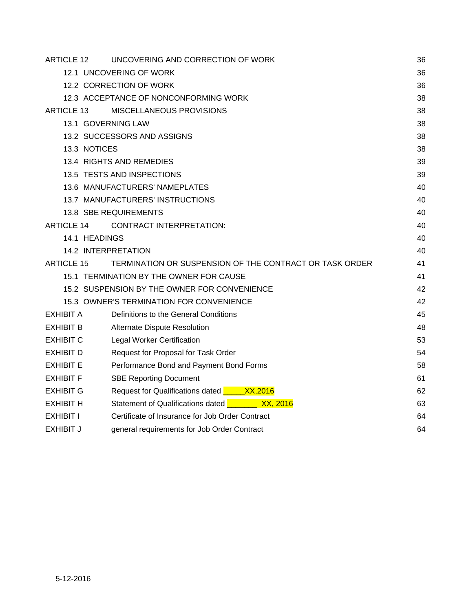| ARTICLE 12          | UNCOVERING AND CORRECTION OF WORK                       | 36 |
|---------------------|---------------------------------------------------------|----|
|                     | 12.1 UNCOVERING OF WORK                                 | 36 |
|                     | 12.2 CORRECTION OF WORK                                 | 36 |
|                     | 12.3 ACCEPTANCE OF NONCONFORMING WORK                   | 38 |
| <b>ARTICLE 13</b>   | MISCELLANEOUS PROVISIONS                                | 38 |
| 13.1 GOVERNING LAW  |                                                         | 38 |
|                     | 13.2 SUCCESSORS AND ASSIGNS                             | 38 |
| 13.3 NOTICES        |                                                         | 38 |
|                     | 13.4 RIGHTS AND REMEDIES                                | 39 |
|                     | 13.5 TESTS AND INSPECTIONS                              | 39 |
|                     | 13.6 MANUFACTURERS' NAMEPLATES                          | 40 |
|                     | 13.7 MANUFACTURERS' INSTRUCTIONS                        | 40 |
|                     | 13.8 SBE REQUIREMENTS                                   | 40 |
| <b>ARTICLE 14</b>   | <b>CONTRACT INTERPRETATION:</b>                         | 40 |
| 14.1 HEADINGS       |                                                         | 40 |
| 14.2 INTERPRETATION |                                                         | 40 |
| <b>ARTICLE 15</b>   | TERMINATION OR SUSPENSION OF THE CONTRACT OR TASK ORDER | 41 |
|                     | 15.1 TERMINATION BY THE OWNER FOR CAUSE                 | 41 |
|                     | 15.2 SUSPENSION BY THE OWNER FOR CONVENIENCE            | 42 |
|                     | 15.3 OWNER'S TERMINATION FOR CONVENIENCE                | 42 |
| <b>EXHIBIT A</b>    | Definitions to the General Conditions                   | 45 |
| <b>EXHIBIT B</b>    | Alternate Dispute Resolution                            | 48 |
| <b>EXHIBIT C</b>    | <b>Legal Worker Certification</b>                       | 53 |
| <b>EXHIBIT D</b>    | Request for Proposal for Task Order                     | 54 |
| <b>EXHIBIT E</b>    | Performance Bond and Payment Bond Forms                 | 58 |
| EXHIBIT F           | <b>SBE Reporting Document</b>                           | 61 |
| <b>EXHIBIT G</b>    | Request for Qualifications dated <b>Canadia XX,2016</b> | 62 |
| EXHIBIT H           | Statement of Qualifications dated <b>Change 2016</b>    | 63 |
| EXHIBIT I           | Certificate of Insurance for Job Order Contract         | 64 |
| <b>EXHIBIT J</b>    | general requirements for Job Order Contract             | 64 |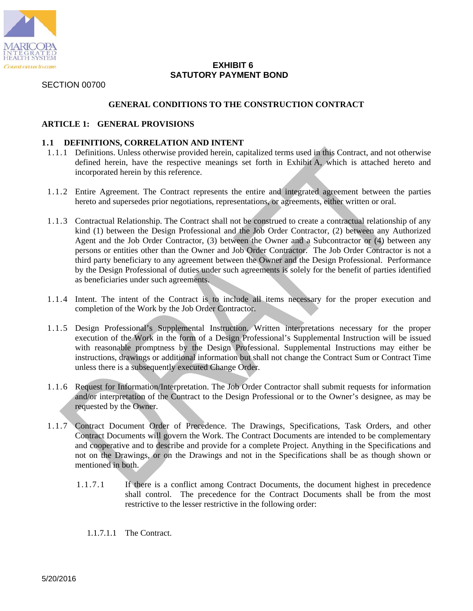

#### **EXHIBIT 6 SATUTORY PAYMENT BOND**

SECTION 00700

#### **GENERAL CONDITIONS TO THE CONSTRUCTION CONTRACT**

#### **ARTICLE 1: GENERAL PROVISIONS**

#### **1.1 DEFINITIONS, CORRELATION AND INTENT**

- 1.1.1 Definitions. Unless otherwise provided herein, capitalized terms used in this Contract, and not otherwise defined herein, have the respective meanings set forth in Exhibit A, which is attached hereto and incorporated herein by this reference.
- 1.1.2 Entire Agreement. The Contract represents the entire and integrated agreement between the parties hereto and supersedes prior negotiations, representations, or agreements, either written or oral.
- 1.1.3 Contractual Relationship. The Contract shall not be construed to create a contractual relationship of any kind (1) between the Design Professional and the Job Order Contractor, (2) between any Authorized Agent and the Job Order Contractor, (3) between the Owner and a Subcontractor or (4) between any persons or entities other than the Owner and Job Order Contractor. The Job Order Contractor is not a third party beneficiary to any agreement between the Owner and the Design Professional. Performance by the Design Professional of duties under such agreements is solely for the benefit of parties identified as beneficiaries under such agreements.
- 1.1.4 Intent. The intent of the Contract is to include all items necessary for the proper execution and completion of the Work by the Job Order Contractor.
- 1.1.5 Design Professional's Supplemental Instruction. Written interpretations necessary for the proper execution of the Work in the form of a Design Professional's Supplemental Instruction will be issued with reasonable promptness by the Design Professional. Supplemental Instructions may either be instructions, drawings or additional information but shall not change the Contract Sum or Contract Time unless there is a subsequently executed Change Order.
- 1.1.6 Request for Information/Interpretation. The Job Order Contractor shall submit requests for information and/or interpretation of the Contract to the Design Professional or to the Owner's designee, as may be requested by the Owner.
- 1.1.7 Contract Document Order of Precedence. The Drawings, Specifications, Task Orders, and other Contract Documents will govern the Work. The Contract Documents are intended to be complementary and cooperative and to describe and provide for a complete Project. Anything in the Specifications and not on the Drawings, or on the Drawings and not in the Specifications shall be as though shown or mentioned in both.
	- 1.1.7.1 If there is a conflict among Contract Documents, the document highest in precedence shall control. The precedence for the Contract Documents shall be from the most restrictive to the lesser restrictive in the following order:
		- 1.1.7.1.1 The Contract.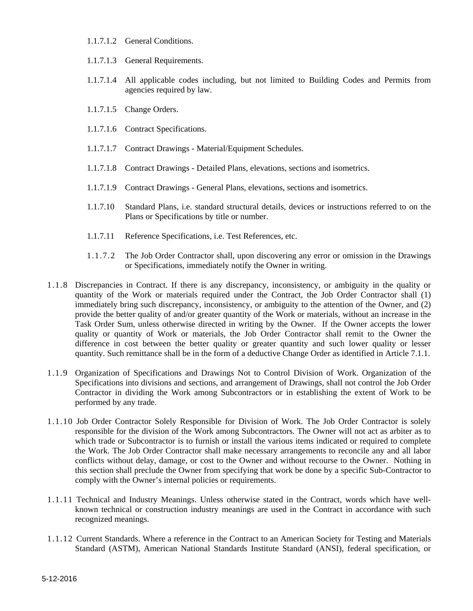- 1.1.7.1.2 General Conditions.
- 1.1.7.1.3 General Requirements.
- 1.1.7.1.4 All applicable codes including, but not limited to Building Codes and Permits from agencies required by law.
- 1.1.7.1.5 Change Orders.
- 1.1.7.1.6 Contract Specifications.
- 1.1.7.1.7 Contract Drawings Material/Equipment Schedules.
- 1.1.7.1.8 Contract Drawings Detailed Plans, elevations, sections and isometrics.
- 1.1.7.1.9 Contract Drawings General Plans, elevations, sections and isometrics.
- 1.1.7.10 Standard Plans, i.e. standard structural details, devices or instructions referred to on the Plans or Specifications by title or number.
- 1.1.7.11 Reference Specifications, i.e. Test References, etc.
- 1.1.7.2 The Job Order Contractor shall, upon discovering any error or omission in the Drawings or Specifications, immediately notify the Owner in writing.
- 1.1.8 Discrepancies in Contract. If there is any discrepancy, inconsistency, or ambiguity in the quality or quantity of the Work or materials required under the Contract, the Job Order Contractor shall (1) immediately bring such discrepancy, inconsistency, or ambiguity to the attention of the Owner, and (2) provide the better quality of and/or greater quantity of the Work or materials, without an increase in the Task Order Sum, unless otherwise directed in writing by the Owner. If the Owner accepts the lower quality or quantity of Work or materials, the Job Order Contractor shall remit to the Owner the difference in cost between the better quality or greater quantity and such lower quality or lesser quantity. Such remittance shall be in the form of a deductive Change Order as identified in Article 7.1.1.
- 1.1.9 Organization of Specifications and Drawings Not to Control Division of Work. Organization of the Specifications into divisions and sections, and arrangement of Drawings, shall not control the Job Order Contractor in dividing the Work among Subcontractors or in establishing the extent of Work to be performed by any trade.
- 1.1.10 Job Order Contractor Solely Responsible for Division of Work. The Job Order Contractor is solely responsible for the division of the Work among Subcontractors. The Owner will not act as arbiter as to which trade or Subcontractor is to furnish or install the various items indicated or required to complete the Work. The Job Order Contractor shall make necessary arrangements to reconcile any and all labor conflicts without delay, damage, or cost to the Owner and without recourse to the Owner. Nothing in this section shall preclude the Owner from specifying that work be done by a specific Sub-Contractor to comply with the Owner's internal policies or requirements.
- 1.1.11 Technical and Industry Meanings. Unless otherwise stated in the Contract, words which have wellknown technical or construction industry meanings are used in the Contract in accordance with such recognized meanings.
- 1.1.12 Current Standards. Where a reference in the Contract to an American Society for Testing and Materials Standard (ASTM), American National Standards Institute Standard (ANSI), federal specification, or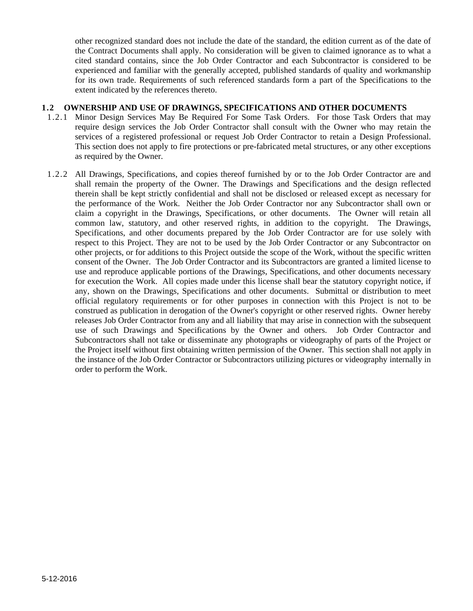other recognized standard does not include the date of the standard, the edition current as of the date of the Contract Documents shall apply. No consideration will be given to claimed ignorance as to what a cited standard contains, since the Job Order Contractor and each Subcontractor is considered to be experienced and familiar with the generally accepted, published standards of quality and workmanship for its own trade. Requirements of such referenced standards form a part of the Specifications to the extent indicated by the references thereto.

#### **1.2 OWNERSHIP AND USE OF DRAWINGS, SPECIFICATIONS AND OTHER DOCUMENTS**

- 1.2.1 Minor Design Services May Be Required For Some Task Orders. For those Task Orders that may require design services the Job Order Contractor shall consult with the Owner who may retain the services of a registered professional or request Job Order Contractor to retain a Design Professional. This section does not apply to fire protections or pre-fabricated metal structures, or any other exceptions as required by the Owner.
- 1.2.2 All Drawings, Specifications, and copies thereof furnished by or to the Job Order Contractor are and shall remain the property of the Owner. The Drawings and Specifications and the design reflected therein shall be kept strictly confidential and shall not be disclosed or released except as necessary for the performance of the Work. Neither the Job Order Contractor nor any Subcontractor shall own or claim a copyright in the Drawings, Specifications, or other documents. The Owner will retain all common law, statutory, and other reserved rights, in addition to the copyright. The Drawings, Specifications, and other documents prepared by the Job Order Contractor are for use solely with respect to this Project. They are not to be used by the Job Order Contractor or any Subcontractor on other projects, or for additions to this Project outside the scope of the Work, without the specific written consent of the Owner. The Job Order Contractor and its Subcontractors are granted a limited license to use and reproduce applicable portions of the Drawings, Specifications, and other documents necessary for execution the Work. All copies made under this license shall bear the statutory copyright notice, if any, shown on the Drawings, Specifications and other documents. Submittal or distribution to meet official regulatory requirements or for other purposes in connection with this Project is not to be construed as publication in derogation of the Owner's copyright or other reserved rights. Owner hereby releases Job Order Contractor from any and all liability that may arise in connection with the subsequent use of such Drawings and Specifications by the Owner and others. Job Order Contractor and Subcontractors shall not take or disseminate any photographs or videography of parts of the Project or the Project itself without first obtaining written permission of the Owner. This section shall not apply in the instance of the Job Order Contractor or Subcontractors utilizing pictures or videography internally in order to perform the Work.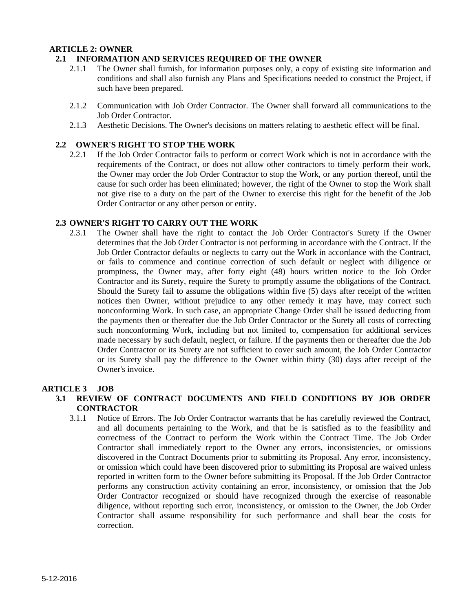#### **ARTICLE 2: OWNER**

#### **2.1 INFORMATION AND SERVICES REQUIRED OF THE OWNER**

- 2.1.1 The Owner shall furnish, for information purposes only, a copy of existing site information and conditions and shall also furnish any Plans and Specifications needed to construct the Project, if such have been prepared.
- 2.1.2 Communication with Job Order Contractor. The Owner shall forward all communications to the Job Order Contractor.
- 2.1.3 Aesthetic Decisions. The Owner's decisions on matters relating to aesthetic effect will be final.

#### **2.2 OWNER'S RIGHT TO STOP THE WORK**

2.2.1 If the Job Order Contractor fails to perform or correct Work which is not in accordance with the requirements of the Contract, or does not allow other contractors to timely perform their work, the Owner may order the Job Order Contractor to stop the Work, or any portion thereof, until the cause for such order has been eliminated; however, the right of the Owner to stop the Work shall not give rise to a duty on the part of the Owner to exercise this right for the benefit of the Job Order Contractor or any other person or entity.

#### **2.3 OWNER'S RIGHT TO CARRY OUT THE WORK**

2.3.1 The Owner shall have the right to contact the Job Order Contractor's Surety if the Owner determines that the Job Order Contractor is not performing in accordance with the Contract. If the Job Order Contractor defaults or neglects to carry out the Work in accordance with the Contract, or fails to commence and continue correction of such default or neglect with diligence or promptness, the Owner may, after forty eight (48) hours written notice to the Job Order Contractor and its Surety, require the Surety to promptly assume the obligations of the Contract. Should the Surety fail to assume the obligations within five (5) days after receipt of the written notices then Owner, without prejudice to any other remedy it may have, may correct such nonconforming Work. In such case, an appropriate Change Order shall be issued deducting from the payments then or thereafter due the Job Order Contractor or the Surety all costs of correcting such nonconforming Work, including but not limited to, compensation for additional services made necessary by such default, neglect, or failure. If the payments then or thereafter due the Job Order Contractor or its Surety are not sufficient to cover such amount, the Job Order Contractor or its Surety shall pay the difference to the Owner within thirty (30) days after receipt of the Owner's invoice.

#### **ARTICLE 3 JOB**

- **3.1 REVIEW OF CONTRACT DOCUMENTS AND FIELD CONDITIONS BY JOB ORDER CONTRACTOR** 
	- 3.1.1 Notice of Errors. The Job Order Contractor warrants that he has carefully reviewed the Contract, and all documents pertaining to the Work, and that he is satisfied as to the feasibility and correctness of the Contract to perform the Work within the Contract Time. The Job Order Contractor shall immediately report to the Owner any errors, inconsistencies, or omissions discovered in the Contract Documents prior to submitting its Proposal. Any error, inconsistency, or omission which could have been discovered prior to submitting its Proposal are waived unless reported in written form to the Owner before submitting its Proposal. If the Job Order Contractor performs any construction activity containing an error, inconsistency, or omission that the Job Order Contractor recognized or should have recognized through the exercise of reasonable diligence, without reporting such error, inconsistency, or omission to the Owner, the Job Order Contractor shall assume responsibility for such performance and shall bear the costs for correction.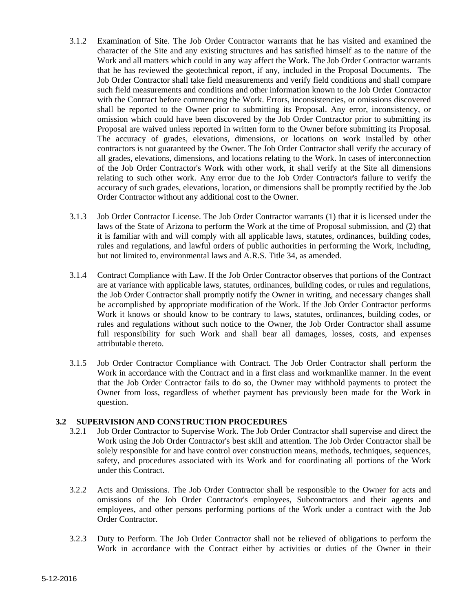- 3.1.2 Examination of Site. The Job Order Contractor warrants that he has visited and examined the character of the Site and any existing structures and has satisfied himself as to the nature of the Work and all matters which could in any way affect the Work. The Job Order Contractor warrants that he has reviewed the geotechnical report, if any, included in the Proposal Documents. The Job Order Contractor shall take field measurements and verify field conditions and shall compare such field measurements and conditions and other information known to the Job Order Contractor with the Contract before commencing the Work. Errors, inconsistencies, or omissions discovered shall be reported to the Owner prior to submitting its Proposal. Any error, inconsistency, or omission which could have been discovered by the Job Order Contractor prior to submitting its Proposal are waived unless reported in written form to the Owner before submitting its Proposal. The accuracy of grades, elevations, dimensions, or locations on work installed by other contractors is not guaranteed by the Owner. The Job Order Contractor shall verify the accuracy of all grades, elevations, dimensions, and locations relating to the Work. In cases of interconnection of the Job Order Contractor's Work with other work, it shall verify at the Site all dimensions relating to such other work. Any error due to the Job Order Contractor's failure to verify the accuracy of such grades, elevations, location, or dimensions shall be promptly rectified by the Job Order Contractor without any additional cost to the Owner.
- 3.1.3 Job Order Contractor License. The Job Order Contractor warrants (1) that it is licensed under the laws of the State of Arizona to perform the Work at the time of Proposal submission, and (2) that it is familiar with and will comply with all applicable laws, statutes, ordinances, building codes, rules and regulations, and lawful orders of public authorities in performing the Work, including, but not limited to, environmental laws and A.R.S. Title 34, as amended.
- 3.1.4 Contract Compliance with Law. If the Job Order Contractor observes that portions of the Contract are at variance with applicable laws, statutes, ordinances, building codes, or rules and regulations, the Job Order Contractor shall promptly notify the Owner in writing, and necessary changes shall be accomplished by appropriate modification of the Work. If the Job Order Contractor performs Work it knows or should know to be contrary to laws, statutes, ordinances, building codes, or rules and regulations without such notice to the Owner, the Job Order Contractor shall assume full responsibility for such Work and shall bear all damages, losses, costs, and expenses attributable thereto.
- 3.1.5 Job Order Contractor Compliance with Contract. The Job Order Contractor shall perform the Work in accordance with the Contract and in a first class and workmanlike manner. In the event that the Job Order Contractor fails to do so, the Owner may withhold payments to protect the Owner from loss, regardless of whether payment has previously been made for the Work in question.

#### **3.2 SUPERVISION AND CONSTRUCTION PROCEDURES**

- 3.2.1 Job Order Contractor to Supervise Work. The Job Order Contractor shall supervise and direct the Work using the Job Order Contractor's best skill and attention. The Job Order Contractor shall be solely responsible for and have control over construction means, methods, techniques, sequences, safety, and procedures associated with its Work and for coordinating all portions of the Work under this Contract.
- 3.2.2 Acts and Omissions. The Job Order Contractor shall be responsible to the Owner for acts and omissions of the Job Order Contractor's employees, Subcontractors and their agents and employees, and other persons performing portions of the Work under a contract with the Job Order Contractor.
- 3.2.3 Duty to Perform. The Job Order Contractor shall not be relieved of obligations to perform the Work in accordance with the Contract either by activities or duties of the Owner in their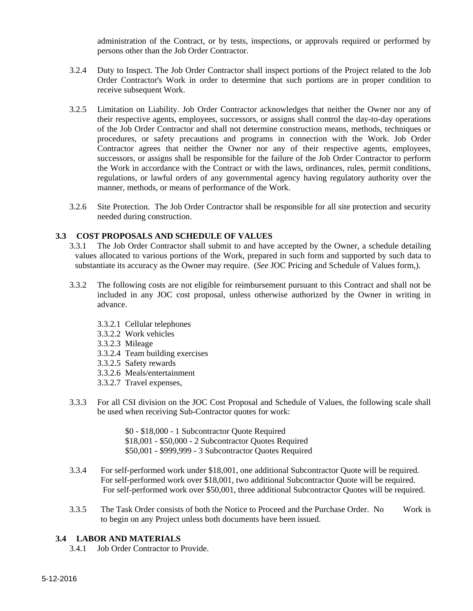administration of the Contract, or by tests, inspections, or approvals required or performed by persons other than the Job Order Contractor.

- 3.2.4 Duty to Inspect. The Job Order Contractor shall inspect portions of the Project related to the Job Order Contractor's Work in order to determine that such portions are in proper condition to receive subsequent Work.
- 3.2.5 Limitation on Liability. Job Order Contractor acknowledges that neither the Owner nor any of their respective agents, employees, successors, or assigns shall control the day-to-day operations of the Job Order Contractor and shall not determine construction means, methods, techniques or procedures, or safety precautions and programs in connection with the Work. Job Order Contractor agrees that neither the Owner nor any of their respective agents, employees, successors, or assigns shall be responsible for the failure of the Job Order Contractor to perform the Work in accordance with the Contract or with the laws, ordinances, rules, permit conditions, regulations, or lawful orders of any governmental agency having regulatory authority over the manner, methods, or means of performance of the Work.
- 3.2.6 Site Protection. The Job Order Contractor shall be responsible for all site protection and security needed during construction.

#### **3.3 COST PROPOSALS AND SCHEDULE OF VALUES**

- 3.3.1 The Job Order Contractor shall submit to and have accepted by the Owner, a schedule detailing values allocated to various portions of the Work, prepared in such form and supported by such data to substantiate its accuracy as the Owner may require. (*See* JOC Pricing and Schedule of Values form,).
- 3.3.2 The following costs are not eligible for reimbursement pursuant to this Contract and shall not be included in any JOC cost proposal, unless otherwise authorized by the Owner in writing in advance.
	- 3.3.2.1 Cellular telephones
	- 3.3.2.2 Work vehicles
	- 3.3.2.3 Mileage
	- 3.3.2.4 Team building exercises
	- 3.3.2.5 Safety rewards
	- 3.3.2.6 Meals/entertainment
	- 3.3.2.7 Travel expenses,
- 3.3.3 For all CSI division on the JOC Cost Proposal and Schedule of Values, the following scale shall be used when receiving Sub-Contractor quotes for work:

 \$0 - \$18,000 - 1 Subcontractor Quote Required \$18,001 - \$50,000 - 2 Subcontractor Quotes Required \$50,001 - \$999,999 - 3 Subcontractor Quotes Required

- 3.3.4 For self-performed work under \$18,001, one additional Subcontractor Quote will be required. For self-performed work over \$18,001, two additional Subcontractor Quote will be required. For self-performed work over \$50,001, three additional Subcontractor Quotes will be required.
- 3.3.5 The Task Order consists of both the Notice to Proceed and the Purchase Order. No Work is to begin on any Project unless both documents have been issued.

#### **3.4 LABOR AND MATERIALS**

3.4.1 Job Order Contractor to Provide.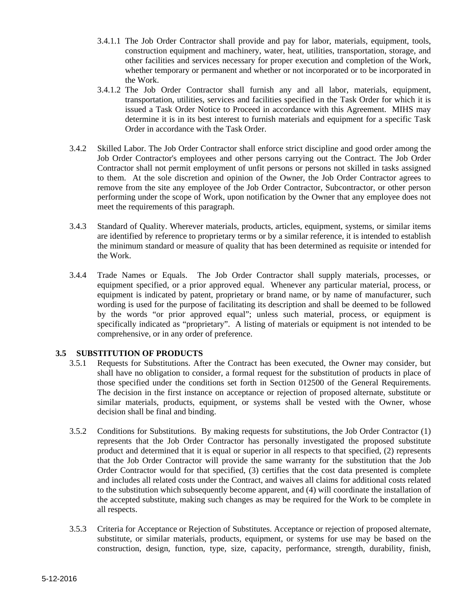- 3.4.1.1 The Job Order Contractor shall provide and pay for labor, materials, equipment, tools, construction equipment and machinery, water, heat, utilities, transportation, storage, and other facilities and services necessary for proper execution and completion of the Work, whether temporary or permanent and whether or not incorporated or to be incorporated in the Work.
- 3.4.1.2 The Job Order Contractor shall furnish any and all labor, materials, equipment, transportation, utilities, services and facilities specified in the Task Order for which it is issued a Task Order Notice to Proceed in accordance with this Agreement. MIHS may determine it is in its best interest to furnish materials and equipment for a specific Task Order in accordance with the Task Order.
- 3.4.2 Skilled Labor. The Job Order Contractor shall enforce strict discipline and good order among the Job Order Contractor's employees and other persons carrying out the Contract. The Job Order Contractor shall not permit employment of unfit persons or persons not skilled in tasks assigned to them. At the sole discretion and opinion of the Owner, the Job Order Contractor agrees to remove from the site any employee of the Job Order Contractor, Subcontractor, or other person performing under the scope of Work, upon notification by the Owner that any employee does not meet the requirements of this paragraph.
- 3.4.3 Standard of Quality. Wherever materials, products, articles, equipment, systems, or similar items are identified by reference to proprietary terms or by a similar reference, it is intended to establish the minimum standard or measure of quality that has been determined as requisite or intended for the Work.
- 3.4.4 Trade Names or Equals. The Job Order Contractor shall supply materials, processes, or equipment specified, or a prior approved equal. Whenever any particular material, process, or equipment is indicated by patent, proprietary or brand name, or by name of manufacturer, such wording is used for the purpose of facilitating its description and shall be deemed to be followed by the words "or prior approved equal"; unless such material, process, or equipment is specifically indicated as "proprietary". A listing of materials or equipment is not intended to be comprehensive, or in any order of preference.

#### **3.5 SUBSTITUTION OF PRODUCTS**

- 3.5.1 Requests for Substitutions. After the Contract has been executed, the Owner may consider, but shall have no obligation to consider, a formal request for the substitution of products in place of those specified under the conditions set forth in Section 012500 of the General Requirements. The decision in the first instance on acceptance or rejection of proposed alternate, substitute or similar materials, products, equipment, or systems shall be vested with the Owner, whose decision shall be final and binding.
- 3.5.2 Conditions for Substitutions. By making requests for substitutions, the Job Order Contractor (1) represents that the Job Order Contractor has personally investigated the proposed substitute product and determined that it is equal or superior in all respects to that specified, (2) represents that the Job Order Contractor will provide the same warranty for the substitution that the Job Order Contractor would for that specified, (3) certifies that the cost data presented is complete and includes all related costs under the Contract, and waives all claims for additional costs related to the substitution which subsequently become apparent, and (4) will coordinate the installation of the accepted substitute, making such changes as may be required for the Work to be complete in all respects.
- 3.5.3 Criteria for Acceptance or Rejection of Substitutes. Acceptance or rejection of proposed alternate, substitute, or similar materials, products, equipment, or systems for use may be based on the construction, design, function, type, size, capacity, performance, strength, durability, finish,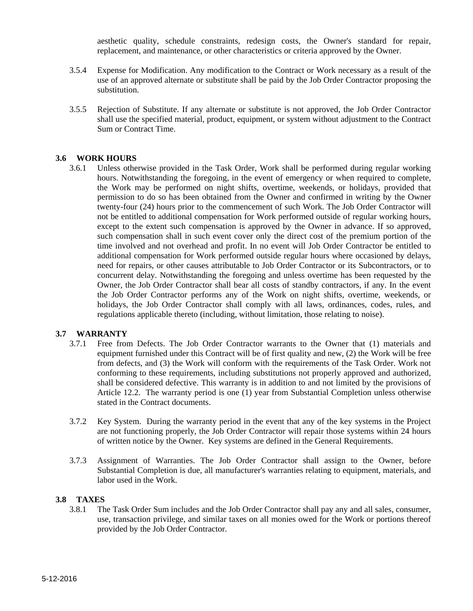aesthetic quality, schedule constraints, redesign costs, the Owner's standard for repair, replacement, and maintenance, or other characteristics or criteria approved by the Owner.

- 3.5.4 Expense for Modification. Any modification to the Contract or Work necessary as a result of the use of an approved alternate or substitute shall be paid by the Job Order Contractor proposing the substitution.
- 3.5.5 Rejection of Substitute. If any alternate or substitute is not approved, the Job Order Contractor shall use the specified material, product, equipment, or system without adjustment to the Contract Sum or Contract Time.

#### **3.6 WORK HOURS**

3.6.1 Unless otherwise provided in the Task Order, Work shall be performed during regular working hours. Notwithstanding the foregoing, in the event of emergency or when required to complete, the Work may be performed on night shifts, overtime, weekends, or holidays, provided that permission to do so has been obtained from the Owner and confirmed in writing by the Owner twenty-four (24) hours prior to the commencement of such Work. The Job Order Contractor will not be entitled to additional compensation for Work performed outside of regular working hours, except to the extent such compensation is approved by the Owner in advance. If so approved, such compensation shall in such event cover only the direct cost of the premium portion of the time involved and not overhead and profit. In no event will Job Order Contractor be entitled to additional compensation for Work performed outside regular hours where occasioned by delays, need for repairs, or other causes attributable to Job Order Contractor or its Subcontractors, or to concurrent delay. Notwithstanding the foregoing and unless overtime has been requested by the Owner, the Job Order Contractor shall bear all costs of standby contractors, if any. In the event the Job Order Contractor performs any of the Work on night shifts, overtime, weekends, or holidays, the Job Order Contractor shall comply with all laws, ordinances, codes, rules, and regulations applicable thereto (including, without limitation, those relating to noise).

#### **3.7 WARRANTY**

- 3.7.1 Free from Defects. The Job Order Contractor warrants to the Owner that (1) materials and equipment furnished under this Contract will be of first quality and new, (2) the Work will be free from defects, and (3) the Work will conform with the requirements of the Task Order. Work not conforming to these requirements, including substitutions not properly approved and authorized, shall be considered defective. This warranty is in addition to and not limited by the provisions of Article 12.2. The warranty period is one (1) year from Substantial Completion unless otherwise stated in the Contract documents.
- 3.7.2 Key System. During the warranty period in the event that any of the key systems in the Project are not functioning properly, the Job Order Contractor will repair those systems within 24 hours of written notice by the Owner. Key systems are defined in the General Requirements.
- 3.7.3 Assignment of Warranties. The Job Order Contractor shall assign to the Owner, before Substantial Completion is due, all manufacturer's warranties relating to equipment, materials, and labor used in the Work.

#### **3.8 TAXES**

3.8.1 The Task Order Sum includes and the Job Order Contractor shall pay any and all sales, consumer, use, transaction privilege, and similar taxes on all monies owed for the Work or portions thereof provided by the Job Order Contractor.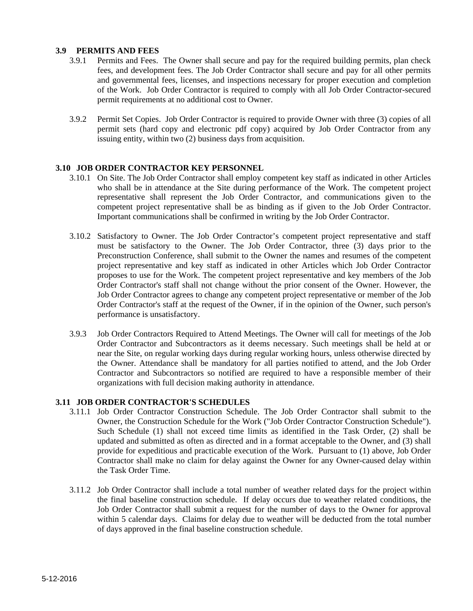#### **3.9 PERMITS AND FEES**

- 3.9.1 Permits and Fees. The Owner shall secure and pay for the required building permits, plan check fees, and development fees. The Job Order Contractor shall secure and pay for all other permits and governmental fees, licenses, and inspections necessary for proper execution and completion of the Work. Job Order Contractor is required to comply with all Job Order Contractor-secured permit requirements at no additional cost to Owner.
- 3.9.2 Permit Set Copies. Job Order Contractor is required to provide Owner with three (3) copies of all permit sets (hard copy and electronic pdf copy) acquired by Job Order Contractor from any issuing entity, within two (2) business days from acquisition.

#### **3.10 JOB ORDER CONTRACTOR KEY PERSONNEL**

- 3.10.1 On Site. The Job Order Contractor shall employ competent key staff as indicated in other Articles who shall be in attendance at the Site during performance of the Work. The competent project representative shall represent the Job Order Contractor, and communications given to the competent project representative shall be as binding as if given to the Job Order Contractor. Important communications shall be confirmed in writing by the Job Order Contractor.
- 3.10.2 Satisfactory to Owner. The Job Order Contractor's competent project representative and staff must be satisfactory to the Owner. The Job Order Contractor, three (3) days prior to the Preconstruction Conference, shall submit to the Owner the names and resumes of the competent project representative and key staff as indicated in other Articles which Job Order Contractor proposes to use for the Work. The competent project representative and key members of the Job Order Contractor's staff shall not change without the prior consent of the Owner. However, the Job Order Contractor agrees to change any competent project representative or member of the Job Order Contractor's staff at the request of the Owner, if in the opinion of the Owner, such person's performance is unsatisfactory.
- 3.9.3 Job Order Contractors Required to Attend Meetings. The Owner will call for meetings of the Job Order Contractor and Subcontractors as it deems necessary. Such meetings shall be held at or near the Site, on regular working days during regular working hours, unless otherwise directed by the Owner. Attendance shall be mandatory for all parties notified to attend, and the Job Order Contractor and Subcontractors so notified are required to have a responsible member of their organizations with full decision making authority in attendance.

#### **3.11 JOB ORDER CONTRACTOR'S SCHEDULES**

- 3.11.1 Job Order Contractor Construction Schedule. The Job Order Contractor shall submit to the Owner, the Construction Schedule for the Work ("Job Order Contractor Construction Schedule"). Such Schedule (1) shall not exceed time limits as identified in the Task Order, (2) shall be updated and submitted as often as directed and in a format acceptable to the Owner, and (3) shall provide for expeditious and practicable execution of the Work. Pursuant to (1) above, Job Order Contractor shall make no claim for delay against the Owner for any Owner-caused delay within the Task Order Time.
- 3.11.2 Job Order Contractor shall include a total number of weather related days for the project within the final baseline construction schedule. If delay occurs due to weather related conditions, the Job Order Contractor shall submit a request for the number of days to the Owner for approval within 5 calendar days. Claims for delay due to weather will be deducted from the total number of days approved in the final baseline construction schedule.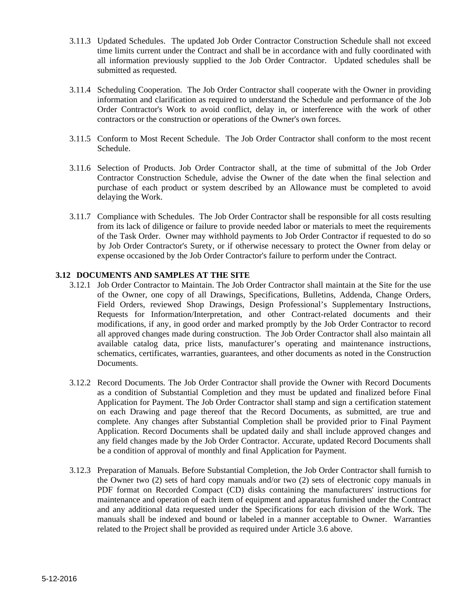- 3.11.3 Updated Schedules. The updated Job Order Contractor Construction Schedule shall not exceed time limits current under the Contract and shall be in accordance with and fully coordinated with all information previously supplied to the Job Order Contractor. Updated schedules shall be submitted as requested.
- 3.11.4 Scheduling Cooperation. The Job Order Contractor shall cooperate with the Owner in providing information and clarification as required to understand the Schedule and performance of the Job Order Contractor's Work to avoid conflict, delay in, or interference with the work of other contractors or the construction or operations of the Owner's own forces.
- 3.11.5 Conform to Most Recent Schedule. The Job Order Contractor shall conform to the most recent Schedule.
- 3.11.6 Selection of Products. Job Order Contractor shall, at the time of submittal of the Job Order Contractor Construction Schedule, advise the Owner of the date when the final selection and purchase of each product or system described by an Allowance must be completed to avoid delaying the Work.
- 3.11.7 Compliance with Schedules. The Job Order Contractor shall be responsible for all costs resulting from its lack of diligence or failure to provide needed labor or materials to meet the requirements of the Task Order. Owner may withhold payments to Job Order Contractor if requested to do so by Job Order Contractor's Surety, or if otherwise necessary to protect the Owner from delay or expense occasioned by the Job Order Contractor's failure to perform under the Contract.

#### **3.12 DOCUMENTS AND SAMPLES AT THE SITE**

- 3.12.1 Job Order Contractor to Maintain. The Job Order Contractor shall maintain at the Site for the use of the Owner, one copy of all Drawings, Specifications, Bulletins, Addenda, Change Orders, Field Orders, reviewed Shop Drawings, Design Professional's Supplementary Instructions, Requests for Information/Interpretation, and other Contract-related documents and their modifications, if any, in good order and marked promptly by the Job Order Contractor to record all approved changes made during construction. The Job Order Contractor shall also maintain all available catalog data, price lists, manufacturer's operating and maintenance instructions, schematics, certificates, warranties, guarantees, and other documents as noted in the Construction **Documents**
- 3.12.2 Record Documents. The Job Order Contractor shall provide the Owner with Record Documents as a condition of Substantial Completion and they must be updated and finalized before Final Application for Payment. The Job Order Contractor shall stamp and sign a certification statement on each Drawing and page thereof that the Record Documents, as submitted, are true and complete. Any changes after Substantial Completion shall be provided prior to Final Payment Application. Record Documents shall be updated daily and shall include approved changes and any field changes made by the Job Order Contractor. Accurate, updated Record Documents shall be a condition of approval of monthly and final Application for Payment.
- 3.12.3 Preparation of Manuals. Before Substantial Completion, the Job Order Contractor shall furnish to the Owner two (2) sets of hard copy manuals and/or two (2) sets of electronic copy manuals in PDF format on Recorded Compact (CD) disks containing the manufacturers' instructions for maintenance and operation of each item of equipment and apparatus furnished under the Contract and any additional data requested under the Specifications for each division of the Work. The manuals shall be indexed and bound or labeled in a manner acceptable to Owner. Warranties related to the Project shall be provided as required under Article 3.6 above.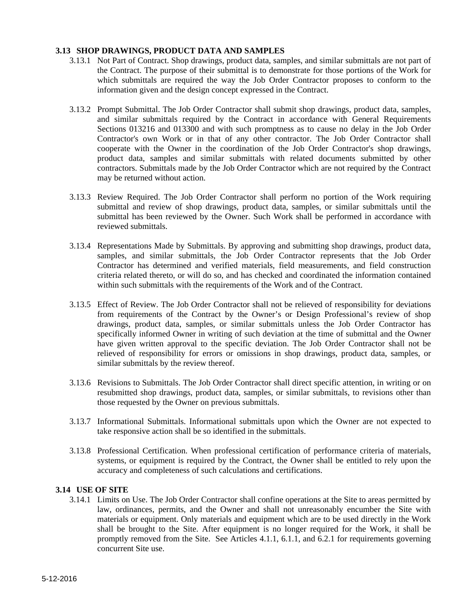#### **3.13 SHOP DRAWINGS, PRODUCT DATA AND SAMPLES**

- 3.13.1 Not Part of Contract. Shop drawings, product data, samples, and similar submittals are not part of the Contract. The purpose of their submittal is to demonstrate for those portions of the Work for which submittals are required the way the Job Order Contractor proposes to conform to the information given and the design concept expressed in the Contract.
- 3.13.2 Prompt Submittal. The Job Order Contractor shall submit shop drawings, product data, samples, and similar submittals required by the Contract in accordance with General Requirements Sections 013216 and 013300 and with such promptness as to cause no delay in the Job Order Contractor's own Work or in that of any other contractor. The Job Order Contractor shall cooperate with the Owner in the coordination of the Job Order Contractor's shop drawings, product data, samples and similar submittals with related documents submitted by other contractors. Submittals made by the Job Order Contractor which are not required by the Contract may be returned without action.
- 3.13.3 Review Required. The Job Order Contractor shall perform no portion of the Work requiring submittal and review of shop drawings, product data, samples, or similar submittals until the submittal has been reviewed by the Owner. Such Work shall be performed in accordance with reviewed submittals.
- 3.13.4 Representations Made by Submittals. By approving and submitting shop drawings, product data, samples, and similar submittals, the Job Order Contractor represents that the Job Order Contractor has determined and verified materials, field measurements, and field construction criteria related thereto, or will do so, and has checked and coordinated the information contained within such submittals with the requirements of the Work and of the Contract.
- 3.13.5 Effect of Review. The Job Order Contractor shall not be relieved of responsibility for deviations from requirements of the Contract by the Owner's or Design Professional's review of shop drawings, product data, samples, or similar submittals unless the Job Order Contractor has specifically informed Owner in writing of such deviation at the time of submittal and the Owner have given written approval to the specific deviation. The Job Order Contractor shall not be relieved of responsibility for errors or omissions in shop drawings, product data, samples, or similar submittals by the review thereof.
- 3.13.6 Revisions to Submittals. The Job Order Contractor shall direct specific attention, in writing or on resubmitted shop drawings, product data, samples, or similar submittals, to revisions other than those requested by the Owner on previous submittals.
- 3.13.7 Informational Submittals. Informational submittals upon which the Owner are not expected to take responsive action shall be so identified in the submittals.
- 3.13.8 Professional Certification. When professional certification of performance criteria of materials, systems, or equipment is required by the Contract, the Owner shall be entitled to rely upon the accuracy and completeness of such calculations and certifications.

#### **3.14 USE OF SITE**

3.14.1 Limits on Use. The Job Order Contractor shall confine operations at the Site to areas permitted by law, ordinances, permits, and the Owner and shall not unreasonably encumber the Site with materials or equipment. Only materials and equipment which are to be used directly in the Work shall be brought to the Site. After equipment is no longer required for the Work, it shall be promptly removed from the Site. See Articles 4.1.1, 6.1.1, and 6.2.1 for requirements governing concurrent Site use.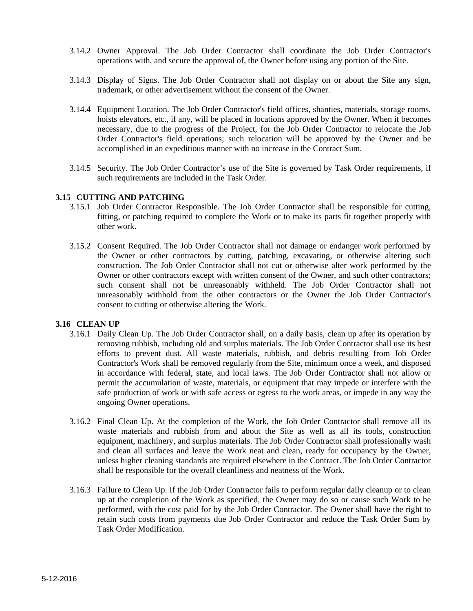- 3.14.2 Owner Approval. The Job Order Contractor shall coordinate the Job Order Contractor's operations with, and secure the approval of, the Owner before using any portion of the Site.
- 3.14.3 Display of Signs. The Job Order Contractor shall not display on or about the Site any sign, trademark, or other advertisement without the consent of the Owner.
- 3.14.4 Equipment Location. The Job Order Contractor's field offices, shanties, materials, storage rooms, hoists elevators, etc., if any, will be placed in locations approved by the Owner. When it becomes necessary, due to the progress of the Project, for the Job Order Contractor to relocate the Job Order Contractor's field operations; such relocation will be approved by the Owner and be accomplished in an expeditious manner with no increase in the Contract Sum.
- 3.14.5 Security. The Job Order Contractor's use of the Site is governed by Task Order requirements, if such requirements are included in the Task Order.

#### **3.15 CUTTING AND PATCHING**

- 3.15.1 Job Order Contractor Responsible. The Job Order Contractor shall be responsible for cutting, fitting, or patching required to complete the Work or to make its parts fit together properly with other work.
- 3.15.2 Consent Required. The Job Order Contractor shall not damage or endanger work performed by the Owner or other contractors by cutting, patching, excavating, or otherwise altering such construction. The Job Order Contractor shall not cut or otherwise alter work performed by the Owner or other contractors except with written consent of the Owner, and such other contractors; such consent shall not be unreasonably withheld. The Job Order Contractor shall not unreasonably withhold from the other contractors or the Owner the Job Order Contractor's consent to cutting or otherwise altering the Work.

#### **3.16 CLEAN UP**

- 3.16.1 Daily Clean Up. The Job Order Contractor shall, on a daily basis, clean up after its operation by removing rubbish, including old and surplus materials. The Job Order Contractor shall use its best efforts to prevent dust. All waste materials, rubbish, and debris resulting from Job Order Contractor's Work shall be removed regularly from the Site, minimum once a week, and disposed in accordance with federal, state, and local laws. The Job Order Contractor shall not allow or permit the accumulation of waste, materials, or equipment that may impede or interfere with the safe production of work or with safe access or egress to the work areas, or impede in any way the ongoing Owner operations.
- 3.16.2 Final Clean Up. At the completion of the Work, the Job Order Contractor shall remove all its waste materials and rubbish from and about the Site as well as all its tools, construction equipment, machinery, and surplus materials. The Job Order Contractor shall professionally wash and clean all surfaces and leave the Work neat and clean, ready for occupancy by the Owner, unless higher cleaning standards are required elsewhere in the Contract. The Job Order Contractor shall be responsible for the overall cleanliness and neatness of the Work.
- 3.16.3 Failure to Clean Up. If the Job Order Contractor fails to perform regular daily cleanup or to clean up at the completion of the Work as specified, the Owner may do so or cause such Work to be performed, with the cost paid for by the Job Order Contractor. The Owner shall have the right to retain such costs from payments due Job Order Contractor and reduce the Task Order Sum by Task Order Modification.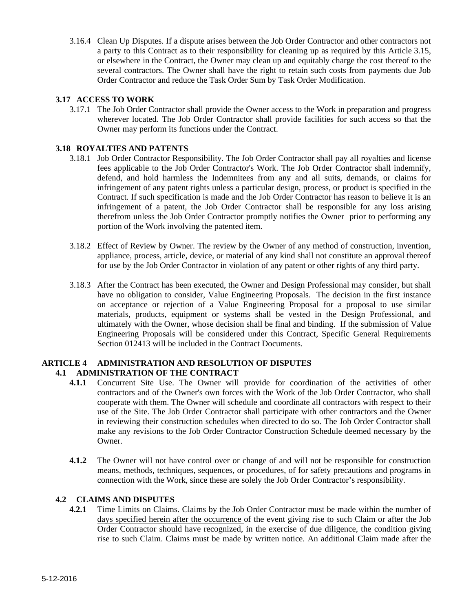3.16.4 Clean Up Disputes. If a dispute arises between the Job Order Contractor and other contractors not a party to this Contract as to their responsibility for cleaning up as required by this Article 3.15, or elsewhere in the Contract, the Owner may clean up and equitably charge the cost thereof to the several contractors. The Owner shall have the right to retain such costs from payments due Job Order Contractor and reduce the Task Order Sum by Task Order Modification.

#### **3.17 ACCESS TO WORK**

3.17.1 The Job Order Contractor shall provide the Owner access to the Work in preparation and progress wherever located. The Job Order Contractor shall provide facilities for such access so that the Owner may perform its functions under the Contract.

#### **3.18 ROYALTIES AND PATENTS**

- 3.18.1 Job Order Contractor Responsibility. The Job Order Contractor shall pay all royalties and license fees applicable to the Job Order Contractor's Work. The Job Order Contractor shall indemnify, defend, and hold harmless the Indemnitees from any and all suits, demands, or claims for infringement of any patent rights unless a particular design, process, or product is specified in the Contract. If such specification is made and the Job Order Contractor has reason to believe it is an infringement of a patent, the Job Order Contractor shall be responsible for any loss arising therefrom unless the Job Order Contractor promptly notifies the Owner prior to performing any portion of the Work involving the patented item.
- 3.18.2 Effect of Review by Owner. The review by the Owner of any method of construction, invention, appliance, process, article, device, or material of any kind shall not constitute an approval thereof for use by the Job Order Contractor in violation of any patent or other rights of any third party.
- 3.18.3 After the Contract has been executed, the Owner and Design Professional may consider, but shall have no obligation to consider, Value Engineering Proposals. The decision in the first instance on acceptance or rejection of a Value Engineering Proposal for a proposal to use similar materials, products, equipment or systems shall be vested in the Design Professional, and ultimately with the Owner, whose decision shall be final and binding. If the submission of Value Engineering Proposals will be considered under this Contract, Specific General Requirements Section 012413 will be included in the Contract Documents.

#### **ARTICLE 4 ADMINISTRATION AND RESOLUTION OF DISPUTES 4.1 ADMINISTRATION OF THE CONTRACT**

- **4.1.1** Concurrent Site Use. The Owner will provide for coordination of the activities of other contractors and of the Owner's own forces with the Work of the Job Order Contractor, who shall cooperate with them. The Owner will schedule and coordinate all contractors with respect to their use of the Site. The Job Order Contractor shall participate with other contractors and the Owner in reviewing their construction schedules when directed to do so. The Job Order Contractor shall make any revisions to the Job Order Contractor Construction Schedule deemed necessary by the Owner.
- **4.1.2** The Owner will not have control over or change of and will not be responsible for construction means, methods, techniques, sequences, or procedures, of for safety precautions and programs in connection with the Work, since these are solely the Job Order Contractor's responsibility.

#### **4.2 CLAIMS AND DISPUTES**

**4.2.1** Time Limits on Claims. Claims by the Job Order Contractor must be made within the number of days specified herein after the occurrence of the event giving rise to such Claim or after the Job Order Contractor should have recognized, in the exercise of due diligence, the condition giving rise to such Claim. Claims must be made by written notice. An additional Claim made after the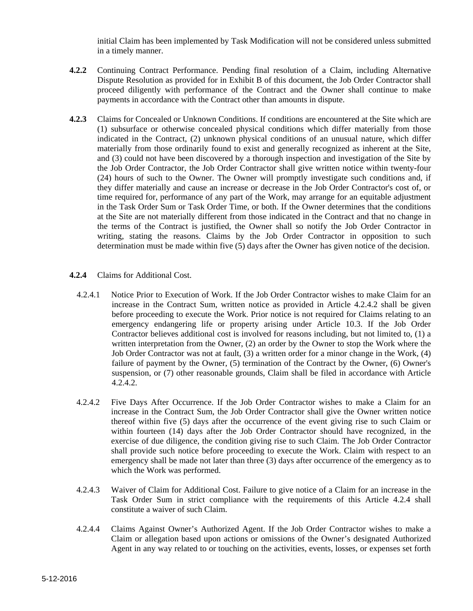initial Claim has been implemented by Task Modification will not be considered unless submitted in a timely manner.

- **4.2.2** Continuing Contract Performance. Pending final resolution of a Claim, including Alternative Dispute Resolution as provided for in Exhibit B of this document, the Job Order Contractor shall proceed diligently with performance of the Contract and the Owner shall continue to make payments in accordance with the Contract other than amounts in dispute.
- **4.2.3** Claims for Concealed or Unknown Conditions. If conditions are encountered at the Site which are (1) subsurface or otherwise concealed physical conditions which differ materially from those indicated in the Contract, (2) unknown physical conditions of an unusual nature, which differ materially from those ordinarily found to exist and generally recognized as inherent at the Site, and (3) could not have been discovered by a thorough inspection and investigation of the Site by the Job Order Contractor, the Job Order Contractor shall give written notice within twenty-four (24) hours of such to the Owner. The Owner will promptly investigate such conditions and, if they differ materially and cause an increase or decrease in the Job Order Contractor's cost of, or time required for, performance of any part of the Work, may arrange for an equitable adjustment in the Task Order Sum or Task Order Time, or both. If the Owner determines that the conditions at the Site are not materially different from those indicated in the Contract and that no change in the terms of the Contract is justified, the Owner shall so notify the Job Order Contractor in writing, stating the reasons. Claims by the Job Order Contractor in opposition to such determination must be made within five (5) days after the Owner has given notice of the decision.
- **4.2.4** Claims for Additional Cost.
	- 4.2.4.1 Notice Prior to Execution of Work. If the Job Order Contractor wishes to make Claim for an increase in the Contract Sum, written notice as provided in Article 4.2.4.2 shall be given before proceeding to execute the Work. Prior notice is not required for Claims relating to an emergency endangering life or property arising under Article 10.3. If the Job Order Contractor believes additional cost is involved for reasons including, but not limited to, (1) a written interpretation from the Owner, (2) an order by the Owner to stop the Work where the Job Order Contractor was not at fault, (3) a written order for a minor change in the Work, (4) failure of payment by the Owner, (5) termination of the Contract by the Owner, (6) Owner's suspension, or (7) other reasonable grounds, Claim shall be filed in accordance with Article 4.2.4.2.
	- 4.2.4.2 Five Days After Occurrence. If the Job Order Contractor wishes to make a Claim for an increase in the Contract Sum, the Job Order Contractor shall give the Owner written notice thereof within five (5) days after the occurrence of the event giving rise to such Claim or within fourteen (14) days after the Job Order Contractor should have recognized, in the exercise of due diligence, the condition giving rise to such Claim. The Job Order Contractor shall provide such notice before proceeding to execute the Work. Claim with respect to an emergency shall be made not later than three (3) days after occurrence of the emergency as to which the Work was performed.
	- 4.2.4.3 Waiver of Claim for Additional Cost. Failure to give notice of a Claim for an increase in the Task Order Sum in strict compliance with the requirements of this Article 4.2.4 shall constitute a waiver of such Claim.
	- 4.2.4.4 Claims Against Owner's Authorized Agent. If the Job Order Contractor wishes to make a Claim or allegation based upon actions or omissions of the Owner's designated Authorized Agent in any way related to or touching on the activities, events, losses, or expenses set forth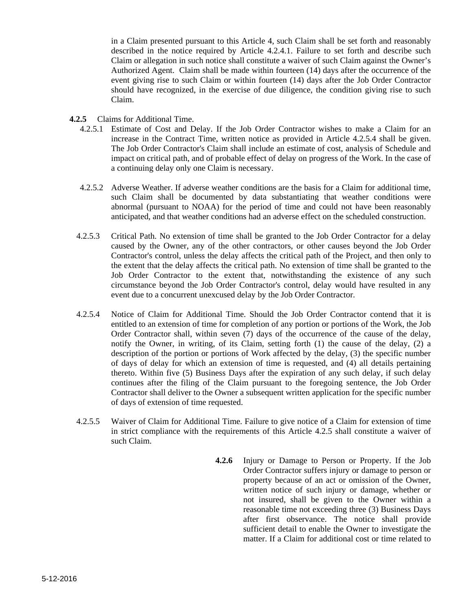in a Claim presented pursuant to this Article 4, such Claim shall be set forth and reasonably described in the notice required by Article 4.2.4.1. Failure to set forth and describe such Claim or allegation in such notice shall constitute a waiver of such Claim against the Owner's Authorized Agent. Claim shall be made within fourteen (14) days after the occurrence of the event giving rise to such Claim or within fourteen (14) days after the Job Order Contractor should have recognized, in the exercise of due diligence, the condition giving rise to such Claim.

- **4.2.5** Claims for Additional Time.
	- 4.2.5.1 Estimate of Cost and Delay. If the Job Order Contractor wishes to make a Claim for an increase in the Contract Time, written notice as provided in Article 4.2.5.4 shall be given. The Job Order Contractor's Claim shall include an estimate of cost, analysis of Schedule and impact on critical path, and of probable effect of delay on progress of the Work. In the case of a continuing delay only one Claim is necessary.
	- 4.2.5.2 Adverse Weather. If adverse weather conditions are the basis for a Claim for additional time, such Claim shall be documented by data substantiating that weather conditions were abnormal (pursuant to NOAA) for the period of time and could not have been reasonably anticipated, and that weather conditions had an adverse effect on the scheduled construction.
	- 4.2.5.3 Critical Path. No extension of time shall be granted to the Job Order Contractor for a delay caused by the Owner, any of the other contractors, or other causes beyond the Job Order Contractor's control, unless the delay affects the critical path of the Project, and then only to the extent that the delay affects the critical path. No extension of time shall be granted to the Job Order Contractor to the extent that, notwithstanding the existence of any such circumstance beyond the Job Order Contractor's control, delay would have resulted in any event due to a concurrent unexcused delay by the Job Order Contractor.
	- 4.2.5.4 Notice of Claim for Additional Time. Should the Job Order Contractor contend that it is entitled to an extension of time for completion of any portion or portions of the Work, the Job Order Contractor shall, within seven (7) days of the occurrence of the cause of the delay, notify the Owner, in writing, of its Claim, setting forth (1) the cause of the delay, (2) a description of the portion or portions of Work affected by the delay, (3) the specific number of days of delay for which an extension of time is requested, and (4) all details pertaining thereto. Within five (5) Business Days after the expiration of any such delay, if such delay continues after the filing of the Claim pursuant to the foregoing sentence, the Job Order Contractor shall deliver to the Owner a subsequent written application for the specific number of days of extension of time requested.
	- 4.2.5.5 Waiver of Claim for Additional Time. Failure to give notice of a Claim for extension of time in strict compliance with the requirements of this Article 4.2.5 shall constitute a waiver of such Claim.
		- **4.2.6** Injury or Damage to Person or Property. If the Job Order Contractor suffers injury or damage to person or property because of an act or omission of the Owner, written notice of such injury or damage, whether or not insured, shall be given to the Owner within a reasonable time not exceeding three (3) Business Days after first observance. The notice shall provide sufficient detail to enable the Owner to investigate the matter. If a Claim for additional cost or time related to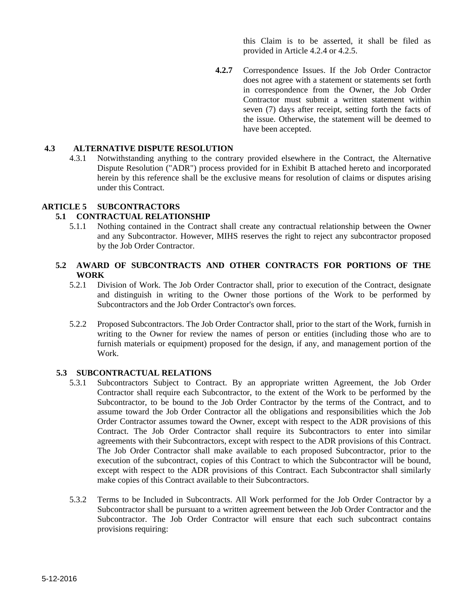this Claim is to be asserted, it shall be filed as provided in Article 4.2.4 or 4.2.5.

**4.2.7** Correspondence Issues. If the Job Order Contractor does not agree with a statement or statements set forth in correspondence from the Owner, the Job Order Contractor must submit a written statement within seven (7) days after receipt, setting forth the facts of the issue. Otherwise, the statement will be deemed to have been accepted.

#### **4.3 ALTERNATIVE DISPUTE RESOLUTION**

4.3.1 Notwithstanding anything to the contrary provided elsewhere in the Contract, the Alternative Dispute Resolution ("ADR") process provided for in Exhibit B attached hereto and incorporated herein by this reference shall be the exclusive means for resolution of claims or disputes arising under this Contract.

#### **ARTICLE 5 SUBCONTRACTORS**

#### **5.1 CONTRACTUAL RELATIONSHIP**

5.1.1 Nothing contained in the Contract shall create any contractual relationship between the Owner and any Subcontractor. However, MIHS reserves the right to reject any subcontractor proposed by the Job Order Contractor.

#### **5.2 AWARD OF SUBCONTRACTS AND OTHER CONTRACTS FOR PORTIONS OF THE WORK**

- 5.2.1 Division of Work. The Job Order Contractor shall, prior to execution of the Contract, designate and distinguish in writing to the Owner those portions of the Work to be performed by Subcontractors and the Job Order Contractor's own forces.
- 5.2.2 Proposed Subcontractors. The Job Order Contractor shall, prior to the start of the Work, furnish in writing to the Owner for review the names of person or entities (including those who are to furnish materials or equipment) proposed for the design, if any, and management portion of the Work.

#### **5.3 SUBCONTRACTUAL RELATIONS**

- 5.3.1 Subcontractors Subject to Contract. By an appropriate written Agreement, the Job Order Contractor shall require each Subcontractor, to the extent of the Work to be performed by the Subcontractor, to be bound to the Job Order Contractor by the terms of the Contract, and to assume toward the Job Order Contractor all the obligations and responsibilities which the Job Order Contractor assumes toward the Owner, except with respect to the ADR provisions of this Contract. The Job Order Contractor shall require its Subcontractors to enter into similar agreements with their Subcontractors, except with respect to the ADR provisions of this Contract. The Job Order Contractor shall make available to each proposed Subcontractor, prior to the execution of the subcontract, copies of this Contract to which the Subcontractor will be bound, except with respect to the ADR provisions of this Contract. Each Subcontractor shall similarly make copies of this Contract available to their Subcontractors.
- 5.3.2 Terms to be Included in Subcontracts. All Work performed for the Job Order Contractor by a Subcontractor shall be pursuant to a written agreement between the Job Order Contractor and the Subcontractor. The Job Order Contractor will ensure that each such subcontract contains provisions requiring: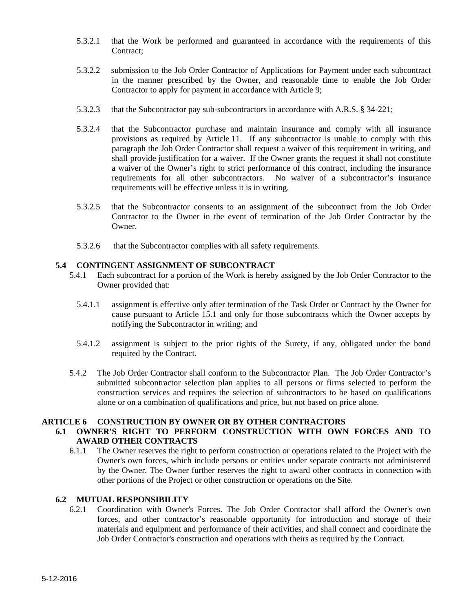- 5.3.2.1 that the Work be performed and guaranteed in accordance with the requirements of this Contract;
- 5.3.2.2 submission to the Job Order Contractor of Applications for Payment under each subcontract in the manner prescribed by the Owner, and reasonable time to enable the Job Order Contractor to apply for payment in accordance with Article 9;
- 5.3.2.3 that the Subcontractor pay sub-subcontractors in accordance with A.R.S. § 34-221;
- 5.3.2.4 that the Subcontractor purchase and maintain insurance and comply with all insurance provisions as required by Article 11. If any subcontractor is unable to comply with this paragraph the Job Order Contractor shall request a waiver of this requirement in writing, and shall provide justification for a waiver. If the Owner grants the request it shall not constitute a waiver of the Owner's right to strict performance of this contract, including the insurance requirements for all other subcontractors. No waiver of a subcontractor's insurance requirements will be effective unless it is in writing.
- 5.3.2.5 that the Subcontractor consents to an assignment of the subcontract from the Job Order Contractor to the Owner in the event of termination of the Job Order Contractor by the Owner.
- 5.3.2.6 that the Subcontractor complies with all safety requirements.

#### **5.4 CONTINGENT ASSIGNMENT OF SUBCONTRACT**

- 5.4.1 Each subcontract for a portion of the Work is hereby assigned by the Job Order Contractor to the Owner provided that:
	- 5.4.1.1 assignment is effective only after termination of the Task Order or Contract by the Owner for cause pursuant to Article 15.1 and only for those subcontracts which the Owner accepts by notifying the Subcontractor in writing; and
	- 5.4.1.2 assignment is subject to the prior rights of the Surety, if any, obligated under the bond required by the Contract.
- 5.4.2 The Job Order Contractor shall conform to the Subcontractor Plan. The Job Order Contractor's submitted subcontractor selection plan applies to all persons or firms selected to perform the construction services and requires the selection of subcontractors to be based on qualifications alone or on a combination of qualifications and price, but not based on price alone.

#### **ARTICLE 6 CONSTRUCTION BY OWNER OR BY OTHER CONTRACTORS**

#### **6.1 OWNER'S RIGHT TO PERFORM CONSTRUCTION WITH OWN FORCES AND TO AWARD OTHER CONTRACTS**

6.1.1 The Owner reserves the right to perform construction or operations related to the Project with the Owner's own forces, which include persons or entities under separate contracts not administered by the Owner. The Owner further reserves the right to award other contracts in connection with other portions of the Project or other construction or operations on the Site.

#### **6.2 MUTUAL RESPONSIBILITY**

6.2.1 Coordination with Owner's Forces. The Job Order Contractor shall afford the Owner's own forces, and other contractor's reasonable opportunity for introduction and storage of their materials and equipment and performance of their activities, and shall connect and coordinate the Job Order Contractor's construction and operations with theirs as required by the Contract.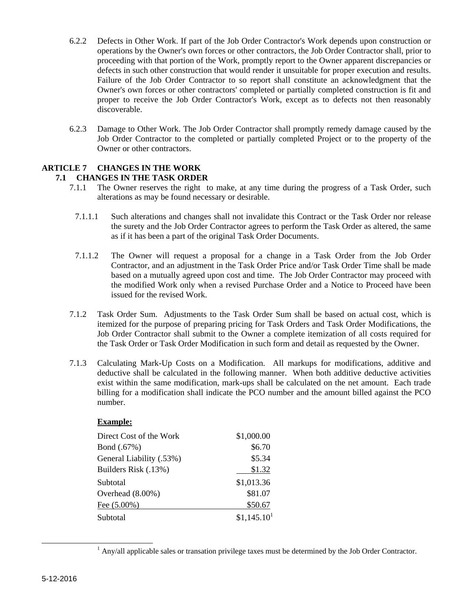- 6.2.2 Defects in Other Work. If part of the Job Order Contractor's Work depends upon construction or operations by the Owner's own forces or other contractors, the Job Order Contractor shall, prior to proceeding with that portion of the Work, promptly report to the Owner apparent discrepancies or defects in such other construction that would render it unsuitable for proper execution and results. Failure of the Job Order Contractor to so report shall constitute an acknowledgment that the Owner's own forces or other contractors' completed or partially completed construction is fit and proper to receive the Job Order Contractor's Work, except as to defects not then reasonably discoverable.
- 6.2.3 Damage to Other Work. The Job Order Contractor shall promptly remedy damage caused by the Job Order Contractor to the completed or partially completed Project or to the property of the Owner or other contractors.

### **ARTICLE 7 CHANGES IN THE WORK**

#### **7.1 CHANGES IN THE TASK ORDER**

- 7.1.1 The Owner reserves the right to make, at any time during the progress of a Task Order, such alterations as may be found necessary or desirable.
- 7.1.1.1 Such alterations and changes shall not invalidate this Contract or the Task Order nor release the surety and the Job Order Contractor agrees to perform the Task Order as altered, the same as if it has been a part of the original Task Order Documents.
- 7.1.1.2 The Owner will request a proposal for a change in a Task Order from the Job Order Contractor, and an adjustment in the Task Order Price and/or Task Order Time shall be made based on a mutually agreed upon cost and time. The Job Order Contractor may proceed with the modified Work only when a revised Purchase Order and a Notice to Proceed have been issued for the revised Work.
- 7.1.2 Task Order Sum. Adjustments to the Task Order Sum shall be based on actual cost, which is itemized for the purpose of preparing pricing for Task Orders and Task Order Modifications, the Job Order Contractor shall submit to the Owner a complete itemization of all costs required for the Task Order or Task Order Modification in such form and detail as requested by the Owner.
- 7.1.3 Calculating Mark-Up Costs on a Modification. All markups for modifications, additive and deductive shall be calculated in the following manner. When both additive deductive activities exist within the same modification, mark-ups shall be calculated on the net amount. Each trade billing for a modification shall indicate the PCO number and the amount billed against the PCO number.

#### **Example:**

| Direct Cost of the Work  | \$1,000.00              |
|--------------------------|-------------------------|
| Bond (.67%)              | \$6.70                  |
| General Liability (.53%) | \$5.34                  |
| Builders Risk (.13%)     | \$1.32                  |
| Subtotal                 | \$1,013.36              |
| Overhead (8.00%)         | \$81.07                 |
| Fee $(5.00\%)$           | \$50.67                 |
| Subtotal                 | \$1,145.10 <sup>1</sup> |

<sup>1</sup>  $\frac{1}{2}$  Any/all applicable sales or transation privilege taxes must be determined by the Job Order Contractor.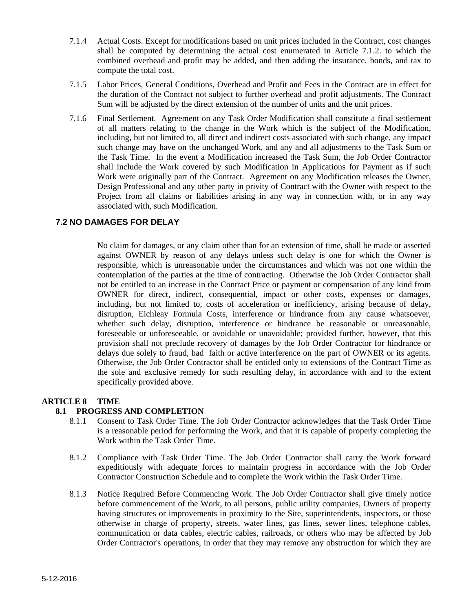- 7.1.4 Actual Costs. Except for modifications based on unit prices included in the Contract, cost changes shall be computed by determining the actual cost enumerated in Article 7.1.2. to which the combined overhead and profit may be added, and then adding the insurance, bonds, and tax to compute the total cost.
- 7.1.5 Labor Prices, General Conditions, Overhead and Profit and Fees in the Contract are in effect for the duration of the Contract not subject to further overhead and profit adjustments. The Contract Sum will be adjusted by the direct extension of the number of units and the unit prices.
- 7.1.6 Final Settlement. Agreement on any Task Order Modification shall constitute a final settlement of all matters relating to the change in the Work which is the subject of the Modification, including, but not limited to, all direct and indirect costs associated with such change, any impact such change may have on the unchanged Work, and any and all adjustments to the Task Sum or the Task Time. In the event a Modification increased the Task Sum, the Job Order Contractor shall include the Work covered by such Modification in Applications for Payment as if such Work were originally part of the Contract. Agreement on any Modification releases the Owner, Design Professional and any other party in privity of Contract with the Owner with respect to the Project from all claims or liabilities arising in any way in connection with, or in any way associated with, such Modification.

#### **7.2 NO DAMAGES FOR DELAY**

No claim for damages, or any claim other than for an extension of time, shall be made or asserted against OWNER by reason of any delays unless such delay is one for which the Owner is responsible, which is unreasonable under the circumstances and which was not one within the contemplation of the parties at the time of contracting. Otherwise the Job Order Contractor shall not be entitled to an increase in the Contract Price or payment or compensation of any kind from OWNER for direct, indirect, consequential, impact or other costs, expenses or damages, including, but not limited to, costs of acceleration or inefficiency, arising because of delay, disruption, Eichleay Formula Costs, interference or hindrance from any cause whatsoever, whether such delay, disruption, interference or hindrance be reasonable or unreasonable. foreseeable or unforeseeable, or avoidable or unavoidable; provided further, however, that this provision shall not preclude recovery of damages by the Job Order Contractor for hindrance or delays due solely to fraud, bad faith or active interference on the part of OWNER or its agents. Otherwise, the Job Order Contractor shall be entitled only to extensions of the Contract Time as the sole and exclusive remedy for such resulting delay, in accordance with and to the extent specifically provided above.

#### **ARTICLE 8 TIME**

#### **8.1 PROGRESS AND COMPLETION**

- 8.1.1 Consent to Task Order Time. The Job Order Contractor acknowledges that the Task Order Time is a reasonable period for performing the Work, and that it is capable of properly completing the Work within the Task Order Time.
- 8.1.2 Compliance with Task Order Time. The Job Order Contractor shall carry the Work forward expeditiously with adequate forces to maintain progress in accordance with the Job Order Contractor Construction Schedule and to complete the Work within the Task Order Time.
- 8.1.3 Notice Required Before Commencing Work. The Job Order Contractor shall give timely notice before commencement of the Work, to all persons, public utility companies, Owners of property having structures or improvements in proximity to the Site, superintendents, inspectors, or those otherwise in charge of property, streets, water lines, gas lines, sewer lines, telephone cables, communication or data cables, electric cables, railroads, or others who may be affected by Job Order Contractor's operations, in order that they may remove any obstruction for which they are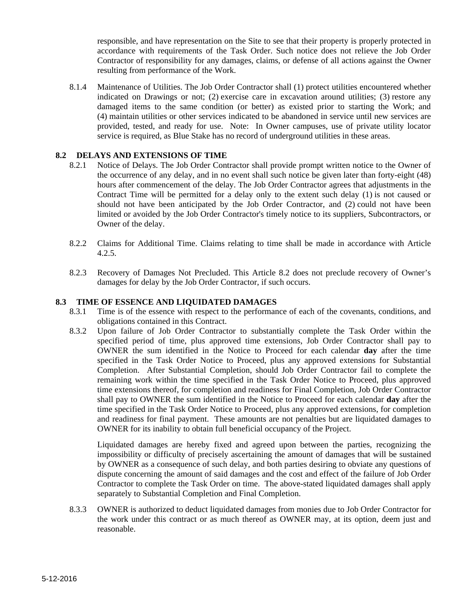responsible, and have representation on the Site to see that their property is properly protected in accordance with requirements of the Task Order. Such notice does not relieve the Job Order Contractor of responsibility for any damages, claims, or defense of all actions against the Owner resulting from performance of the Work.

8.1.4 Maintenance of Utilities. The Job Order Contractor shall (1) protect utilities encountered whether indicated on Drawings or not; (2) exercise care in excavation around utilities; (3) restore any damaged items to the same condition (or better) as existed prior to starting the Work; and (4) maintain utilities or other services indicated to be abandoned in service until new services are provided, tested, and ready for use. Note: In Owner campuses, use of private utility locator service is required, as Blue Stake has no record of underground utilities in these areas.

#### **8.2 DELAYS AND EXTENSIONS OF TIME**

- 8.2.1 Notice of Delays. The Job Order Contractor shall provide prompt written notice to the Owner of the occurrence of any delay, and in no event shall such notice be given later than forty-eight (48) hours after commencement of the delay. The Job Order Contractor agrees that adjustments in the Contract Time will be permitted for a delay only to the extent such delay (1) is not caused or should not have been anticipated by the Job Order Contractor, and (2) could not have been limited or avoided by the Job Order Contractor's timely notice to its suppliers, Subcontractors, or Owner of the delay.
- 8.2.2 Claims for Additional Time. Claims relating to time shall be made in accordance with Article 4.2.5.
- 8.2.3 Recovery of Damages Not Precluded. This Article 8.2 does not preclude recovery of Owner's damages for delay by the Job Order Contractor, if such occurs.

#### **8.3 TIME OF ESSENCE AND LIQUIDATED DAMAGES**

- 8.3.1 Time is of the essence with respect to the performance of each of the covenants, conditions, and obligations contained in this Contract.
- 8.3.2 Upon failure of Job Order Contractor to substantially complete the Task Order within the specified period of time, plus approved time extensions, Job Order Contractor shall pay to OWNER the sum identified in the Notice to Proceed for each calendar **day** after the time specified in the Task Order Notice to Proceed, plus any approved extensions for Substantial Completion. After Substantial Completion, should Job Order Contractor fail to complete the remaining work within the time specified in the Task Order Notice to Proceed, plus approved time extensions thereof, for completion and readiness for Final Completion, Job Order Contractor shall pay to OWNER the sum identified in the Notice to Proceed for each calendar **day** after the time specified in the Task Order Notice to Proceed, plus any approved extensions, for completion and readiness for final payment. These amounts are not penalties but are liquidated damages to OWNER for its inability to obtain full beneficial occupancy of the Project.

Liquidated damages are hereby fixed and agreed upon between the parties, recognizing the impossibility or difficulty of precisely ascertaining the amount of damages that will be sustained by OWNER as a consequence of such delay, and both parties desiring to obviate any questions of dispute concerning the amount of said damages and the cost and effect of the failure of Job Order Contractor to complete the Task Order on time. The above-stated liquidated damages shall apply separately to Substantial Completion and Final Completion.

8.3.3 OWNER is authorized to deduct liquidated damages from monies due to Job Order Contractor for the work under this contract or as much thereof as OWNER may, at its option, deem just and reasonable.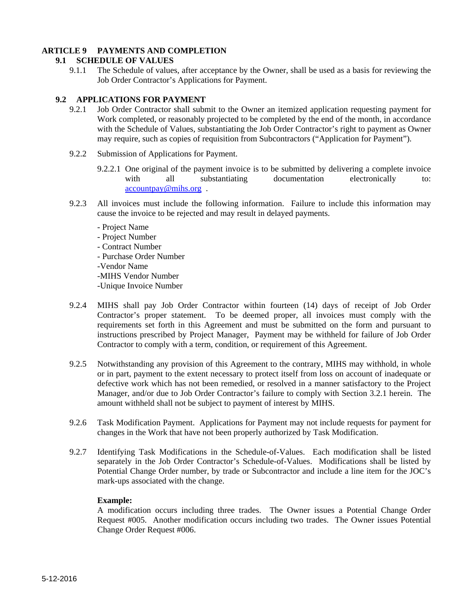#### **ARTICLE 9 PAYMENTS AND COMPLETION**

#### **9.1 SCHEDULE OF VALUES**

9.1.1 The Schedule of values, after acceptance by the Owner, shall be used as a basis for reviewing the Job Order Contractor's Applications for Payment.

#### **9.2 APPLICATIONS FOR PAYMENT**

- 9.2.1 Job Order Contractor shall submit to the Owner an itemized application requesting payment for Work completed, or reasonably projected to be completed by the end of the month, in accordance with the Schedule of Values, substantiating the Job Order Contractor's right to payment as Owner may require, such as copies of requisition from Subcontractors ("Application for Payment").
- 9.2.2 Submission of Applications for Payment.
	- 9.2.2.1 One original of the payment invoice is to be submitted by delivering a complete invoice with all substantiating documentation electronically to: accountpay@mihs.org .
- 9.2.3 All invoices must include the following information. Failure to include this information may cause the invoice to be rejected and may result in delayed payments.
	- Project Name
	- Project Number
	- Contract Number
	- Purchase Order Number
	- -Vendor Name
	- -MIHS Vendor Number
	- -Unique Invoice Number
- 9.2.4 MIHS shall pay Job Order Contractor within fourteen (14) days of receipt of Job Order Contractor's proper statement. To be deemed proper, all invoices must comply with the requirements set forth in this Agreement and must be submitted on the form and pursuant to instructions prescribed by Project Manager, Payment may be withheld for failure of Job Order Contractor to comply with a term, condition, or requirement of this Agreement.
- 9.2.5 Notwithstanding any provision of this Agreement to the contrary, MIHS may withhold, in whole or in part, payment to the extent necessary to protect itself from loss on account of inadequate or defective work which has not been remedied, or resolved in a manner satisfactory to the Project Manager, and/or due to Job Order Contractor's failure to comply with Section 3.2.1 herein. The amount withheld shall not be subject to payment of interest by MIHS.
- 9.2.6 Task Modification Payment. Applications for Payment may not include requests for payment for changes in the Work that have not been properly authorized by Task Modification.
- 9.2.7 Identifying Task Modifications in the Schedule-of-Values. Each modification shall be listed separately in the Job Order Contractor's Schedule-of-Values. Modifications shall be listed by Potential Change Order number, by trade or Subcontractor and include a line item for the JOC's mark-ups associated with the change.

#### **Example:**

A modification occurs including three trades. The Owner issues a Potential Change Order Request #005. Another modification occurs including two trades. The Owner issues Potential Change Order Request #006.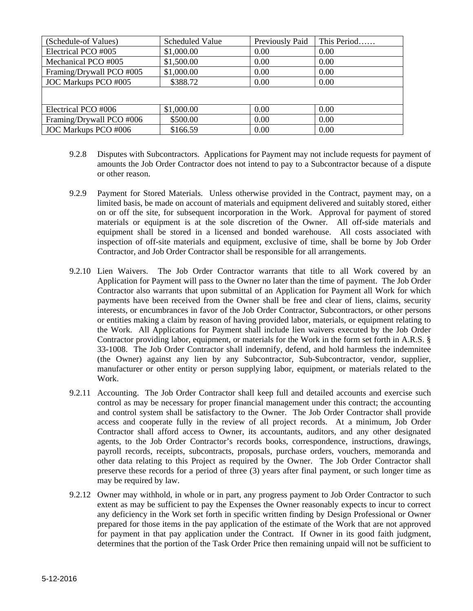| (Schedule-of Values)     | <b>Scheduled Value</b> | Previously Paid | This Period |
|--------------------------|------------------------|-----------------|-------------|
| Electrical PCO #005      | \$1,000.00             | 0.00            | 0.00        |
| Mechanical PCO #005      | \$1,500.00             | 0.00            | 0.00        |
| Framing/Drywall PCO #005 | \$1,000.00             | 0.00            | 0.00        |
| JOC Markups PCO #005     | \$388.72               | 0.00            | 0.00        |
|                          |                        |                 |             |
|                          |                        |                 |             |
| Electrical PCO #006      | \$1,000.00             | 0.00            | 0.00        |
| Framing/Drywall PCO #006 | \$500.00               | 0.00            | 0.00        |
| JOC Markups PCO #006     | \$166.59               | 0.00            | 0.00        |

- 9.2.8 Disputes with Subcontractors. Applications for Payment may not include requests for payment of amounts the Job Order Contractor does not intend to pay to a Subcontractor because of a dispute or other reason.
- 9.2.9 Payment for Stored Materials. Unless otherwise provided in the Contract, payment may, on a limited basis, be made on account of materials and equipment delivered and suitably stored, either on or off the site, for subsequent incorporation in the Work. Approval for payment of stored materials or equipment is at the sole discretion of the Owner. All off-side materials and equipment shall be stored in a licensed and bonded warehouse. All costs associated with inspection of off-site materials and equipment, exclusive of time, shall be borne by Job Order Contractor, and Job Order Contractor shall be responsible for all arrangements.
- 9.2.10 Lien Waivers. The Job Order Contractor warrants that title to all Work covered by an Application for Payment will pass to the Owner no later than the time of payment. The Job Order Contractor also warrants that upon submittal of an Application for Payment all Work for which payments have been received from the Owner shall be free and clear of liens, claims, security interests, or encumbrances in favor of the Job Order Contractor, Subcontractors, or other persons or entities making a claim by reason of having provided labor, materials, or equipment relating to the Work. All Applications for Payment shall include lien waivers executed by the Job Order Contractor providing labor, equipment, or materials for the Work in the form set forth in A.R.S. § 33-1008. The Job Order Contractor shall indemnify, defend, and hold harmless the indemnitee (the Owner) against any lien by any Subcontractor, Sub-Subcontractor, vendor, supplier, manufacturer or other entity or person supplying labor, equipment, or materials related to the Work.
- 9.2.11 Accounting. The Job Order Contractor shall keep full and detailed accounts and exercise such control as may be necessary for proper financial management under this contract; the accounting and control system shall be satisfactory to the Owner. The Job Order Contractor shall provide access and cooperate fully in the review of all project records. At a minimum, Job Order Contractor shall afford access to Owner, its accountants, auditors, and any other designated agents, to the Job Order Contractor's records books, correspondence, instructions, drawings, payroll records, receipts, subcontracts, proposals, purchase orders, vouchers, memoranda and other data relating to this Project as required by the Owner. The Job Order Contractor shall preserve these records for a period of three (3) years after final payment, or such longer time as may be required by law.
- 9.2.12 Owner may withhold, in whole or in part, any progress payment to Job Order Contractor to such extent as may be sufficient to pay the Expenses the Owner reasonably expects to incur to correct any deficiency in the Work set forth in specific written finding by Design Professional or Owner prepared for those items in the pay application of the estimate of the Work that are not approved for payment in that pay application under the Contract. If Owner in its good faith judgment, determines that the portion of the Task Order Price then remaining unpaid will not be sufficient to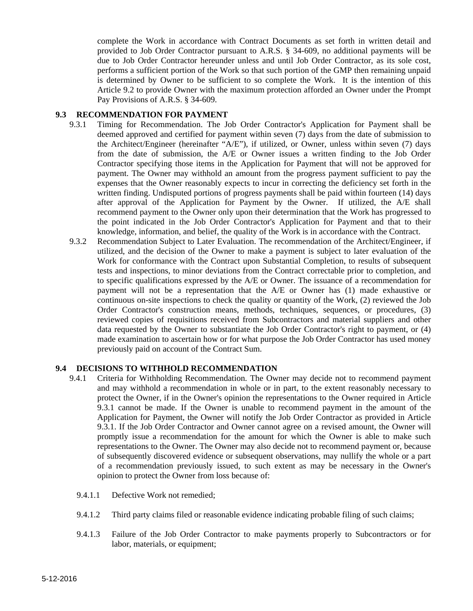complete the Work in accordance with Contract Documents as set forth in written detail and provided to Job Order Contractor pursuant to A.R.S. § 34-609, no additional payments will be due to Job Order Contractor hereunder unless and until Job Order Contractor, as its sole cost, performs a sufficient portion of the Work so that such portion of the GMP then remaining unpaid is determined by Owner to be sufficient to so complete the Work. It is the intention of this Article 9.2 to provide Owner with the maximum protection afforded an Owner under the Prompt Pay Provisions of A.R.S. § 34-609.

#### **9.3 RECOMMENDATION FOR PAYMENT**

- 9.3.1 Timing for Recommendation. The Job Order Contractor's Application for Payment shall be deemed approved and certified for payment within seven (7) days from the date of submission to the Architect/Engineer (hereinafter "A/E"), if utilized, or Owner, unless within seven (7) days from the date of submission, the A/E or Owner issues a written finding to the Job Order Contractor specifying those items in the Application for Payment that will not be approved for payment. The Owner may withhold an amount from the progress payment sufficient to pay the expenses that the Owner reasonably expects to incur in correcting the deficiency set forth in the written finding. Undisputed portions of progress payments shall be paid within fourteen (14) days after approval of the Application for Payment by the Owner. If utilized, the A/E shall recommend payment to the Owner only upon their determination that the Work has progressed to the point indicated in the Job Order Contractor's Application for Payment and that to their knowledge, information, and belief, the quality of the Work is in accordance with the Contract.
- 9.3.2 Recommendation Subject to Later Evaluation. The recommendation of the Architect/Engineer, if utilized, and the decision of the Owner to make a payment is subject to later evaluation of the Work for conformance with the Contract upon Substantial Completion, to results of subsequent tests and inspections, to minor deviations from the Contract correctable prior to completion, and to specific qualifications expressed by the A/E or Owner. The issuance of a recommendation for payment will not be a representation that the A/E or Owner has (1) made exhaustive or continuous on-site inspections to check the quality or quantity of the Work, (2) reviewed the Job Order Contractor's construction means, methods, techniques, sequences, or procedures, (3) reviewed copies of requisitions received from Subcontractors and material suppliers and other data requested by the Owner to substantiate the Job Order Contractor's right to payment, or (4) made examination to ascertain how or for what purpose the Job Order Contractor has used money previously paid on account of the Contract Sum.

#### **9.4 DECISIONS TO WITHHOLD RECOMMENDATION**

- 9.4.1 Criteria for Withholding Recommendation. The Owner may decide not to recommend payment and may withhold a recommendation in whole or in part, to the extent reasonably necessary to protect the Owner, if in the Owner's opinion the representations to the Owner required in Article 9.3.1 cannot be made. If the Owner is unable to recommend payment in the amount of the Application for Payment, the Owner will notify the Job Order Contractor as provided in Article 9.3.1. If the Job Order Contractor and Owner cannot agree on a revised amount, the Owner will promptly issue a recommendation for the amount for which the Owner is able to make such representations to the Owner. The Owner may also decide not to recommend payment or, because of subsequently discovered evidence or subsequent observations, may nullify the whole or a part of a recommendation previously issued, to such extent as may be necessary in the Owner's opinion to protect the Owner from loss because of:
	- 9.4.1.1 Defective Work not remedied:
	- 9.4.1.2 Third party claims filed or reasonable evidence indicating probable filing of such claims;
	- 9.4.1.3 Failure of the Job Order Contractor to make payments properly to Subcontractors or for labor, materials, or equipment;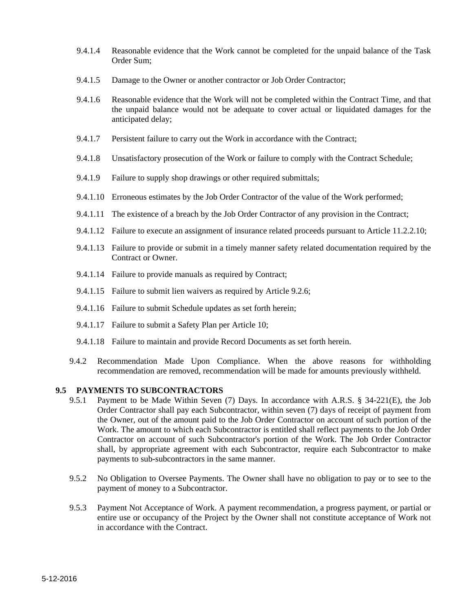- 9.4.1.4 Reasonable evidence that the Work cannot be completed for the unpaid balance of the Task Order Sum;
- 9.4.1.5 Damage to the Owner or another contractor or Job Order Contractor;
- 9.4.1.6 Reasonable evidence that the Work will not be completed within the Contract Time, and that the unpaid balance would not be adequate to cover actual or liquidated damages for the anticipated delay;
- 9.4.1.7 Persistent failure to carry out the Work in accordance with the Contract;
- 9.4.1.8 Unsatisfactory prosecution of the Work or failure to comply with the Contract Schedule;
- 9.4.1.9 Failure to supply shop drawings or other required submittals;
- 9.4.1.10 Erroneous estimates by the Job Order Contractor of the value of the Work performed;
- 9.4.1.11 The existence of a breach by the Job Order Contractor of any provision in the Contract;
- 9.4.1.12 Failure to execute an assignment of insurance related proceeds pursuant to Article 11.2.2.10;
- 9.4.1.13 Failure to provide or submit in a timely manner safety related documentation required by the Contract or Owner.
- 9.4.1.14 Failure to provide manuals as required by Contract;
- 9.4.1.15 Failure to submit lien waivers as required by Article 9.2.6;
- 9.4.1.16 Failure to submit Schedule updates as set forth herein;
- 9.4.1.17 Failure to submit a Safety Plan per Article 10;
- 9.4.1.18 Failure to maintain and provide Record Documents as set forth herein.
- 9.4.2 Recommendation Made Upon Compliance. When the above reasons for withholding recommendation are removed, recommendation will be made for amounts previously withheld.

#### **9.5 PAYMENTS TO SUBCONTRACTORS**

- 9.5.1 Payment to be Made Within Seven (7) Days. In accordance with A.R.S. § 34-221(E), the Job Order Contractor shall pay each Subcontractor, within seven (7) days of receipt of payment from the Owner, out of the amount paid to the Job Order Contractor on account of such portion of the Work. The amount to which each Subcontractor is entitled shall reflect payments to the Job Order Contractor on account of such Subcontractor's portion of the Work. The Job Order Contractor shall, by appropriate agreement with each Subcontractor, require each Subcontractor to make payments to sub-subcontractors in the same manner.
- 9.5.2 No Obligation to Oversee Payments. The Owner shall have no obligation to pay or to see to the payment of money to a Subcontractor.
- 9.5.3 Payment Not Acceptance of Work. A payment recommendation, a progress payment, or partial or entire use or occupancy of the Project by the Owner shall not constitute acceptance of Work not in accordance with the Contract.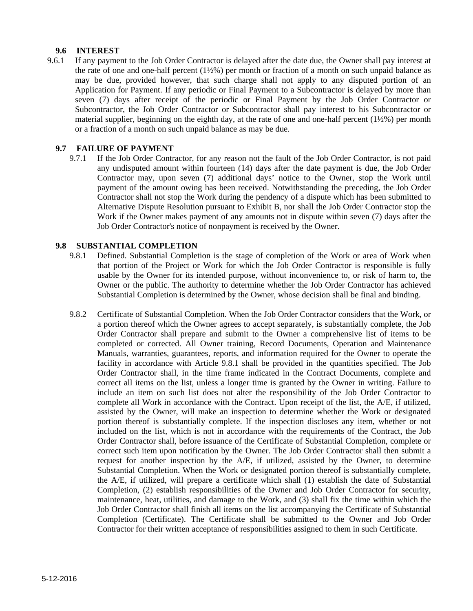#### **9.6 INTEREST**

9.6.1 If any payment to the Job Order Contractor is delayed after the date due, the Owner shall pay interest at the rate of one and one-half percent (1½%) per month or fraction of a month on such unpaid balance as may be due, provided however, that such charge shall not apply to any disputed portion of an Application for Payment. If any periodic or Final Payment to a Subcontractor is delayed by more than seven (7) days after receipt of the periodic or Final Payment by the Job Order Contractor or Subcontractor, the Job Order Contractor or Subcontractor shall pay interest to his Subcontractor or material supplier, beginning on the eighth day, at the rate of one and one-half percent (1½%) per month or a fraction of a month on such unpaid balance as may be due.

#### **9.7 FAILURE OF PAYMENT**

9.7.1 If the Job Order Contractor, for any reason not the fault of the Job Order Contractor, is not paid any undisputed amount within fourteen (14) days after the date payment is due, the Job Order Contractor may, upon seven (7) additional days' notice to the Owner, stop the Work until payment of the amount owing has been received. Notwithstanding the preceding, the Job Order Contractor shall not stop the Work during the pendency of a dispute which has been submitted to Alternative Dispute Resolution pursuant to Exhibit B, nor shall the Job Order Contractor stop the Work if the Owner makes payment of any amounts not in dispute within seven (7) days after the Job Order Contractor's notice of nonpayment is received by the Owner.

#### **9.8 SUBSTANTIAL COMPLETION**

- 9.8.1 Defined. Substantial Completion is the stage of completion of the Work or area of Work when that portion of the Project or Work for which the Job Order Contractor is responsible is fully usable by the Owner for its intended purpose, without inconvenience to, or risk of harm to, the Owner or the public. The authority to determine whether the Job Order Contractor has achieved Substantial Completion is determined by the Owner, whose decision shall be final and binding.
- 9.8.2 Certificate of Substantial Completion. When the Job Order Contractor considers that the Work, or a portion thereof which the Owner agrees to accept separately, is substantially complete, the Job Order Contractor shall prepare and submit to the Owner a comprehensive list of items to be completed or corrected. All Owner training, Record Documents, Operation and Maintenance Manuals, warranties, guarantees, reports, and information required for the Owner to operate the facility in accordance with Article 9.8.1 shall be provided in the quantities specified. The Job Order Contractor shall, in the time frame indicated in the Contract Documents, complete and correct all items on the list, unless a longer time is granted by the Owner in writing. Failure to include an item on such list does not alter the responsibility of the Job Order Contractor to complete all Work in accordance with the Contract. Upon receipt of the list, the A/E, if utilized, assisted by the Owner, will make an inspection to determine whether the Work or designated portion thereof is substantially complete. If the inspection discloses any item, whether or not included on the list, which is not in accordance with the requirements of the Contract, the Job Order Contractor shall, before issuance of the Certificate of Substantial Completion, complete or correct such item upon notification by the Owner. The Job Order Contractor shall then submit a request for another inspection by the A/E, if utilized, assisted by the Owner, to determine Substantial Completion. When the Work or designated portion thereof is substantially complete, the A/E, if utilized, will prepare a certificate which shall (1) establish the date of Substantial Completion, (2) establish responsibilities of the Owner and Job Order Contractor for security, maintenance, heat, utilities, and damage to the Work, and (3) shall fix the time within which the Job Order Contractor shall finish all items on the list accompanying the Certificate of Substantial Completion (Certificate). The Certificate shall be submitted to the Owner and Job Order Contractor for their written acceptance of responsibilities assigned to them in such Certificate.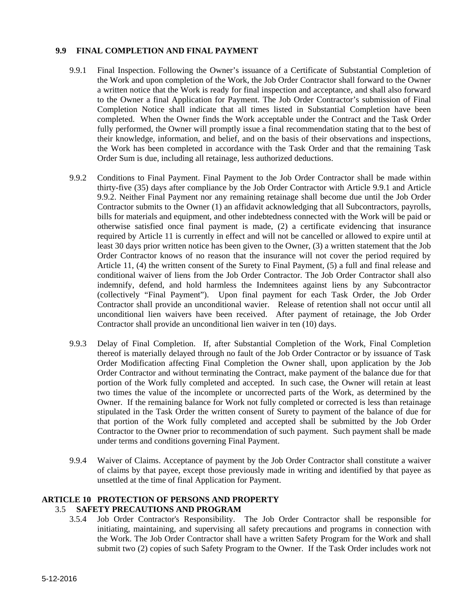#### **9.9 FINAL COMPLETION AND FINAL PAYMENT**

- 9.9.1 Final Inspection. Following the Owner's issuance of a Certificate of Substantial Completion of the Work and upon completion of the Work, the Job Order Contractor shall forward to the Owner a written notice that the Work is ready for final inspection and acceptance, and shall also forward to the Owner a final Application for Payment. The Job Order Contractor's submission of Final Completion Notice shall indicate that all times listed in Substantial Completion have been completed. When the Owner finds the Work acceptable under the Contract and the Task Order fully performed, the Owner will promptly issue a final recommendation stating that to the best of their knowledge, information, and belief, and on the basis of their observations and inspections, the Work has been completed in accordance with the Task Order and that the remaining Task Order Sum is due, including all retainage, less authorized deductions.
- 9.9.2 Conditions to Final Payment. Final Payment to the Job Order Contractor shall be made within thirty-five (35) days after compliance by the Job Order Contractor with Article 9.9.1 and Article 9.9.2. Neither Final Payment nor any remaining retainage shall become due until the Job Order Contractor submits to the Owner (1) an affidavit acknowledging that all Subcontractors, payrolls, bills for materials and equipment, and other indebtedness connected with the Work will be paid or otherwise satisfied once final payment is made, (2) a certificate evidencing that insurance required by Article 11 is currently in effect and will not be cancelled or allowed to expire until at least 30 days prior written notice has been given to the Owner, (3) a written statement that the Job Order Contractor knows of no reason that the insurance will not cover the period required by Article 11, (4) the written consent of the Surety to Final Payment, (5) a full and final release and conditional waiver of liens from the Job Order Contractor. The Job Order Contractor shall also indemnify, defend, and hold harmless the Indemnitees against liens by any Subcontractor (collectively "Final Payment"). Upon final payment for each Task Order, the Job Order Contractor shall provide an unconditional wavier. Release of retention shall not occur until all unconditional lien waivers have been received. After payment of retainage, the Job Order Contractor shall provide an unconditional lien waiver in ten (10) days.
- 9.9.3 Delay of Final Completion. If, after Substantial Completion of the Work, Final Completion thereof is materially delayed through no fault of the Job Order Contractor or by issuance of Task Order Modification affecting Final Completion the Owner shall, upon application by the Job Order Contractor and without terminating the Contract, make payment of the balance due for that portion of the Work fully completed and accepted. In such case, the Owner will retain at least two times the value of the incomplete or uncorrected parts of the Work, as determined by the Owner. If the remaining balance for Work not fully completed or corrected is less than retainage stipulated in the Task Order the written consent of Surety to payment of the balance of due for that portion of the Work fully completed and accepted shall be submitted by the Job Order Contractor to the Owner prior to recommendation of such payment. Such payment shall be made under terms and conditions governing Final Payment.
- 9.9.4 Waiver of Claims. Acceptance of payment by the Job Order Contractor shall constitute a waiver of claims by that payee, except those previously made in writing and identified by that payee as unsettled at the time of final Application for Payment.

#### **ARTICLE 10 PROTECTION OF PERSONS AND PROPERTY**  3.5 **SAFETY PRECAUTIONS AND PROGRAM**

3.5.4 Job Order Contractor's Responsibility. The Job Order Contractor shall be responsible for initiating, maintaining, and supervising all safety precautions and programs in connection with the Work. The Job Order Contractor shall have a written Safety Program for the Work and shall submit two (2) copies of such Safety Program to the Owner. If the Task Order includes work not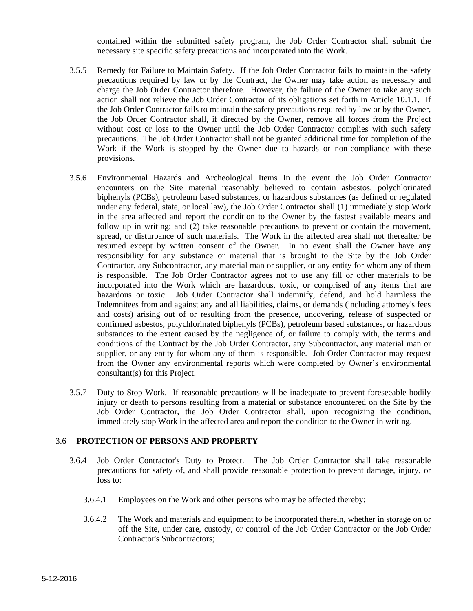contained within the submitted safety program, the Job Order Contractor shall submit the necessary site specific safety precautions and incorporated into the Work.

- 3.5.5 Remedy for Failure to Maintain Safety. If the Job Order Contractor fails to maintain the safety precautions required by law or by the Contract, the Owner may take action as necessary and charge the Job Order Contractor therefore. However, the failure of the Owner to take any such action shall not relieve the Job Order Contractor of its obligations set forth in Article 10.1.1. If the Job Order Contractor fails to maintain the safety precautions required by law or by the Owner, the Job Order Contractor shall, if directed by the Owner, remove all forces from the Project without cost or loss to the Owner until the Job Order Contractor complies with such safety precautions. The Job Order Contractor shall not be granted additional time for completion of the Work if the Work is stopped by the Owner due to hazards or non-compliance with these provisions.
- 3.5.6 Environmental Hazards and Archeological Items In the event the Job Order Contractor encounters on the Site material reasonably believed to contain asbestos, polychlorinated biphenyls (PCBs), petroleum based substances, or hazardous substances (as defined or regulated under any federal, state, or local law), the Job Order Contractor shall (1) immediately stop Work in the area affected and report the condition to the Owner by the fastest available means and follow up in writing; and (2) take reasonable precautions to prevent or contain the movement, spread, or disturbance of such materials. The Work in the affected area shall not thereafter be resumed except by written consent of the Owner. In no event shall the Owner have any responsibility for any substance or material that is brought to the Site by the Job Order Contractor, any Subcontractor, any material man or supplier, or any entity for whom any of them is responsible. The Job Order Contractor agrees not to use any fill or other materials to be incorporated into the Work which are hazardous, toxic, or comprised of any items that are hazardous or toxic. Job Order Contractor shall indemnify, defend, and hold harmless the Indemnitees from and against any and all liabilities, claims, or demands (including attorney's fees and costs) arising out of or resulting from the presence, uncovering, release of suspected or confirmed asbestos, polychlorinated biphenyls (PCBs), petroleum based substances, or hazardous substances to the extent caused by the negligence of, or failure to comply with, the terms and conditions of the Contract by the Job Order Contractor, any Subcontractor, any material man or supplier, or any entity for whom any of them is responsible. Job Order Contractor may request from the Owner any environmental reports which were completed by Owner's environmental consultant(s) for this Project.
- 3.5.7 Duty to Stop Work. If reasonable precautions will be inadequate to prevent foreseeable bodily injury or death to persons resulting from a material or substance encountered on the Site by the Job Order Contractor, the Job Order Contractor shall, upon recognizing the condition, immediately stop Work in the affected area and report the condition to the Owner in writing.

#### 3.6 **PROTECTION OF PERSONS AND PROPERTY**

- 3.6.4 Job Order Contractor's Duty to Protect. The Job Order Contractor shall take reasonable precautions for safety of, and shall provide reasonable protection to prevent damage, injury, or loss to:
	- 3.6.4.1 Employees on the Work and other persons who may be affected thereby;
	- 3.6.4.2 The Work and materials and equipment to be incorporated therein, whether in storage on or off the Site, under care, custody, or control of the Job Order Contractor or the Job Order Contractor's Subcontractors;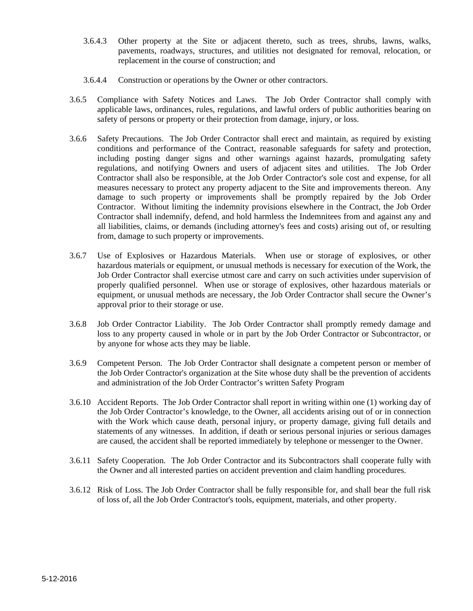- 3.6.4.3 Other property at the Site or adjacent thereto, such as trees, shrubs, lawns, walks, pavements, roadways, structures, and utilities not designated for removal, relocation, or replacement in the course of construction; and
- 3.6.4.4 Construction or operations by the Owner or other contractors.
- 3.6.5 Compliance with Safety Notices and Laws. The Job Order Contractor shall comply with applicable laws, ordinances, rules, regulations, and lawful orders of public authorities bearing on safety of persons or property or their protection from damage, injury, or loss.
- 3.6.6 Safety Precautions. The Job Order Contractor shall erect and maintain, as required by existing conditions and performance of the Contract, reasonable safeguards for safety and protection, including posting danger signs and other warnings against hazards, promulgating safety regulations, and notifying Owners and users of adjacent sites and utilities. The Job Order Contractor shall also be responsible, at the Job Order Contractor's sole cost and expense, for all measures necessary to protect any property adjacent to the Site and improvements thereon. Any damage to such property or improvements shall be promptly repaired by the Job Order Contractor. Without limiting the indemnity provisions elsewhere in the Contract, the Job Order Contractor shall indemnify, defend, and hold harmless the Indemnitees from and against any and all liabilities, claims, or demands (including attorney's fees and costs) arising out of, or resulting from, damage to such property or improvements.
- 3.6.7 Use of Explosives or Hazardous Materials. When use or storage of explosives, or other hazardous materials or equipment, or unusual methods is necessary for execution of the Work, the Job Order Contractor shall exercise utmost care and carry on such activities under supervision of properly qualified personnel. When use or storage of explosives, other hazardous materials or equipment, or unusual methods are necessary, the Job Order Contractor shall secure the Owner's approval prior to their storage or use.
- 3.6.8 Job Order Contractor Liability. The Job Order Contractor shall promptly remedy damage and loss to any property caused in whole or in part by the Job Order Contractor or Subcontractor, or by anyone for whose acts they may be liable.
- 3.6.9 Competent Person. The Job Order Contractor shall designate a competent person or member of the Job Order Contractor's organization at the Site whose duty shall be the prevention of accidents and administration of the Job Order Contractor's written Safety Program
- 3.6.10 Accident Reports. The Job Order Contractor shall report in writing within one (1) working day of the Job Order Contractor's knowledge, to the Owner, all accidents arising out of or in connection with the Work which cause death, personal injury, or property damage, giving full details and statements of any witnesses. In addition, if death or serious personal injuries or serious damages are caused, the accident shall be reported immediately by telephone or messenger to the Owner.
- 3.6.11 Safety Cooperation. The Job Order Contractor and its Subcontractors shall cooperate fully with the Owner and all interested parties on accident prevention and claim handling procedures.
- 3.6.12 Risk of Loss. The Job Order Contractor shall be fully responsible for, and shall bear the full risk of loss of, all the Job Order Contractor's tools, equipment, materials, and other property.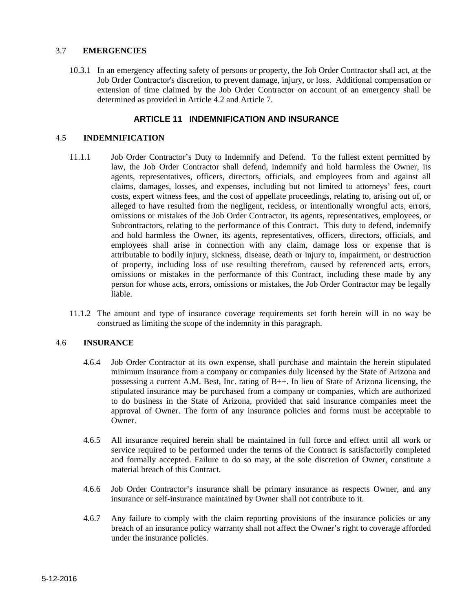#### 3.7 **EMERGENCIES**

10.3.1 In an emergency affecting safety of persons or property, the Job Order Contractor shall act, at the Job Order Contractor's discretion, to prevent damage, injury, or loss. Additional compensation or extension of time claimed by the Job Order Contractor on account of an emergency shall be determined as provided in Article 4.2 and Article 7.

#### **ARTICLE 11 INDEMNIFICATION AND INSURANCE**

#### 4.5 **INDEMNIFICATION**

- 11.1.1 Job Order Contractor's Duty to Indemnify and Defend. To the fullest extent permitted by law, the Job Order Contractor shall defend, indemnify and hold harmless the Owner, its agents, representatives, officers, directors, officials, and employees from and against all claims, damages, losses, and expenses, including but not limited to attorneys' fees, court costs, expert witness fees, and the cost of appellate proceedings, relating to, arising out of, or alleged to have resulted from the negligent, reckless, or intentionally wrongful acts, errors, omissions or mistakes of the Job Order Contractor, its agents, representatives, employees, or Subcontractors, relating to the performance of this Contract. This duty to defend, indemnify and hold harmless the Owner, its agents, representatives, officers, directors, officials, and employees shall arise in connection with any claim, damage loss or expense that is attributable to bodily injury, sickness, disease, death or injury to, impairment, or destruction of property, including loss of use resulting therefrom, caused by referenced acts, errors, omissions or mistakes in the performance of this Contract, including these made by any person for whose acts, errors, omissions or mistakes, the Job Order Contractor may be legally liable.
- 11.1.2 The amount and type of insurance coverage requirements set forth herein will in no way be construed as limiting the scope of the indemnity in this paragraph.

#### 4.6 **INSURANCE**

- 4.6.4 Job Order Contractor at its own expense, shall purchase and maintain the herein stipulated minimum insurance from a company or companies duly licensed by the State of Arizona and possessing a current A.M. Best, Inc. rating of B++. In lieu of State of Arizona licensing, the stipulated insurance may be purchased from a company or companies, which are authorized to do business in the State of Arizona, provided that said insurance companies meet the approval of Owner. The form of any insurance policies and forms must be acceptable to Owner.
- 4.6.5 All insurance required herein shall be maintained in full force and effect until all work or service required to be performed under the terms of the Contract is satisfactorily completed and formally accepted. Failure to do so may, at the sole discretion of Owner, constitute a material breach of this Contract.
- 4.6.6 Job Order Contractor's insurance shall be primary insurance as respects Owner, and any insurance or self-insurance maintained by Owner shall not contribute to it.
- 4.6.7 Any failure to comply with the claim reporting provisions of the insurance policies or any breach of an insurance policy warranty shall not affect the Owner's right to coverage afforded under the insurance policies.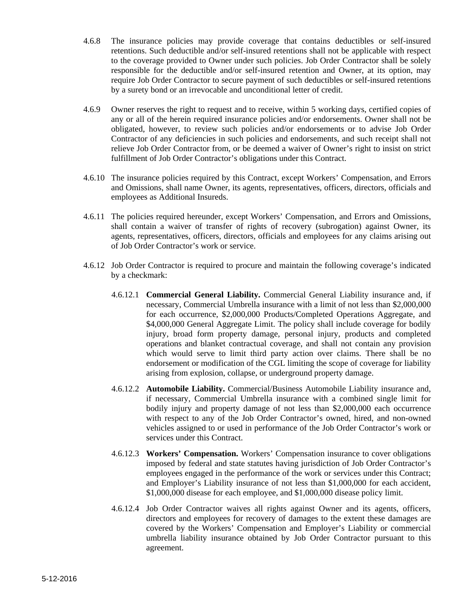- 4.6.8 The insurance policies may provide coverage that contains deductibles or self-insured retentions. Such deductible and/or self-insured retentions shall not be applicable with respect to the coverage provided to Owner under such policies. Job Order Contractor shall be solely responsible for the deductible and/or self-insured retention and Owner, at its option, may require Job Order Contractor to secure payment of such deductibles or self-insured retentions by a surety bond or an irrevocable and unconditional letter of credit.
- 4.6.9 Owner reserves the right to request and to receive, within 5 working days, certified copies of any or all of the herein required insurance policies and/or endorsements. Owner shall not be obligated, however, to review such policies and/or endorsements or to advise Job Order Contractor of any deficiencies in such policies and endorsements, and such receipt shall not relieve Job Order Contractor from, or be deemed a waiver of Owner's right to insist on strict fulfillment of Job Order Contractor's obligations under this Contract.
- 4.6.10 The insurance policies required by this Contract, except Workers' Compensation, and Errors and Omissions, shall name Owner, its agents, representatives, officers, directors, officials and employees as Additional Insureds.
- 4.6.11 The policies required hereunder, except Workers' Compensation, and Errors and Omissions, shall contain a waiver of transfer of rights of recovery (subrogation) against Owner, its agents, representatives, officers, directors, officials and employees for any claims arising out of Job Order Contractor's work or service.
- 4.6.12 Job Order Contractor is required to procure and maintain the following coverage's indicated by a checkmark:
	- 4.6.12.1 **Commercial General Liability.** Commercial General Liability insurance and, if necessary, Commercial Umbrella insurance with a limit of not less than \$2,000,000 for each occurrence, \$2,000,000 Products/Completed Operations Aggregate, and \$4,000,000 General Aggregate Limit. The policy shall include coverage for bodily injury, broad form property damage, personal injury, products and completed operations and blanket contractual coverage, and shall not contain any provision which would serve to limit third party action over claims. There shall be no endorsement or modification of the CGL limiting the scope of coverage for liability arising from explosion, collapse, or underground property damage.
	- 4.6.12.2 **Automobile Liability.** Commercial/Business Automobile Liability insurance and, if necessary, Commercial Umbrella insurance with a combined single limit for bodily injury and property damage of not less than \$2,000,000 each occurrence with respect to any of the Job Order Contractor's owned, hired, and non-owned vehicles assigned to or used in performance of the Job Order Contractor's work or services under this Contract.
	- 4.6.12.3 **Workers' Compensation.** Workers' Compensation insurance to cover obligations imposed by federal and state statutes having jurisdiction of Job Order Contractor's employees engaged in the performance of the work or services under this Contract; and Employer's Liability insurance of not less than \$1,000,000 for each accident, \$1,000,000 disease for each employee, and \$1,000,000 disease policy limit.
	- 4.6.12.4 Job Order Contractor waives all rights against Owner and its agents, officers, directors and employees for recovery of damages to the extent these damages are covered by the Workers' Compensation and Employer's Liability or commercial umbrella liability insurance obtained by Job Order Contractor pursuant to this agreement.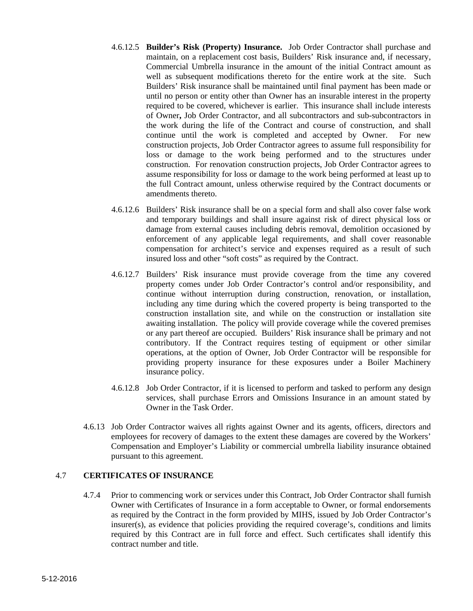- 4.6.12.5 **Builder's Risk (Property) Insurance.** Job Order Contractor shall purchase and maintain, on a replacement cost basis, Builders' Risk insurance and, if necessary, Commercial Umbrella insurance in the amount of the initial Contract amount as well as subsequent modifications thereto for the entire work at the site. Such Builders' Risk insurance shall be maintained until final payment has been made or until no person or entity other than Owner has an insurable interest in the property required to be covered, whichever is earlier. This insurance shall include interests of Owner**,** Job Order Contractor, and all subcontractors and sub-subcontractors in the work during the life of the Contract and course of construction, and shall continue until the work is completed and accepted by Owner. For new construction projects, Job Order Contractor agrees to assume full responsibility for loss or damage to the work being performed and to the structures under construction. For renovation construction projects, Job Order Contractor agrees to assume responsibility for loss or damage to the work being performed at least up to the full Contract amount, unless otherwise required by the Contract documents or amendments thereto.
- 4.6.12.6 Builders' Risk insurance shall be on a special form and shall also cover false work and temporary buildings and shall insure against risk of direct physical loss or damage from external causes including debris removal, demolition occasioned by enforcement of any applicable legal requirements, and shall cover reasonable compensation for architect's service and expenses required as a result of such insured loss and other "soft costs" as required by the Contract.
- 4.6.12.7 Builders' Risk insurance must provide coverage from the time any covered property comes under Job Order Contractor's control and/or responsibility, and continue without interruption during construction, renovation, or installation, including any time during which the covered property is being transported to the construction installation site, and while on the construction or installation site awaiting installation. The policy will provide coverage while the covered premises or any part thereof are occupied. Builders' Risk insurance shall be primary and not contributory. If the Contract requires testing of equipment or other similar operations, at the option of Owner, Job Order Contractor will be responsible for providing property insurance for these exposures under a Boiler Machinery insurance policy.
- 4.6.12.8 Job Order Contractor, if it is licensed to perform and tasked to perform any design services, shall purchase Errors and Omissions Insurance in an amount stated by Owner in the Task Order.
- 4.6.13 Job Order Contractor waives all rights against Owner and its agents, officers, directors and employees for recovery of damages to the extent these damages are covered by the Workers' Compensation and Employer's Liability or commercial umbrella liability insurance obtained pursuant to this agreement.

#### 4.7 **CERTIFICATES OF INSURANCE**

4.7.4 Prior to commencing work or services under this Contract, Job Order Contractor shall furnish Owner with Certificates of Insurance in a form acceptable to Owner, or formal endorsements as required by the Contract in the form provided by MIHS, issued by Job Order Contractor's  $insure(s)$ , as evidence that policies providing the required coverage's, conditions and limits required by this Contract are in full force and effect. Such certificates shall identify this contract number and title.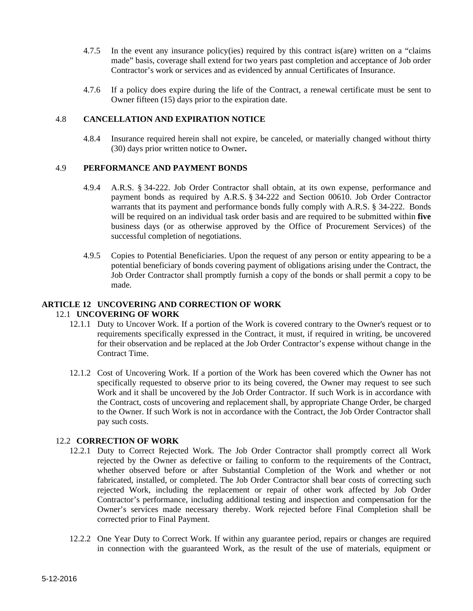- 4.7.5 In the event any insurance policy(ies) required by this contract is(are) written on a "claims made" basis, coverage shall extend for two years past completion and acceptance of Job order Contractor's work or services and as evidenced by annual Certificates of Insurance.
- 4.7.6 If a policy does expire during the life of the Contract, a renewal certificate must be sent to Owner fifteen (15) days prior to the expiration date.

#### 4.8 **CANCELLATION AND EXPIRATION NOTICE**

4.8.4 Insurance required herein shall not expire, be canceled, or materially changed without thirty (30) days prior written notice to Owner**.** 

#### 4.9 **PERFORMANCE AND PAYMENT BONDS**

- 4.9.4 A.R.S. § 34-222. Job Order Contractor shall obtain, at its own expense, performance and payment bonds as required by A.R.S. § 34-222 and Section 00610. Job Order Contractor warrants that its payment and performance bonds fully comply with A.R.S. § 34-222. Bonds will be required on an individual task order basis and are required to be submitted within **five** business days (or as otherwise approved by the Office of Procurement Services) of the successful completion of negotiations.
- 4.9.5 Copies to Potential Beneficiaries. Upon the request of any person or entity appearing to be a potential beneficiary of bonds covering payment of obligations arising under the Contract, the Job Order Contractor shall promptly furnish a copy of the bonds or shall permit a copy to be made.

#### **ARTICLE 12 UNCOVERING AND CORRECTION OF WORK**  12.1 **UNCOVERING OF WORK**

- 12.1.1 Duty to Uncover Work. If a portion of the Work is covered contrary to the Owner's request or to requirements specifically expressed in the Contract, it must, if required in writing, be uncovered for their observation and be replaced at the Job Order Contractor's expense without change in the Contract Time.
- 12.1.2 Cost of Uncovering Work. If a portion of the Work has been covered which the Owner has not specifically requested to observe prior to its being covered, the Owner may request to see such Work and it shall be uncovered by the Job Order Contractor. If such Work is in accordance with the Contract, costs of uncovering and replacement shall, by appropriate Change Order, be charged to the Owner. If such Work is not in accordance with the Contract, the Job Order Contractor shall pay such costs.

#### 12.2 **CORRECTION OF WORK**

- 12.2.1 Duty to Correct Rejected Work. The Job Order Contractor shall promptly correct all Work rejected by the Owner as defective or failing to conform to the requirements of the Contract, whether observed before or after Substantial Completion of the Work and whether or not fabricated, installed, or completed. The Job Order Contractor shall bear costs of correcting such rejected Work, including the replacement or repair of other work affected by Job Order Contractor's performance, including additional testing and inspection and compensation for the Owner's services made necessary thereby. Work rejected before Final Completion shall be corrected prior to Final Payment.
- 12.2.2 One Year Duty to Correct Work. If within any guarantee period, repairs or changes are required in connection with the guaranteed Work, as the result of the use of materials, equipment or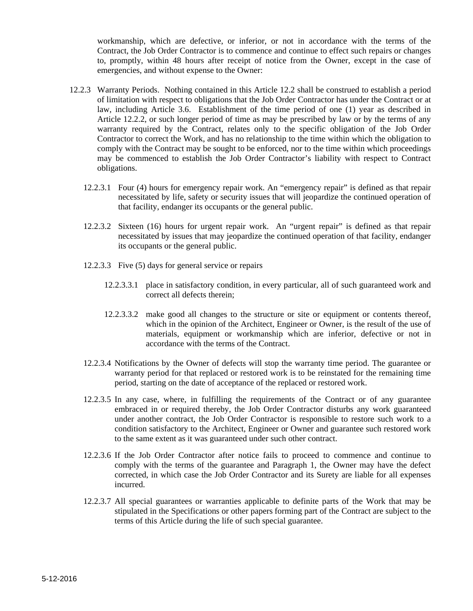workmanship, which are defective, or inferior, or not in accordance with the terms of the Contract, the Job Order Contractor is to commence and continue to effect such repairs or changes to, promptly, within 48 hours after receipt of notice from the Owner, except in the case of emergencies, and without expense to the Owner:

- 12.2.3 Warranty Periods. Nothing contained in this Article 12.2 shall be construed to establish a period of limitation with respect to obligations that the Job Order Contractor has under the Contract or at law, including Article 3.6. Establishment of the time period of one (1) year as described in Article 12.2.2, or such longer period of time as may be prescribed by law or by the terms of any warranty required by the Contract, relates only to the specific obligation of the Job Order Contractor to correct the Work, and has no relationship to the time within which the obligation to comply with the Contract may be sought to be enforced, nor to the time within which proceedings may be commenced to establish the Job Order Contractor's liability with respect to Contract obligations.
	- 12.2.3.1 Four (4) hours for emergency repair work. An "emergency repair" is defined as that repair necessitated by life, safety or security issues that will jeopardize the continued operation of that facility, endanger its occupants or the general public.
	- 12.2.3.2 Sixteen (16) hours for urgent repair work. An "urgent repair" is defined as that repair necessitated by issues that may jeopardize the continued operation of that facility, endanger its occupants or the general public.
	- 12.2.3.3 Five (5) days for general service or repairs
		- 12.2.3.3.1 place in satisfactory condition, in every particular, all of such guaranteed work and correct all defects therein;
		- 12.2.3.3.2 make good all changes to the structure or site or equipment or contents thereof, which in the opinion of the Architect, Engineer or Owner, is the result of the use of materials, equipment or workmanship which are inferior, defective or not in accordance with the terms of the Contract.
	- 12.2.3.4 Notifications by the Owner of defects will stop the warranty time period. The guarantee or warranty period for that replaced or restored work is to be reinstated for the remaining time period, starting on the date of acceptance of the replaced or restored work.
	- 12.2.3.5 In any case, where, in fulfilling the requirements of the Contract or of any guarantee embraced in or required thereby, the Job Order Contractor disturbs any work guaranteed under another contract, the Job Order Contractor is responsible to restore such work to a condition satisfactory to the Architect, Engineer or Owner and guarantee such restored work to the same extent as it was guaranteed under such other contract.
	- 12.2.3.6 If the Job Order Contractor after notice fails to proceed to commence and continue to comply with the terms of the guarantee and Paragraph 1, the Owner may have the defect corrected, in which case the Job Order Contractor and its Surety are liable for all expenses incurred.
	- 12.2.3.7 All special guarantees or warranties applicable to definite parts of the Work that may be stipulated in the Specifications or other papers forming part of the Contract are subject to the terms of this Article during the life of such special guarantee.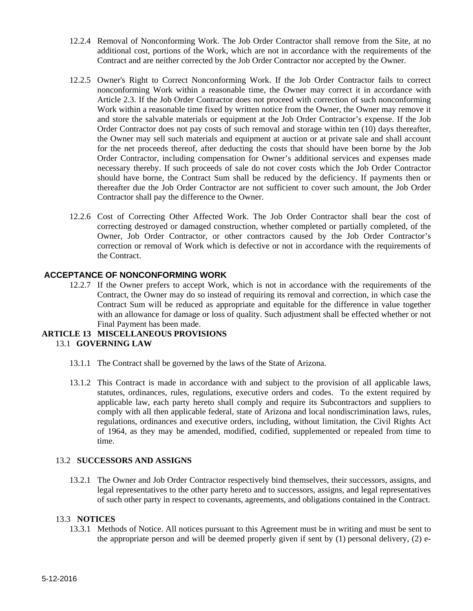- 12.2.4 Removal of Nonconforming Work. The Job Order Contractor shall remove from the Site, at no additional cost, portions of the Work, which are not in accordance with the requirements of the Contract and are neither corrected by the Job Order Contractor nor accepted by the Owner.
- 12.2.5 Owner's Right to Correct Nonconforming Work. If the Job Order Contractor fails to correct nonconforming Work within a reasonable time, the Owner may correct it in accordance with Article 2.3. If the Job Order Contractor does not proceed with correction of such nonconforming Work within a reasonable time fixed by written notice from the Owner, the Owner may remove it and store the salvable materials or equipment at the Job Order Contractor's expense. If the Job Order Contractor does not pay costs of such removal and storage within ten (10) days thereafter, the Owner may sell such materials and equipment at auction or at private sale and shall account for the net proceeds thereof, after deducting the costs that should have been borne by the Job Order Contractor, including compensation for Owner's additional services and expenses made necessary thereby. If such proceeds of sale do not cover costs which the Job Order Contractor should have borne, the Contract Sum shall be reduced by the deficiency. If payments then or thereafter due the Job Order Contractor are not sufficient to cover such amount, the Job Order Contractor shall pay the difference to the Owner.
- 12.2.6 Cost of Correcting Other Affected Work. The Job Order Contractor shall bear the cost of correcting destroyed or damaged construction, whether completed or partially completed, of the Owner, Job Order Contractor, or other contractors caused by the Job Order Contractor's correction or removal of Work which is defective or not in accordance with the requirements of the Contract.

### **ACCEPTANCE OF NONCONFORMING WORK**

12.2.7 If the Owner prefers to accept Work, which is not in accordance with the requirements of the Contract, the Owner may do so instead of requiring its removal and correction, in which case the Contract Sum will be reduced as appropriate and equitable for the difference in value together with an allowance for damage or loss of quality. Such adjustment shall be effected whether or not Final Payment has been made.

#### **ARTICLE 13 MISCELLANEOUS PROVISIONS**  13.1 **GOVERNING LAW**

- 13.1.1 The Contract shall be governed by the laws of the State of Arizona.
- 13.1.2 This Contract is made in accordance with and subject to the provision of all applicable laws, statutes, ordinances, rules, regulations, executive orders and codes. To the extent required by applicable law, each party hereto shall comply and require its Subcontractors and suppliers to comply with all then applicable federal, state of Arizona and local nondiscrimination laws, rules, regulations, ordinances and executive orders, including, without limitation, the Civil Rights Act of 1964, as they may be amended, modified, codified, supplemented or repealed from time to time.

#### 13.2 **SUCCESSORS AND ASSIGNS**

13.2.1 The Owner and Job Order Contractor respectively bind themselves, their successors, assigns, and legal representatives to the other party hereto and to successors, assigns, and legal representatives of such other party in respect to covenants, agreements, and obligations contained in the Contract.

#### 13.3 **NOTICES**

13.3.1 Methods of Notice. All notices pursuant to this Agreement must be in writing and must be sent to the appropriate person and will be deemed properly given if sent by (1) personal delivery, (2) e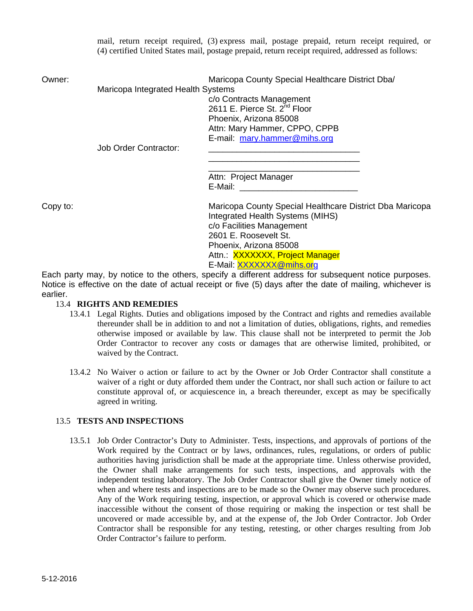mail, return receipt required, (3) express mail, postage prepaid, return receipt required, or (4) certified United States mail, postage prepaid, return receipt required, addressed as follows:

| Owner: |  |  |
|--------|--|--|

Maricopa County Special Healthcare District Dba/ Maricopa Integrated Health Systems c/o Contracts Management 2611 E. Pierce St. 2<sup>nd</sup> Floor Phoenix, Arizona 85008 Attn: Mary Hammer, CPPO, CPPB E-mail: mary.hammer@mihs.org

 $\overline{\phantom{a}}$  , and the contract of the contract of the contract of the contract of the contract of the contract of the contract of the contract of the contract of the contract of the contract of the contract of the contrac

Job Order Contractor:

 $\overline{\phantom{a}}$  , and the contract of the contract of the contract of the contract of the contract of the contract of the contract of the contract of the contract of the contract of the contract of the contract of the contrac Attn: Project Manager E-Mail:

Copy to: Maricopa County Special Healthcare District Dba Maricopa Integrated Health Systems (MIHS) c/o Facilities Management 2601 E. Roosevelt St. Phoenix, Arizona 85008 Attn.: XXXXXXX, Project Manager E-Mail: XXXXXX@mihs.org

Each party may, by notice to the others, specify a different address for subsequent notice purposes. Notice is effective on the date of actual receipt or five (5) days after the date of mailing, whichever is earlier.

#### 13.4 **RIGHTS AND REMEDIES**

- 13.4.1 Legal Rights. Duties and obligations imposed by the Contract and rights and remedies available thereunder shall be in addition to and not a limitation of duties, obligations, rights, and remedies otherwise imposed or available by law. This clause shall not be interpreted to permit the Job Order Contractor to recover any costs or damages that are otherwise limited, prohibited, or waived by the Contract.
- 13.4.2 No Waiver o action or failure to act by the Owner or Job Order Contractor shall constitute a waiver of a right or duty afforded them under the Contract, nor shall such action or failure to act constitute approval of, or acquiescence in, a breach thereunder, except as may be specifically agreed in writing.

#### 13.5 **TESTS AND INSPECTIONS**

13.5.1 Job Order Contractor's Duty to Administer. Tests, inspections, and approvals of portions of the Work required by the Contract or by laws, ordinances, rules, regulations, or orders of public authorities having jurisdiction shall be made at the appropriate time. Unless otherwise provided, the Owner shall make arrangements for such tests, inspections, and approvals with the independent testing laboratory. The Job Order Contractor shall give the Owner timely notice of when and where tests and inspections are to be made so the Owner may observe such procedures. Any of the Work requiring testing, inspection, or approval which is covered or otherwise made inaccessible without the consent of those requiring or making the inspection or test shall be uncovered or made accessible by, and at the expense of, the Job Order Contractor. Job Order Contractor shall be responsible for any testing, retesting, or other charges resulting from Job Order Contractor's failure to perform.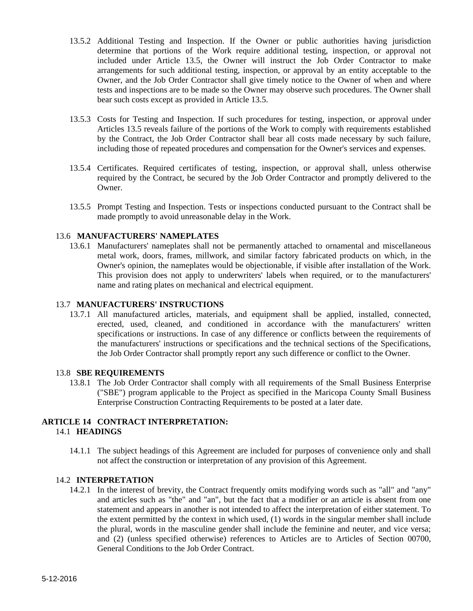- 13.5.2 Additional Testing and Inspection. If the Owner or public authorities having jurisdiction determine that portions of the Work require additional testing, inspection, or approval not included under Article 13.5, the Owner will instruct the Job Order Contractor to make arrangements for such additional testing, inspection, or approval by an entity acceptable to the Owner, and the Job Order Contractor shall give timely notice to the Owner of when and where tests and inspections are to be made so the Owner may observe such procedures. The Owner shall bear such costs except as provided in Article 13.5.
- 13.5.3 Costs for Testing and Inspection. If such procedures for testing, inspection, or approval under Articles 13.5 reveals failure of the portions of the Work to comply with requirements established by the Contract, the Job Order Contractor shall bear all costs made necessary by such failure, including those of repeated procedures and compensation for the Owner's services and expenses.
- 13.5.4 Certificates. Required certificates of testing, inspection, or approval shall, unless otherwise required by the Contract, be secured by the Job Order Contractor and promptly delivered to the Owner.
- 13.5.5 Prompt Testing and Inspection. Tests or inspections conducted pursuant to the Contract shall be made promptly to avoid unreasonable delay in the Work.

#### 13.6 **MANUFACTURERS' NAMEPLATES**

13.6.1 Manufacturers' nameplates shall not be permanently attached to ornamental and miscellaneous metal work, doors, frames, millwork, and similar factory fabricated products on which, in the Owner's opinion, the nameplates would be objectionable, if visible after installation of the Work. This provision does not apply to underwriters' labels when required, or to the manufacturers' name and rating plates on mechanical and electrical equipment.

#### 13.7 **MANUFACTURERS' INSTRUCTIONS**

13.7.1 All manufactured articles, materials, and equipment shall be applied, installed, connected, erected, used, cleaned, and conditioned in accordance with the manufacturers' written specifications or instructions. In case of any difference or conflicts between the requirements of the manufacturers' instructions or specifications and the technical sections of the Specifications, the Job Order Contractor shall promptly report any such difference or conflict to the Owner.

#### 13.8 **SBE REQUIREMENTS**

13.8.1 The Job Order Contractor shall comply with all requirements of the Small Business Enterprise ("SBE") program applicable to the Project as specified in the Maricopa County Small Business Enterprise Construction Contracting Requirements to be posted at a later date.

# **ARTICLE 14 CONTRACT INTERPRETATION:**

- 14.1 **HEADINGS** 
	- 14.1.1 The subject headings of this Agreement are included for purposes of convenience only and shall not affect the construction or interpretation of any provision of this Agreement.

### 14.2 **INTERPRETATION**

14.2.1 In the interest of brevity, the Contract frequently omits modifying words such as "all" and "any" and articles such as "the" and "an", but the fact that a modifier or an article is absent from one statement and appears in another is not intended to affect the interpretation of either statement. To the extent permitted by the context in which used, (1) words in the singular member shall include the plural, words in the masculine gender shall include the feminine and neuter, and vice versa; and (2) (unless specified otherwise) references to Articles are to Articles of Section 00700, General Conditions to the Job Order Contract.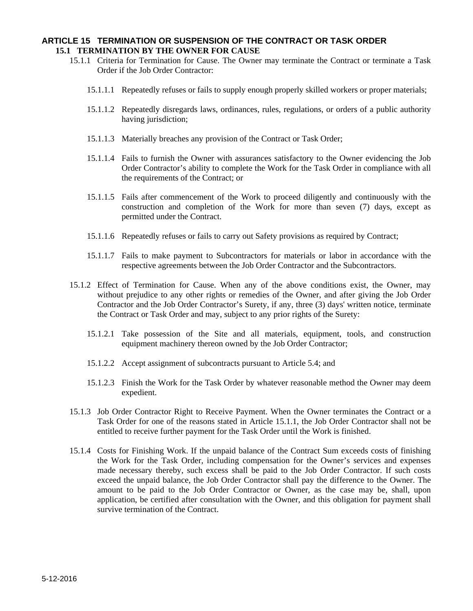#### **ARTICLE 15 TERMINATION OR SUSPENSION OF THE CONTRACT OR TASK ORDER 15.1 TERMINATION BY THE OWNER FOR CAUSE**

- 15.1.1 Criteria for Termination for Cause. The Owner may terminate the Contract or terminate a Task Order if the Job Order Contractor:
	- 15.1.1.1 Repeatedly refuses or fails to supply enough properly skilled workers or proper materials;
	- 15.1.1.2 Repeatedly disregards laws, ordinances, rules, regulations, or orders of a public authority having jurisdiction;
	- 15.1.1.3 Materially breaches any provision of the Contract or Task Order;
	- 15.1.1.4 Fails to furnish the Owner with assurances satisfactory to the Owner evidencing the Job Order Contractor's ability to complete the Work for the Task Order in compliance with all the requirements of the Contract; or
	- 15.1.1.5 Fails after commencement of the Work to proceed diligently and continuously with the construction and completion of the Work for more than seven (7) days, except as permitted under the Contract.
	- 15.1.1.6 Repeatedly refuses or fails to carry out Safety provisions as required by Contract;
	- 15.1.1.7 Fails to make payment to Subcontractors for materials or labor in accordance with the respective agreements between the Job Order Contractor and the Subcontractors.
- 15.1.2 Effect of Termination for Cause. When any of the above conditions exist, the Owner, may without prejudice to any other rights or remedies of the Owner, and after giving the Job Order Contractor and the Job Order Contractor's Surety, if any, three (3) days' written notice, terminate the Contract or Task Order and may, subject to any prior rights of the Surety:
	- 15.1.2.1 Take possession of the Site and all materials, equipment, tools, and construction equipment machinery thereon owned by the Job Order Contractor;
	- 15.1.2.2 Accept assignment of subcontracts pursuant to Article 5.4; and
	- 15.1.2.3 Finish the Work for the Task Order by whatever reasonable method the Owner may deem expedient.
- 15.1.3 Job Order Contractor Right to Receive Payment. When the Owner terminates the Contract or a Task Order for one of the reasons stated in Article 15.1.1, the Job Order Contractor shall not be entitled to receive further payment for the Task Order until the Work is finished.
- 15.1.4 Costs for Finishing Work. If the unpaid balance of the Contract Sum exceeds costs of finishing the Work for the Task Order, including compensation for the Owner's services and expenses made necessary thereby, such excess shall be paid to the Job Order Contractor. If such costs exceed the unpaid balance, the Job Order Contractor shall pay the difference to the Owner. The amount to be paid to the Job Order Contractor or Owner, as the case may be, shall, upon application, be certified after consultation with the Owner, and this obligation for payment shall survive termination of the Contract.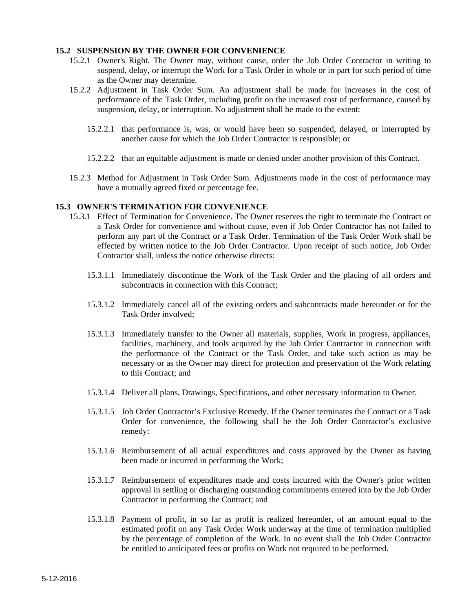#### **15.2 SUSPENSION BY THE OWNER FOR CONVENIENCE**

- 15.2.1 Owner's Right. The Owner may, without cause, order the Job Order Contractor in writing to suspend, delay, or interrupt the Work for a Task Order in whole or in part for such period of time as the Owner may determine.
- 15.2.2 Adjustment in Task Order Sum. An adjustment shall be made for increases in the cost of performance of the Task Order, including profit on the increased cost of performance, caused by suspension, delay, or interruption. No adjustment shall be made to the extent:
	- 15.2.2.1 that performance is, was, or would have been so suspended, delayed, or interrupted by another cause for which the Job Order Contractor is responsible; or
	- 15.2.2.2 that an equitable adjustment is made or denied under another provision of this Contract.
- 15.2.3 Method for Adjustment in Task Order Sum. Adjustments made in the cost of performance may have a mutually agreed fixed or percentage fee.

#### **15.3 OWNER'S TERMINATION FOR CONVENIENCE**

- 15.3.1 Effect of Termination for Convenience. The Owner reserves the right to terminate the Contract or a Task Order for convenience and without cause, even if Job Order Contractor has not failed to perform any part of the Contract or a Task Order. Termination of the Task Order Work shall be effected by written notice to the Job Order Contractor. Upon receipt of such notice, Job Order Contractor shall, unless the notice otherwise directs:
	- 15.3.1.1 Immediately discontinue the Work of the Task Order and the placing of all orders and subcontracts in connection with this Contract;
	- 15.3.1.2 Immediately cancel all of the existing orders and subcontracts made hereunder or for the Task Order involved;
	- 15.3.1.3 Immediately transfer to the Owner all materials, supplies, Work in progress, appliances, facilities, machinery, and tools acquired by the Job Order Contractor in connection with the performance of the Contract or the Task Order, and take such action as may be necessary or as the Owner may direct for protection and preservation of the Work relating to this Contract; and
	- 15.3.1.4 Deliver all plans, Drawings, Specifications, and other necessary information to Owner.
	- 15.3.1.5 Job Order Contractor's Exclusive Remedy. If the Owner terminates the Contract or a Task Order for convenience, the following shall be the Job Order Contractor's exclusive remedy:
	- 15.3.1.6 Reimbursement of all actual expenditures and costs approved by the Owner as having been made or incurred in performing the Work;
	- 15.3.1.7 Reimbursement of expenditures made and costs incurred with the Owner's prior written approval in settling or discharging outstanding commitments entered into by the Job Order Contractor in performing the Contract; and
	- 15.3.1.8 Payment of profit, in so far as profit is realized hereunder, of an amount equal to the estimated profit on any Task Order Work underway at the time of termination multiplied by the percentage of completion of the Work. In no event shall the Job Order Contractor be entitled to anticipated fees or profits on Work not required to be performed.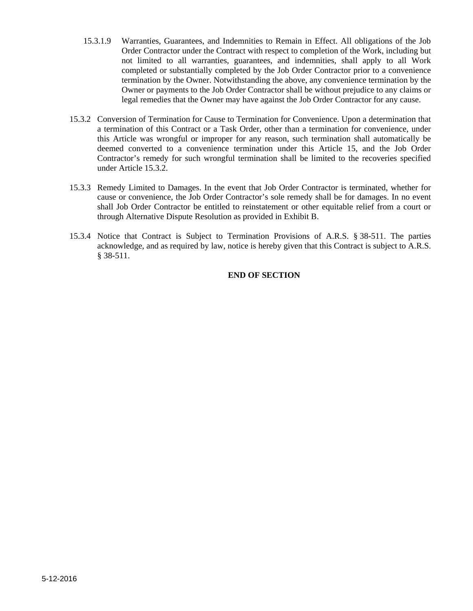- 15.3.1.9 Warranties, Guarantees, and Indemnities to Remain in Effect. All obligations of the Job Order Contractor under the Contract with respect to completion of the Work, including but not limited to all warranties, guarantees, and indemnities, shall apply to all Work completed or substantially completed by the Job Order Contractor prior to a convenience termination by the Owner. Notwithstanding the above, any convenience termination by the Owner or payments to the Job Order Contractor shall be without prejudice to any claims or legal remedies that the Owner may have against the Job Order Contractor for any cause.
- 15.3.2 Conversion of Termination for Cause to Termination for Convenience. Upon a determination that a termination of this Contract or a Task Order, other than a termination for convenience, under this Article was wrongful or improper for any reason, such termination shall automatically be deemed converted to a convenience termination under this Article 15, and the Job Order Contractor's remedy for such wrongful termination shall be limited to the recoveries specified under Article 15.3.2.
- 15.3.3 Remedy Limited to Damages. In the event that Job Order Contractor is terminated, whether for cause or convenience, the Job Order Contractor's sole remedy shall be for damages. In no event shall Job Order Contractor be entitled to reinstatement or other equitable relief from a court or through Alternative Dispute Resolution as provided in Exhibit B.
- 15.3.4 Notice that Contract is Subject to Termination Provisions of A.R.S. § 38-511. The parties acknowledge, and as required by law, notice is hereby given that this Contract is subject to A.R.S. § 38-511.

### **END OF SECTION**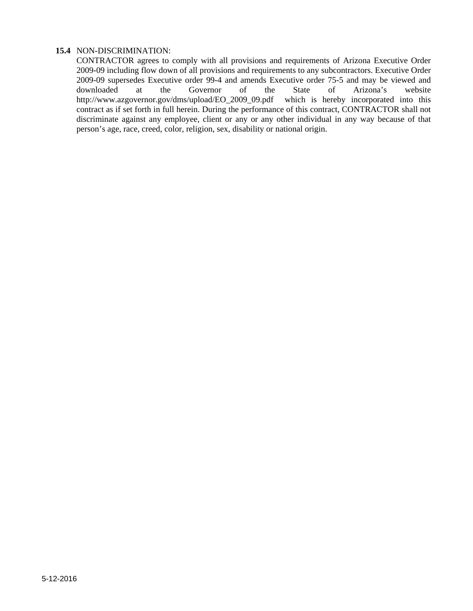### **15.4** NON-DISCRIMINATION:

CONTRACTOR agrees to comply with all provisions and requirements of Arizona Executive Order 2009-09 including flow down of all provisions and requirements to any subcontractors. Executive Order 2009-09 supersedes Executive order 99-4 and amends Executive order 75-5 and may be viewed and downloaded at the Governor of the State of Arizona's website http://www.azgovernor.gov/dms/upload/EO\_2009\_09.pdf which is hereby incorporated into this contract as if set forth in full herein. During the performance of this contract, CONTRACTOR shall not discriminate against any employee, client or any or any other individual in any way because of that person's age, race, creed, color, religion, sex, disability or national origin.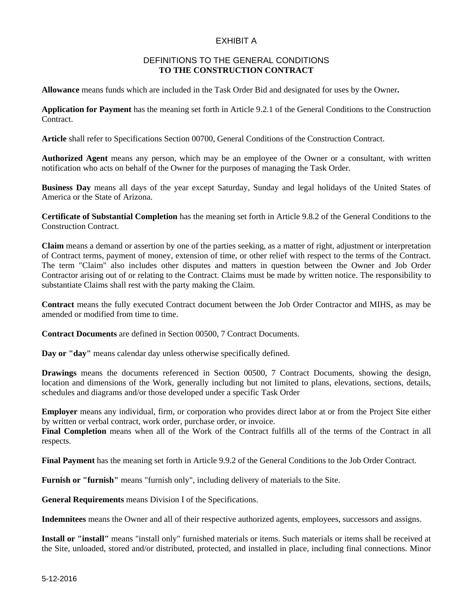### EXHIBIT A

#### DEFINITIONS TO THE GENERAL CONDITIONS **TO THE CONSTRUCTION CONTRACT**

**Allowance** means funds which are included in the Task Order Bid and designated for uses by the Owner**.** 

**Application for Payment** has the meaning set forth in Article 9.2.1 of the General Conditions to the Construction Contract.

**Article** shall refer to Specifications Section 00700, General Conditions of the Construction Contract.

**Authorized Agent** means any person, which may be an employee of the Owner or a consultant, with written notification who acts on behalf of the Owner for the purposes of managing the Task Order.

**Business Day** means all days of the year except Saturday, Sunday and legal holidays of the United States of America or the State of Arizona.

**Certificate of Substantial Completion** has the meaning set forth in Article 9.8.2 of the General Conditions to the Construction Contract.

**Claim** means a demand or assertion by one of the parties seeking, as a matter of right, adjustment or interpretation of Contract terms, payment of money, extension of time, or other relief with respect to the terms of the Contract. The term "Claim" also includes other disputes and matters in question between the Owner and Job Order Contractor arising out of or relating to the Contract. Claims must be made by written notice. The responsibility to substantiate Claims shall rest with the party making the Claim.

**Contract** means the fully executed Contract document between the Job Order Contractor and MIHS, as may be amended or modified from time to time.

**Contract Documents** are defined in Section 00500, 7 Contract Documents.

**Day or "day"** means calendar day unless otherwise specifically defined.

**Drawings** means the documents referenced in Section 00500, 7 Contract Documents, showing the design, location and dimensions of the Work, generally including but not limited to plans, elevations, sections, details, schedules and diagrams and/or those developed under a specific Task Order

**Employer** means any individual, firm, or corporation who provides direct labor at or from the Project Site either by written or verbal contract, work order, purchase order, or invoice.

**Final Completion** means when all of the Work of the Contract fulfills all of the terms of the Contract in all respects.

**Final Payment** has the meaning set forth in Article 9.9.2 of the General Conditions to the Job Order Contract.

**Furnish or "furnish"** means "furnish only", including delivery of materials to the Site.

**General Requirements** means Division I of the Specifications.

**Indemnitees** means the Owner and all of their respective authorized agents, employees, successors and assigns.

**Install or "install"** means "install only" furnished materials or items. Such materials or items shall be received at the Site, unloaded, stored and/or distributed, protected, and installed in place, including final connections. Minor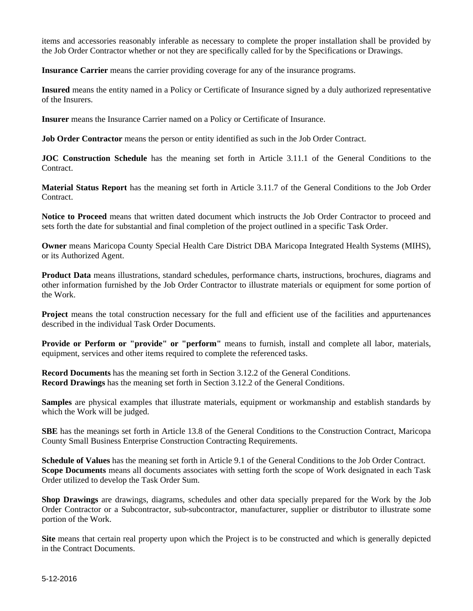items and accessories reasonably inferable as necessary to complete the proper installation shall be provided by the Job Order Contractor whether or not they are specifically called for by the Specifications or Drawings.

**Insurance Carrier** means the carrier providing coverage for any of the insurance programs.

**Insured** means the entity named in a Policy or Certificate of Insurance signed by a duly authorized representative of the Insurers.

**Insurer** means the Insurance Carrier named on a Policy or Certificate of Insurance.

**Job Order Contractor** means the person or entity identified as such in the Job Order Contract.

**JOC Construction Schedule** has the meaning set forth in Article 3.11.1 of the General Conditions to the **Contract** 

**Material Status Report** has the meaning set forth in Article 3.11.7 of the General Conditions to the Job Order Contract.

**Notice to Proceed** means that written dated document which instructs the Job Order Contractor to proceed and sets forth the date for substantial and final completion of the project outlined in a specific Task Order.

**Owner** means Maricopa County Special Health Care District DBA Maricopa Integrated Health Systems (MIHS), or its Authorized Agent.

**Product Data** means illustrations, standard schedules, performance charts, instructions, brochures, diagrams and other information furnished by the Job Order Contractor to illustrate materials or equipment for some portion of the Work.

**Project** means the total construction necessary for the full and efficient use of the facilities and appurtenances described in the individual Task Order Documents.

**Provide or Perform or "provide" or "perform"** means to furnish, install and complete all labor, materials, equipment, services and other items required to complete the referenced tasks.

**Record Documents** has the meaning set forth in Section 3.12.2 of the General Conditions. **Record Drawings** has the meaning set forth in Section 3.12.2 of the General Conditions.

**Samples** are physical examples that illustrate materials, equipment or workmanship and establish standards by which the Work will be judged.

**SBE** has the meanings set forth in Article 13.8 of the General Conditions to the Construction Contract, Maricopa County Small Business Enterprise Construction Contracting Requirements.

**Schedule of Values** has the meaning set forth in Article 9.1 of the General Conditions to the Job Order Contract. **Scope Documents** means all documents associates with setting forth the scope of Work designated in each Task Order utilized to develop the Task Order Sum.

**Shop Drawings** are drawings, diagrams, schedules and other data specially prepared for the Work by the Job Order Contractor or a Subcontractor, sub-subcontractor, manufacturer, supplier or distributor to illustrate some portion of the Work.

**Site** means that certain real property upon which the Project is to be constructed and which is generally depicted in the Contract Documents.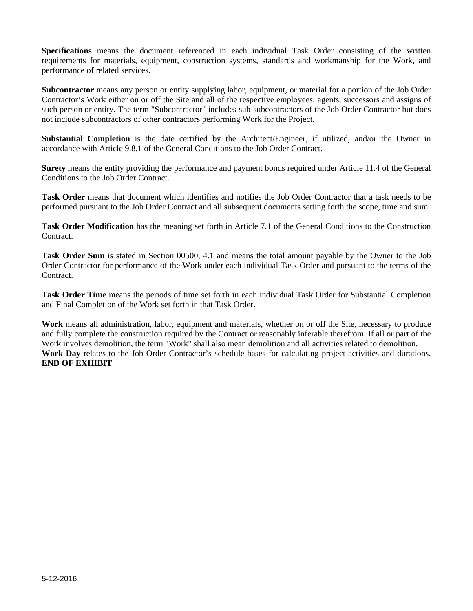**Specifications** means the document referenced in each individual Task Order consisting of the written requirements for materials, equipment, construction systems, standards and workmanship for the Work, and performance of related services.

**Subcontractor** means any person or entity supplying labor, equipment, or material for a portion of the Job Order Contractor's Work either on or off the Site and all of the respective employees, agents, successors and assigns of such person or entity. The term "Subcontractor" includes sub-subcontractors of the Job Order Contractor but does not include subcontractors of other contractors performing Work for the Project.

**Substantial Completion** is the date certified by the Architect/Engineer, if utilized, and/or the Owner in accordance with Article 9.8.1 of the General Conditions to the Job Order Contract.

**Surety** means the entity providing the performance and payment bonds required under Article 11.4 of the General Conditions to the Job Order Contract.

**Task Order** means that document which identifies and notifies the Job Order Contractor that a task needs to be performed pursuant to the Job Order Contract and all subsequent documents setting forth the scope, time and sum.

**Task Order Modification** has the meaning set forth in Article 7.1 of the General Conditions to the Construction Contract.

**Task Order Sum** is stated in Section 00500, 4.1 and means the total amount payable by the Owner to the Job Order Contractor for performance of the Work under each individual Task Order and pursuant to the terms of the Contract.

**Task Order Time** means the periods of time set forth in each individual Task Order for Substantial Completion and Final Completion of the Work set forth in that Task Order.

**Work** means all administration, labor, equipment and materials, whether on or off the Site, necessary to produce and fully complete the construction required by the Contract or reasonably inferable therefrom. If all or part of the Work involves demolition, the term "Work" shall also mean demolition and all activities related to demolition. Work Day relates to the Job Order Contractor's schedule bases for calculating project activities and durations. **END OF EXHIBIT**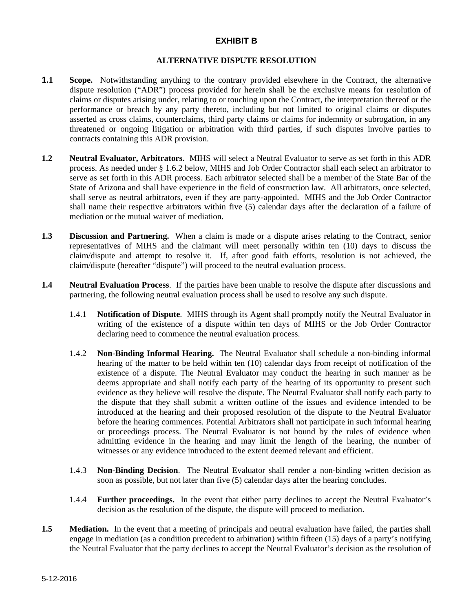### **EXHIBIT B**

#### **ALTERNATIVE DISPUTE RESOLUTION**

- **1.1 Scope.** Notwithstanding anything to the contrary provided elsewhere in the Contract, the alternative dispute resolution ("ADR") process provided for herein shall be the exclusive means for resolution of claims or disputes arising under, relating to or touching upon the Contract, the interpretation thereof or the performance or breach by any party thereto, including but not limited to original claims or disputes asserted as cross claims, counterclaims, third party claims or claims for indemnity or subrogation, in any threatened or ongoing litigation or arbitration with third parties, if such disputes involve parties to contracts containing this ADR provision.
- **1.2 Neutral Evaluator, Arbitrators.** MIHS will select a Neutral Evaluator to serve as set forth in this ADR process. As needed under § 1.6.2 below, MIHS and Job Order Contractor shall each select an arbitrator to serve as set forth in this ADR process. Each arbitrator selected shall be a member of the State Bar of the State of Arizona and shall have experience in the field of construction law. All arbitrators, once selected, shall serve as neutral arbitrators, even if they are party-appointed. MIHS and the Job Order Contractor shall name their respective arbitrators within five (5) calendar days after the declaration of a failure of mediation or the mutual waiver of mediation.
- **1.3 Discussion and Partnering.** When a claim is made or a dispute arises relating to the Contract, senior representatives of MIHS and the claimant will meet personally within ten (10) days to discuss the claim/dispute and attempt to resolve it. If, after good faith efforts, resolution is not achieved, the claim/dispute (hereafter "dispute") will proceed to the neutral evaluation process.
- **1.4 Neutral Evaluation Process**. If the parties have been unable to resolve the dispute after discussions and partnering, the following neutral evaluation process shall be used to resolve any such dispute.
	- 1.4.1 **Notification of Dispute**. MIHS through its Agent shall promptly notify the Neutral Evaluator in writing of the existence of a dispute within ten days of MIHS or the Job Order Contractor declaring need to commence the neutral evaluation process.
	- 1.4.2 **Non-Binding Informal Hearing.** The Neutral Evaluator shall schedule a non-binding informal hearing of the matter to be held within ten (10) calendar days from receipt of notification of the existence of a dispute. The Neutral Evaluator may conduct the hearing in such manner as he deems appropriate and shall notify each party of the hearing of its opportunity to present such evidence as they believe will resolve the dispute. The Neutral Evaluator shall notify each party to the dispute that they shall submit a written outline of the issues and evidence intended to be introduced at the hearing and their proposed resolution of the dispute to the Neutral Evaluator before the hearing commences. Potential Arbitrators shall not participate in such informal hearing or proceedings process. The Neutral Evaluator is not bound by the rules of evidence when admitting evidence in the hearing and may limit the length of the hearing, the number of witnesses or any evidence introduced to the extent deemed relevant and efficient.
	- 1.4.3 **Non-Binding Decision**. The Neutral Evaluator shall render a non-binding written decision as soon as possible, but not later than five (5) calendar days after the hearing concludes.
	- 1.4.4 **Further proceedings.** In the event that either party declines to accept the Neutral Evaluator's decision as the resolution of the dispute, the dispute will proceed to mediation.
- **1.5** Mediation. In the event that a meeting of principals and neutral evaluation have failed, the parties shall engage in mediation (as a condition precedent to arbitration) within fifteen (15) days of a party's notifying the Neutral Evaluator that the party declines to accept the Neutral Evaluator's decision as the resolution of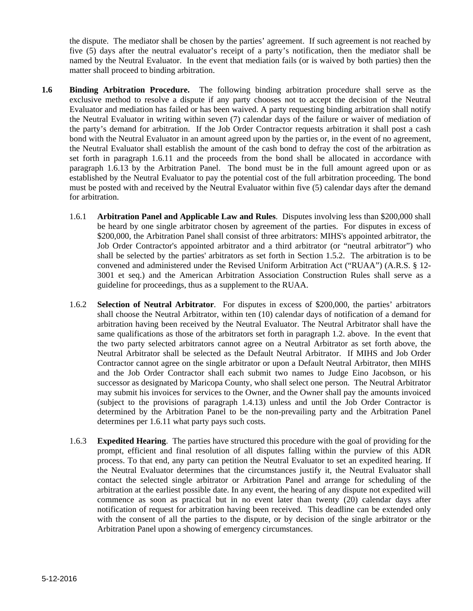the dispute. The mediator shall be chosen by the parties' agreement. If such agreement is not reached by five (5) days after the neutral evaluator's receipt of a party's notification, then the mediator shall be named by the Neutral Evaluator. In the event that mediation fails (or is waived by both parties) then the matter shall proceed to binding arbitration.

- **1.6 Binding Arbitration Procedure.** The following binding arbitration procedure shall serve as the exclusive method to resolve a dispute if any party chooses not to accept the decision of the Neutral Evaluator and mediation has failed or has been waived. A party requesting binding arbitration shall notify the Neutral Evaluator in writing within seven (7) calendar days of the failure or waiver of mediation of the party's demand for arbitration. If the Job Order Contractor requests arbitration it shall post a cash bond with the Neutral Evaluator in an amount agreed upon by the parties or, in the event of no agreement, the Neutral Evaluator shall establish the amount of the cash bond to defray the cost of the arbitration as set forth in paragraph 1.6.11 and the proceeds from the bond shall be allocated in accordance with paragraph 1.6.13 by the Arbitration Panel. The bond must be in the full amount agreed upon or as established by the Neutral Evaluator to pay the potential cost of the full arbitration proceeding. The bond must be posted with and received by the Neutral Evaluator within five (5) calendar days after the demand for arbitration.
	- 1.6.1 **Arbitration Panel and Applicable Law and Rules**. Disputes involving less than \$200,000 shall be heard by one single arbitrator chosen by agreement of the parties. For disputes in excess of \$200,000, the Arbitration Panel shall consist of three arbitrators: MIHS's appointed arbitrator, the Job Order Contractor's appointed arbitrator and a third arbitrator (or "neutral arbitrator") who shall be selected by the parties' arbitrators as set forth in Section 1.5.2. The arbitration is to be convened and administered under the Revised Uniform Arbitration Act ("RUAA") (A.R.S. § 12- 3001 et seq.) and the American Arbitration Association Construction Rules shall serve as a guideline for proceedings, thus as a supplement to the RUAA.
	- 1.6.2 **Selection of Neutral Arbitrator**. For disputes in excess of \$200,000, the parties' arbitrators shall choose the Neutral Arbitrator, within ten (10) calendar days of notification of a demand for arbitration having been received by the Neutral Evaluator. The Neutral Arbitrator shall have the same qualifications as those of the arbitrators set forth in paragraph 1.2. above. In the event that the two party selected arbitrators cannot agree on a Neutral Arbitrator as set forth above, the Neutral Arbitrator shall be selected as the Default Neutral Arbitrator. If MIHS and Job Order Contractor cannot agree on the single arbitrator or upon a Default Neutral Arbitrator, then MIHS and the Job Order Contractor shall each submit two names to Judge Eino Jacobson, or his successor as designated by Maricopa County, who shall select one person. The Neutral Arbitrator may submit his invoices for services to the Owner, and the Owner shall pay the amounts invoiced (subject to the provisions of paragraph 1.4.13) unless and until the Job Order Contractor is determined by the Arbitration Panel to be the non-prevailing party and the Arbitration Panel determines per 1.6.11 what party pays such costs.
	- 1.6.3 **Expedited Hearing**. The parties have structured this procedure with the goal of providing for the prompt, efficient and final resolution of all disputes falling within the purview of this ADR process. To that end, any party can petition the Neutral Evaluator to set an expedited hearing. If the Neutral Evaluator determines that the circumstances justify it, the Neutral Evaluator shall contact the selected single arbitrator or Arbitration Panel and arrange for scheduling of the arbitration at the earliest possible date. In any event, the hearing of any dispute not expedited will commence as soon as practical but in no event later than twenty (20) calendar days after notification of request for arbitration having been received. This deadline can be extended only with the consent of all the parties to the dispute, or by decision of the single arbitrator or the Arbitration Panel upon a showing of emergency circumstances.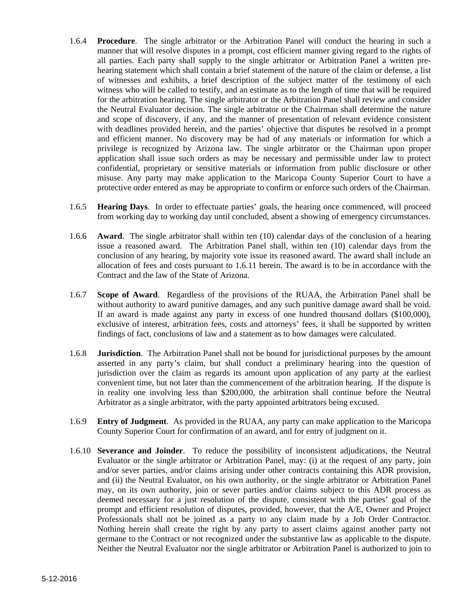- 1.6.4 **Procedure**. The single arbitrator or the Arbitration Panel will conduct the hearing in such a manner that will resolve disputes in a prompt, cost efficient manner giving regard to the rights of all parties. Each party shall supply to the single arbitrator or Arbitration Panel a written prehearing statement which shall contain a brief statement of the nature of the claim or defense, a list of witnesses and exhibits, a brief description of the subject matter of the testimony of each witness who will be called to testify, and an estimate as to the length of time that will be required for the arbitration hearing. The single arbitrator or the Arbitration Panel shall review and consider the Neutral Evaluator decision. The single arbitrator or the Chairman shall determine the nature and scope of discovery, if any, and the manner of presentation of relevant evidence consistent with deadlines provided herein, and the parties' objective that disputes be resolved in a prompt and efficient manner. No discovery may be had of any materials or information for which a privilege is recognized by Arizona law. The single arbitrator or the Chairman upon proper application shall issue such orders as may be necessary and permissible under law to protect confidential, proprietary or sensitive materials or information from public disclosure or other misuse. Any party may make application to the Maricopa County Superior Court to have a protective order entered as may be appropriate to confirm or enforce such orders of the Chairman.
- 1.6.5 **Hearing Days**. In order to effectuate parties' goals, the hearing once commenced, will proceed from working day to working day until concluded, absent a showing of emergency circumstances.
- 1.6.6 **Award**. The single arbitrator shall within ten (10) calendar days of the conclusion of a hearing issue a reasoned award. The Arbitration Panel shall, within ten (10) calendar days from the conclusion of any hearing, by majority vote issue its reasoned award. The award shall include an allocation of fees and costs pursuant to 1.6.11 herein. The award is to be in accordance with the Contract and the law of the State of Arizona.
- 1.6.7 **Scope of Award**. Regardless of the provisions of the RUAA, the Arbitration Panel shall be without authority to award punitive damages, and any such punitive damage award shall be void. If an award is made against any party in excess of one hundred thousand dollars (\$100,000), exclusive of interest, arbitration fees, costs and attorneys' fees, it shall be supported by written findings of fact, conclusions of law and a statement as to how damages were calculated.
- 1.6.8 **Jurisdiction**.The Arbitration Panel shall not be bound for jurisdictional purposes by the amount asserted in any party's claim, but shall conduct a preliminary hearing into the question of jurisdiction over the claim as regards its amount upon application of any party at the earliest convenient time, but not later than the commencement of the arbitration hearing. If the dispute is in reality one involving less than \$200,000, the arbitration shall continue before the Neutral Arbitrator as a single arbitrator, with the party appointed arbitrators being excused.
- 1.6.9 **Entry of Judgment**.As provided in the RUAA, any party can make application to the Maricopa County Superior Court for confirmation of an award, and for entry of judgment on it.
- 1.6.10 **Severance and Joinder**. To reduce the possibility of inconsistent adjudications, the Neutral Evaluator or the single arbitrator or Arbitration Panel, may: (i) at the request of any party, join and/or sever parties, and/or claims arising under other contracts containing this ADR provision, and (ii) the Neutral Evaluator, on his own authority, or the single arbitrator or Arbitration Panel may, on its own authority, join or sever parties and/or claims subject to this ADR process as deemed necessary for a just resolution of the dispute, consistent with the parties' goal of the prompt and efficient resolution of disputes, provided, however, that the A/E, Owner and Project Professionals shall not be joined as a party to any claim made by a Job Order Contractor. Nothing herein shall create the right by any party to assert claims against another party not germane to the Contract or not recognized under the substantive law as applicable to the dispute. Neither the Neutral Evaluator nor the single arbitrator or Arbitration Panel is authorized to join to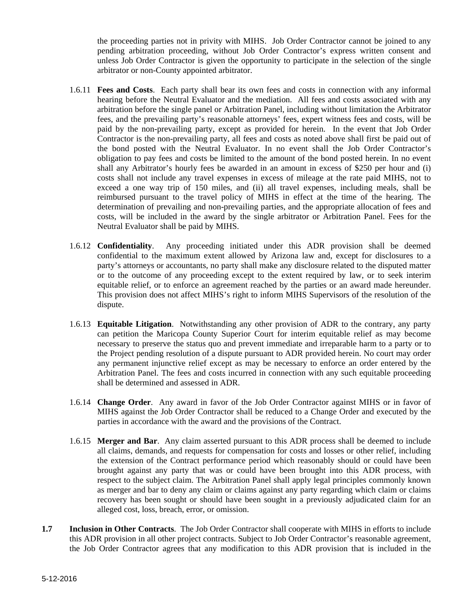the proceeding parties not in privity with MIHS. Job Order Contractor cannot be joined to any pending arbitration proceeding, without Job Order Contractor's express written consent and unless Job Order Contractor is given the opportunity to participate in the selection of the single arbitrator or non-County appointed arbitrator.

- 1.6.11 **Fees and Costs**. Each party shall bear its own fees and costs in connection with any informal hearing before the Neutral Evaluator and the mediation. All fees and costs associated with any arbitration before the single panel or Arbitration Panel, including without limitation the Arbitrator fees, and the prevailing party's reasonable attorneys' fees, expert witness fees and costs, will be paid by the non-prevailing party, except as provided for herein. In the event that Job Order Contractor is the non-prevailing party, all fees and costs as noted above shall first be paid out of the bond posted with the Neutral Evaluator. In no event shall the Job Order Contractor's obligation to pay fees and costs be limited to the amount of the bond posted herein. In no event shall any Arbitrator's hourly fees be awarded in an amount in excess of \$250 per hour and (i) costs shall not include any travel expenses in excess of mileage at the rate paid MIHS, not to exceed a one way trip of 150 miles, and (ii) all travel expenses, including meals, shall be reimbursed pursuant to the travel policy of MIHS in effect at the time of the hearing. The determination of prevailing and non-prevailing parties, and the appropriate allocation of fees and costs, will be included in the award by the single arbitrator or Arbitration Panel. Fees for the Neutral Evaluator shall be paid by MIHS.
- 1.6.12 **Confidentiality**. Any proceeding initiated under this ADR provision shall be deemed confidential to the maximum extent allowed by Arizona law and, except for disclosures to a party's attorneys or accountants, no party shall make any disclosure related to the disputed matter or to the outcome of any proceeding except to the extent required by law, or to seek interim equitable relief, or to enforce an agreement reached by the parties or an award made hereunder. This provision does not affect MIHS's right to inform MIHS Supervisors of the resolution of the dispute.
- 1.6.13 **Equitable Litigation**. Notwithstanding any other provision of ADR to the contrary, any party can petition the Maricopa County Superior Court for interim equitable relief as may become necessary to preserve the status quo and prevent immediate and irreparable harm to a party or to the Project pending resolution of a dispute pursuant to ADR provided herein. No court may order any permanent injunctive relief except as may be necessary to enforce an order entered by the Arbitration Panel. The fees and costs incurred in connection with any such equitable proceeding shall be determined and assessed in ADR.
- 1.6.14 **Change Order**. Any award in favor of the Job Order Contractor against MIHS or in favor of MIHS against the Job Order Contractor shall be reduced to a Change Order and executed by the parties in accordance with the award and the provisions of the Contract.
- 1.6.15 **Merger and Bar**. Any claim asserted pursuant to this ADR process shall be deemed to include all claims, demands, and requests for compensation for costs and losses or other relief, including the extension of the Contract performance period which reasonably should or could have been brought against any party that was or could have been brought into this ADR process, with respect to the subject claim. The Arbitration Panel shall apply legal principles commonly known as merger and bar to deny any claim or claims against any party regarding which claim or claims recovery has been sought or should have been sought in a previously adjudicated claim for an alleged cost, loss, breach, error, or omission.
- **1.7 Inclusion in Other Contracts**. The Job Order Contractor shall cooperate with MIHS in efforts to include this ADR provision in all other project contracts. Subject to Job Order Contractor's reasonable agreement, the Job Order Contractor agrees that any modification to this ADR provision that is included in the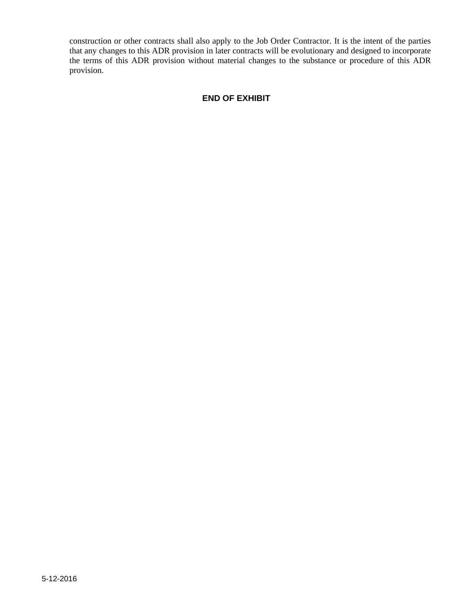construction or other contracts shall also apply to the Job Order Contractor. It is the intent of the parties that any changes to this ADR provision in later contracts will be evolutionary and designed to incorporate the terms of this ADR provision without material changes to the substance or procedure of this ADR provision.

### **END OF EXHIBIT**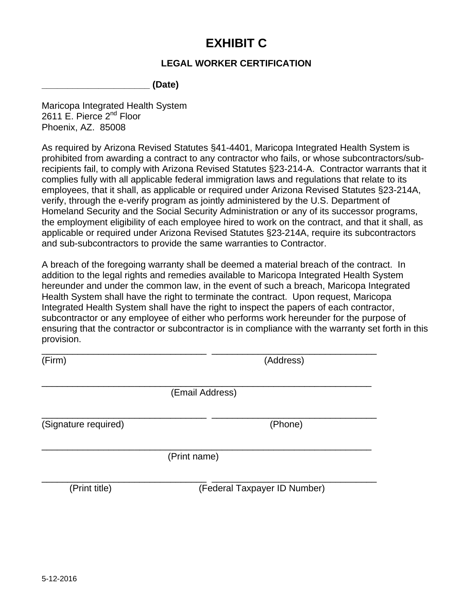# **EXHIBIT C**

# **LEGAL WORKER CERTIFICATION**

**\_\_\_\_\_\_\_\_\_\_\_\_\_\_\_\_\_\_\_\_\_ (Date)** 

Maricopa Integrated Health System 2611 E. Pierce 2<sup>nd</sup> Floor Phoenix, AZ. 85008

As required by Arizona Revised Statutes §41-4401, Maricopa Integrated Health System is prohibited from awarding a contract to any contractor who fails, or whose subcontractors/subrecipients fail, to comply with Arizona Revised Statutes §23-214-A. Contractor warrants that it complies fully with all applicable federal immigration laws and regulations that relate to its employees, that it shall, as applicable or required under Arizona Revised Statutes §23-214A, verify, through the e-verify program as jointly administered by the U.S. Department of Homeland Security and the Social Security Administration or any of its successor programs, the employment eligibility of each employee hired to work on the contract, and that it shall, as applicable or required under Arizona Revised Statutes §23-214A, require its subcontractors and sub-subcontractors to provide the same warranties to Contractor.

A breach of the foregoing warranty shall be deemed a material breach of the contract. In addition to the legal rights and remedies available to Maricopa Integrated Health System hereunder and under the common law, in the event of such a breach, Maricopa Integrated Health System shall have the right to terminate the contract. Upon request, Maricopa Integrated Health System shall have the right to inspect the papers of each contractor, subcontractor or any employee of either who performs work hereunder for the purpose of ensuring that the contractor or subcontractor is in compliance with the warranty set forth in this provision.

(Firm) (Address)

\_\_\_\_\_\_\_\_\_\_\_\_\_\_\_\_\_\_\_\_\_\_\_\_\_\_\_\_\_\_\_\_\_\_\_\_\_\_\_\_\_\_\_\_\_\_\_\_\_\_\_\_\_\_\_\_\_\_\_\_\_\_\_\_ (Email Address)

\_\_\_\_\_\_\_\_\_\_\_\_\_\_\_\_\_\_\_\_\_\_\_\_\_\_\_\_\_\_\_\_ \_\_\_\_\_\_\_\_\_\_\_\_\_\_\_\_\_\_\_\_\_\_\_\_\_\_\_\_\_\_\_\_

(Signature required) (Phone)

\_\_\_\_\_\_\_\_\_\_\_\_\_\_\_\_\_\_\_\_\_\_\_\_\_\_\_\_\_\_\_\_ \_\_\_\_\_\_\_\_\_\_\_\_\_\_\_\_\_\_\_\_\_\_\_\_\_\_\_\_\_\_\_\_

\_\_\_\_\_\_\_\_\_\_\_\_\_\_\_\_\_\_\_\_\_\_\_\_\_\_\_\_\_\_\_\_\_\_\_\_\_\_\_\_\_\_\_\_\_\_\_\_\_\_\_\_\_\_\_\_\_\_\_\_\_\_\_\_ (Print name)

\_\_\_\_\_\_\_\_\_\_\_\_\_\_\_\_\_\_\_\_\_\_\_\_\_\_\_\_\_\_\_\_ \_\_\_\_\_\_\_\_\_\_\_\_\_\_\_\_\_\_\_\_\_\_\_\_\_\_\_\_\_\_\_\_ (Print title) (Federal Taxpayer ID Number)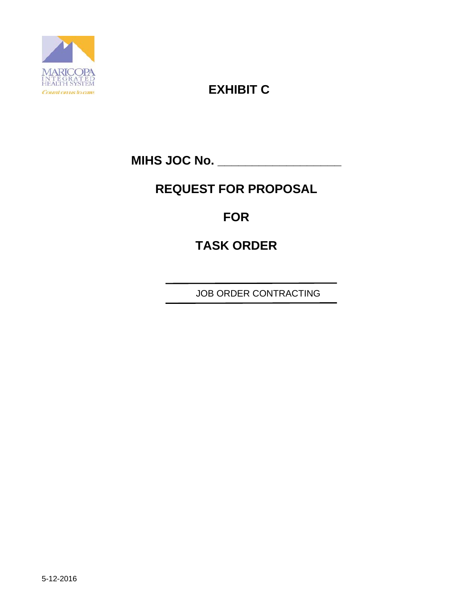

# **EXHIBIT C**

**MIHS JOC No. \_\_\_\_\_\_\_\_\_\_\_\_\_\_\_\_\_\_** 

# **REQUEST FOR PROPOSAL**

# **FOR**

# **TASK ORDER**

JOB ORDER CONTRACTING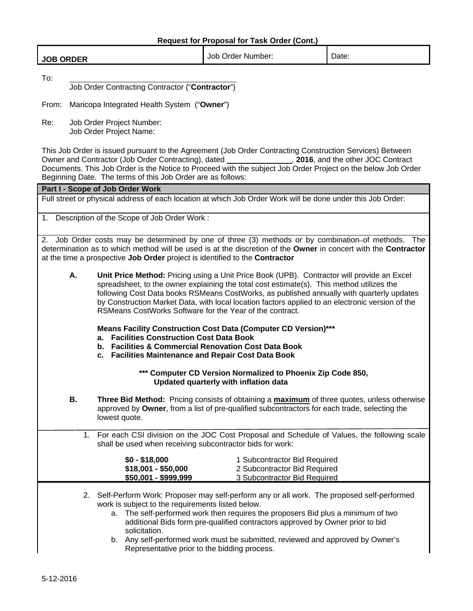|  | <b>JOB ORDER</b> | Order Number:<br>Job | ∽<br>Date: |
|--|------------------|----------------------|------------|
|--|------------------|----------------------|------------|

To:

Job Order Contracting Contractor ("**Contractor**")

From: Maricopa Integrated Health System ("**Owner**")

Re: Job Order Project Number: Job Order Project Name:

This Job Order is issued pursuant to the Agreement (Job Order Contracting Construction Services) Between Owner and Contractor (Job Order Contracting), dated , **2016**, and the other JOC Contract Documents. This Job Order is the Notice to Proceed with the subject Job Order Project on the below Job Order Beginning Date. The terms of this Job Order are as follows:

**Part I - Scope of Job Order Work**  Full street or physical address of each location at which Job Order Work will be done under this Job Order: 1. Description of the Scope of Job Order Work : 2. Job Order costs may be determined by one of three (3) methods or by combination of methods. The determination as to which method will be used is at the discretion of the **Owner** in concert with the **Contractor** at the time a prospective **Job Order** project is identified to the **Contractor A. Unit Price Method:** Pricing using a Unit Price Book (UPB). Contractor will provide an Excel spreadsheet, to the owner explaining the total cost estimate(s). This method utilizes the following Cost Data books RSMeans CostWorks, as published annually with quarterly updates by Construction Market Data, with local location factors applied to an electronic version of the RSMeans CostWorks Software for the Year of the contract. **Means Facility Construction Cost Data (Computer CD Version)\*\*\* a. Facilities Construction Cost Data Book b. Facilities & Commercial Renovation Cost Data Book c. Facilities Maintenance and Repair Cost Data Book \*\*\* Computer CD Version Normalized to Phoenix Zip Code 850, Updated quarterly with inflation data B. Three Bid Method:** Pricing consists of obtaining a **maximum** of three quotes, unless otherwise approved by **Owner**, from a list of pre-qualified subcontractors for each trade, selecting the lowest quote. 1. For each CSI division on the JOC Cost Proposal and Schedule of Values, the following scale shall be used when receiving subcontractor bids for work: **\$0 - \$18,000** 1 Subcontractor Bid Required **\$18,001 - \$50,000** 2 Subcontractor Bid Required **\$50,001 - \$999,999** 3 Subcontractor Bid Required 2. Self-Perform Work: Proposer may self-perform any or all work. The proposed self-performed work is subject to the requirements listed below. a. The self-performed work then requires the proposers Bid plus a minimum of two additional Bids form pre-qualified contractors approved by Owner prior to bid solicitation.

b. Any self-performed work must be submitted, reviewed and approved by Owner's Representative prior to the bidding process.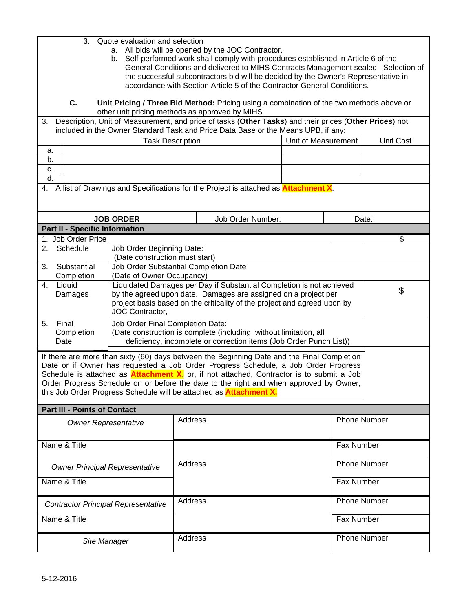| 3. Quote evaluation and selection |
|-----------------------------------|
|-----------------------------------|

- a. All bids will be opened by the JOC Contractor.
- b. Self-performed work shall comply with procedures established in Article 6 of the General Conditions and delivered to MIHS Contracts Management sealed. Selection of the successful subcontractors bid will be decided by the Owner's Representative in accordance with Section Article 5 of the Contractor General Conditions.

**C. Unit Pricing / Three Bid Method:** Pricing using a combination of the two methods above or other unit pricing methods as approved by MIHS.

3. Description, Unit of Measurement, and price of tasks (**Other Tasks**) and their prices (**Other Prices**) not included in the Owner Standard Task and Price Data Base or the Means UPB, if any:

|    | <b>Task Description</b> | Unit of Measurement | Unit Cost |
|----|-------------------------|---------------------|-----------|
| а. |                         |                     |           |
| D. |                         |                     |           |
| С. |                         |                     |           |
| a. |                         |                     |           |
|    | .<br>$\sim$             |                     |           |

4. A list of Drawings and Specifications for the Project is attached as **Attachment X**:

| <b>JOB ORDER</b>                      |                             |                                  | Job Order Number:                                                                                                                                                                                                  | Date: |    |
|---------------------------------------|-----------------------------|----------------------------------|--------------------------------------------------------------------------------------------------------------------------------------------------------------------------------------------------------------------|-------|----|
| <b>Part II - Specific Information</b> |                             |                                  |                                                                                                                                                                                                                    |       |    |
|                                       | 1. Job Order Price          |                                  |                                                                                                                                                                                                                    |       |    |
| 2.                                    | Schedule                    | Job Order Beginning Date:        |                                                                                                                                                                                                                    |       |    |
|                                       |                             | (Date construction must start)   |                                                                                                                                                                                                                    |       |    |
| 3.                                    | Substantial                 |                                  | Job Order Substantial Completion Date                                                                                                                                                                              |       |    |
|                                       | Completion                  | (Date of Owner Occupancy)        |                                                                                                                                                                                                                    |       |    |
| 4.                                    | Liquid<br>Damages           | JOC Contractor,                  | Liquidated Damages per Day if Substantial Completion is not achieved<br>by the agreed upon date. Damages are assigned on a project per<br>project basis based on the criticality of the project and agreed upon by |       | \$ |
| 5.                                    | Final<br>Completion<br>Date | Job Order Final Completion Date: | (Date construction is complete (including, without limitation, all<br>deficiency, incomplete or correction items (Job Order Punch List))                                                                           |       |    |

If there are more than sixty (60) days between the Beginning Date and the Final Completion Date or if Owner has requested a Job Order Progress Schedule, a Job Order Progress Schedule is attached as **Attachment X**, or, if not attached, Contractor is to submit a Job Order Progress Schedule on or before the date to the right and when approved by Owner, this Job Order Progress Schedule will be attached as **Attachment X.**

#### **Part III - Points of Contact**

| <b>Owner Representative</b>                | Address | <b>Phone Number</b> |
|--------------------------------------------|---------|---------------------|
| Name & Title                               |         | <b>Fax Number</b>   |
| <b>Owner Principal Representative</b>      | Address | <b>Phone Number</b> |
| Name & Title                               |         | <b>Fax Number</b>   |
| <b>Contractor Principal Representative</b> | Address | <b>Phone Number</b> |
| Name & Title                               |         | <b>Fax Number</b>   |
| Site Manager                               | Address | <b>Phone Number</b> |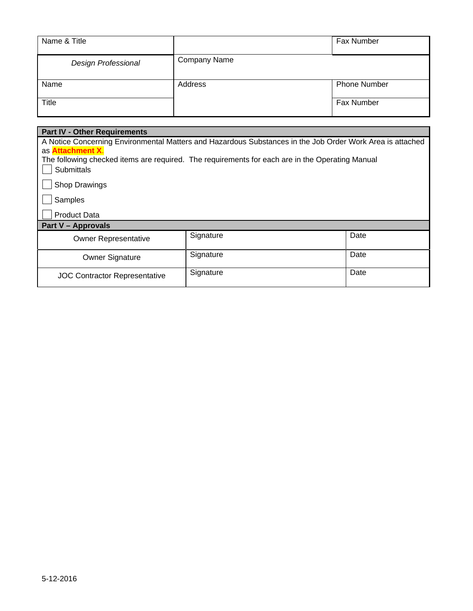| Name & Title               |              | Fax Number          |
|----------------------------|--------------|---------------------|
| <b>Design Professional</b> | Company Name |                     |
| Name                       | Address      | <b>Phone Number</b> |
| <b>Title</b>               |              | Fax Number          |

| <b>Part IV - Other Requirements</b>  |                                                                                                           |      |  |  |
|--------------------------------------|-----------------------------------------------------------------------------------------------------------|------|--|--|
|                                      | A Notice Concerning Environmental Matters and Hazardous Substances in the Job Order Work Area is attached |      |  |  |
| as <b>Attachment X.</b>              |                                                                                                           |      |  |  |
|                                      | The following checked items are required. The requirements for each are in the Operating Manual           |      |  |  |
| <b>Submittals</b>                    |                                                                                                           |      |  |  |
| Shop Drawings                        |                                                                                                           |      |  |  |
| Samples                              |                                                                                                           |      |  |  |
| <b>Product Data</b>                  |                                                                                                           |      |  |  |
| <b>Part V - Approvals</b>            |                                                                                                           |      |  |  |
| <b>Owner Representative</b>          | Signature                                                                                                 | Date |  |  |
| Owner Signature                      | Signature                                                                                                 | Date |  |  |
| <b>JOC Contractor Representative</b> | Signature                                                                                                 | Date |  |  |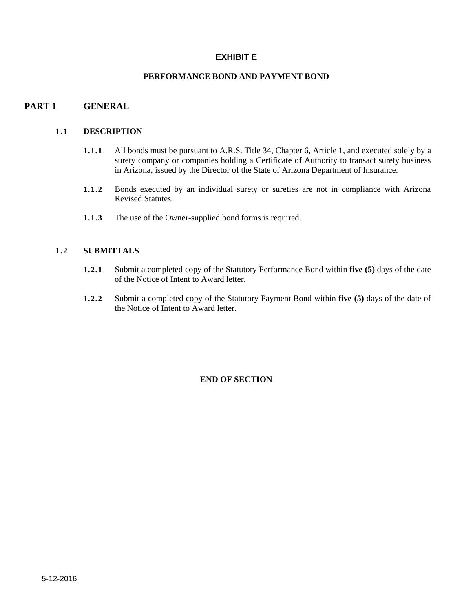### **EXHIBIT E**

### **PERFORMANCE BOND AND PAYMENT BOND**

### **PART 1 GENERAL**

#### **1.1 DESCRIPTION**

- **1.1.1** All bonds must be pursuant to A.R.S. Title 34, Chapter 6, Article 1, and executed solely by a surety company or companies holding a Certificate of Authority to transact surety business in Arizona, issued by the Director of the State of Arizona Department of Insurance.
- **1.1.2** Bonds executed by an individual surety or sureties are not in compliance with Arizona Revised Statutes.
- **1.1.3** The use of the Owner-supplied bond forms is required.

### **1.2 SUBMITTALS**

- **1.2.1** Submit a completed copy of the Statutory Performance Bond within **five (5)** days of the date of the Notice of Intent to Award letter.
- **1.2.2** Submit a completed copy of the Statutory Payment Bond within **five (5)** days of the date of the Notice of Intent to Award letter.

#### **END OF SECTION**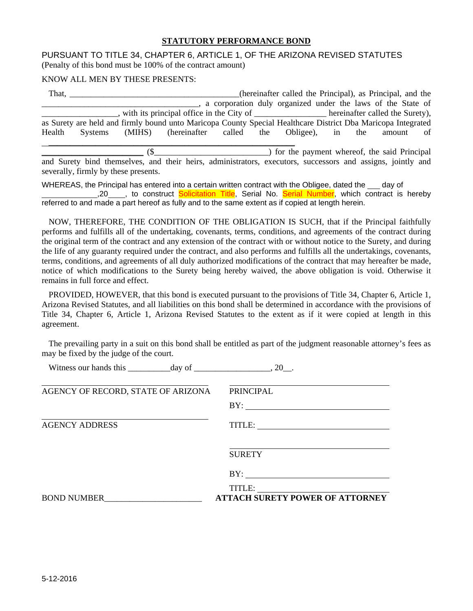#### **STATUTORY PERFORMANCE BOND**

#### PURSUANT TO TITLE 34, CHAPTER 6, ARTICLE 1, OF THE ARIZONA REVISED STATUTES (Penalty of this bond must be 100% of the contract amount)

#### KNOW ALL MEN BY THESE PRESENTS:

|        | That,   |                                                                                                              |  | (hereinafter called the Principal), as Principal, and the      |  |           |  |
|--------|---------|--------------------------------------------------------------------------------------------------------------|--|----------------------------------------------------------------|--|-----------|--|
|        |         |                                                                                                              |  | _, a corporation duly organized under the laws of the State of |  |           |  |
|        |         | with its principal office in the City of ___________________ hereinafter called the Surety),                 |  |                                                                |  |           |  |
|        |         | as Surety are held and firmly bound unto Maricopa County Special Healthcare District Dba Maricopa Integrated |  |                                                                |  |           |  |
| Health | Systems | (MIHS) (hereinafter called the Obligee), in the                                                              |  |                                                                |  | amount of |  |
|        |         |                                                                                                              |  |                                                                |  |           |  |
|        |         |                                                                                                              |  | __) for the payment whereof, the said Principal                |  |           |  |
|        |         | and Surety bind themselves, and their heirs, administrators, executors, successors and assigns, jointly and  |  |                                                                |  |           |  |

severally, firmly by these presents. WHEREAS, the Principal has entered into a certain written contract with the Obligee, dated the day of

,20 , to construct Solicitation Title, Serial No. Serial Number, which contract is hereby referred to and made a part hereof as fully and to the same extent as if copied at length herein.

 NOW, THEREFORE, THE CONDITION OF THE OBLIGATION IS SUCH, that if the Principal faithfully performs and fulfills all of the undertaking, covenants, terms, conditions, and agreements of the contract during the original term of the contract and any extension of the contract with or without notice to the Surety, and during the life of any guaranty required under the contract, and also performs and fulfills all the undertakings, covenants, terms, conditions, and agreements of all duly authorized modifications of the contract that may hereafter be made, notice of which modifications to the Surety being hereby waived, the above obligation is void. Otherwise it remains in full force and effect.

 PROVIDED, HOWEVER, that this bond is executed pursuant to the provisions of Title 34, Chapter 6, Article 1, Arizona Revised Statutes, and all liabilities on this bond shall be determined in accordance with the provisions of Title 34, Chapter 6, Article 1, Arizona Revised Statutes to the extent as if it were copied at length in this agreement.

 The prevailing party in a suit on this bond shall be entitled as part of the judgment reasonable attorney's fees as may be fixed by the judge of the court.

| Witness our hands this $\_\_\_\_day$ of $\_\_\_\_\_\_\_x$ , 20. |                                        |
|-----------------------------------------------------------------|----------------------------------------|
| AGENCY OF RECORD, STATE OF ARIZONA                              | <b>PRINCIPAL</b>                       |
|                                                                 | BY:                                    |
| <b>AGENCY ADDRESS</b>                                           |                                        |
|                                                                 | <b>SURETY</b>                          |
|                                                                 |                                        |
| <b>BOND NUMBER</b>                                              | <b>ATTACH SURETY POWER OF ATTORNEY</b> |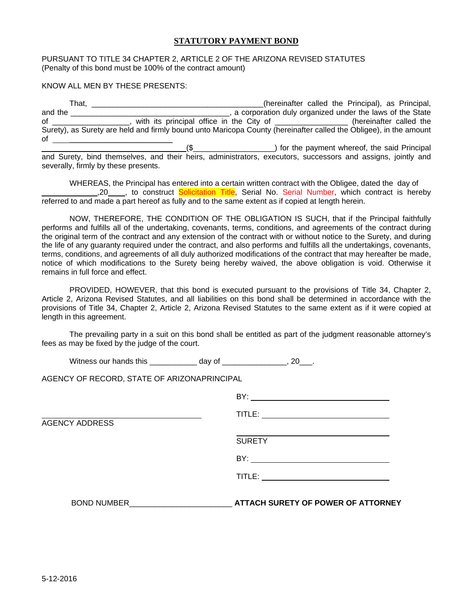#### **STATUTORY PAYMENT BOND**

#### PURSUANT TO TITLE 34 CHAPTER 2, ARTICLE 2 OF THE ARIZONA REVISED STATUTES (Penalty of this bond must be 100% of the contract amount)

#### KNOW ALL MEN BY THESE PRESENTS:

| That.   |                                                                                                                   | (hereinafter called the Principal), as Principal,        |
|---------|-------------------------------------------------------------------------------------------------------------------|----------------------------------------------------------|
| and the |                                                                                                                   | a corporation duly organized under the laws of the State |
| οf      |                                                                                                                   | (hereinafter called the                                  |
|         | Surety), as Surety are held and firmly bound unto Maricopa County (hereinafter called the Obligee), in the amount |                                                          |
| οf      |                                                                                                                   |                                                          |
|         |                                                                                                                   | ) for the payment whereof, the said Principal            |
|         | and Surety bind themselves, and their heirs administrators                                                        | avocutors successors and assigns jointly and             |

and Surety, bind themselves, and their heirs, administrators, executors, successors and assigns, jointly and severally, firmly by these presents.

 WHEREAS, the Principal has entered into a certain written contract with the Obligee, dated the day of <sub>.</sub>20 \_\_\_, to construct **Solicitation Title**, Serial No. Serial Number, which contract is hereby referred to and made a part hereof as fully and to the same extent as if copied at length herein.

 NOW, THEREFORE, THE CONDITION OF THE OBLIGATION IS SUCH, that if the Principal faithfully performs and fulfills all of the undertaking, covenants, terms, conditions, and agreements of the contract during the original term of the contract and any extension of the contract with or without notice to the Surety, and during the life of any guaranty required under the contract, and also performs and fulfills all the undertakings, covenants, terms, conditions, and agreements of all duly authorized modifications of the contract that may hereafter be made, notice of which modifications to the Surety being hereby waived, the above obligation is void. Otherwise it remains in full force and effect.

 PROVIDED, HOWEVER, that this bond is executed pursuant to the provisions of Title 34, Chapter 2, Article 2, Arizona Revised Statutes, and all liabilities on this bond shall be determined in accordance with the provisions of Title 34, Chapter 2, Article 2, Arizona Revised Statutes to the same extent as if it were copied at length in this agreement.

 The prevailing party in a suit on this bond shall be entitled as part of the judgment reasonable attorney's fees as may be fixed by the judge of the court.

Witness our hands this \_\_\_\_\_\_\_\_\_\_\_ day of \_\_\_\_\_\_\_\_\_\_\_\_\_, 20\_\_\_.

AGENCY OF RECORD, STATE OF ARIZONAPRINCIPAL

|                       | BY:                                       |
|-----------------------|-------------------------------------------|
|                       |                                           |
| <b>AGENCY ADDRESS</b> |                                           |
|                       | <b>SURETY</b>                             |
|                       | BY:                                       |
|                       |                                           |
| <b>BOND NUMBER</b>    | <b>ATTACH SURETY OF POWER OF ATTORNEY</b> |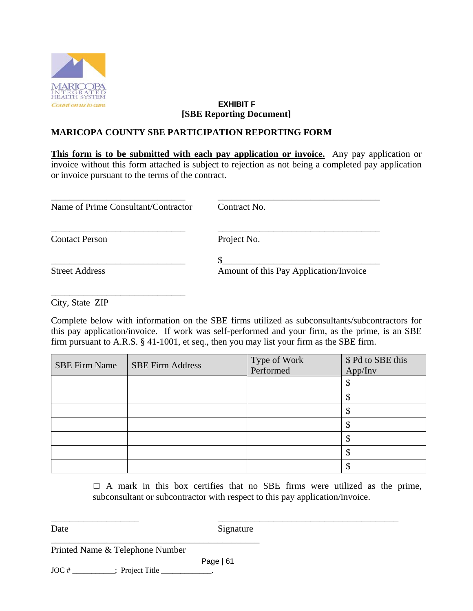

## **EXHIBIT F [SBE Reporting Document]**

# **MARICOPA COUNTY SBE PARTICIPATION REPORTING FORM**

**This form is to be submitted with each pay application or invoice.** Any pay application or invoice without this form attached is subject to rejection as not being a completed pay application or invoice pursuant to the terms of the contract.

| Name of Prime Consultant/Contractor | Contract No.                           |  |  |  |  |
|-------------------------------------|----------------------------------------|--|--|--|--|
| <b>Contact Person</b>               | Project No.                            |  |  |  |  |
|                                     |                                        |  |  |  |  |
| <b>Street Address</b>               | Amount of this Pay Application/Invoice |  |  |  |  |

City, State ZIP

\_\_\_\_\_\_\_\_\_\_\_\_\_\_\_\_\_\_\_\_\_\_\_\_\_\_\_\_\_

Complete below with information on the SBE firms utilized as subconsultants/subcontractors for this pay application/invoice. If work was self-performed and your firm, as the prime, is an SBE firm pursuant to A.R.S. § 41-1001, et seq., then you may list your firm as the SBE firm.

| <b>SBE Firm Name</b> | <b>SBE Firm Address</b> | Type of Work<br>Performed | \$ Pd to SBE this<br>App/Inv |
|----------------------|-------------------------|---------------------------|------------------------------|
|                      |                         |                           |                              |
|                      |                         |                           |                              |
|                      |                         |                           |                              |
|                      |                         |                           |                              |
|                      |                         |                           |                              |
|                      |                         |                           |                              |
|                      |                         |                           |                              |

 $\Box$  A mark in this box certifies that no SBE firms were utilized as the prime, subconsultant or subcontractor with respect to this pay application/invoice.

\_\_\_\_\_\_\_\_\_\_\_\_\_\_\_\_\_\_\_ \_\_\_\_\_\_\_\_\_\_\_\_\_\_\_\_\_\_\_\_\_\_\_\_\_\_\_\_\_\_\_\_\_\_\_\_\_\_\_ Date Signature

Printed Name & Telephone Number

 Page | 61  $JOC #$  [  $\frac{1}{2}$   $\frac{1}{2}$   $\frac{1}{2}$   $\frac{1}{2}$   $\frac{1}{2}$   $\frac{1}{2}$   $\frac{1}{2}$   $\frac{1}{2}$   $\frac{1}{2}$   $\frac{1}{2}$   $\frac{1}{2}$   $\frac{1}{2}$   $\frac{1}{2}$   $\frac{1}{2}$   $\frac{1}{2}$   $\frac{1}{2}$   $\frac{1}{2}$   $\frac{1}{2}$   $\frac{1}{2}$   $\frac{1}{2}$   $\frac{1}{2}$   $\frac$ 

\_\_\_\_\_\_\_\_\_\_\_\_\_\_\_\_\_\_\_\_\_\_\_\_\_\_\_\_\_\_\_\_\_\_\_\_\_\_\_\_\_\_\_\_\_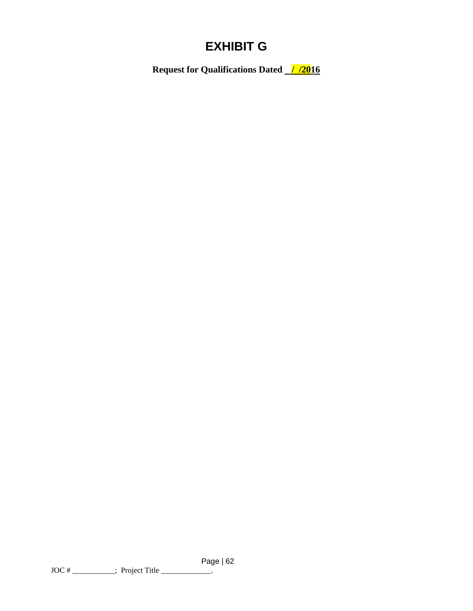# **EXHIBIT G**

**Request for Qualifications Dated**  $\frac{1/2016}{ }$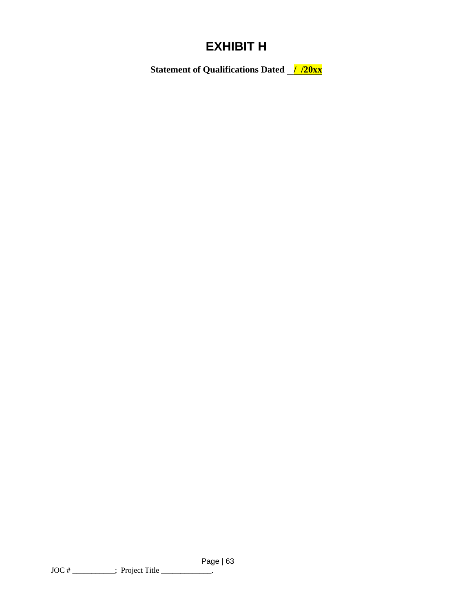# **EXHIBIT H**

**Statement of Qualifications Dated //20xx**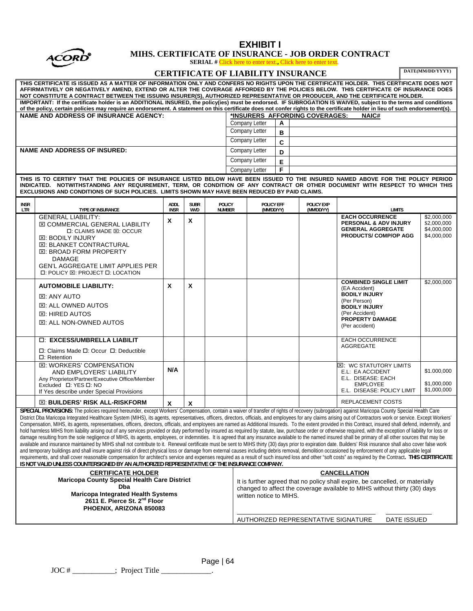

### **EXHIBIT I MIHS. CERTIFICATE OF INSURANCE - JOB ORDER CONTRACT**

**SERIAL #** Click here to enter text.**,** Click here to enter text.

|                                                                                                                                                                                                                                                                                                                                                                                                                                                                                                                                                                                                                                                                                                                                                                                                                                                                                                                                                                                                                                                                                                                                                                                                                                                                                                                                                                                                                                                                                                                                                                                                                                                                                                                                                                                                                                                                     |                                                                                                                                                                                                                                                                                        |                     |                    |                                                                                                                                                                                       |  |                                  |                          |  | DERETTE II CHER HELE to effect text, CHER HELE to effect text |                                                                                                                                                                             |               | DATE(MM/DD/YYYY)                                         |
|---------------------------------------------------------------------------------------------------------------------------------------------------------------------------------------------------------------------------------------------------------------------------------------------------------------------------------------------------------------------------------------------------------------------------------------------------------------------------------------------------------------------------------------------------------------------------------------------------------------------------------------------------------------------------------------------------------------------------------------------------------------------------------------------------------------------------------------------------------------------------------------------------------------------------------------------------------------------------------------------------------------------------------------------------------------------------------------------------------------------------------------------------------------------------------------------------------------------------------------------------------------------------------------------------------------------------------------------------------------------------------------------------------------------------------------------------------------------------------------------------------------------------------------------------------------------------------------------------------------------------------------------------------------------------------------------------------------------------------------------------------------------------------------------------------------------------------------------------------------------|----------------------------------------------------------------------------------------------------------------------------------------------------------------------------------------------------------------------------------------------------------------------------------------|---------------------|--------------------|---------------------------------------------------------------------------------------------------------------------------------------------------------------------------------------|--|----------------------------------|--------------------------|--|---------------------------------------------------------------|-----------------------------------------------------------------------------------------------------------------------------------------------------------------------------|---------------|----------------------------------------------------------|
| <b>CERTIFICATE OF LIABILITY INSURANCE</b><br>THIS CERTIFICATE IS ISSUED AS A MATTER OF INFORMATION ONLY AND CONFERS NO RIGHTS UPON THE CERTIFICATE HOLDER. THIS CERTIFICATE DOES NOT<br>AFFIRMATIVELY OR NEGATIVELY AMEND, EXTEND OR ALTER THE COVERAGE AFFORDED BY THE POLICIES BELOW. THIS CERTIFICATE OF INSURANCE DOES                                                                                                                                                                                                                                                                                                                                                                                                                                                                                                                                                                                                                                                                                                                                                                                                                                                                                                                                                                                                                                                                                                                                                                                                                                                                                                                                                                                                                                                                                                                                          |                                                                                                                                                                                                                                                                                        |                     |                    |                                                                                                                                                                                       |  |                                  |                          |  |                                                               |                                                                                                                                                                             |               |                                                          |
| NOT CONSTITUTE A CONTRACT BETWEEN THE ISSUING INSURER(S), AUTHORIZED REPRESENTATIVE OR PRODUCER, AND THE CERTIFICATE HOLDER.                                                                                                                                                                                                                                                                                                                                                                                                                                                                                                                                                                                                                                                                                                                                                                                                                                                                                                                                                                                                                                                                                                                                                                                                                                                                                                                                                                                                                                                                                                                                                                                                                                                                                                                                        |                                                                                                                                                                                                                                                                                        |                     |                    |                                                                                                                                                                                       |  |                                  |                          |  |                                                               |                                                                                                                                                                             |               |                                                          |
| IMPORTANT: If the certificate holder is an ADDITIONAL INSURED, the policy(ies) must be endorsed. IF SUBROGATION IS WAIVED, subject to the terms and conditions<br>of the policy, certain policies may require an endorsement. A statement on this certificate does not confer rights to the certificate holder in lieu of such endorsement(s).                                                                                                                                                                                                                                                                                                                                                                                                                                                                                                                                                                                                                                                                                                                                                                                                                                                                                                                                                                                                                                                                                                                                                                                                                                                                                                                                                                                                                                                                                                                      |                                                                                                                                                                                                                                                                                        |                     |                    |                                                                                                                                                                                       |  |                                  |                          |  |                                                               |                                                                                                                                                                             |               |                                                          |
|                                                                                                                                                                                                                                                                                                                                                                                                                                                                                                                                                                                                                                                                                                                                                                                                                                                                                                                                                                                                                                                                                                                                                                                                                                                                                                                                                                                                                                                                                                                                                                                                                                                                                                                                                                                                                                                                     | <b>NAME AND ADDRESS OF INSURANCE AGENCY:</b>                                                                                                                                                                                                                                           |                     |                    |                                                                                                                                                                                       |  |                                  |                          |  | *INSURERS AFFORDING COVERAGES:                                | NAIC#                                                                                                                                                                       |               |                                                          |
|                                                                                                                                                                                                                                                                                                                                                                                                                                                                                                                                                                                                                                                                                                                                                                                                                                                                                                                                                                                                                                                                                                                                                                                                                                                                                                                                                                                                                                                                                                                                                                                                                                                                                                                                                                                                                                                                     |                                                                                                                                                                                                                                                                                        |                     |                    |                                                                                                                                                                                       |  | Company Letter<br>Company Letter | Α                        |  |                                                               |                                                                                                                                                                             |               |                                                          |
|                                                                                                                                                                                                                                                                                                                                                                                                                                                                                                                                                                                                                                                                                                                                                                                                                                                                                                                                                                                                                                                                                                                                                                                                                                                                                                                                                                                                                                                                                                                                                                                                                                                                                                                                                                                                                                                                     |                                                                                                                                                                                                                                                                                        |                     |                    |                                                                                                                                                                                       |  | Company Letter                   | B                        |  |                                                               |                                                                                                                                                                             |               |                                                          |
|                                                                                                                                                                                                                                                                                                                                                                                                                                                                                                                                                                                                                                                                                                                                                                                                                                                                                                                                                                                                                                                                                                                                                                                                                                                                                                                                                                                                                                                                                                                                                                                                                                                                                                                                                                                                                                                                     | <b>NAME AND ADDRESS OF INSURED:</b>                                                                                                                                                                                                                                                    |                     |                    |                                                                                                                                                                                       |  | <b>Company Letter</b>            | $\mathbf{C}$             |  |                                                               |                                                                                                                                                                             |               |                                                          |
|                                                                                                                                                                                                                                                                                                                                                                                                                                                                                                                                                                                                                                                                                                                                                                                                                                                                                                                                                                                                                                                                                                                                                                                                                                                                                                                                                                                                                                                                                                                                                                                                                                                                                                                                                                                                                                                                     |                                                                                                                                                                                                                                                                                        |                     |                    |                                                                                                                                                                                       |  | Company Letter                   | D                        |  |                                                               |                                                                                                                                                                             |               |                                                          |
|                                                                                                                                                                                                                                                                                                                                                                                                                                                                                                                                                                                                                                                                                                                                                                                                                                                                                                                                                                                                                                                                                                                                                                                                                                                                                                                                                                                                                                                                                                                                                                                                                                                                                                                                                                                                                                                                     |                                                                                                                                                                                                                                                                                        |                     |                    |                                                                                                                                                                                       |  |                                  | E<br>F                   |  |                                                               |                                                                                                                                                                             |               |                                                          |
| <b>Company Letter</b><br>THIS IS TO CERTIFY THAT THE POLICIES OF INSURANCE LISTED BELOW HAVE BEEN ISSUED TO THE INSURED NAMED ABOVE FOR THE POLICY PERIOD<br>INDICATED. NOTWITHSTANDING ANY REQUIREMENT, TERM, OR CONDITION OF ANY CONTRACT OR OTHER DOCUMENT WITH RESPECT TO WHICH THIS<br>EXCLUSIONS AND CONDITIONS OF SUCH POLICIES. LIMITS SHOWN MAY HAVE BEEN REDUCED BY PAID CLAIMS.                                                                                                                                                                                                                                                                                                                                                                                                                                                                                                                                                                                                                                                                                                                                                                                                                                                                                                                                                                                                                                                                                                                                                                                                                                                                                                                                                                                                                                                                          |                                                                                                                                                                                                                                                                                        |                     |                    |                                                                                                                                                                                       |  |                                  |                          |  |                                                               |                                                                                                                                                                             |               |                                                          |
| <b>INSR</b><br>LTR                                                                                                                                                                                                                                                                                                                                                                                                                                                                                                                                                                                                                                                                                                                                                                                                                                                                                                                                                                                                                                                                                                                                                                                                                                                                                                                                                                                                                                                                                                                                                                                                                                                                                                                                                                                                                                                  | TYPE OF INSURANCE                                                                                                                                                                                                                                                                      | ADDL<br><b>INSR</b> | <b>SUBR</b><br>WVD | <b>POLICY</b><br><b>NUMBER</b>                                                                                                                                                        |  |                                  | POLICY EFF<br>(MM/DD/YY) |  | POLICY EXP<br>(MM/DD/YY)                                      |                                                                                                                                                                             | <b>LIMITS</b> |                                                          |
|                                                                                                                                                                                                                                                                                                                                                                                                                                                                                                                                                                                                                                                                                                                                                                                                                                                                                                                                                                                                                                                                                                                                                                                                                                                                                                                                                                                                                                                                                                                                                                                                                                                                                                                                                                                                                                                                     | <b>GENERAL LIABILITY:</b><br><b>⊠ COMMERCIAL GENERAL LIABILITY</b><br>□: CLAIMS MADE ⊠: OCCUR<br><b>XE: BODILY INJURY</b><br><b>E. BLANKET CONTRACTURAL</b><br>⊠: BROAD FORM PROPERTY<br>DAMAGE<br><b>GEN'L AGGREGATE LIMIT APPLIES PER</b><br><b>□: POLICY ⊠: PROJECT □: LOCATION</b> | X                   | X                  |                                                                                                                                                                                       |  |                                  |                          |  |                                                               | <b>EACH OCCURRENCE</b><br>PERSONAL & ADV INJURY<br><b>GENERAL AGGREGATE</b><br><b>PRODUCTS/ COMP/OP AGG</b>                                                                 |               | \$2,000,000<br>\$2,000,000<br>\$4,000,000<br>\$4,000,000 |
|                                                                                                                                                                                                                                                                                                                                                                                                                                                                                                                                                                                                                                                                                                                                                                                                                                                                                                                                                                                                                                                                                                                                                                                                                                                                                                                                                                                                                                                                                                                                                                                                                                                                                                                                                                                                                                                                     | <b>AUTOMOBILE LIABILITY:</b><br><b>E. ANY AUTO</b><br><b>E. ALL OWNED AUTOS</b><br><b>E. HIRED AUTOS</b><br><b>E. ALL NON-OWNED AUTOS</b>                                                                                                                                              | X                   | X                  |                                                                                                                                                                                       |  |                                  |                          |  |                                                               | <b>COMBINED SINGLE LIMIT</b><br>(EA Accident)<br><b>BODILY INJURY</b><br>(Per Person)<br><b>BODILY INJURY</b><br>(Per Accident)<br><b>PROPERTY DAMAGE</b><br>(Per accident) |               | \$2,000,000                                              |
|                                                                                                                                                                                                                                                                                                                                                                                                                                                                                                                                                                                                                                                                                                                                                                                                                                                                                                                                                                                                                                                                                                                                                                                                                                                                                                                                                                                                                                                                                                                                                                                                                                                                                                                                                                                                                                                                     | <b>D: EXCESS/UMBRELLA LIABILIT</b><br>$\Box$ : Claims Made $\Box$ : Occur $\Box$ : Deductible<br>$\Box$ : Retention                                                                                                                                                                    |                     |                    |                                                                                                                                                                                       |  |                                  |                          |  |                                                               | EACH OCCURRENCE<br>AGGREGATE                                                                                                                                                |               |                                                          |
|                                                                                                                                                                                                                                                                                                                                                                                                                                                                                                                                                                                                                                                                                                                                                                                                                                                                                                                                                                                                                                                                                                                                                                                                                                                                                                                                                                                                                                                                                                                                                                                                                                                                                                                                                                                                                                                                     | <b>EI: WORKERS' COMPENSATION</b><br>AND EMPLOYERS' LIABILITY<br>Any Proprietor/Partner/Executive Office/Member<br>Excluded $\Box$ : YES $\Box$ : NO<br>If Yes describe under Special Provisions                                                                                        | N/A                 |                    |                                                                                                                                                                                       |  |                                  |                          |  |                                                               | <b>XE: WC STATUTORY LIMITS</b><br>E.L: EA ACCIDENT<br>E.L. DISEASE: EACH<br><b>EMPLOYEE</b><br>E.L. DISEASE: POLICY LIMIT                                                   |               | \$1.000,000<br>\$1,000,000<br>\$1,000,000                |
|                                                                                                                                                                                                                                                                                                                                                                                                                                                                                                                                                                                                                                                                                                                                                                                                                                                                                                                                                                                                                                                                                                                                                                                                                                                                                                                                                                                                                                                                                                                                                                                                                                                                                                                                                                                                                                                                     | ⊠: BUILDERS' RISK ALL-RISKFORM                                                                                                                                                                                                                                                         | X                   | Χ                  |                                                                                                                                                                                       |  |                                  |                          |  |                                                               | REPLACEMENT COSTS                                                                                                                                                           |               |                                                          |
| SPECIAL PROVISIONS: The policies required hereunder, except Workers' Compensation, contain a waiver of transfer of rights of recovery (subrogation) against Maricopa County Special Health Care<br>District Dba Maricopa Integrated Healthcare System (MIHS), its agents, representatives, officers, directors, officials, and employees for any claims arising out of Contractors work or service. Except Workers'<br>Compensation, MIHS, its agents, representatives, officers, directors, officials, and employees are named as Additional Insureds. To the extent provided in this Contract, insured shall defend, indemnify, and<br>hold harmless MIHS from liability arising out of any services provided or duty performed by insured as required by statute, law, purchase order or otherwise required, with the exception of liability for loss or<br>damage resulting from the sole negligence of MIHS, its agents, employees, or indemnities. It is agreed that any insurance available to the named insured shall be primary of all other sources that may be<br>available and insurance maintained by MIHS shall not contribute to it. Renewal certificate must be sent to MIHS thirty (30) days prior to expiration date. Builders' Risk insurance shall also cover false work<br>and temporary buildings and shall insure against risk of direct physical loss or damage from external causes including debris removal, demolition occasioned by enforcement of any applicable legal<br>requirements, and shall cover reasonable compensation for architect's service and expenses required as a result of such insured loss and other "soft costs" as required by the Contract. THIS CERTIFICATE<br>IS NOT VALID UNLESS COUNTERSIGNED BY AN AUTHORIZED REPRESENTATIVE OF THE INSURANCE COMPANY.<br><b>CERTIFICATE HOLDER</b><br><b>CANCELLATION</b> |                                                                                                                                                                                                                                                                                        |                     |                    |                                                                                                                                                                                       |  |                                  |                          |  |                                                               |                                                                                                                                                                             |               |                                                          |
| <b>Maricopa County Special Health Care District</b><br><b>Dba</b><br><b>Maricopa Integrated Health Systems</b><br>2611 E. Pierce St. 2 <sup>nd</sup> Floor<br>PHOENIX, ARIZONA 850083                                                                                                                                                                                                                                                                                                                                                                                                                                                                                                                                                                                                                                                                                                                                                                                                                                                                                                                                                                                                                                                                                                                                                                                                                                                                                                                                                                                                                                                                                                                                                                                                                                                                               |                                                                                                                                                                                                                                                                                        |                     |                    | It is further agreed that no policy shall expire, be cancelled, or materially<br>changed to affect the coverage available to MIHS without thirty (30) days<br>written notice to MIHS. |  |                                  |                          |  |                                                               |                                                                                                                                                                             |               |                                                          |
|                                                                                                                                                                                                                                                                                                                                                                                                                                                                                                                                                                                                                                                                                                                                                                                                                                                                                                                                                                                                                                                                                                                                                                                                                                                                                                                                                                                                                                                                                                                                                                                                                                                                                                                                                                                                                                                                     | AUTHORIZED REPRESENTATIVE SIGNATURE<br>DATE ISSUED                                                                                                                                                                                                                                     |                     |                    |                                                                                                                                                                                       |  |                                  |                          |  |                                                               |                                                                                                                                                                             |               |                                                          |
|                                                                                                                                                                                                                                                                                                                                                                                                                                                                                                                                                                                                                                                                                                                                                                                                                                                                                                                                                                                                                                                                                                                                                                                                                                                                                                                                                                                                                                                                                                                                                                                                                                                                                                                                                                                                                                                                     |                                                                                                                                                                                                                                                                                        |                     |                    |                                                                                                                                                                                       |  |                                  |                          |  |                                                               |                                                                                                                                                                             |               |                                                          |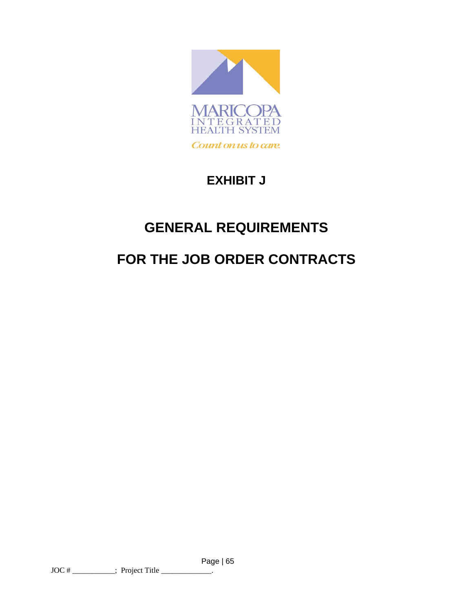

# **EXHIBIT J**

# **GENERAL REQUIREMENTS**

# **FOR THE JOB ORDER CONTRACTS**

Page | 65  $\text{JOC} \#$  \_\_\_\_\_\_\_\_\_\_; Project Title \_\_\_\_\_\_\_\_\_\_\_\_\_.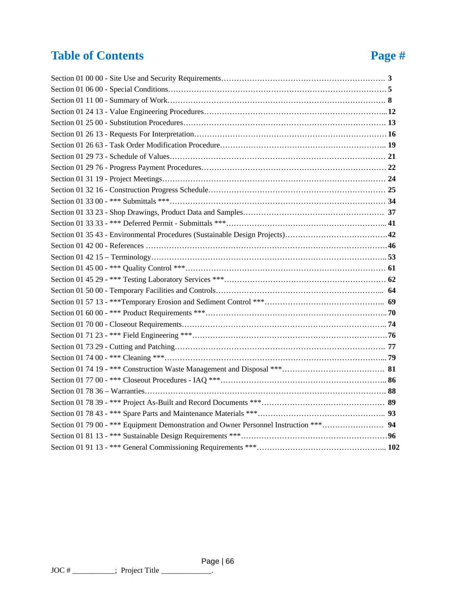# **Table of Contents** Page #

| Section 01 79 00 - *** Equipment Demonstration and Owner Personnel Instruction *** 94 |  |
|---------------------------------------------------------------------------------------|--|
|                                                                                       |  |
|                                                                                       |  |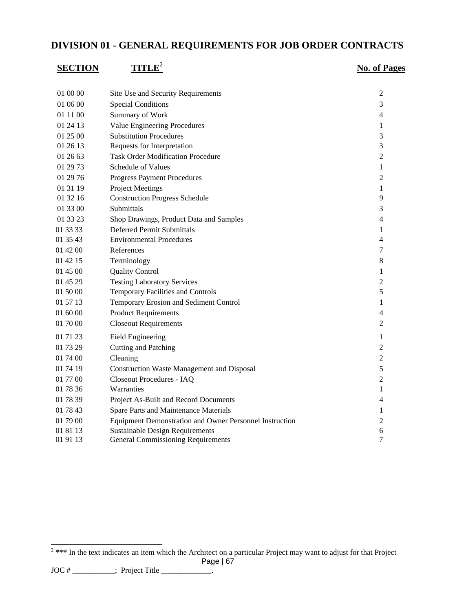# **DIVISION 01 - GENERAL REQUIREMENTS FOR JOB ORDER CONTRACTS**

| <b>SECTION</b> | <b>TITLE</b>                                            | <b>No. of Pages</b> |
|----------------|---------------------------------------------------------|---------------------|
|                |                                                         |                     |
| 01 00 00       | Site Use and Security Requirements                      | 2                   |
| 01 06 00       | <b>Special Conditions</b>                               | 3                   |
| 01 11 00       | Summary of Work                                         | 4                   |
| 01 24 13       | Value Engineering Procedures                            | 1                   |
| 01 25 00       | <b>Substitution Procedures</b>                          | 3                   |
| 01 26 13       | Requests for Interpretation                             | 3                   |
| 01 26 63       | <b>Task Order Modification Procedure</b>                | $\overline{2}$      |
| 01 29 73       | Schedule of Values                                      | 1                   |
| 01 29 76       | <b>Progress Payment Procedures</b>                      | $\overline{2}$      |
| 01 31 19       | <b>Project Meetings</b>                                 | 1                   |
| 01 32 16       | <b>Construction Progress Schedule</b>                   | 9                   |
| 01 33 00       | Submittals                                              | 3                   |
| 01 33 23       | Shop Drawings, Product Data and Samples                 | 4                   |
| 01 33 33       | <b>Deferred Permit Submittals</b>                       | 1                   |
| 01 35 43       | <b>Environmental Procedures</b>                         | 4                   |
| 01 42 00       | References                                              | 7                   |
| 01 42 15       | Terminology                                             | 8                   |
| 01 45 00       | <b>Quality Control</b>                                  | $\mathbf{1}$        |
| 01 45 29       | <b>Testing Laboratory Services</b>                      | $\overline{2}$      |
| 01 50 00       | Temporary Facilities and Controls                       | 5                   |
| 01 57 13       | Temporary Erosion and Sediment Control                  | 1                   |
| 01 60 00       | <b>Product Requirements</b>                             | $\overline{4}$      |
| 01 70 00       | <b>Closeout Requirements</b>                            | 2                   |
| 01 71 23       | <b>Field Engineering</b>                                | 1                   |
| 01 73 29       | Cutting and Patching                                    | $\overline{2}$      |
| 01 74 00       | Cleaning                                                | $\overline{2}$      |
| 01 74 19       | <b>Construction Waste Management and Disposal</b>       | 5                   |
| 01 77 00       | Closeout Procedures - IAQ                               | $\overline{2}$      |
| 01 78 36       | Warranties                                              | 1                   |
| 01 78 39       | Project As-Built and Record Documents                   | $\overline{4}$      |
| 01 78 43       | Spare Parts and Maintenance Materials                   | 1                   |
| 01 79 00       | Equipment Demonstration and Owner Personnel Instruction | $\overline{2}$      |
| 01 81 13       | <b>Sustainable Design Requirements</b>                  | 6                   |
| 01 91 13       | <b>General Commissioning Requirements</b>               | $\tau$              |

 $\text{JOC} \#$  \_\_\_\_\_\_\_\_\_\_; Project Title \_\_\_\_\_\_\_\_\_\_\_\_\_.

l

Page | 67 <sup>2</sup> \*\*\* In the text indicates an item which the Architect on a particular Project may want to adjust for that Project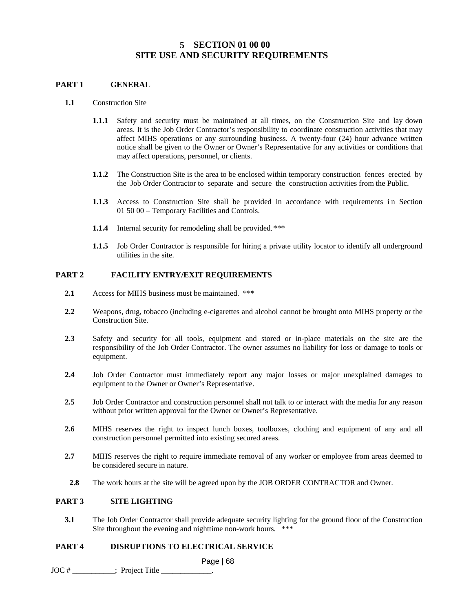### **5 SECTION 01 00 00 SITE USE AND SECURITY REQUIREMENTS**

#### **PART 1 GENERAL**

- **1.1** Construction Site
	- **1.1.1** Safety and security must be maintained at all times, on the Construction Site and lay down areas. It is the Job Order Contractor's responsibility to coordinate construction activities that may affect MIHS operations or any surrounding business. A twenty-four (24) hour advance written notice shall be given to the Owner or Owner's Representative for any activities or conditions that may affect operations, personnel, or clients.
	- **1.1.2** The Construction Site is the area to be enclosed within temporary construction fences erected by the Job Order Contractor to separate and secure the construction activities from the Public.
	- **1.1.3** Access to Construction Site shall be provided in accordance with requirements in Section 01 50 00 – Temporary Facilities and Controls.
	- **1.1.4** Internal security for remodeling shall be provided.\*\*\*
	- **1.1.5** Job Order Contractor is responsible for hiring a private utility locator to identify all underground utilities in the site.

#### **PART 2 FACILITY ENTRY/EXIT REQUIREMENTS**

- **2.1** Access for MIHS business must be maintained. \*\*\*
- **2.2** Weapons, drug, tobacco (including e-cigarettes and alcohol cannot be brought onto MIHS property or the Construction Site.
- **2.3** Safety and security for all tools, equipment and stored or in-place materials on the site are the responsibility of the Job Order Contractor. The owner assumes no liability for loss or damage to tools or equipment.
- **2.4** Job Order Contractor must immediately report any major losses or major unexplained damages to equipment to the Owner or Owner's Representative.
- **2.5** Job Order Contractor and construction personnel shall not talk to or interact with the media for any reason without prior written approval for the Owner or Owner's Representative.
- 2.6 MIHS reserves the right to inspect lunch boxes, toolboxes, clothing and equipment of any and all construction personnel permitted into existing secured areas.
- **2.7** MIHS reserves the right to require immediate removal of any worker or employee from areas deemed to be considered secure in nature.
- **2.8** The work hours at the site will be agreed upon by the JOB ORDER CONTRACTOR and Owner.

#### **PART 3 SITE LIGHTING**

**3.1** The Job Order Contractor shall provide adequate security lighting for the ground floor of the Construction Site throughout the evening and nighttime non-work hours. \*\*\*

#### **PART 4 DISRUPTIONS TO ELECTRICAL SERVICE**

Page | 68

JOC #  $\qquad \qquad ;$  Project Title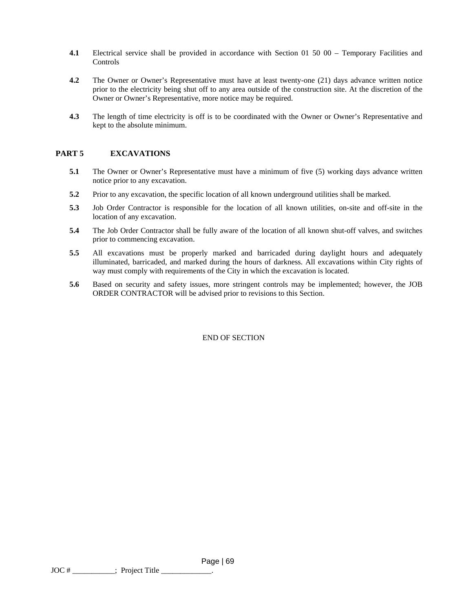- **4.1** Electrical service shall be provided in accordance with Section 01 50 00 Temporary Facilities and Controls
- **4.2** The Owner or Owner's Representative must have at least twenty-one (21) days advance written notice prior to the electricity being shut off to any area outside of the construction site. At the discretion of the Owner or Owner's Representative, more notice may be required.
- **4.3** The length of time electricity is off is to be coordinated with the Owner or Owner's Representative and kept to the absolute minimum.

#### **PART 5 EXCAVATIONS**

- **5.1** The Owner or Owner's Representative must have a minimum of five (5) working days advance written notice prior to any excavation.
- **5.2** Prior to any excavation, the specific location of all known underground utilities shall be marked.
- **5.3** Job Order Contractor is responsible for the location of all known utilities, on-site and off-site in the location of any excavation.
- **5.4** The Job Order Contractor shall be fully aware of the location of all known shut-off valves, and switches prior to commencing excavation.
- **5.5** All excavations must be properly marked and barricaded during daylight hours and adequately illuminated, barricaded, and marked during the hours of darkness. All excavations within City rights of way must comply with requirements of the City in which the excavation is located.
- **5.6** Based on security and safety issues, more stringent controls may be implemented; however, the JOB ORDER CONTRACTOR will be advised prior to revisions to this Section.

#### END OF SECTION

Page | 69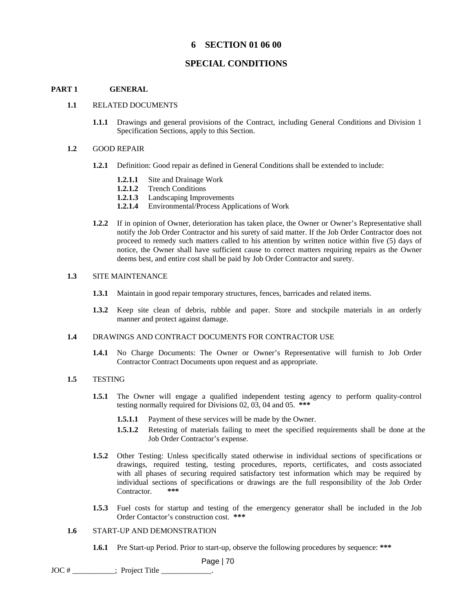#### **6 SECTION 01 06 00**

#### **SPECIAL CONDITIONS**

#### **PART 1 GENERAL**

#### **1.1** RELATED DOCUMENTS

**1.1.1** Drawings and general provisions of the Contract, including General Conditions and Division 1 Specification Sections, apply to this Section.

#### **1.2** GOOD REPAIR

- **1.2.1** Definition: Good repair as defined in General Conditions shall be extended to include:
	- **1.2.1.1** Site and Drainage Work
	- **1.2.1.2** Trench Conditions
	- **1.2.1.3** Landscaping Improvements
	- **1.2.1.4** Environmental/Process Applications of Work
- **1.2.2** If in opinion of Owner, deterioration has taken place, the Owner or Owner's Representative shall notify the Job Order Contractor and his surety of said matter. If the Job Order Contractor does not proceed to remedy such matters called to his attention by written notice within five (5) days of notice, the Owner shall have sufficient cause to correct matters requiring repairs as the Owner deems best, and entire cost shall be paid by Job Order Contractor and surety.

#### **1.3** SITE MAINTENANCE

- **1.3.1** Maintain in good repair temporary structures, fences, barricades and related items.
- **1.3.2** Keep site clean of debris, rubble and paper. Store and stockpile materials in an orderly manner and protect against damage.
- **1.4** DRAWINGS AND CONTRACT DOCUMENTS FOR CONTRACTOR USE
	- **1.4.1** No Charge Documents: The Owner or Owner's Representative will furnish to Job Order Contractor Contract Documents upon request and as appropriate.

#### **1.5** TESTING

- **1.5.1** The Owner will engage a qualified independent testing agency to perform quality-control testing normally required for Divisions 02, 03, 04 and 05. **\*\*\***
	- **1.5.1.1** Payment of these services will be made by the Owner.
	- **1.5.1.2** Retesting of materials failing to meet the specified requirements shall be done at the Job Order Contractor's expense.
- **1.5.2** Other Testing: Unless specifically stated otherwise in individual sections of specifications or drawings, required testing, testing procedures, reports, certificates, and costs associated with all phases of securing required satisfactory test information which may be required by individual sections of specifications or drawings are the full responsibility of the Job Order Contractor. **\*\*\***
- **1.5.3** Fuel costs for startup and testing of the emergency generator shall be included in the Job Order Contactor's construction cost. **\*\*\***

#### **1.6** START-UP AND DEMONSTRATION

**1.6.1** Pre Start-up Period. Prior to start-up, observe the following procedures by sequence: **\*\*\***

Page | 70

 $JOC # \_\_\_\_\_\_\$ ; Project Title  $\_\_\_\_\_\$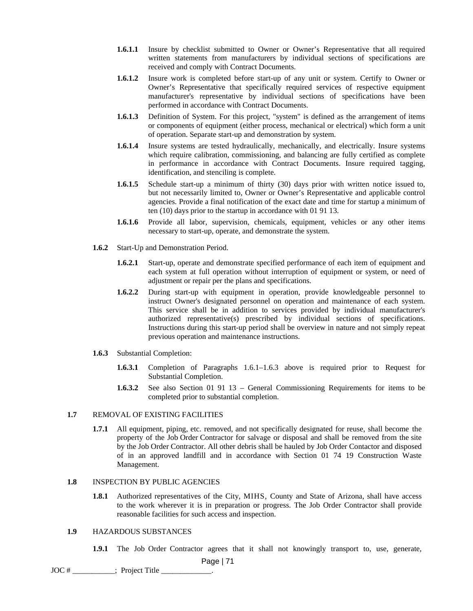- **1.6.1.1** Insure by checklist submitted to Owner or Owner's Representative that all required written statements from manufacturers by individual sections of specifications are received and comply with Contract Documents.
- **1.6.1.2** Insure work is completed before start-up of any unit or system. Certify to Owner or Owner's Representative that specifically required services of respective equipment manufacturer's representative by individual sections of specifications have been performed in accordance with Contract Documents.
- **1.6.1.3** Definition of System. For this project, "system" is defined as the arrangement of items or components of equipment (either process, mechanical or electrical) which form a unit of operation. Separate start-up and demonstration by system.
- **1.6.1.4** Insure systems are tested hydraulically, mechanically, and electrically. Insure systems which require calibration, commissioning, and balancing are fully certified as complete in performance in accordance with Contract Documents. Insure required tagging, identification, and stenciling is complete.
- **1.6.1.5** Schedule start-up a minimum of thirty (30) days prior with written notice issued to, but not necessarily limited to, Owner or Owner's Representative and applicable control agencies. Provide a final notification of the exact date and time for startup a minimum of ten (10) days prior to the startup in accordance with 01 91 13.
- **1.6.1.6** Provide all labor, supervision, chemicals, equipment, vehicles or any other items necessary to start-up, operate, and demonstrate the system.
- **1.6.2** Start-Up and Demonstration Period.
	- **1.6.2.1** Start-up, operate and demonstrate specified performance of each item of equipment and each system at full operation without interruption of equipment or system, or need of adjustment or repair per the plans and specifications.
	- **1.6.2.2** During start-up with equipment in operation, provide knowledgeable personnel to instruct Owner's designated personnel on operation and maintenance of each system. This service shall be in addition to services provided by individual manufacturer's authorized representative(s) prescribed by individual sections of specifications. Instructions during this start-up period shall be overview in nature and not simply repeat previous operation and maintenance instructions.
- **1.6.3** Substantial Completion:
	- **1.6.3.1** Completion of Paragraphs 1.6.1–1.6.3 above is required prior to Request for Substantial Completion.
	- **1.6.3.2** See also Section 01 91 13 General Commissioning Requirements for items to be completed prior to substantial completion.

#### **1.7** REMOVAL OF EXISTING FACILITIES

**1.7.1** All equipment, piping, etc. removed, and not specifically designated for reuse, shall become the property of the Job Order Contractor for salvage or disposal and shall be removed from the site by the Job Order Contractor. All other debris shall be hauled by Job Order Contactor and disposed of in an approved landfill and in accordance with Section 01 74 19 Construction Waste Management.

#### **1.8** INSPECTION BY PUBLIC AGENCIES

**1.8.1** Authorized representatives of the City, MIHS, County and State of Arizona, shall have access to the work wherever it is in preparation or progress. The Job Order Contractor shall provide reasonable facilities for such access and inspection.

#### **1.9** HAZARDOUS SUBSTANCES

**1.9.1** The Job Order Contractor agrees that it shall not knowingly transport to, use, generate,

Page | 71

 $JOC #$  [  $\ldots$  ]; Project Title  $\ldots$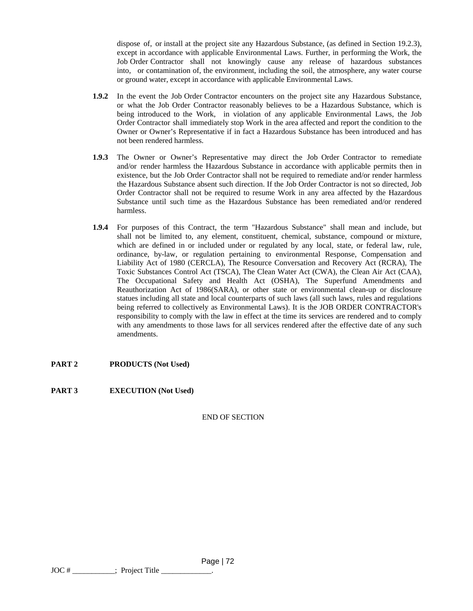dispose of, or install at the project site any Hazardous Substance, (as defined in Section 19.2.3), except in accordance with applicable Environmental Laws. Further, in performing the Work, the Job Order Contractor shall not knowingly cause any release of hazardous substances into, or contamination of, the environment, including the soil, the atmosphere, any water course or ground water, except in accordance with applicable Environmental Laws.

- **1.9.2** In the event the Job Order Contractor encounters on the project site any Hazardous Substance, or what the Job Order Contractor reasonably believes to be a Hazardous Substance, which is being introduced to the Work, in violation of any applicable Environmental Laws, the Job Order Contractor shall immediately stop Work in the area affected and report the condition to the Owner or Owner's Representative if in fact a Hazardous Substance has been introduced and has not been rendered harmless.
- **1.9.3** The Owner or Owner's Representative may direct the Job Order Contractor to remediate and/or render harmless the Hazardous Substance in accordance with applicable permits then in existence, but the Job Order Contractor shall not be required to remediate and/or render harmless the Hazardous Substance absent such direction. If the Job Order Contractor is not so directed, Job Order Contractor shall not be required to resume Work in any area affected by the Hazardous Substance until such time as the Hazardous Substance has been remediated and/or rendered harmless.
- **1.9.4** For purposes of this Contract, the term "Hazardous Substance" shall mean and include, but shall not be limited to, any element, constituent, chemical, substance, compound or mixture, which are defined in or included under or regulated by any local, state, or federal law, rule, ordinance, by-law, or regulation pertaining to environmental Response, Compensation and Liability Act of 1980 (CERCLA), The Resource Conversation and Recovery Act (RCRA), The Toxic Substances Control Act (TSCA), The Clean Water Act (CWA), the Clean Air Act (CAA), The Occupational Safety and Health Act (OSHA), The Superfund Amendments and Reauthorization Act of 1986(SARA), or other state or environmental clean-up or disclosure statues including all state and local counterparts of such laws (all such laws, rules and regulations being referred to collectively as Environmental Laws). It is the JOB ORDER CONTRACTOR's responsibility to comply with the law in effect at the time its services are rendered and to comply with any amendments to those laws for all services rendered after the effective date of any such amendments.

#### **PART 2 PRODUCTS (Not Used)**

#### **PART 3 EXECUTION (Not Used)**

END OF SECTION

Page | 72

 $JOC #$  [Froject Title  $\Box$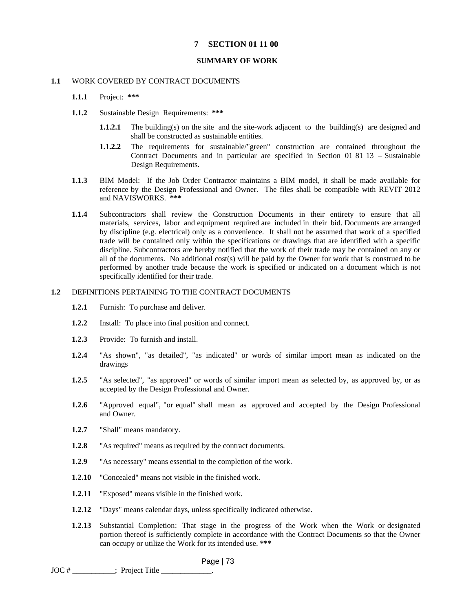## **7 SECTION 01 11 00**

#### **SUMMARY OF WORK**

#### **1.1** WORK COVERED BY CONTRACT DOCUMENTS

- **1.1.1** Project: **\*\*\***
- **1.1.2** Sustainable Design Requirements: **\*\*\***
	- **1.1.2.1** The building(s) on the site and the site-work adjacent to the building(s) are designed and shall be constructed as sustainable entities.
	- **1.1.2.2** The requirements for sustainable/"green" construction are contained throughout the Contract Documents and in particular are specified in Section 01 81 13 – Sustainable Design Requirements.
- **1.1.3** BIM Model: If the Job Order Contractor maintains a BIM model, it shall be made available for reference by the Design Professional and Owner. The files shall be compatible with REVIT 2012 and NAVISWORKS. **\*\*\***
- **1.1.4** Subcontractors shall review the Construction Documents in their entirety to ensure that all materials, services, labor and equipment required are included in their bid. Documents are arranged by discipline (e.g. electrical) only as a convenience. It shall not be assumed that work of a specified trade will be contained only within the specifications or drawings that are identified with a specific discipline. Subcontractors are hereby notified that the work of their trade may be contained on any or all of the documents. No additional cost(s) will be paid by the Owner for work that is construed to be performed by another trade because the work is specified or indicated on a document which is not specifically identified for their trade.

## **1.2** DEFINITIONS PERTAINING TO THE CONTRACT DOCUMENTS

- **1.2.1** Furnish: To purchase and deliver.
- **1.2.2** Install: To place into final position and connect.
- **1.2.3** Provide: To furnish and install.
- **1.2.4** "As shown", "as detailed", "as indicated" or words of similar import mean as indicated on the drawings
- **1.2.5** "As selected", "as approved" or words of similar import mean as selected by, as approved by, or as accepted by the Design Professional and Owner.
- **1.2.6** "Approved equal", "or equal" shall mean as approved and accepted by the Design Professional and Owner.
- **1.2.7** "Shall" means mandatory.
- **1.2.8** "As required" means as required by the contract documents.
- **1.2.9** "As necessary" means essential to the completion of the work.
- **1.2.10** "Concealed" means not visible in the finished work.
- **1.2.11** "Exposed" means visible in the finished work.
- **1.2.12** "Days" means calendar days, unless specifically indicated otherwise.
- **1.2.13** Substantial Completion: That stage in the progress of the Work when the Work or designated portion thereof is sufficiently complete in accordance with the Contract Documents so that the Owner can occupy or utilize the Work for its intended use. **\*\*\***

Page | 73

 $JOC # \_\_\_\_\_\_\$ ; Project Title  $\_\_\_\_\$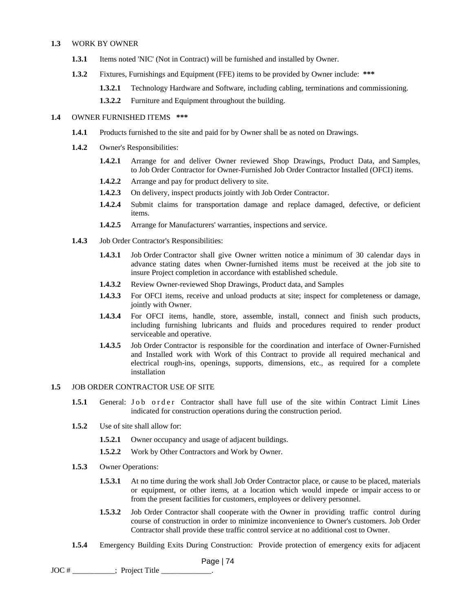#### **1.3** WORK BY OWNER

- **1.3.1** Items noted 'NIC' (Not in Contract) will be furnished and installed by Owner.
- **1.3.2** Fixtures, Furnishings and Equipment (FFE) items to be provided by Owner include: **\*\*\***
	- **1.3.2.1** Technology Hardware and Software, including cabling, terminations and commissioning.
	- **1.3.2.2** Furniture and Equipment throughout the building.

#### **1.4** OWNER FURNISHED ITEMS **\*\*\***

- **1.4.1** Products furnished to the site and paid for by Owner shall be as noted on Drawings.
- **1.4.2** Owner's Responsibilities:
	- **1.4.2.1** Arrange for and deliver Owner reviewed Shop Drawings, Product Data, and Samples, to Job Order Contractor for Owner-Furnished Job Order Contractor Installed (OFCI) items.
	- **1.4.2.2** Arrange and pay for product delivery to site.
	- **1.4.2.3** On delivery, inspect products jointly with Job Order Contractor.
	- **1.4.2.4** Submit claims for transportation damage and replace damaged, defective, or deficient items.
	- **1.4.2.5** Arrange for Manufacturers' warranties, inspections and service.
- **1.4.3** Job Order Contractor's Responsibilities:
	- **1.4.3.1** Job Order Contractor shall give Owner written notice a minimum of 30 calendar days in advance stating dates when Owner-furnished items must be received at the job site to insure Project completion in accordance with established schedule.
	- **1.4.3.2** Review Owner-reviewed Shop Drawings, Product data, and Samples
	- **1.4.3.3** For OFCI items, receive and unload products at site; inspect for completeness or damage, jointly with Owner.
	- **1.4.3.4** For OFCI items, handle, store, assemble, install, connect and finish such products, including furnishing lubricants and fluids and procedures required to render product serviceable and operative.
	- **1.4.3.5** Job Order Contractor is responsible for the coordination and interface of Owner-Furnished and Installed work with Work of this Contract to provide all required mechanical and electrical rough-ins, openings, supports, dimensions, etc., as required for a complete installation

## **1.5** JOB ORDER CONTRACTOR USE OF SITE

- 1.5.1 General: Job order Contractor shall have full use of the site within Contract Limit Lines indicated for construction operations during the construction period.
- **1.5.2** Use of site shall allow for:
	- **1.5.2.1** Owner occupancy and usage of adjacent buildings.
	- **1.5.2.2** Work by Other Contractors and Work by Owner.
- **1.5.3** Owner Operations:
	- **1.5.3.1** At no time during the work shall Job Order Contractor place, or cause to be placed, materials or equipment, or other items, at a location which would impede or impair access to or from the present facilities for customers, employees or delivery personnel.
	- **1.5.3.2** Job Order Contractor shall cooperate with the Owner in providing traffic control during course of construction in order to minimize inconvenience to Owner's customers. Job Order Contractor shall provide these traffic control service at no additional cost to Owner.
- **1.5.4** Emergency Building Exits During Construction: Provide protection of emergency exits for adjacent

```
JOC # ; Project Title
```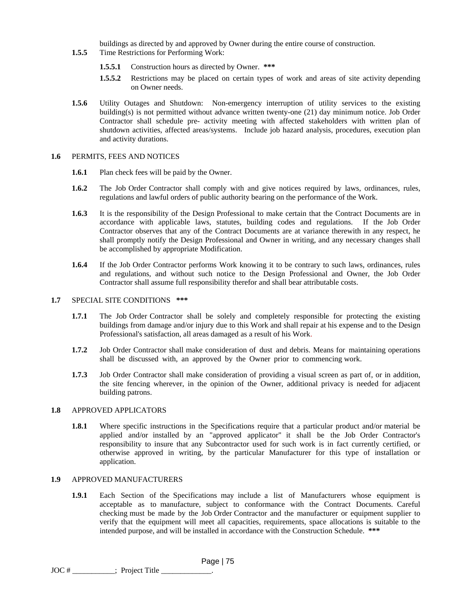buildings as directed by and approved by Owner during the entire course of construction.

- **1.5.5** Time Restrictions for Performing Work:
	- **1.5.5.1** Construction hours as directed by Owner. **\*\*\***
	- **1.5.5.2** Restrictions may be placed on certain types of work and areas of site activity depending on Owner needs.
- **1.5.6** Utility Outages and Shutdown: Non-emergency interruption of utility services to the existing building(s) is not permitted without advance written twenty-one (21) day minimum notice. Job Order Contractor shall schedule pre- activity meeting with affected stakeholders with written plan of shutdown activities, affected areas/systems. Include job hazard analysis, procedures, execution plan and activity durations.

# **1.6** PERMITS, FEES AND NOTICES

- **1.6.1** Plan check fees will be paid by the Owner.
- **1.6.2** The Job Order Contractor shall comply with and give notices required by laws, ordinances, rules, regulations and lawful orders of public authority bearing on the performance of the Work.
- **1.6.3** It is the responsibility of the Design Professional to make certain that the Contract Documents are in accordance with applicable laws, statutes, building codes and regulations. If the Job Order Contractor observes that any of the Contract Documents are at variance therewith in any respect, he shall promptly notify the Design Professional and Owner in writing, and any necessary changes shall be accomplished by appropriate Modification.
- **1.6.4** If the Job Order Contractor performs Work knowing it to be contrary to such laws, ordinances, rules and regulations, and without such notice to the Design Professional and Owner, the Job Order Contractor shall assume full responsibility therefor and shall bear attributable costs.

## **1.7** SPECIAL SITE CONDITIONS **\*\*\***

- **1.7.1** The Job Order Contractor shall be solely and completely responsible for protecting the existing buildings from damage and/or injury due to this Work and shall repair at his expense and to the Design Professional's satisfaction, all areas damaged as a result of his Work.
- **1.7.2** Job Order Contractor shall make consideration of dust and debris. Means for maintaining operations shall be discussed with, an approved by the Owner prior to commencing work.
- **1.7.3** Job Order Contractor shall make consideration of providing a visual screen as part of, or in addition, the site fencing wherever, in the opinion of the Owner, additional privacy is needed for adjacent building patrons.

# **1.8** APPROVED APPLICATORS

**1.8.1** Where specific instructions in the Specifications require that a particular product and/or material be applied and/or installed by an "approved applicator" it shall be the Job Order Contractor's responsibility to insure that any Subcontractor used for such work is in fact currently certified, or otherwise approved in writing, by the particular Manufacturer for this type of installation or application.

# **1.9** APPROVED MANUFACTURERS

**1.9.1** Each Section of the Specifications may include a list of Manufacturers whose equipment is acceptable as to manufacture, subject to conformance with the Contract Documents. Careful checking must be made by the Job Order Contractor and the manufacturer or equipment supplier to verify that the equipment will meet all capacities, requirements, space allocations is suitable to the intended purpose, and will be installed in accordance with the Construction Schedule. **\*\*\***

Page | 75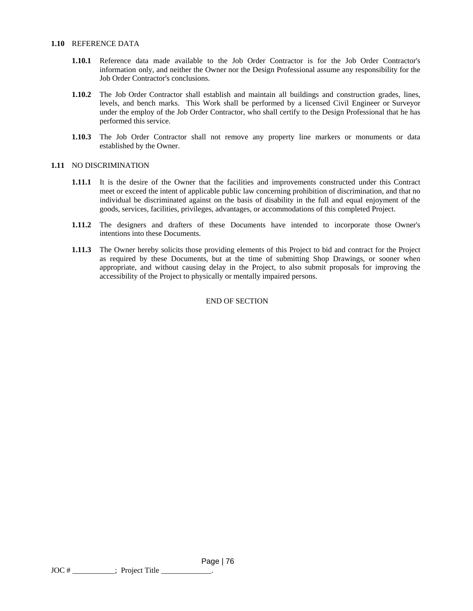#### **1.10** REFERENCE DATA

- **1.10.1** Reference data made available to the Job Order Contractor is for the Job Order Contractor's information only, and neither the Owner nor the Design Professional assume any responsibility for the Job Order Contractor's conclusions.
- **1.10.2** The Job Order Contractor shall establish and maintain all buildings and construction grades, lines, levels, and bench marks. This Work shall be performed by a licensed Civil Engineer or Surveyor under the employ of the Job Order Contractor, who shall certify to the Design Professional that he has performed this service.
- **1.10.3** The Job Order Contractor shall not remove any property line markers or monuments or data established by the Owner.

#### **1.11** NO DISCRIMINATION

- **1.11.1** It is the desire of the Owner that the facilities and improvements constructed under this Contract meet or exceed the intent of applicable public law concerning prohibition of discrimination, and that no individual be discriminated against on the basis of disability in the full and equal enjoyment of the goods, services, facilities, privileges, advantages, or accommodations of this completed Project.
- **1.11.2** The designers and drafters of these Documents have intended to incorporate those Owner's intentions into these Documents.
- **1.11.3** The Owner hereby solicits those providing elements of this Project to bid and contract for the Project as required by these Documents, but at the time of submitting Shop Drawings, or sooner when appropriate, and without causing delay in the Project, to also submit proposals for improving the accessibility of the Project to physically or mentally impaired persons.

## END OF SECTION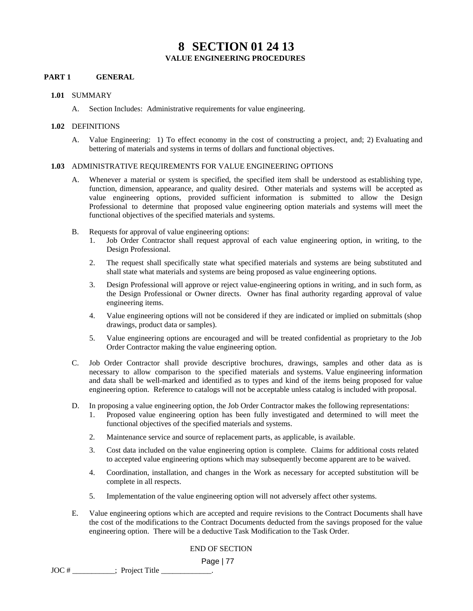# **8 SECTION 01 24 13 VALUE ENGINEERING PROCEDURES**

## **PART 1 GENERAL**

### **1.01** SUMMARY

A. Section Includes: Administrative requirements for value engineering.

### **1.02** DEFINITIONS

A. Value Engineering: 1) To effect economy in the cost of constructing a project, and; 2) Evaluating and bettering of materials and systems in terms of dollars and functional objectives.

## **1.03** ADMINISTRATIVE REQUIREMENTS FOR VALUE ENGINEERING OPTIONS

- A. Whenever a material or system is specified, the specified item shall be understood as establishing type, function, dimension, appearance, and quality desired. Other materials and systems will be accepted as value engineering options, provided sufficient information is submitted to allow the Design Professional to determine that proposed value engineering option materials and systems will meet the functional objectives of the specified materials and systems.
- B. Requests for approval of value engineering options:
	- 1. Job Order Contractor shall request approval of each value engineering option, in writing, to the Design Professional.
	- 2. The request shall specifically state what specified materials and systems are being substituted and shall state what materials and systems are being proposed as value engineering options.
	- 3. Design Professional will approve or reject value-engineering options in writing, and in such form, as the Design Professional or Owner directs. Owner has final authority regarding approval of value engineering items.
	- 4. Value engineering options will not be considered if they are indicated or implied on submittals (shop drawings, product data or samples).
	- 5. Value engineering options are encouraged and will be treated confidential as proprietary to the Job Order Contractor making the value engineering option.
- C. Job Order Contractor shall provide descriptive brochures, drawings, samples and other data as is necessary to allow comparison to the specified materials and systems. Value engineering information and data shall be well-marked and identified as to types and kind of the items being proposed for value engineering option. Reference to catalogs will not be acceptable unless catalog is included with proposal.
- D. In proposing a value engineering option, the Job Order Contractor makes the following representations:
	- 1. Proposed value engineering option has been fully investigated and determined to will meet the functional objectives of the specified materials and systems.
	- 2. Maintenance service and source of replacement parts, as applicable, is available.
	- 3. Cost data included on the value engineering option is complete. Claims for additional costs related to accepted value engineering options which may subsequently become apparent are to be waived.
	- 4. Coordination, installation, and changes in the Work as necessary for accepted substitution will be complete in all respects.
	- 5. Implementation of the value engineering option will not adversely affect other systems.
- E. Value engineering options which are accepted and require revisions to the Contract Documents shall have the cost of the modifications to the Contract Documents deducted from the savings proposed for the value engineering option. There will be a deductive Task Modification to the Task Order.

## END OF SECTION

```
JOC # ___________; Project Title _____________.
```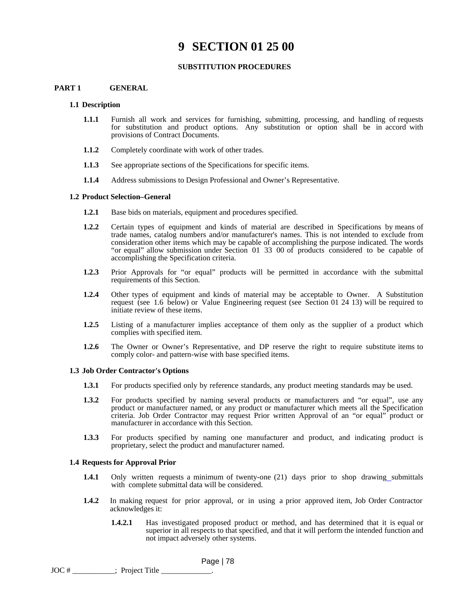# **9 SECTION 01 25 00**

#### **SUBSTITUTION PROCEDURES**

## **PART 1 GENERAL**

#### **1.1 Description**

- **1.1.1** Furnish all work and services for furnishing, submitting, processing, and handling of requests for substitution and product options. Any substitution or option shall be in accord with provisions of Contract Documents.
- **1.1.2** Completely coordinate with work of other trades.
- **1.1.3** See appropriate sections of the Specifications for specific items.
- **1.1.4** Address submissions to Design Professional and Owner's Representative.

#### **1.2 Product Selection–General**

- **1.2.1** Base bids on materials, equipment and procedures specified.
- **1.2.2** Certain types of equipment and kinds of material are described in Specifications by means of trade names, catalog numbers and/or manufacturer's names. This is not intended to exclude from consideration other items which may be capable of accomplishing the purpose indicated. The words "or equal" allow submission under Section 01 33 00 of products considered to be capable of accomplishing the Specification criteria.
- **1.2.3** Prior Approvals for "or equal" products will be permitted in accordance with the submittal requirements of this Section.
- **1.2.4** Other types of equipment and kinds of material may be acceptable to Owner. A Substitution request (see 1.6 below) or Value Engineering request (see Section 01 24 13) will be required to initiate review of these items.
- **1.2.5** Listing of a manufacturer implies acceptance of them only as the supplier of a product which complies with specified item.
- **1.2.6** The Owner or Owner's Representative, and DP reserve the right to require substitute items to comply color- and pattern-wise with base specified items.

#### **1.3 Job Order Contractor's Options**

- **1.3.1** For products specified only by reference standards, any product meeting standards may be used.
- **1.3.2** For products specified by naming several products or manufacturers and "or equal", use any product or manufacturer named, or any product or manufacturer which meets all the Specification criteria. Job Order Contractor may request Prior written Approval of an "or equal" product or manufacturer in accordance with this Section.
- **1.3.3** For products specified by naming one manufacturer and product, and indicating product is proprietary, select the product and manufacturer named.

#### **1.4 Requests for Approval Prior**

- **1.4.1** Only written requests a minimum of twenty-one (21) days prior to shop drawing submittals with complete submittal data will be considered.
- **1.4.2** In making request for prior approval, or in using a prior approved item, Job Order Contractor acknowledges it:

Page | 78

**1.4.2.1** Has investigated proposed product or method, and has determined that it is equal or superior in all respects to that specified, and that it will perform the intended function and not impact adversely other systems.

 $JOC \#$  \_\_\_\_\_\_\_\_\_\_\_\_\_; Project Title \_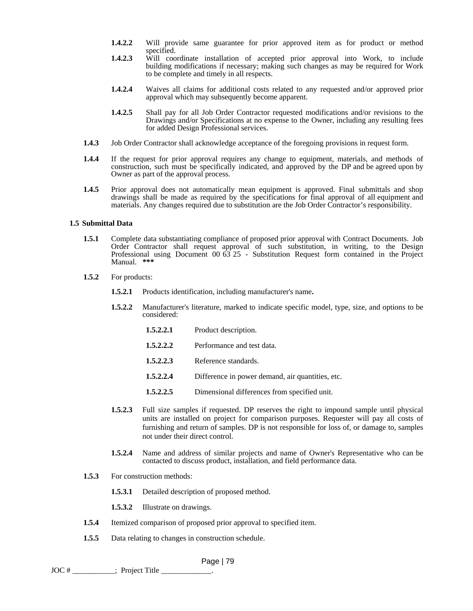- **1.4.2.2** Will provide same guarantee for prior approved item as for product or method specified.
- **1.4.2.3** Will coordinate installation of accepted prior approval into Work, to include building modifications if necessary; making such changes as may be required for Work to be complete and timely in all respects.
- **1.4.2.4** Waives all claims for additional costs related to any requested and/or approved prior approval which may subsequently become apparent.
- **1.4.2.5** Shall pay for all Job Order Contractor requested modifications and/or revisions to the Drawings and/or Specifications at no expense to the Owner, including any resulting fees for added Design Professional services.
- **1.4.3** Job Order Contractor shall acknowledge acceptance of the foregoing provisions in request form.
- **1.4.4** If the request for prior approval requires any change to equipment, materials, and methods of construction, such must be specifically indicated, and approved by the DP and be agreed upon by Owner as part of the approval process.
- **1.4.5** Prior approval does not automatically mean equipment is approved. Final submittals and shop drawings shall be made as required by the specifications for final approval of all equipment and materials. Any changes required due to substitution are the Job Order Contractor's responsibility.

#### **1.5 Submittal Data**

- **1.5.1** Complete data substantiating compliance of proposed prior approval with Contract Documents. Job Order Contractor shall request approval of such substitution, in writing, to the Design Professional using Document 00 63 25 - Substitution Request form contained in the Project Manual. **\*\*\***
- **1.5.2** For products:
	- **1.5.2.1** Products identification, including manufacturer's name**.**
	- **1.5.2.2** Manufacturer's literature, marked to indicate specific model, type, size, and options to be considered:
		- 1.5.2.2.1 Product description.
		- **1.5.2.2.2** Performance and test data.
		- 1.5.2.2.3 Reference standards.
		- **1.5.2.2.4** Difference in power demand, air quantities, etc.
		- **1.5.2.2.5** Dimensional differences from specified unit.
	- **1.5.2.3** Full size samples if requested. DP reserves the right to impound sample until physical units are installed on project for comparison purposes. Requester will pay all costs of furnishing and return of samples. DP is not responsible for loss of, or damage to, samples not under their direct control.
	- **1.5.2.4** Name and address of similar projects and name of Owner's Representative who can be contacted to discuss product, installation, and field performance data.
- **1.5.3** For construction methods:
	- **1.5.3.1** Detailed description of proposed method.
	- **1.5.3.2** Illustrate on drawings.
- **1.5.4** Itemized comparison of proposed prior approval to specified item.
- **1.5.5** Data relating to changes in construction schedule.

```
JOC # ___________; Project Title _____________.
```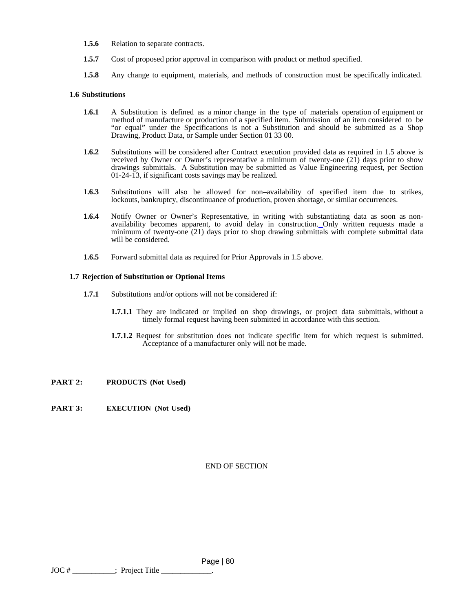- 1.5.6 Relation to separate contracts.
- **1.5.7** Cost of proposed prior approval in comparison with product or method specified.
- **1.5.8** Any change to equipment, materials, and methods of construction must be specifically indicated.

#### **1.6 Substitutions**

- **1.6.1** A Substitution is defined as a minor change in the type of materials operation of equipment or method of manufacture or production of a specified item. Submission of an item considered to be "or equal" under the Specifications is not a Substitution and should be submitted as a Shop Drawing, Product Data, or Sample under Section 01 33 00.
- **1.6.2** Substitutions will be considered after Contract execution provided data as required in 1.5 above is received by Owner or Owner's representative a minimum of twenty-one  $(21)$  days prior to show drawings submittals. A Substitution may be submitted as Value Engineering request, per Section 01-24-13, if significant costs savings may be realized.
- **1.6.3** Substitutions will also be allowed for non–availability of specified item due to strikes, lockouts, bankruptcy, discontinuance of production, proven shortage, or similar occurrences.
- **1.6.4** Notify Owner or Owner's Representative, in writing with substantiating data as soon as nonavailability becomes apparent, to avoid delay in construction. Only written requests made a minimum of twenty-one (21) days prior to shop drawing submittals with complete submittal data will be considered.
- **1.6.5** Forward submittal data as required for Prior Approvals in 1.5 above.

#### **1.7 Rejection of Substitution or Optional Items**

- **1.7.1** Substitutions and/or options will not be considered if:
	- **1.7.1.1** They are indicated or implied on shop drawings, or project data submittals, without a timely formal request having been submitted in accordance with this section.
	- **1.7.1.2** Request for substitution does not indicate specific item for which request is submitted. Acceptance of a manufacturer only will not be made.

#### **PART 2: PRODUCTS (Not Used)**

**PART 3: EXECUTION (Not Used)**

#### END OF SECTION

 Page | 80  $JOC \#$  \_\_\_\_\_\_\_\_\_\_\_\_\_; Project Title \_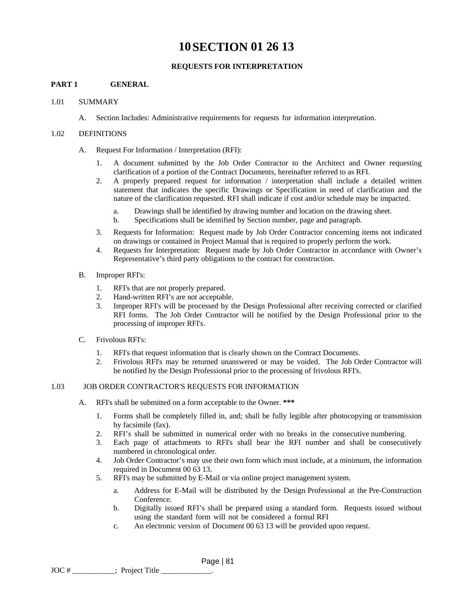# **10SECTION 01 26 13**

# **REQUESTS FOR INTERPRETATION**

# **PART 1 GENERAL**

## 1.01 SUMMARY

A. Section Includes: Administrative requirements for requests for information interpretation.

## 1.02 DEFINITIONS

- A. Request For Information / Interpretation (RFI):
	- 1. A document submitted by the Job Order Contractor to the Architect and Owner requesting clarification of a portion of the Contract Documents, hereinafter referred to as RFI.
	- 2. A properly prepared request for information / interpretation shall include a detailed written statement that indicates the specific Drawings or Specification in need of clarification and the nature of the clarification requested. RFI shall indicate if cost and/or schedule may be impacted.
		- a. Drawings shall be identified by drawing number and location on the drawing sheet.
		- b. Specifications shall be identified by Section number, page and paragraph.
	- 3. Requests for Information: Request made by Job Order Contractor concerning items not indicated on drawings or contained in Project Manual that is required to properly perform the work.
	- 4. Requests for Interpretation: Request made by Job Order Contractor in accordance with Owner's Representative's third party obligations to the contract for construction.
- B. Improper RFI's:
	- 1. RFI's that are not properly prepared.
	- 2. Hand-written RFI's are not acceptable.
	- 3. Improper RFI's will be processed by the Design Professional after receiving corrected or clarified RFI forms. The Job Order Contractor will be notified by the Design Professional prior to the processing of improper RFI's.
- C. Frivolous RFI's:
	- 1. RFI's that request information that is clearly shown on the Contract Documents.
	- 2. Frivolous RFI's may be returned unanswered or may be voided. The Job Order Contractor will be notified by the Design Professional prior to the processing of frivolous RFI's.

## 1.03 JOB ORDER CONTRACTOR'S REQUESTS FOR INFORMATION

- A. RFI's shall be submitted on a form acceptable to the Owner. **\*\*\*** 
	- 1. Forms shall be completely filled in, and; shall be fully legible after photocopying or transmission by facsimile (fax).
	- 2. RFI's shall be submitted in numerical order with no breaks in the consecutive numbering.
	- 3. Each page of attachments to RFI's shall bear the RFI number and shall be consecutively numbered in chronological order.
	- 4. Job Order Contractor's may use their own form which must include, at a minimum, the information required in Document 00 63 13.
	- 5. RFI's may be submitted by E-Mail or via online project management system.

- a. Address for E-Mail will be distributed by the Design Professional at the Pre-Construction Conference.
- b. Digitally issued RFI's shall be prepared using a standard form. Requests issued without using the standard form will not be considered a formal RFI
- c. An electronic version of Document 00 63 13 will be provided upon request.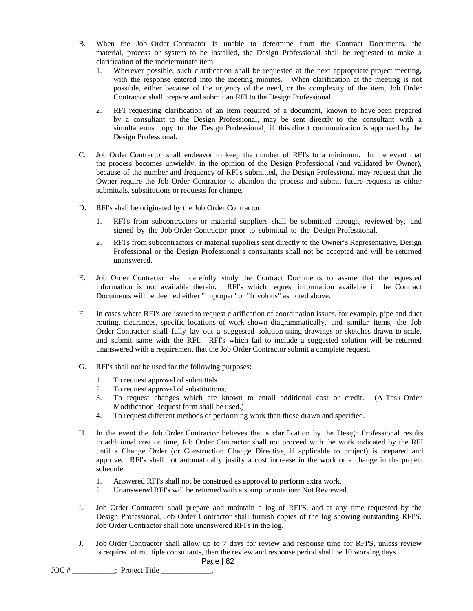- B. When the Job Order Contractor is unable to determine from the Contract Documents, the material, process or system to be installed, the Design Professional shall be requested to make a clarification of the indeterminate item.
	- 1. Wherever possible, such clarification shall be requested at the next appropriate project meeting, with the response entered into the meeting minutes. When clarification at the meeting is not possible, either because of the urgency of the need, or the complexity of the item, Job Order Contractor shall prepare and submit an RFI to the Design Professional.
	- 2. RFI requesting clarification of an item required of a document, known to have been prepared by a consultant to the Design Professional, may be sent directly to the consultant with a simultaneous copy to the Design Professional, if this direct communication is approved by the Design Professional.
- C. Job Order Contractor shall endeavor to keep the number of RFI's to a minimum. In the event that the process becomes unwieldy, in the opinion of the Design Professional (and validated by Owner), because of the number and frequency of RFI's submitted, the Design Professional may request that the Owner require the Job Order Contractor to abandon the process and submit future requests as either submittals, substitutions or requests for change.
- D. RFI's shall be originated by the Job Order Contractor.
	- 1. RFI's from subcontractors or material suppliers shall be submitted through, reviewed by, and signed by the Job Order Contractor prior to submittal to the Design Professional.
	- 2. RFI's from subcontractors or material suppliers sent directly to the Owner's Representative, Design Professional or the Design Professional's consultants shall not be accepted and will be returned unanswered.
- E. Job Order Contractor shall carefully study the Contract Documents to assure that the requested information is not available therein. RFI's which request information available in the Contract Documents will be deemed either "improper" or "frivolous" as noted above.
- F. In cases where RFI's are issued to request clarification of coordination issues, for example, pipe and duct routing, clearances, specific locations of work shown diagrammatically, and similar items, the Job Order Contractor shall fully lay out a suggested solution using drawings or sketches drawn to scale, and submit same with the RFI. RFI's which fail to include a suggested solution will be returned unanswered with a requirement that the Job Order Contractor submit a complete request.
- G. RFI's shall not be used for the following purposes:
	- 1. To request approval of submittals
	- 2. To request approval of substitutions,
	- 3. To request changes which are known to entail additional cost or credit. (A Task Order Modification Request form shall be used.)
	- 4. To request different methods of performing work than those drawn and specified.
- H. In the event the Job Order Contractor believes that a clarification by the Design Professional results in additional cost or time, Job Order Contractor shall not proceed with the work indicated by the RFI until a Change Order (or Construction Change Directive, if applicable to project) is prepared and approved. RFI's shall not automatically justify a cost increase in the work or a change in the project schedule.
	- 1. Answered RFI's shall not be construed as approval to perform extra work.
	- 2. Unanswered RFI's will be returned with a stamp or notation: Not Reviewed.
- I. Job Order Contractor shall prepare and maintain a log of RFI'S, and at any time requested by the Design Professional, Job Order Contractor shall furnish copies of the log showing outstanding RFI'S. Job Order Contractor shall note unanswered RFI's in the log.
- J. Job Order Contractor shall allow up to 7 days for review and response time for RFI'S, unless review is required of multiple consultants, then the review and response period shall be 10 working days.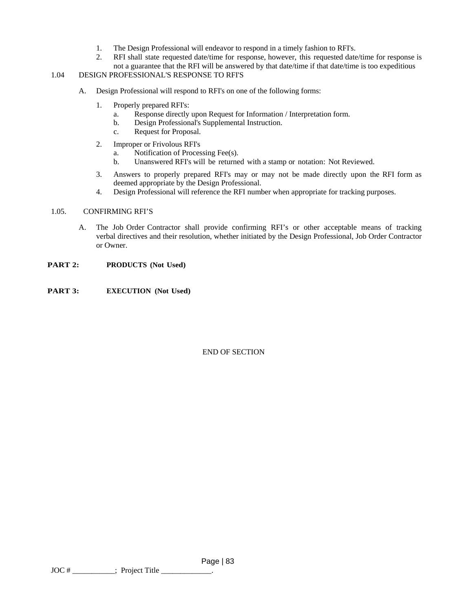- 1. The Design Professional will endeavor to respond in a timely fashion to RFI's.
- 2. RFI shall state requested date/time for response, however, this requested date/time for response is not a guarantee that the RFI will be answered by that date/time if that date/time is too expeditious

# 1.04 DESIGN PROFESSIONAL'S RESPONSE TO RFI'S

- A. Design Professional will respond to RFI's on one of the following forms:
	- 1. Properly prepared RFI's:
		- a. Response directly upon Request for Information / Interpretation form.
		- b. Design Professional's Supplemental Instruction.
		- c. Request for Proposal.
	- 2. Improper or Frivolous RFI's
		- a. Notification of Processing Fee(s).
		- b. Unanswered RFI's will be returned with a stamp or notation: Not Reviewed.
	- 3. Answers to properly prepared RFI's may or may not be made directly upon the RFI form as deemed appropriate by the Design Professional.
	- 4. Design Professional will reference the RFI number when appropriate for tracking purposes.

# 1.05. CONFIRMING RFI'S

- A. The Job Order Contractor shall provide confirming RFI's or other acceptable means of tracking verbal directives and their resolution, whether initiated by the Design Professional, Job Order Contractor or Owner.
- **PART 2: PRODUCTS (Not Used)**
- **PART 3: EXECUTION (Not Used)**

# END OF SECTION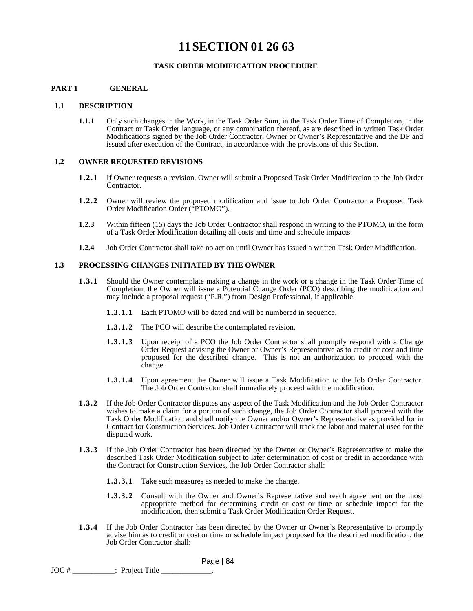# **11SECTION 01 26 63**

## **TASK ORDER MODIFICATION PROCEDURE**

### **PART 1 GENERAL**

#### **1.1 DESCRIPTION**

**1.1.1** Only such changes in the Work, in the Task Order Sum, in the Task Order Time of Completion, in the Contract or Task Order language, or any combination thereof, as are described in written Task Order Modifications signed by the Job Order Contractor, Owner or Owner's Representative and the DP and issued after execution of the Contract, in accordance with the provisions of this Section.

#### **1.2 OWNER REQUESTED REVISIONS**

- **1.2.1** If Owner requests a revision, Owner will submit a Proposed Task Order Modification to the Job Order Contractor.
- **1.2.2** Owner will review the proposed modification and issue to Job Order Contractor a Proposed Task Order Modification Order ("PTOMO").
- **1.2.3** Within fifteen (15) days the Job Order Contractor shall respond in writing to the PTOMO, in the form of a Task Order Modification detailing all costs and time and schedule impacts.
- **1.2.4** Job Order Contractor shall take no action until Owner has issued a written Task Order Modification.

#### **1.3 PROCESSING CHANGES INITIATED BY THE OWNER**

- **1.3.1** Should the Owner contemplate making a change in the work or a change in the Task Order Time of Completion, the Owner will issue a Potential Change Order (PCO) describing the modification and may include a proposal request ("P.R.") from Design Professional, if applicable.
	- **1.3.1.1** Each PTOMO will be dated and will be numbered in sequence.
	- **1.3.1.2** The PCO will describe the contemplated revision.
	- **1.3.1.3** Upon receipt of a PCO the Job Order Contractor shall promptly respond with a Change Order Request advising the Owner or Owner's Representative as to credit or cost and time proposed for the described change. This is not an authorization to proceed with the change.
	- **1.3.1.4** Upon agreement the Owner will issue a Task Modification to the Job Order Contractor. The Job Order Contractor shall immediately proceed with the modification.
- **1.3.2** If the Job Order Contractor disputes any aspect of the Task Modification and the Job Order Contractor wishes to make a claim for a portion of such change, the Job Order Contractor shall proceed with the Task Order Modification and shall notify the Owner and/or Owner's Representative as provided for in Contract for Construction Services. Job Order Contractor will track the labor and material used for the disputed work.
- **1.3.3** If the Job Order Contractor has been directed by the Owner or Owner's Representative to make the described Task Order Modification subject to later determination of cost or credit in accordance with the Contract for Construction Services, the Job Order Contractor shall:
	- **1.3.3.1** Take such measures as needed to make the change.
	- **1.3.3.2** Consult with the Owner and Owner's Representative and reach agreement on the most appropriate method for determining credit or cost or time or schedule impact for the modification, then submit a Task Order Modification Order Request.
- 1.3.4 If the Job Order Contractor has been directed by the Owner or Owner's Representative to promptly advise him as to credit or cost or time or schedule impact proposed for the described modification, the Job Order Contractor shall:

```
JOC # ___________; Project Title _____________.
```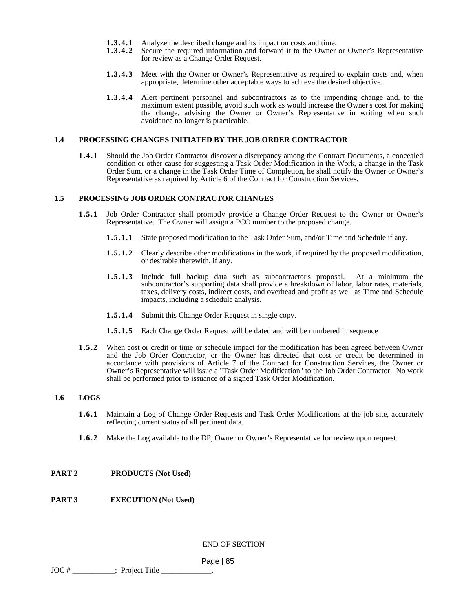- **1.3.4.1** Analyze the described change and its impact on costs and time.<br>**1.3.4.2** Secure the required information and forward it to the Owner
- Secure the required information and forward it to the Owner or Owner's Representative for review as a Change Order Request.
- **1.3.4.3** Meet with the Owner or Owner's Representative as required to explain costs and, when appropriate, determine other acceptable ways to achieve the desired objective.
- **1.3.4.4** Alert pertinent personnel and subcontractors as to the impending change and, to the maximum extent possible, avoid such work as would increase the Owner's cost for making the change, advising the Owner or Owner's Representative in writing when such avoidance no longer is practicable.

#### **1.4 PROCESSING CHANGES INITIATED BY THE JOB ORDER CONTRACTOR**

**1.4.1** Should the Job Order Contractor discover a discrepancy among the Contract Documents, a concealed condition or other cause for suggesting a Task Order Modification in the Work, a change in the Task Order Sum, or a change in the Task Order Time of Completion, he shall notify the Owner or Owner's Representative as required by Article 6 of the Contract for Construction Services.

#### **1.5 PROCESSING JOB ORDER CONTRACTOR CHANGES**

- **1.5.1** Job Order Contractor shall promptly provide a Change Order Request to the Owner or Owner's Representative. The Owner will assign a PCO number to the proposed change.
	- **1.5.1.1** State proposed modification to the Task Order Sum, and/or Time and Schedule if any.
	- **1.5.1.2** Clearly describe other modifications in the work, if required by the proposed modification, or desirable therewith, if any.
	- **1.5.1.3** Include full backup data such as subcontractor's proposal. At a minimum the subcontractor's supporting data shall provide a breakdown of labor, labor rates, materials, taxes, delivery costs, indirect costs, and overhead and profit as well as Time and Schedule impacts, including a schedule analysis.
	- **1.5.1.4** Submit this Change Order Request in single copy.
	- **1.5.1.5** Each Change Order Request will be dated and will be numbered in sequence
- **1.5.2** When cost or credit or time or schedule impact for the modification has been agreed between Owner and the Job Order Contractor, or the Owner has directed that cost or credit be determined in accordance with provisions of Article 7 of the Contract for Construction Services, the Owner or Owner's Representative will issue a "Task Order Modification" to the Job Order Contractor. No work shall be performed prior to issuance of a signed Task Order Modification.

#### **1.6 LOGS**

- **1.6.1** Maintain a Log of Change Order Requests and Task Order Modifications at the job site, accurately reflecting current status of all pertinent data.
- **1.6.2** Make the Log available to the DP, Owner or Owner's Representative for review upon request.

#### **PART 2 PRODUCTS (Not Used)**

#### **PART 3 EXECUTION (Not Used)**

END OF SECTION

```
JOC \# _____________; Project Title _
```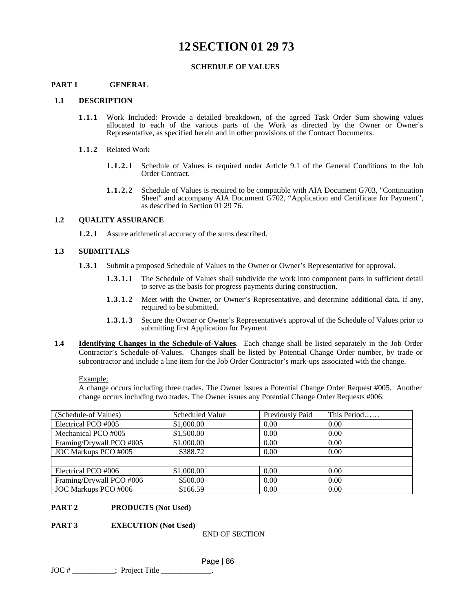# **12SECTION 01 29 73**

## **SCHEDULE OF VALUES**

# **PART 1 GENERAL**

#### **1.1 DESCRIPTION**

- **1.1.1** Work Included: Provide a detailed breakdown, of the agreed Task Order Sum showing values allocated to each of the various parts of the Work as directed by the Owner or Owner's Representative, as specified herein and in other provisions of the Contract Documents.
- **1.1.2** Related Work
	- **1.1.2.1** Schedule of Values is required under Article 9.1 of the General Conditions to the Job Order Contract.
	- **1.1.2.2** Schedule of Values is required to be compatible with AIA Document G703, "Continuation Sheet" and accompany AIA Document G702, "Application and Certificate for Payment", as described in Section 01 29 76.

## **1.2 QUALITY ASSURANCE**

**1.2.1** Assure arithmetical accuracy of the sums described.

#### **1.3 SUBMITTALS**

- **1.3.1** Submit a proposed Schedule of Values to the Owner or Owner's Representative for approval.
	- **1.3.1.1** The Schedule of Values shall subdivide the work into component parts in sufficient detail to serve as the basis for progress payments during construction.
	- **1.3.1.2** Meet with the Owner, or Owner's Representative, and determine additional data, if any, required to be submitted.
	- **1.3.1.3** Secure the Owner or Owner's Representative's approval of the Schedule of Values prior to submitting first Application for Payment.
- **1.4 Identifying Changes in the Schedule-of-Values**. Each change shall be listed separately in the Job Order Contractor's Schedule-of-Values. Changes shall be listed by Potential Change Order number, by trade or subcontractor and include a line item for the Job Order Contractor's mark-ups associated with the change.

Example:

A change occurs including three trades. The Owner issues a Potential Change Order Request #005. Another change occurs including two trades. The Owner issues any Potential Change Order Requests #006.

| (Schedule-of Values)     | Scheduled Value | Previously Paid | This Period |
|--------------------------|-----------------|-----------------|-------------|
| Electrical PCO #005      | \$1,000.00      | 0.00            | 0.00        |
| Mechanical PCO #005      | \$1,500.00      | 0.00            | 0.00        |
| Framing/Drywall PCO #005 | \$1,000.00      | 0.00            | 0.00        |
| JOC Markups PCO #005     | \$388.72        | 0.00            | 0.00        |
|                          |                 |                 |             |
| Electrical PCO #006      | \$1,000.00      | 0.00            | 0.00        |
| Framing/Drywall PCO #006 | \$500.00        | 0.00            | 0.00        |
| JOC Markups PCO #006     | \$166.59        | 0.00            | 0.00        |

#### **PART 2 PRODUCTS (Not Used)**

#### **PART 3 EXECUTION (Not Used)**

END OF SECTION

Page | 86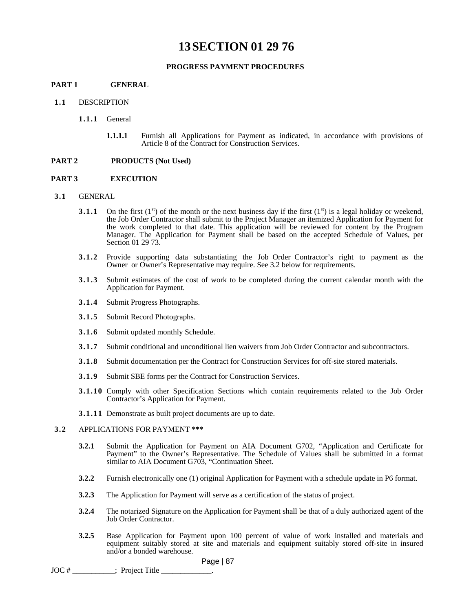# **13SECTION 01 29 76**

#### **PROGRESS PAYMENT PROCEDURES**

# **PART 1 GENERAL**

- **1.1** DESCRIPTION
	- **1.1.1** General
		- **1.1.1.1** Furnish all Applications for Payment as indicated, in accordance with provisions of Article 8 of the Contract for Construction Services.

#### **PART 2 PRODUCTS (Not Used)**

#### **PART 3 EXECUTION**

- **3.1** GENERAL
	- **3.1.1** On the first  $(1^{st})$  of the month or the next business day if the first  $(1^{st})$  is a legal holiday or weekend, the Job Order Contractor shall submit to the Project Manager an itemized Application for Payment for the work completed to that date. This application will be reviewed for content by the Program Manager. The Application for Payment shall be based on the accepted Schedule of Values, per Section 01 29 73.
	- **3.1.2** Provide supporting data substantiating the Job Order Contractor's right to payment as the Owner or Owner's Representative may require. See 3.2 below for requirements.
	- **3.1.3** Submit estimates of the cost of work to be completed during the current calendar month with the Application for Payment.
	- **3.1.4** Submit Progress Photographs.
	- **3.1.5** Submit Record Photographs.
	- **3.1.6** Submit updated monthly Schedule.
	- **3.1.7** Submit conditional and unconditional lien waivers from Job Order Contractor and subcontractors.
	- **3.1.8** Submit documentation per the Contract for Construction Services for off-site stored materials.
	- **3.1.9** Submit SBE forms per the Contract for Construction Services.
	- **3.1.10** Comply with other Specification Sections which contain requirements related to the Job Order Contractor's Application for Payment.
	- **3.1.11** Demonstrate as built project documents are up to date.

#### **3.2** APPLICATIONS FOR PAYMENT **\*\*\***

- **3.2.1** Submit the Application for Payment on AIA Document G702, "Application and Certificate for Payment" to the Owner's Representative. The Schedule of Values shall be submitted in a format similar to AIA Document G703, "Continuation Sheet.
- **3.2.2** Furnish electronically one (1) original Application for Payment with a schedule update in P6 format.
- **3.2.3** The Application for Payment will serve as a certification of the status of project.
- **3.2.4** The notarized Signature on the Application for Payment shall be that of a duly authorized agent of the Job Order Contractor.
- **3.2.5** Base Application for Payment upon 100 percent of value of work installed and materials and equipment suitably stored at site and materials and equipment suitably stored off-site in insured and/or a bonded warehouse.

Page | 87

JOC #  $\qquad \qquad ;$  Project Title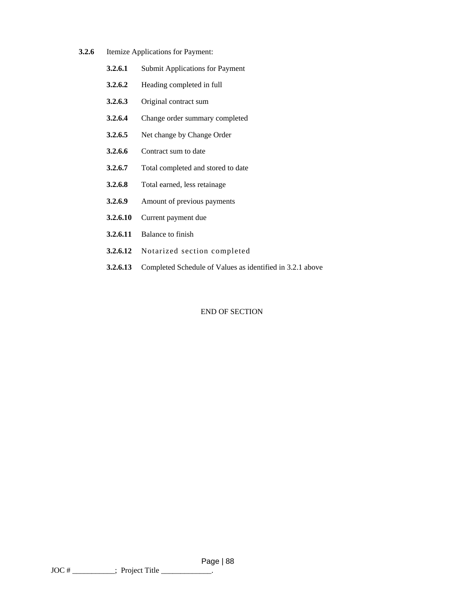- **3.2.6** Itemize Applications for Payment:
	- **3.2.6.1** Submit Applications for Payment
	- **3.2.6.2** Heading completed in full
	- **3.2.6.3** Original contract sum
	- **3.2.6.4** Change order summary completed
	- **3.2.6.5** Net change by Change Order
	- **3.2.6.6** Contract sum to date
	- **3.2.6.7** Total completed and stored to date
	- **3.2.6.8** Total earned, less retainage
	- **3.2.6.9** Amount of previous payments
	- **3.2.6.10** Current payment due
	- **3.2.6.11** Balance to finish
	- **3.2.6.12** Notarized section completed
	- **3.2.6.13** Completed Schedule of Values as identified in 3.2.1 above

#### END OF SECTION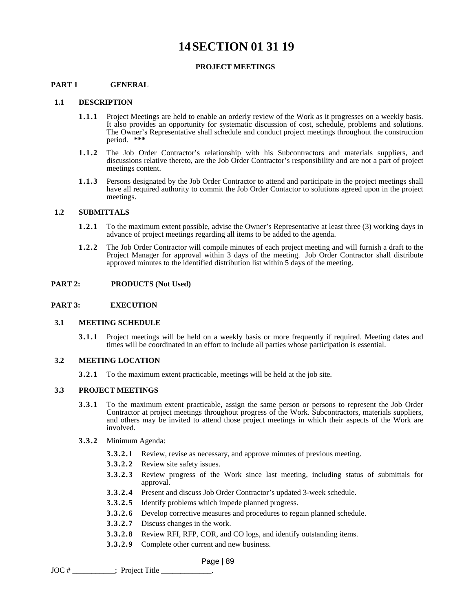# **14SECTION 01 31 19**

## **PROJECT MEETINGS**

# **PART 1 GENERAL**

#### **1.1 DESCRIPTION**

- **1.1.1** Project Meetings are held to enable an orderly review of the Work as it progresses on a weekly basis. It also provides an opportunity for systematic discussion of cost, schedule, problems and solutions. The Owner's Representative shall schedule and conduct project meetings throughout the construction period. **\*\*\***
- **1.1.2** The Job Order Contractor's relationship with his Subcontractors and materials suppliers, and discussions relative thereto, are the Job Order Contractor's responsibility and are not a part of project meetings content.
- **1.1.3** Persons designated by the Job Order Contractor to attend and participate in the project meetings shall have all required authority to commit the Job Order Contactor to solutions agreed upon in the project meetings.

#### **1.2 SUBMITTALS**

- **1.2.1** To the maximum extent possible, advise the Owner's Representative at least three (3) working days in advance of project meetings regarding all items to be added to the agenda.
- **1.2.2** The Job Order Contractor will compile minutes of each project meeting and will furnish a draft to the Project Manager for approval within 3 days of the meeting. Job Order Contractor shall distribute approved minutes to the identified distribution list within 5 days of the meeting.

## **PART 2: PRODUCTS (Not Used)**

#### **PART 3: EXECUTION**

#### **3.1 MEETING SCHEDULE**

**3.1.1** Project meetings will be held on a weekly basis or more frequently if required. Meeting dates and times will be coordinated in an effort to include all parties whose participation is essential.

#### **3.2 MEETING LOCATION**

**3.2.1** To the maximum extent practicable, meetings will be held at the job site.

#### **3.3 PROJECT MEETINGS**

- **3.3.1** To the maximum extent practicable, assign the same person or persons to represent the Job Order Contractor at project meetings throughout progress of the Work. Subcontractors, materials suppliers, and others may be invited to attend those project meetings in which their aspects of the Work are involved.
- **3.3.2** Minimum Agenda:
	- **3.3.2.1** Review, revise as necessary, and approve minutes of previous meeting.
	- **3.3.2.2** Review site safety issues.
	- **3.3.2.3** Review progress of the Work since last meeting, including status of submittals for approval.
	- **3.3.2.4** Present and discuss Job Order Contractor's updated 3-week schedule.
	- **3.3.2.5** Identify problems which impede planned progress.
	- **3.3.2.6** Develop corrective measures and procedures to regain planned schedule.
	- **3.3.2.7** Discuss changes in the work.
	- **3.3.2.8** Review RFI, RFP, COR, and CO logs, and identify outstanding items.
	- **3.3.2.9** Complete other current and new business.

```
JOC \# _____________; Project Title _
```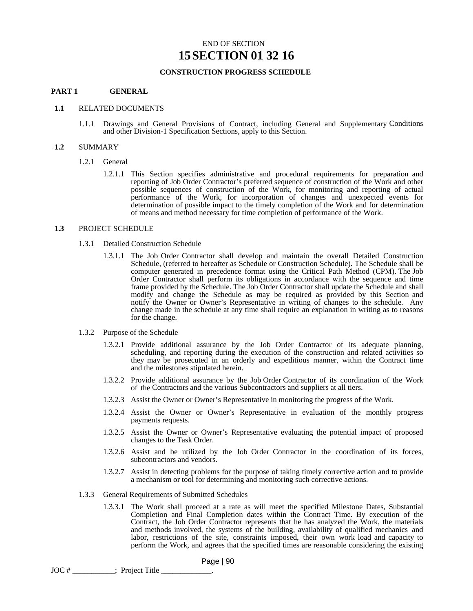# END OF SECTION **15SECTION 01 32 16**

## **CONSTRUCTION PROGRESS SCHEDULE**

#### **PART 1 GENERAL**

#### **1.1** RELATED DOCUMENTS

1.1.1 Drawings and General Provisions of Contract, including General and Supplementary Conditions and other Division-1 Specification Sections, apply to this Section.

#### **1.2** SUMMARY

- 1.2.1 General
	- 1.2.1.1 This Section specifies administrative and procedural requirements for preparation and reporting of Job Order Contractor's preferred sequence of construction of the Work and other possible sequences of construction of the Work, for monitoring and reporting of actual performance of the Work, for incorporation of changes and unexpected events for determination of possible impact to the timely completion of the Work and for determination of means and method necessary for time completion of performance of the Work.

#### **1.3** PROJECT SCHEDULE

- 1.3.1 Detailed Construction Schedule
	- 1.3.1.1 The Job Order Contractor shall develop and maintain the overall Detailed Construction Schedule, (referred to hereafter as Schedule or Construction Schedule). The Schedule shall be computer generated in precedence format using the Critical Path Method (CPM). The Job Order Contractor shall perform its obligations in accordance with the sequence and time frame provided by the Schedule. The Job Order Contractor shall update the Schedule and shall modify and change the Schedule as may be required as provided by this Section and notify the Owner or Owner's Representative in writing of changes to the schedule. Any change made in the schedule at any time shall require an explanation in writing as to reasons for the change.
- 1.3.2 Purpose of the Schedule
	- 1.3.2.1 Provide additional assurance by the Job Order Contractor of its adequate planning, scheduling, and reporting during the execution of the construction and related activities so they may be prosecuted in an orderly and expeditious manner, within the Contract time and the milestones stipulated herein.
	- 1.3.2.2 Provide additional assurance by the Job Order Contractor of its coordination of the Work of the Contractors and the various Subcontractors and suppliers at all tiers.
	- 1.3.2.3 Assist the Owner or Owner's Representative in monitoring the progress of the Work.
	- 1.3.2.4 Assist the Owner or Owner's Representative in evaluation of the monthly progress payments requests.
	- 1.3.2.5 Assist the Owner or Owner's Representative evaluating the potential impact of proposed changes to the Task Order.
	- 1.3.2.6 Assist and be utilized by the Job Order Contractor in the coordination of its forces, subcontractors and vendors.
	- 1.3.2.7 Assist in detecting problems for the purpose of taking timely corrective action and to provide a mechanism or tool for determining and monitoring such corrective actions.
- 1.3.3 General Requirements of Submitted Schedules
	- 1.3.3.1 The Work shall proceed at a rate as will meet the specified Milestone Dates, Substantial Completion and Final Completion dates within the Contract Time. By execution of the Contract, the Job Order Contractor represents that he has analyzed the Work, the materials and methods involved, the systems of the building, availability of qualified mechanics and labor, restrictions of the site, constraints imposed, their own work load and capacity to perform the Work, and agrees that the specified times are reasonable considering the existing

```
JOC # ___________; Project Title _____________.
```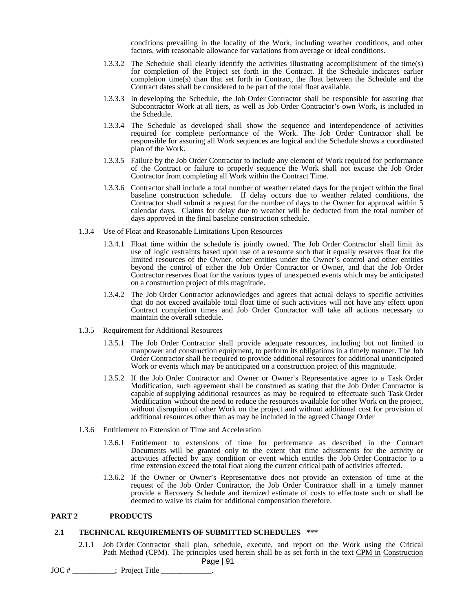conditions prevailing in the locality of the Work, including weather conditions, and other factors, with reasonable allowance for variations from average or ideal conditions.

- 1.3.3.2 The Schedule shall clearly identify the activities illustrating accomplishment of the time(s) for completion of the Project set forth in the Contract. If the Schedule indicates earlier completion time(s) than that set forth in Contract, the float between the Schedule and the Contract dates shall be considered to be part of the total float available.
- 1.3.3.3 In developing the Schedule, the Job Order Contractor shall be responsible for assuring that Subcontractor Work at all tiers, as well as Job Order Contractor's own Work, is included in the Schedule.
- 1.3.3.4 The Schedule as developed shall show the sequence and interdependence of activities required for complete performance of the Work. The Job Order Contractor shall be responsible for assuring all Work sequences are logical and the Schedule shows a coordinated plan of the Work.
- 1.3.3.5 Failure by the Job Order Contractor to include any element of Work required for performance of the Contract or failure to properly sequence the Work shall not excuse the Job Order Contractor from completing all Work within the Contract Time.
- 1.3.3.6 Contractor shall include a total number of weather related days for the project within the final baseline construction schedule. If delay occurs due to weather related conditions, the Contractor shall submit a request for the number of days to the Owner for approval within 5 calendar days. Claims for delay due to weather will be deducted from the total number of days approved in the final baseline construction schedule.
- 1.3.4 Use of Float and Reasonable Limitations Upon Resources
	- 1.3.4.1 Float time within the schedule is jointly owned. The Job Order Contractor shall limit its use of logic restraints based upon use of a resource such that it equally reserves float for the limited resources of the Owner, other entities under the Owner's control and other entities beyond the control of either the Job Order Contractor or Owner, and that the Job Order Contractor reserves float for the various types of unexpected events which may be anticipated on a construction project of this magnitude.
	- 1.3.4.2 The Job Order Contractor acknowledges and agrees that actual delays to specific activities that do not exceed available total float time of such activities will not have any effect upon Contract completion times and Job Order Contractor will take all actions necessary to maintain the overall schedule.
- 1.3.5 Requirement for Additional Resources
	- 1.3.5.1 The Job Order Contractor shall provide adequate resources, including but not limited to manpower and construction equipment, to perform its obligations in a timely manner. The Job Order Contractor shall be required to provide additional resources for additional unanticipated Work or events which may be anticipated on a construction project of this magnitude.
	- 1.3.5.2 If the Job Order Contractor and Owner or Owner's Representative agree to a Task Order Modification, such agreement shall be construed as stating that the Job Order Contractor is capable of supplying additional resources as may be required to effectuate such Task Order Modification without the need to reduce the resources available for other Work on the project, without disruption of other Work on the project and without additional cost for provision of additional resources other than as may be included in the agreed Change Order
- 1.3.6 Entitlement to Extension of Time and Acceleration
	- 1.3.6.1 Entitlement to extensions of time for performance as described in the Contract Documents will be granted only to the extent that time adjustments for the activity or activities affected by any condition or event which entitles the Job Order Contractor to a time extension exceed the total float along the current critical path of activities affected.
	- 1.3.6.2 If the Owner or Owner's Representative does not provide an extension of time at the request of the Job Order Contractor, the Job Order Contractor shall in a timely manner provide a Recovery Schedule and itemized estimate of costs to effectuate such or shall be deemed to waive its claim for additional compensation therefore.

#### **PART 2 PRODUCTS**

#### **2.1 TECHNICAL REQUIREMENTS OF SUBMITTED SCHEDULES \*\*\***

Page | 91 2.1.1 Job Order Contractor shall plan, schedule, execute, and report on the Work using the Critical Path Method (CPM). The principles used herein shall be as set forth in the text CPM in Construction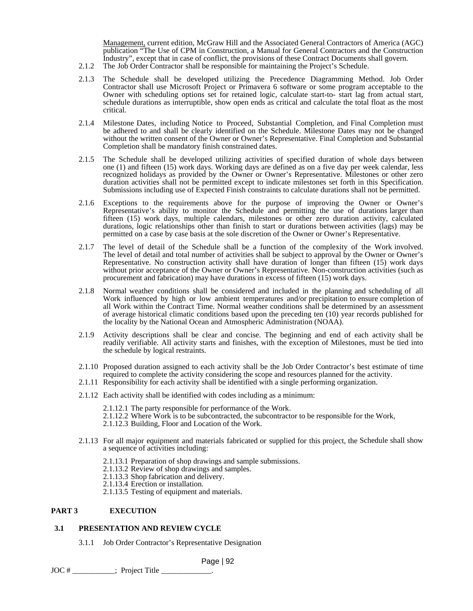Management, current edition, McGraw Hill and the Associated General Contractors of America (AGC) publication "The Use of CPM in Construction, a Manual for General Contractors and the Construction Industry", except that in case of conflict, the provisions of these Contract Documents shall govern.

- 2.1.2 The Job Order Contractor shall be responsible for maintaining the Project's Schedule.
- 2.1.3 The Schedule shall be developed utilizing the Precedence Diagramming Method. Job Order Contractor shall use Microsoft Project or Primavera 6 software or some program acceptable to the Owner with scheduling options set for retained logic, calculate start-to- start lag from actual start, schedule durations as interruptible, show open ends as critical and calculate the total float as the most critical.
- 2.1.4 Milestone Dates, including Notice to Proceed, Substantial Completion, and Final Completion must be adhered to and shall be clearly identified on the Schedule. Milestone Dates may not be changed without the written consent of the Owner or Owner's Representative. Final Completion and Substantial Completion shall be mandatory finish constrained dates.
- 2.1.5 The Schedule shall be developed utilizing activities of specified duration of whole days between one (1) and fifteen (15) work days. Working days are defined as on a five day per week calendar, less recognized holidays as provided by the Owner or Owner's Representative. Milestones or other zero duration activities shall not be permitted except to indicate milestones set forth in this Specification. Submissions including use of Expected Finish constraints to calculate durations shall not be permitted.
- 2.1.6 Exceptions to the requirements above for the purpose of improving the Owner or Owner's Representative's ability to monitor the Schedule and permitting the use of durations larger than fifteen (15) work days, multiple calendars, milestones or other zero duration activity, calculated durations, logic relationships other than finish to start or durations between activities (lags) may be permitted on a case by case basis at the sole discretion of the Owner or Owner's Representative.
- 2.1.7 The level of detail of the Schedule shall be a function of the complexity of the Work involved. The level of detail and total number of activities shall be subject to approval by the Owner or Owner's Representative. No construction activity shall have duration of longer than fifteen (15) work days without prior acceptance of the Owner or Owner's Representative. Non-construction activities (such as procurement and fabrication) may have durations in excess of fifteen (15) work days.
- 2.1.8 Normal weather conditions shall be considered and included in the planning and scheduling of all Work influenced by high or low ambient temperatures and/or precipitation to ensure completion of all Work within the Contract Time. Normal weather conditions shall be determined by an assessment of average historical climatic conditions based upon the preceding ten (10) year records published for the locality by the National Ocean and Atmospheric Administration (NOAA).
- 2.1.9 Activity descriptions shall be clear and concise. The beginning and end of each activity shall be readily verifiable. All activity starts and finishes, with the exception of Milestones, must be tied into the schedule by logical restraints.
- 2.1.10 Proposed duration assigned to each activity shall be the Job Order Contractor's best estimate of time required to complete the activity considering the scope and resources planned for the activity.
- 2.1.11 Responsibility for each activity shall be identified with a single performing organization.
- 2.1.12 Each activity shall be identified with codes including as a minimum:
	- 2.1.12.1 The party responsible for performance of the Work.
	- 2.1.12.2 Where Work is to be subcontracted, the subcontractor to be responsible for the Work,
	- 2.1.12.3 Building, Floor and Location of the Work.
- 2.1.13 For all major equipment and materials fabricated or supplied for this project, the Schedule shall show a sequence of activities including:
	- 2.1.13.1 Preparation of shop drawings and sample submissions.
	- 2.1.13.2 Review of shop drawings and samples.
	- 2.1.13.3 Shop fabrication and delivery.
	- 2.1.13.4 Erection or installation.
	- 2.1.13.5 Testing of equipment and materials.

#### **PART 3 EXECUTION**

## **3.1 PRESENTATION AND REVIEW CYCLE**

3.1.1 Job Order Contractor's Representative Designation

Page | 92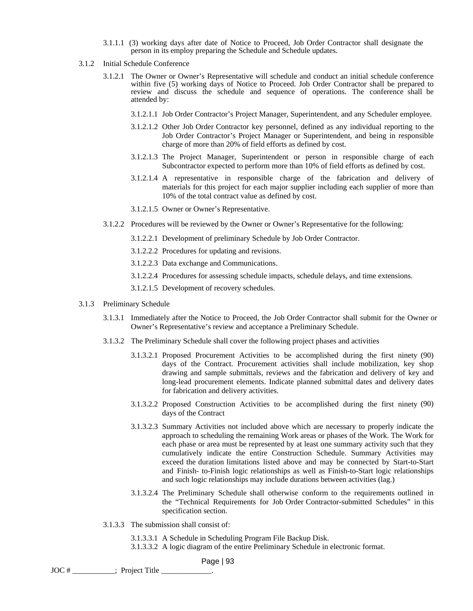- 3.1.1.1 (3) working days after date of Notice to Proceed, Job Order Contractor shall designate the person in its employ preparing the Schedule and Schedule updates.
- 3.1.2 Initial Schedule Conference
	- 3.1.2.1 The Owner or Owner's Representative will schedule and conduct an initial schedule conference within five (5) working days of Notice to Proceed. Job Order Contractor shall be prepared to review and discuss the schedule and sequence of operations. The conference shall be attended by:
		- 3.1.2.1.1 Job Order Contractor's Project Manager, Superintendent, and any Scheduler employee.
		- 3.1.2.1.2 Other Job Order Contractor key personnel, defined as any individual reporting to the Job Order Contractor's Project Manager or Superintendent, and being in responsible charge of more than 20% of field efforts as defined by cost.
		- 3.1.2.1.3 The Project Manager, Superintendent or person in responsible charge of each Subcontractor expected to perform more than 10% of field efforts as defined by cost.
		- 3.1.2.1.4 A representative in responsible charge of the fabrication and delivery of materials for this project for each major supplier including each supplier of more than 10% of the total contract value as defined by cost.
		- 3.1.2.1.5 Owner or Owner's Representative.
	- 3.1.2.2 Procedures will be reviewed by the Owner or Owner's Representative for the following:
		- 3.1.2.2.1 Development of preliminary Schedule by Job Order Contractor.
		- 3.1.2.2.2 Procedures for updating and revisions.
		- 3.1.2.2.3 Data exchange and Communications.
		- 3.1.2.2.4 Procedures for assessing schedule impacts, schedule delays, and time extensions.
		- 3.1.2.1.5 Development of recovery schedules.
- 3.1.3 Preliminary Schedule
	- 3.1.3.1 Immediately after the Notice to Proceed, the Job Order Contractor shall submit for the Owner or Owner's Representative's review and acceptance a Preliminary Schedule.
	- 3.1.3.2 The Preliminary Schedule shall cover the following project phases and activities
		- 3.1.3.2.1 Proposed Procurement Activities to be accomplished during the first ninety (90) days of the Contract. Procurement activities shall include mobilization, key shop drawing and sample submittals, reviews and the fabrication and delivery of key and long-lead procurement elements. Indicate planned submittal dates and delivery dates for fabrication and delivery activities.
		- 3.1.3.2.2 Proposed Construction Activities to be accomplished during the first ninety (90) days of the Contract
		- 3.1.3.2.3 Summary Activities not included above which are necessary to properly indicate the approach to scheduling the remaining Work areas or phases of the Work. The Work for each phase or area must be represented by at least one summary activity such that they cumulatively indicate the entire Construction Schedule. Summary Activities may exceed the duration limitations listed above and may be connected by Start-to-Start and Finish- to-Finish logic relationships as well as Finish-to-Start logic relationships and such logic relationships may include durations between activities (lag.)
		- 3.1.3.2.4 The Preliminary Schedule shall otherwise conform to the requirements outlined in the "Technical Requirements for Job Order Contractor-submitted Schedules" in this specification section.
	- 3.1.3.3 The submission shall consist of:
		- 3.1.3.3.1 A Schedule in Scheduling Program File Backup Disk.
		- 3.1.3.3.2 A logic diagram of the entire Preliminary Schedule in electronic format.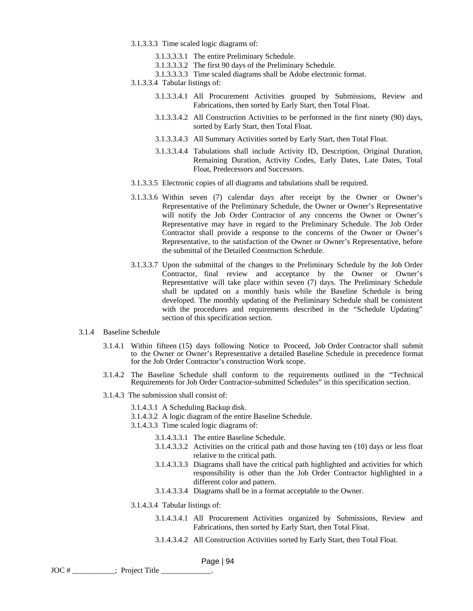- 3.1.3.3.3 Time scaled logic diagrams of:
	- 3.1.3.3.3.1 The entire Preliminary Schedule.
	- 3.1.3.3.3.2 The first 90 days of the Preliminary Schedule.
	- 3.1.3.3.3.3 Time scaled diagrams shall be Adobe electronic format.
- 3.1.3.3.4 Tabular listings of:
	- 3.1.3.3.4.1 All Procurement Activities grouped by Submissions, Review and Fabrications, then sorted by Early Start, then Total Float.
	- 3.1.3.3.4.2 All Construction Activities to be performed in the first ninety (90) days, sorted by Early Start, then Total Float.
	- 3.1.3.3.4.3 All Summary Activities sorted by Early Start, then Total Float.
	- 3.1.3.3.4.4 Tabulations shall include Activity ID, Description, Original Duration, Remaining Duration, Activity Codes, Early Dates, Late Dates, Total Float, Predecessors and Successors.
- 3.1.3.3.5 Electronic copies of all diagrams and tabulations shall be required.
- 3.1.3.3.6 Within seven (7) calendar days after receipt by the Owner or Owner's Representative of the Preliminary Schedule, the Owner or Owner's Representative will notify the Job Order Contractor of any concerns the Owner or Owner's Representative may have in regard to the Preliminary Schedule. The Job Order Contractor shall provide a response to the concerns of the Owner or Owner's Representative, to the satisfaction of the Owner or Owner's Representative, before the submittal of the Detailed Construction Schedule.
- 3.1.3.3.7 Upon the submittal of the changes to the Preliminary Schedule by the Job Order Contractor, final review and acceptance by the Owner or Owner's Representative will take place within seven (7) days. The Preliminary Schedule shall be updated on a monthly basis while the Baseline Schedule is being developed. The monthly updating of the Preliminary Schedule shall be consistent with the procedures and requirements described in the "Schedule Updating" section of this specification section.
- 3.1.4 Baseline Schedule
	- 3.1.4.1 Within fifteen (15) days following Notice to Proceed, Job Order Contractor shall submit to the Owner or Owner's Representative a detailed Baseline Schedule in precedence format for the Job Order Contractor's construction Work scope.
	- 3.1.4.2 The Baseline Schedule shall conform to the requirements outlined in the "Technical Requirements for Job Order Contractor-submitted Schedules" in this specification section.
	- 3.1.4.3 The submission shall consist of:
		- 3.1.4.3.1 A Scheduling Backup disk.
		- 3.1.4.3.2 A logic diagram of the entire Baseline Schedule.
		- 3.1.4.3.3 Time scaled logic diagrams of:
			- 3.1.4.3.3.1 The entire Baseline Schedule.
			- 3.1.4.3.3.2 Activities on the critical path and those having ten (10) days or less float relative to the critical path.
			- 3.1.4.3.3.3 Diagrams shall have the critical path highlighted and activities for which responsibility is other than the Job Order Contractor highlighted in a different color and pattern.
			- 3.1.4.3.3.4 Diagrams shall be in a format acceptable to the Owner.
		- 3.1.4.3.4 Tabular listings of:
			- 3.1.4.3.4.1 All Procurement Activities organized by Submissions, Review and Fabrications, then sorted by Early Start, then Total Float.
			- 3.1.4.3.4.2 All Construction Activities sorted by Early Start, then Total Float.

```
JOC # ___________; Project Title _____________.
```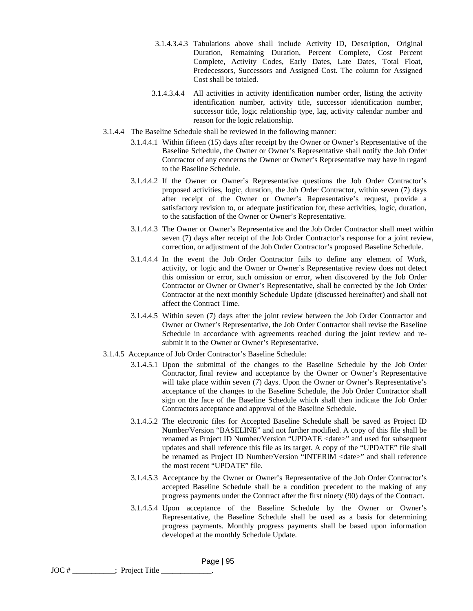- 3.1.4.3.4.3 Tabulations above shall include Activity ID, Description, Original Duration, Remaining Duration, Percent Complete, Cost Percent Complete, Activity Codes, Early Dates, Late Dates, Total Float, Predecessors, Successors and Assigned Cost. The column for Assigned Cost shall be totaled.
- 3.1.4.3.4.4 All activities in activity identification number order, listing the activity identification number, activity title, successor identification number, successor title, logic relationship type, lag, activity calendar number and reason for the logic relationship.
- 3.1.4.4 The Baseline Schedule shall be reviewed in the following manner:
	- 3.1.4.4.1 Within fifteen (15) days after receipt by the Owner or Owner's Representative of the Baseline Schedule, the Owner or Owner's Representative shall notify the Job Order Contractor of any concerns the Owner or Owner's Representative may have in regard to the Baseline Schedule.
	- 3.1.4.4.2 If the Owner or Owner's Representative questions the Job Order Contractor's proposed activities, logic, duration, the Job Order Contractor, within seven (7) days after receipt of the Owner or Owner's Representative's request, provide a satisfactory revision to, or adequate justification for, these activities, logic, duration, to the satisfaction of the Owner or Owner's Representative.
	- 3.1.4.4.3 The Owner or Owner's Representative and the Job Order Contractor shall meet within seven (7) days after receipt of the Job Order Contractor's response for a joint review, correction, or adjustment of the Job Order Contractor's proposed Baseline Schedule.
	- 3.1.4.4.4 In the event the Job Order Contractor fails to define any element of Work, activity, or logic and the Owner or Owner's Representative review does not detect this omission or error, such omission or error, when discovered by the Job Order Contractor or Owner or Owner's Representative, shall be corrected by the Job Order Contractor at the next monthly Schedule Update (discussed hereinafter) and shall not affect the Contract Time.
	- 3.1.4.4.5 Within seven (7) days after the joint review between the Job Order Contractor and Owner or Owner's Representative, the Job Order Contractor shall revise the Baseline Schedule in accordance with agreements reached during the joint review and resubmit it to the Owner or Owner's Representative.
- 3.1.4.5 Acceptance of Job Order Contractor's Baseline Schedule:

- 3.1.4.5.1 Upon the submittal of the changes to the Baseline Schedule by the Job Order Contractor, final review and acceptance by the Owner or Owner's Representative will take place within seven (7) days. Upon the Owner or Owner's Representative's acceptance of the changes to the Baseline Schedule, the Job Order Contractor shall sign on the face of the Baseline Schedule which shall then indicate the Job Order Contractors acceptance and approval of the Baseline Schedule.
- 3.1.4.5.2 The electronic files for Accepted Baseline Schedule shall be saved as Project ID Number/Version "BASELINE" and not further modified. A copy of this file shall be renamed as Project ID Number/Version "UPDATE <date>" and used for subsequent updates and shall reference this file as its target. A copy of the "UPDATE" file shall be renamed as Project ID Number/Version "INTERIM <date>" and shall reference the most recent "UPDATE" file.
- 3.1.4.5.3 Acceptance by the Owner or Owner's Representative of the Job Order Contractor's accepted Baseline Schedule shall be a condition precedent to the making of any progress payments under the Contract after the first ninety (90) days of the Contract.
- 3.1.4.5.4 Upon acceptance of the Baseline Schedule by the Owner or Owner's Representative, the Baseline Schedule shall be used as a basis for determining progress payments. Monthly progress payments shall be based upon information developed at the monthly Schedule Update.
- JOC # ; Project Title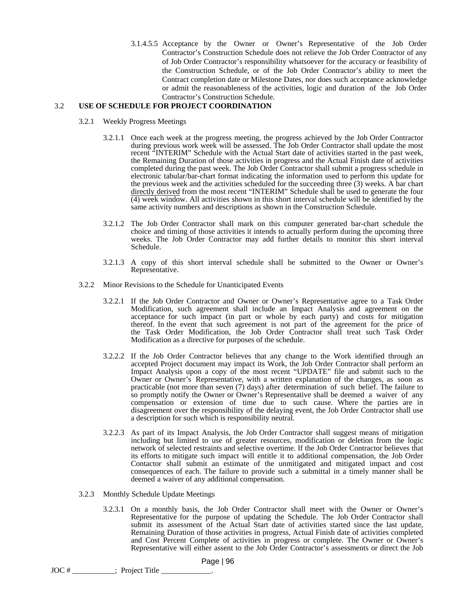3.1.4.5.5 Acceptance by the Owner or Owner's Representative of the Job Order Contractor's Construction Schedule does not relieve the Job Order Contractor of any of Job Order Contractor's responsibility whatsoever for the accuracy or feasibility of the Construction Schedule, or of the Job Order Contractor's ability to meet the Contract completion date or Milestone Dates, nor does such acceptance acknowledge or admit the reasonableness of the activities, logic and duration of the Job Order Contractor's Construction Schedule.

## 3.2 **USE OF SCHEDULE FOR PROJECT COORDINATION**

- 3.2.1 Weekly Progress Meetings
	- 3.2.1.1 Once each week at the progress meeting, the progress achieved by the Job Order Contractor during previous work week will be assessed. The Job Order Contractor shall update the most recent "INTERIM" Schedule with the Actual Start date of activities started in the past week, the Remaining Duration of those activities in progress and the Actual Finish date of activities completed during the past week. The Job Order Contractor shall submit a progress schedule in electronic tabular/bar-chart format indicating the information used to perform this update for the previous week and the activities scheduled for the succeeding three (3) weeks. A bar chart directly derived from the most recent "INTERIM" Schedule shall be used to generate the four (4) week window. All activities shown in this short interval schedule will be identified by the same activity numbers and descriptions as shown in the Construction Schedule.
	- 3.2.1.2 The Job Order Contractor shall mark on this computer generated bar-chart schedule the choice and timing of those activities it intends to actually perform during the upcoming three weeks. The Job Order Contractor may add further details to monitor this short interval Schedule.
	- 3.2.1.3 A copy of this short interval schedule shall be submitted to the Owner or Owner's Representative.
- 3.2.2 Minor Revisions to the Schedule for Unanticipated Events
	- 3.2.2.1 If the Job Order Contractor and Owner or Owner's Representative agree to a Task Order Modification, such agreement shall include an Impact Analysis and agreement on the acceptance for such impact (in part or whole by each party) and costs for mitigation thereof. In the event that such agreement is not part of the agreement for the price of the Task Order Modification, the Job Order Contractor shall treat such Task Order Modification as a directive for purposes of the schedule.
	- 3.2.2.2 If the Job Order Contractor believes that any change to the Work identified through an accepted Project document may impact its Work, the Job Order Contractor shall perform an Impact Analysis upon a copy of the most recent "UPDATE" file and submit such to the Owner or Owner's Representative, with a written explanation of the changes, as soon as practicable (not more than seven (7) days) after determination of such belief. The failure to so promptly notify the Owner or Owner's Representative shall be deemed a waiver of any compensation or extension of time due to such cause. Where the parties are in disagreement over the responsibility of the delaying event, the Job Order Contractor shall use a description for such which is responsibility neutral.
	- 3.2.2.3 As part of its Impact Analysis, the Job Order Contractor shall suggest means of mitigation including but limited to use of greater resources, modification or deletion from the logic network of selected restraints and selective overtime. If the Job Order Contractor believes that its efforts to mitigate such impact will entitle it to additional compensation, the Job Order Contactor shall submit an estimate of the unmitigated and mitigated impact and cost consequences of each. The failure to provide such a submittal in a timely manner shall be deemed a waiver of any additional compensation.
- 3.2.3 Monthly Schedule Update Meetings
	- 3.2.3.1 On a monthly basis, the Job Order Contractor shall meet with the Owner or Owner's Representative for the purpose of updating the Schedule. The Job Order Contractor shall submit its assessment of the Actual Start date of activities started since the last update, Remaining Duration of those activities in progress, Actual Finish date of activities completed and Cost Percent Complete of activities in progress or complete. The Owner or Owner's Representative will either assent to the Job Order Contractor's assessments or direct the Job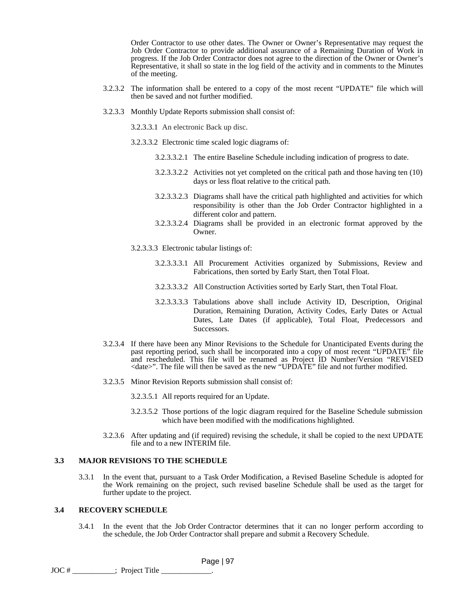Order Contractor to use other dates. The Owner or Owner's Representative may request the Job Order Contractor to provide additional assurance of a Remaining Duration of Work in progress. If the Job Order Contractor does not agree to the direction of the Owner or Owner's Representative, it shall so state in the log field of the activity and in comments to the Minutes of the meeting.

- 3.2.3.2 The information shall be entered to a copy of the most recent "UPDATE" file which will then be saved and not further modified.
- 3.2.3.3 Monthly Update Reports submission shall consist of:

3.2.3.3.1 An electronic Back up disc.

- 3.2.3.3.2 Electronic time scaled logic diagrams of:
	- 3.2.3.3.2.1 The entire Baseline Schedule including indication of progress to date.
	- 3.2.3.3.2.2 Activities not yet completed on the critical path and those having ten (10) days or less float relative to the critical path.
	- 3.2.3.3.2.3 Diagrams shall have the critical path highlighted and activities for which responsibility is other than the Job Order Contractor highlighted in a different color and pattern.
	- 3.2.3.3.2.4 Diagrams shall be provided in an electronic format approved by the Owner.

3.2.3.3.3 Electronic tabular listings of:

- 3.2.3.3.3.1 All Procurement Activities organized by Submissions, Review and Fabrications, then sorted by Early Start, then Total Float.
- 3.2.3.3.3.2 All Construction Activities sorted by Early Start, then Total Float.
- 3.2.3.3.3.3 Tabulations above shall include Activity ID, Description, Original Duration, Remaining Duration, Activity Codes, Early Dates or Actual Dates, Late Dates (if applicable), Total Float, Predecessors and **Successors.**
- 3.2.3.4 If there have been any Minor Revisions to the Schedule for Unanticipated Events during the past reporting period, such shall be incorporated into a copy of most recent "UPDATE" file and rescheduled. This file will be renamed as Project ID Number/Version "REVISED <date>". The file will then be saved as the new "UPDATE" file and not further modified.
- 3.2.3.5 Minor Revision Reports submission shall consist of:

3.2.3.5.1 All reports required for an Update.

- 3.2.3.5.2 Those portions of the logic diagram required for the Baseline Schedule submission which have been modified with the modifications highlighted.
- 3.2.3.6 After updating and (if required) revising the schedule, it shall be copied to the next UPDATE file and to a new INTERIM file.

#### **3.3 MAJOR REVISIONS TO THE SCHEDULE**

3.3.1 In the event that, pursuant to a Task Order Modification, a Revised Baseline Schedule is adopted for the Work remaining on the project, such revised baseline Schedule shall be used as the target for further update to the project.

## **3.4 RECOVERY SCHEDULE**

3.4.1 In the event that the Job Order Contractor determines that it can no longer perform according to the schedule, the Job Order Contractor shall prepare and submit a Recovery Schedule.

Page | 97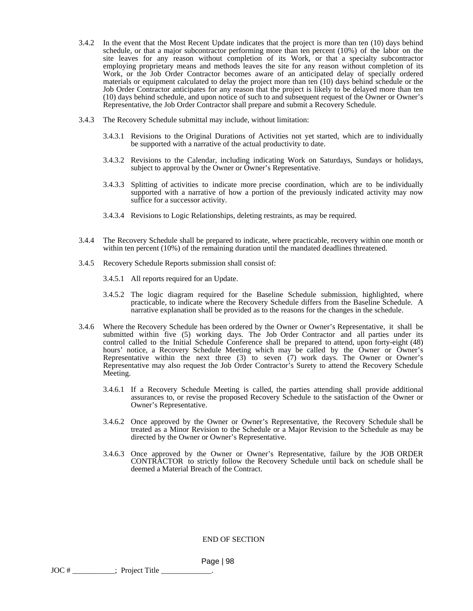- 3.4.2 In the event that the Most Recent Update indicates that the project is more than ten (10) days behind schedule, or that a major subcontractor performing more than ten percent (10%) of the labor on the site leaves for any reason without completion of its Work, or that a specialty subcontractor employing proprietary means and methods leaves the site for any reason without completion of its Work, or the Job Order Contractor becomes aware of an anticipated delay of specially ordered materials or equipment calculated to delay the project more than ten (10) days behind schedule or the Job Order Contractor anticipates for any reason that the project is likely to be delayed more than ten (10) days behind schedule, and upon notice of such to and subsequent request of the Owner or Owner's Representative, the Job Order Contractor shall prepare and submit a Recovery Schedule.
- 3.4.3 The Recovery Schedule submittal may include, without limitation:
	- 3.4.3.1 Revisions to the Original Durations of Activities not yet started, which are to individually be supported with a narrative of the actual productivity to date.
	- 3.4.3.2 Revisions to the Calendar, including indicating Work on Saturdays, Sundays or holidays, subject to approval by the Owner or Owner's Representative.
	- 3.4.3.3 Splitting of activities to indicate more precise coordination, which are to be individually supported with a narrative of how a portion of the previously indicated activity may now suffice for a successor activity.
	- 3.4.3.4 Revisions to Logic Relationships, deleting restraints, as may be required.
- 3.4.4 The Recovery Schedule shall be prepared to indicate, where practicable, recovery within one month or within ten percent (10%) of the remaining duration until the mandated deadlines threatened.
- 3.4.5 Recovery Schedule Reports submission shall consist of:
	- 3.4.5.1 All reports required for an Update.
	- 3.4.5.2 The logic diagram required for the Baseline Schedule submission, highlighted, where practicable, to indicate where the Recovery Schedule differs from the Baseline Schedule. A narrative explanation shall be provided as to the reasons for the changes in the schedule.
- 3.4.6 Where the Recovery Schedule has been ordered by the Owner or Owner's Representative, it shall be submitted within five (5) working days. The Job Order Contractor and all parties under its control called to the Initial Schedule Conference shall be prepared to attend, upon forty-eight (48) hours' notice, a Recovery Schedule Meeting which may be called by the Owner or Owner's Representative within the next three (3) to seven (7) work days. The Owner or Owner's Representative may also request the Job Order Contractor's Surety to attend the Recovery Schedule Meeting.
	- 3.4.6.1 If a Recovery Schedule Meeting is called, the parties attending shall provide additional assurances to, or revise the proposed Recovery Schedule to the satisfaction of the Owner or Owner's Representative.
	- 3.4.6.2 Once approved by the Owner or Owner's Representative, the Recovery Schedule shall be treated as a Minor Revision to the Schedule or a Major Revision to the Schedule as may be directed by the Owner or Owner's Representative.
	- 3.4.6.3 Once approved by the Owner or Owner's Representative, failure by the JOB ORDER CONTRACTOR to strictly follow the Recovery Schedule until back on schedule shall be deemed a Material Breach of the Contract.

#### END OF SECTION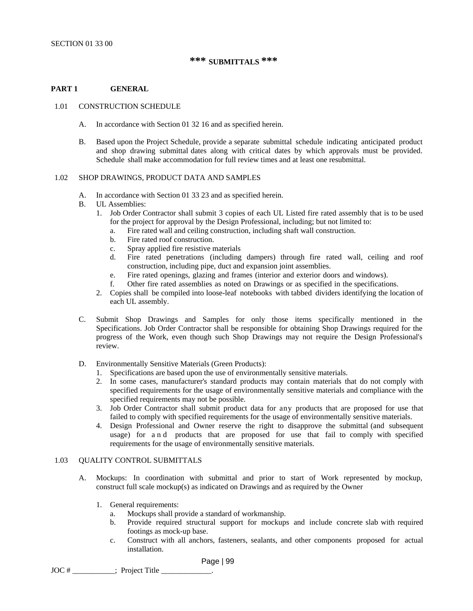# **\*\*\* SUBMITTALS \*\*\***

## **PART 1 GENERAL**

#### 1.01 CONSTRUCTION SCHEDULE

- A. In accordance with Section 01 32 16 and as specified herein.
- B. Based upon the Project Schedule, provide a separate submittal schedule indicating anticipated product and shop drawing submittal dates along with critical dates by which approvals must be provided. Schedule shall make accommodation for full review times and at least one resubmittal.

#### 1.02 SHOP DRAWINGS, PRODUCT DATA AND SAMPLES

- A. In accordance with Section 01 33 23 and as specified herein.
- B. UL Assemblies:
	- 1. Job Order Contractor shall submit 3 copies of each UL Listed fire rated assembly that is to be used for the project for approval by the Design Professional, including; but not limited to:
		- a. Fire rated wall and ceiling construction, including shaft wall construction.
		- b. Fire rated roof construction.
		- c. Spray applied fire resistive materials
		- d. Fire rated penetrations (including dampers) through fire rated wall, ceiling and roof construction, including pipe, duct and expansion joint assemblies.
		- e. Fire rated openings, glazing and frames (interior and exterior doors and windows).
		- f. Other fire rated assemblies as noted on Drawings or as specified in the specifications.
	- 2. Copies shall be compiled into loose-leaf notebooks with tabbed dividers identifying the location of each UL assembly.
- C. Submit Shop Drawings and Samples for only those items specifically mentioned in the Specifications. Job Order Contractor shall be responsible for obtaining Shop Drawings required for the progress of the Work, even though such Shop Drawings may not require the Design Professional's review.
- D. Environmentally Sensitive Materials (Green Products):
	- 1. Specifications are based upon the use of environmentally sensitive materials.
	- 2. In some cases, manufacturer's standard products may contain materials that do not comply with specified requirements for the usage of environmentally sensitive materials and compliance with the specified requirements may not be possible.
	- 3. Job Order Contractor shall submit product data for any products that are proposed for use that failed to comply with specified requirements for the usage of environmentally sensitive materials.
	- 4. Design Professional and Owner reserve the right to disapprove the submittal (and subsequent usage) for a n d products that are proposed for use that fail to comply with specified requirements for the usage of environmentally sensitive materials.

#### 1.03 QUALITY CONTROL SUBMITTALS

- A. Mockups: In coordination with submittal and prior to start of Work represented by mockup, construct full scale mockup(s) as indicated on Drawings and as required by the Owner
	- 1. General requirements:
		- a. Mockups shall provide a standard of workmanship.
		- b. Provide required structural support for mockups and include concrete slab with required footings as mock-up base.
		- c. Construct with all anchors, fasteners, sealants, and other components proposed for actual installation.

Page | 99

 $JOC #$   $\frac{1}{2}$   $\frac{1}{2}$   $\frac{1}{2}$   $\frac{1}{2}$   $\frac{1}{2}$   $\frac{1}{2}$   $\frac{1}{2}$   $\frac{1}{2}$   $\frac{1}{2}$   $\frac{1}{2}$   $\frac{1}{2}$   $\frac{1}{2}$   $\frac{1}{2}$   $\frac{1}{2}$   $\frac{1}{2}$   $\frac{1}{2}$   $\frac{1}{2}$   $\frac{1}{2}$   $\frac{1}{2}$   $\frac{1}{2}$   $\frac{1}{2}$   $\frac{1$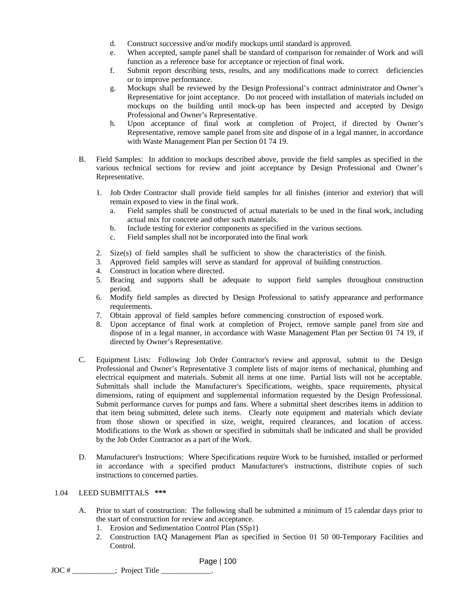- d. Construct successive and/or modify mockups until standard is approved.
- e. When accepted, sample panel shall be standard of comparison for remainder of Work and will function as a reference base for acceptance or rejection of final work.
- f. Submit report describing tests, results, and any modifications made to correct deficiencies or to improve performance.
- g. Mockups shall be reviewed by the Design Professional's contract administrator and Owner's Representative for joint acceptance. Do not proceed with installation of materials included on mockups on the building until mock-up has been inspected and accepted by Design Professional and Owner's Representative.
- h. Upon acceptance of final work at completion of Project, if directed by Owner's Representative, remove sample panel from site and dispose of in a legal manner, in accordance with Waste Management Plan per Section 01 74 19.
- B. Field Samples: In addition to mockups described above, provide the field samples as specified in the various technical sections for review and joint acceptance by Design Professional and Owner's Representative.
	- 1. Job Order Contractor shall provide field samples for all finishes (interior and exterior) that will remain exposed to view in the final work.
		- a. Field samples shall be constructed of actual materials to be used in the final work, including actual mix for concrete and other such materials.
		- b. Include testing for exterior components as specified in the various sections.
		- c. Field samples shall not be incorporated into the final work
	- 2. Size(s) of field samples shall be sufficient to show the characteristics of the finish.
	- 3. Approved field samples will serve as standard for approval of building construction.
	- 4. Construct in location where directed.
	- 5. Bracing and supports shall be adequate to support field samples throughout construction period.
	- 6. Modify field samples as directed by Design Professional to satisfy appearance and performance requirements.
	- 7. Obtain approval of field samples before commencing construction of exposed work.
	- 8. Upon acceptance of final work at completion of Project, remove sample panel from site and dispose of in a legal manner, in accordance with Waste Management Plan per Section 01 74 19, if directed by Owner's Representative.
- C. Equipment Lists: Following Job Order Contractor's review and approval, submit to the Design Professional and Owner's Representative 3 complete lists of major items of mechanical, plumbing and electrical equipment and materials. Submit all items at one time. Partial lists will not be acceptable. Submittals shall include the Manufacturer's Specifications, weights, space requirements, physical dimensions, rating of equipment and supplemental information requested by the Design Professional. Submit performance curves for pumps and fans. Where a submittal sheet describes items in addition to that item being submitted, delete such items. Clearly note equipment and materials which deviate from those shown or specified in size, weight, required clearances, and location of access. Modifications to the Work as shown or specified in submittals shall be indicated and shall be provided by the Job Order Contractor as a part of the Work.
- D. Manufacturer's Instructions: Where Specifications require Work to be furnished, installed or performed in accordance with a specified product Manufacturer's instructions, distribute copies of such instructions to concerned parties.

#### 1.04 LEED SUBMITTALS **\*\*\***

- A. Prior to start of construction: The following shall be submitted a minimum of 15 calendar days prior to the start of construction for review and acceptance.
	- 1. Erosion and Sedimentation Control Plan (SSp1)
	- 2. Construction IAQ Management Plan as specified in Section 01 50 00-Temporary Facilities and Control.

Page | 100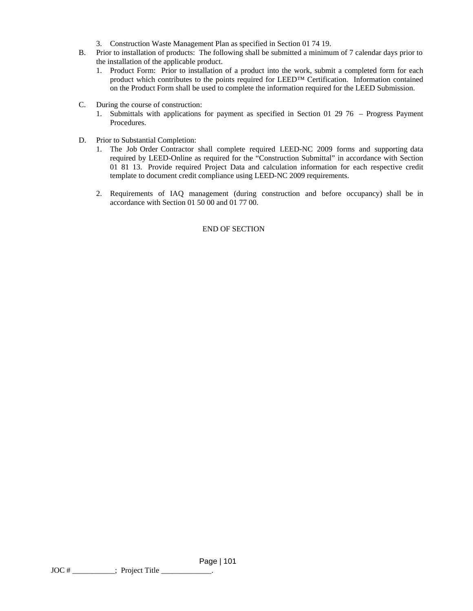- 3. Construction Waste Management Plan as specified in Section 01 74 19.
- B. Prior to installation of products: The following shall be submitted a minimum of 7 calendar days prior to the installation of the applicable product.
	- 1. Product Form: Prior to installation of a product into the work, submit a completed form for each product which contributes to the points required for LEED™ Certification. Information contained on the Product Form shall be used to complete the information required for the LEED Submission.
- C. During the course of construction:
	- 1. Submittals with applications for payment as specified in Section 01 29 76 Progress Payment Procedures.
- D. Prior to Substantial Completion:
	- 1. The Job Order Contractor shall complete required LEED-NC 2009 forms and supporting data required by LEED-Online as required for the "Construction Submittal" in accordance with Section 01 81 13. Provide required Project Data and calculation information for each respective credit template to document credit compliance using LEED-NC 2009 requirements.
	- 2. Requirements of IAQ management (during construction and before occupancy) shall be in accordance with Section 01 50 00 and 01 77 00.

# END OF SECTION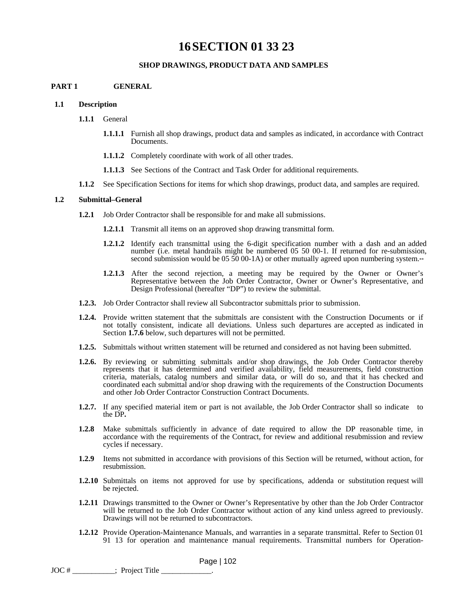# **16SECTION 01 33 23**

### **SHOP DRAWINGS, PRODUCT DATA AND SAMPLES**

#### **PART 1 GENERAL**

#### **1.1 Description**

- **1.1.1** General
	- **1.1.1.1** Furnish all shop drawings, product data and samples as indicated, in accordance with Contract Documents.
	- **1.1.1.2** Completely coordinate with work of all other trades.
	- **1.1.1.3** See Sections of the Contract and Task Order for additional requirements.
- **1.1.2** See Specification Sections for items for which shop drawings, product data, and samples are required.

#### **1.2 Submittal–General**

- **1.2.1** Job Order Contractor shall be responsible for and make all submissions.
	- **1.2.1.1** Transmit all items on an approved shop drawing transmittal form.
	- **1.2.1.2** Identify each transmittal using the 6-digit specification number with a dash and an added number (i.e. metal handrails might be numbered 05 50 00-1. If returned for re-submission, second submission would be  $05\,50\,00-1$ A) or other mutually agreed upon numbering system.\*\*
	- **1.2.1.3** After the second rejection, a meeting may be required by the Owner or Owner's Representative between the Job Order Contractor, Owner or Owner's Representative, and Design Professional (hereafter "DP") to review the submittal.
- **1.2.3.** Job Order Contractor shall review all Subcontractor submittals prior to submission.
- **1.2.4.** Provide written statement that the submittals are consistent with the Construction Documents or if not totally consistent, indicate all deviations. Unless such departures are accepted as indicated in Section **1.7.6** below, such departures will not be permitted.
- **1.2.5.** Submittals without written statement will be returned and considered as not having been submitted.
- **1.2.6.** By reviewing or submitting submittals and/or shop drawings, the Job Order Contractor thereby represents that it has determined and verified availability, field measurements, field construction criteria, materials, catalog numbers and similar data, or will do so, and that it has checked and coordinated each submittal and/or shop drawing with the requirements of the Construction Documents and other Job Order Contractor Construction Contract Documents.
- **1.2.7.** If any specified material item or part is not available, the Job Order Contractor shall so indicate to the DP**.**
- **1.2.8** Make submittals sufficiently in advance of date required to allow the DP reasonable time, in accordance with the requirements of the Contract, for review and additional resubmission and review cycles if necessary.
- **1.2.9** Items not submitted in accordance with provisions of this Section will be returned, without action, for resubmission.
- **1.2.10** Submittals on items not approved for use by specifications, addenda or substitution request will be rejected.
- **1.2.11** Drawings transmitted to the Owner or Owner's Representative by other than the Job Order Contractor will be returned to the Job Order Contractor without action of any kind unless agreed to previously. Drawings will not be returned to subcontractors.
- **1.2.12** Provide Operation-Maintenance Manuals, and warranties in a separate transmittal. Refer to Section 01 91 13 for operation and maintenance manual requirements. Transmittal numbers for Operation-

Page | 102

 $JOC \#$  \_\_\_\_\_\_\_\_\_\_\_\_\_; Project Title \_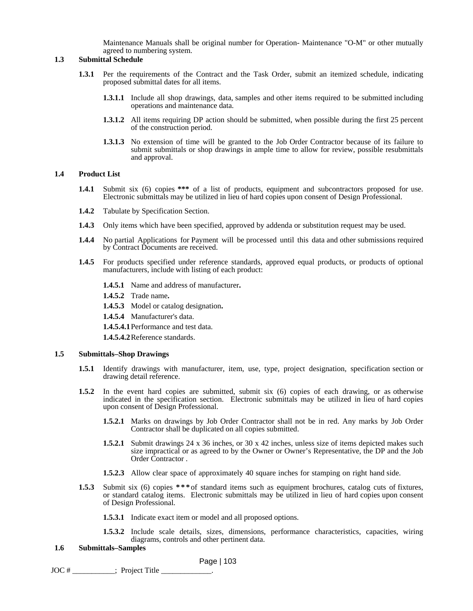Maintenance Manuals shall be original number for Operation- Maintenance "O-M" or other mutually agreed to numbering system.

#### **1.3 Submittal Schedule**

- **1.3.1** Per the requirements of the Contract and the Task Order, submit an itemized schedule, indicating proposed submittal dates for all items.
	- **1.3.1.1** Include all shop drawings, data, samples and other items required to be submitted including operations and maintenance data.
	- **1.3.1.2** All items requiring DP action should be submitted, when possible during the first 25 percent of the construction period.
	- **1.3.1.3** No extension of time will be granted to the Job Order Contractor because of its failure to submit submittals or shop drawings in ample time to allow for review, possible resubmittals and approval.

#### **1.4 Product List**

- **1.4.1** Submit six (6) copies **\*\*\*** of a list of products, equipment and subcontractors proposed for use. Electronic submittals may be utilized in lieu of hard copies upon consent of Design Professional.
- **1.4.2** Tabulate by Specification Section.
- **1.4.3** Only items which have been specified, approved by addenda or substitution request may be used.
- **1.4.4** No partial Applications for Payment will be processed until this data and other submissions required by Contract Documents are received.
- **1.4.5** For products specified under reference standards, approved equal products, or products of optional manufacturers, include with listing of each product:
	- **1.4.5.1** Name and address of manufacturer**.**
	- **1.4.5.2** Trade name**.**
	- **1.4.5.3** Model or catalog designation**.**
	- **1.4.5.4** Manufacturer's data.

**1.4.5.4.1** Performance and test data.

**1.4.5.4.2** Reference standards.

#### **1.5 Submittals–Shop Drawings**

- **1.5.1** Identify drawings with manufacturer, item, use, type, project designation, specification section or drawing detail reference.
- **1.5.2** In the event hard copies are submitted, submit six (6) copies of each drawing, or as otherwise indicated in the specification section. Electronic submittals may be utilized in lieu of hard copies upon consent of Design Professional.
	- **1.5.2.1** Marks on drawings by Job Order Contractor shall not be in red. Any marks by Job Order Contractor shall be duplicated on all copies submitted.
	- **1.5.2.1** Submit drawings 24 x 36 inches, or 30 x 42 inches, unless size of items depicted makes such size impractical or as agreed to by the Owner or Owner's Representative, the DP and the Job Order Contractor .
	- **1.5.2.3** Allow clear space of approximately 40 square inches for stamping on right hand side.
- **1.5.3** Submit six (6) copies **\*\*\*** of standard items such as equipment brochures, catalog cuts of fixtures, or standard catalog items. Electronic submittals may be utilized in lieu of hard copies upon consent of Design Professional.
	- **1.5.3.1** Indicate exact item or model and all proposed options.
	- **1.5.3.2** Include scale details, sizes, dimensions, performance characteristics, capacities, wiring diagrams, controls and other pertinent data.

#### **1.6 Submittals–Samples**

Page | 103

 $JOC \#$  \_\_\_\_\_\_\_\_\_\_\_\_; Project Title \_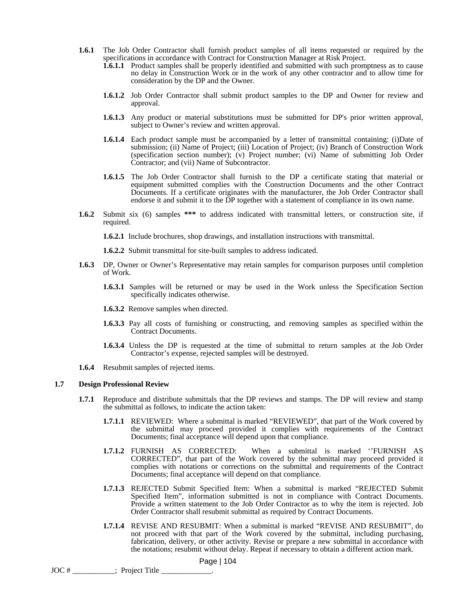- **1.6.1** The Job Order Contractor shall furnish product samples of all items requested or required by the specifications in accordance with Contract for Construction Manager at Risk Project.
	- **1.6.1.1** Product samples shall be properly identified and submitted with such promptness as to cause no delay in Construction Work or in the work of any other contractor and to allow time for consideration by the DP and the Owner.
	- **1.6.1.2** Job Order Contractor shall submit product samples to the DP and Owner for review and approval.
	- **1.6.1.3** Any product or material substitutions must be submitted for DP's prior written approval, subject to Owner's review and written approval.
	- **1.6.1.4** Each product sample must be accompanied by a letter of transmittal containing: (i)Date of submission; (ii) Name of Project; (iii) Location of Project; (iv) Branch of Construction Work (specification section number); (v) Project number; (vi) Name of submitting Job Order Contractor; and (vii) Name of Subcontractor.
	- **1.6.1.5** The Job Order Contractor shall furnish to the DP a certificate stating that material or equipment submitted complies with the Construction Documents and the other Contract Documents. If a certificate originates with the manufacturer, the Job Order Contractor shall endorse it and submit it to the DP together with a statement of compliance in its own name.
- **1.6.2** Submit six (6) samples **\*\*\*** to address indicated with transmittal letters, or construction site, if required.

**1.6.2.1** Include brochures, shop drawings, and installation instructions with transmittal.

**1.6.2.2** Submit transmittal for site-built samples to address indicated.

- **1.6.3** DP, Owner or Owner's Representative may retain samples for comparison purposes until completion of Work.
	- **1.6.3.1** Samples will be returned or may be used in the Work unless the Specification Section specifically indicates otherwise.
	- **1.6.3.2** Remove samples when directed.
	- **1.6.3.3** Pay all costs of furnishing or constructing, and removing samples as specified within the Contract Documents.
	- **1.6.3.4** Unless the DP is requested at the time of submittal to return samples at the Job Order Contractor's expense, rejected samples will be destroyed.
- **1.6.4** Resubmit samples of rejected items.

#### **1.7 Design Professional Review**

- **1.7.1** Reproduce and distribute submittals that the DP reviews and stamps. The DP will review and stamp the submittal as follows, to indicate the action taken:
	- **1.7.1.1** REVIEWED: Where a submittal is marked "REVIEWED", that part of the Work covered by the submittal may proceed provided it complies with requirements of the Contract Documents; final acceptance will depend upon that compliance.
	- **1.7.1.2** FURNISH AS CORRECTED: When a submittal is marked ''FURNISH AS CORRECTED", that part of the Work covered by the submittal may proceed provided it complies with notations or corrections on the submittal and requirements of the Contract Documents; final acceptance will depend on that compliance.
	- **1.7.1.3** REJECTED Submit Specified Item: When a submittal is marked "REJECTED Submit Specified Item", information submitted is not in compliance with Contract Documents. Provide a written statement to the Job Order Contractor as to why the item is rejected. Job Order Contractor shall resubmit submittal as required by Contract Documents.
	- **1.7.1.4** REVISE AND RESUBMIT: When a submittal is marked "REVISE AND RESUBMIT", do not proceed with that part of the Work covered by the submittal, including purchasing, fabrication, delivery, or other activity. Revise or prepare a new submittal in accordance with the notations; resubmit without delay. Repeat if necessary to obtain a different action mark.

```
JOC # ___________; Project Title _____________.
```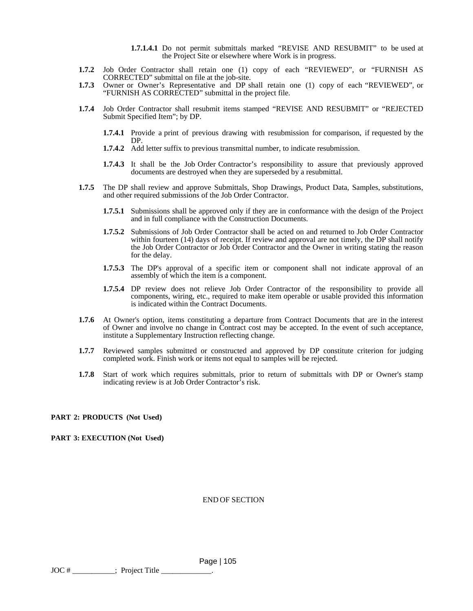- **1.7.1.4.1** Do not permit submittals marked "REVISE AND RESUBMIT" to be used at the Project Site or elsewhere where Work is in progress.
- **1.7.2** Job Order Contractor shall retain one (1) copy of each "REVIEWED", or "FURNISH AS CORRECTED" submittal on file at the job-site.
- **1.7.3** Owner or Owner's Representative and DP shall retain one (1) copy of each "REVIEWED", or "FURNISH AS CORRECTED" submittal in the project file.
- **1.7.4** Job Order Contractor shall resubmit items stamped "REVISE AND RESUBMIT" or "REJECTED Submit Specified Item"; by DP.
	- **1.7.4.1** Provide a print of previous drawing with resubmission for comparison, if requested by the DP.
	- **1.7.4.2** Add letter suffix to previous transmittal number, to indicate resubmission.
	- **1.7.4.3** It shall be the Job Order Contractor's responsibility to assure that previously approved documents are destroyed when they are superseded by a resubmittal.
- **1.7.5** The DP shall review and approve Submittals, Shop Drawings, Product Data, Samples, substitutions, and other required submissions of the Job Order Contractor.
	- **1.7.5.1** Submissions shall be approved only if they are in conformance with the design of the Project and in full compliance with the Construction Documents.
	- **1.7.5.2** Submissions of Job Order Contractor shall be acted on and returned to Job Order Contractor within fourteen (14) days of receipt. If review and approval are not timely, the DP shall notify the Job Order Contractor or Job Order Contractor and the Owner in writing stating the reason for the delay.
	- **1.7.5.3** The DP's approval of a specific item or component shall not indicate approval of an assembly of which the item is a component.
	- **1.7.5.4** DP review does not relieve Job Order Contractor of the responsibility to provide all components, wiring, etc., required to make item operable or usable provided this information is indicated within the Contract Documents.
- **1.7.6** At Owner's option, items constituting a departure from Contract Documents that are in the interest of Owner and involve no change in Contract cost may be accepted. In the event of such acceptance, institute a Supplementary Instruction reflecting change.
- **1.7.7** Reviewed samples submitted or constructed and approved by DP constitute criterion for judging completed work. Finish work or items not equal to samples will be rejected.
- **1.7.8** Start of work which requires submittals, prior to return of submittals with DP or Owner's stamp indicating review is at Job Order Contractor's risk.

**PART 2: PRODUCTS (Not Used)**

**PART 3: EXECUTION (Not Used)**

END OF SECTION

 Page | 105  $JOC \#$  \_\_\_\_\_\_\_\_\_\_\_\_\_; Project Title \_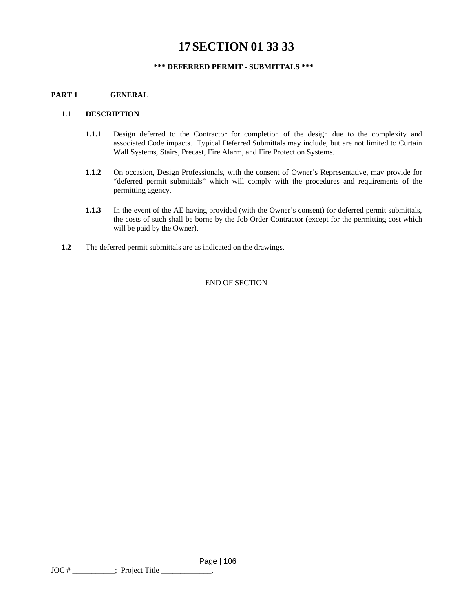# **17SECTION 01 33 33**

# **\*\*\* DEFERRED PERMIT - SUBMITTALS \*\*\***

# **PART 1 GENERAL**

#### **1.1 DESCRIPTION**

- **1.1.1** Design deferred to the Contractor for completion of the design due to the complexity and associated Code impacts. Typical Deferred Submittals may include, but are not limited to Curtain Wall Systems, Stairs, Precast, Fire Alarm, and Fire Protection Systems.
- **1.1.2** On occasion, Design Professionals, with the consent of Owner's Representative, may provide for "deferred permit submittals" which will comply with the procedures and requirements of the permitting agency.
- **1.1.3** In the event of the AE having provided (with the Owner's consent) for deferred permit submittals, the costs of such shall be borne by the Job Order Contractor (except for the permitting cost which will be paid by the Owner).
- **1.2** The deferred permit submittals are as indicated on the drawings.

END OF SECTION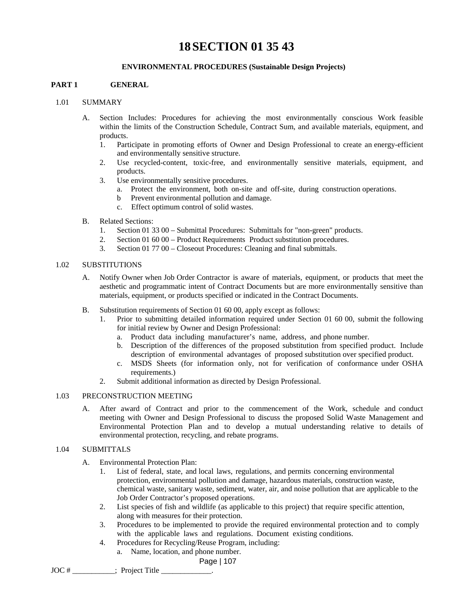# **18SECTION 01 35 43**

## **ENVIRONMENTAL PROCEDURES (Sustainable Design Projects)**

# **PART 1 GENERAL**

## 1.01 SUMMARY

- A. Section Includes: Procedures for achieving the most environmentally conscious Work feasible within the limits of the Construction Schedule, Contract Sum, and available materials, equipment, and products.
	- 1. Participate in promoting efforts of Owner and Design Professional to create an energy-efficient and environmentally sensitive structure.
	- 2. Use recycled-content, toxic-free, and environmentally sensitive materials, equipment, and products.
	- 3. Use environmentally sensitive procedures.
		- a. Protect the environment, both on-site and off-site, during construction operations.
		- b Prevent environmental pollution and damage.
		- c. Effect optimum control of solid wastes.
- B. Related Sections:
	- 1. Section 01 33 00 Submittal Procedures: Submittals for "non-green" products.
	- 2. Section 01 60 00 Product Requirements Product substitution procedures.
	- 3. Section 01 77 00 Closeout Procedures: Cleaning and final submittals.

#### 1.02 SUBSTITUTIONS

- A. Notify Owner when Job Order Contractor is aware of materials, equipment, or products that meet the aesthetic and programmatic intent of Contract Documents but are more environmentally sensitive than materials, equipment, or products specified or indicated in the Contract Documents.
- B. Substitution requirements of Section 01 60 00, apply except as follows:
	- 1. Prior to submitting detailed information required under Section 01 60 00, submit the following for initial review by Owner and Design Professional:
		- a. Product data including manufacturer's name, address, and phone number.
		- b. Description of the differences of the proposed substitution from specified product. Include description of environmental advantages of proposed substitution over specified product.
		- c. MSDS Sheets (for information only, not for verification of conformance under OSHA requirements.)
	- 2. Submit additional information as directed by Design Professional.

## 1.03 PRECONSTRUCTION MEETING

A. After award of Contract and prior to the commencement of the Work, schedule and conduct meeting with Owner and Design Professional to discuss the proposed Solid Waste Management and Environmental Protection Plan and to develop a mutual understanding relative to details of environmental protection, recycling, and rebate programs.

# 1.04 SUBMITTALS

- A. Environmental Protection Plan:
	- 1. List of federal, state, and local laws, regulations, and permits concerning environmental protection, environmental pollution and damage, hazardous materials, construction waste, chemical waste, sanitary waste, sediment, water, air, and noise pollution that are applicable to the Job Order Contractor's proposed operations.
	- 2. List species of fish and wildlife (as applicable to this project) that require specific attention, along with measures for their protection.
	- 3. Procedures to be implemented to provide the required environmental protection and to comply with the applicable laws and regulations. Document existing conditions.
	- 4. Procedures for Recycling/Reuse Program, including:
		- a. Name, location, and phone number.

Page | 107

JOC # ; Project Title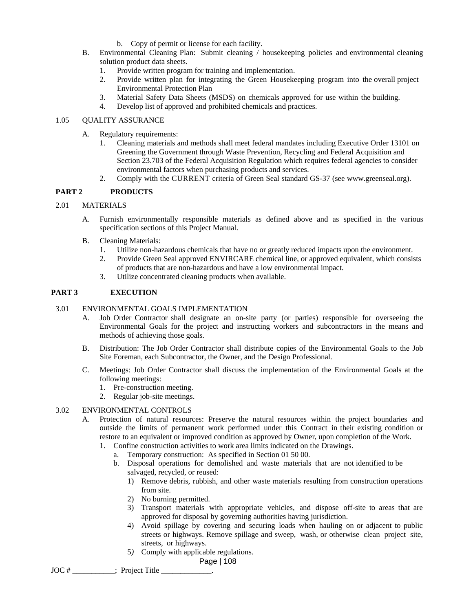- b. Copy of permit or license for each facility.
- B. Environmental Cleaning Plan: Submit cleaning / housekeeping policies and environmental cleaning solution product data sheets.
	- 1. Provide written program for training and implementation.
	- 2. Provide written plan for integrating the Green Housekeeping program into the overall project Environmental Protection Plan
	- 3. Material Safety Data Sheets (MSDS) on chemicals approved for use within the building.
	- 4. Develop list of approved and prohibited chemicals and practices.

## 1.05 QUALITY ASSURANCE

- A. Regulatory requirements:
	- 1. Cleaning materials and methods shall meet federal mandates including Executive Order 13101 on Greening the Government through Waste Prevention, Recycling and Federal Acquisition and Section 23.703 of the Federal Acquisition Regulation which requires federal agencies to consider environmental factors when purchasing products and services.
	- 2. Comply with the CURRENT criteria of Green Seal standard GS-37 (see www.greenseal.org).

## **PART 2 PRODUCTS**

#### 2.01 MATERIALS

- A. Furnish environmentally responsible materials as defined above and as specified in the various specification sections of this Project Manual.
- B. Cleaning Materials:
	- 1. Utilize non-hazardous chemicals that have no or greatly reduced impacts upon the environment.
	- 2. Provide Green Seal approved ENVIRCARE chemical line, or approved equivalent, which consists of products that are non-hazardous and have a low environmental impact.
	- 3. Utilize concentrated cleaning products when available.

# **PART 3 EXECUTION**

#### 3.01 ENVIRONMENTAL GOALS IMPLEMENTATION

- A. Job Order Contractor shall designate an on-site party (or parties) responsible for overseeing the Environmental Goals for the project and instructing workers and subcontractors in the means and methods of achieving those goals.
- B. Distribution: The Job Order Contractor shall distribute copies of the Environmental Goals to the Job Site Foreman, each Subcontractor, the Owner, and the Design Professional.
- C. Meetings: Job Order Contractor shall discuss the implementation of the Environmental Goals at the following meetings:
	- 1. Pre-construction meeting.
	- 2. Regular job-site meetings.

#### 3.02 ENVIRONMENTAL CONTROLS

- A. Protection of natural resources: Preserve the natural resources within the project boundaries and outside the limits of permanent work performed under this Contract in their existing condition or restore to an equivalent or improved condition as approved by Owner, upon completion of the Work.
	- 1. Confine construction activities to work area limits indicated on the Drawings.
		- a. Temporary construction: As specified in Section 01 50 00.
			- b. Disposal operations for demolished and waste materials that are not identified to be salvaged, recycled, or reused:
				- 1) Remove debris, rubbish, and other waste materials resulting from construction operations from site.
				- 2) No burning permitted.
				- 3) Transport materials with appropriate vehicles, and dispose off-site to areas that are approved for disposal by governing authorities having jurisdiction.
				- 4) Avoid spillage by covering and securing loads when hauling on or adjacent to public streets or highways. Remove spillage and sweep, wash, or otherwise clean project site, streets, or highways.
				- 5*)* Comply with applicable regulations.

Page | 108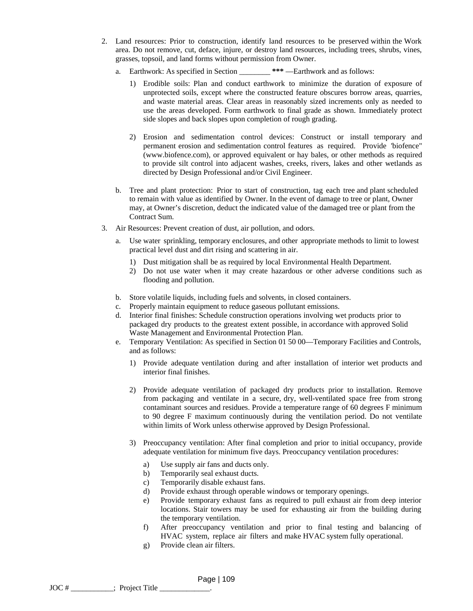- 2. Land resources: Prior to construction, identify land resources to be preserved within the Work area. Do not remove, cut, deface, injure, or destroy land resources, including trees, shrubs, vines, grasses, topsoil, and land forms without permission from Owner.
	- a. Earthwork: As specified in Section \_\_\_\_\_\_\_\_ **\*\*\*** —Earthwork and as follows:
		- 1) Erodible soils: Plan and conduct earthwork to minimize the duration of exposure of unprotected soils, except where the constructed feature obscures borrow areas, quarries, and waste material areas. Clear areas in reasonably sized increments only as needed to use the areas developed. Form earthwork to final grade as shown. Immediately protect side slopes and back slopes upon completion of rough grading.
		- 2) Erosion and sedimentation control devices: Construct or install temporary and permanent erosion and sedimentation control features as required. Provide 'biofence" (www.biofence.com), or approved equivalent or hay bales, or other methods as required to provide silt control into adjacent washes, creeks, rivers, lakes and other wetlands as directed by Design Professional and/or Civil Engineer.
	- b. Tree and plant protection: Prior to start of construction, tag each tree and plant scheduled to remain with value as identified by Owner. In the event of damage to tree or plant, Owner may, at Owner's discretion, deduct the indicated value of the damaged tree or plant from the Contract Sum.
- 3. Air Resources: Prevent creation of dust, air pollution, and odors.
	- a. Use water sprinkling, temporary enclosures, and other appropriate methods to limit to lowest practical level dust and dirt rising and scattering in air.
		- 1) Dust mitigation shall be as required by local Environmental Health Department.
		- 2) Do not use water when it may create hazardous or other adverse conditions such as flooding and pollution.
	- b. Store volatile liquids, including fuels and solvents, in closed containers.
	- c. Properly maintain equipment to reduce gaseous pollutant emissions.
	- d. Interior final finishes: Schedule construction operations involving wet products prior to packaged dry products to the greatest extent possible, in accordance with approved Solid Waste Management and Environmental Protection Plan.
	- e. Temporary Ventilation: As specified in Section 01 50 00—Temporary Facilities and Controls, and as follows:
		- 1) Provide adequate ventilation during and after installation of interior wet products and interior final finishes.
		- 2) Provide adequate ventilation of packaged dry products prior to installation. Remove from packaging and ventilate in a secure, dry, well-ventilated space free from strong contaminant sources and residues. Provide a temperature range of 60 degrees F minimum to 90 degree F maximum continuously during the ventilation period. Do not ventilate within limits of Work unless otherwise approved by Design Professional.
		- 3) Preoccupancy ventilation: After final completion and prior to initial occupancy, provide adequate ventilation for minimum five days. Preoccupancy ventilation procedures:
			- a) Use supply air fans and ducts only.
			- b) Temporarily seal exhaust ducts.
			- c) Temporarily disable exhaust fans.
			- d) Provide exhaust through operable windows or temporary openings.
			- e) Provide temporary exhaust fans as required to pull exhaust air from deep interior locations. Stair towers may be used for exhausting air from the building during the temporary ventilation.
			- f) After preoccupancy ventilation and prior to final testing and balancing of HVAC system, replace air filters and make HVAC system fully operational.
			- g) Provide clean air filters.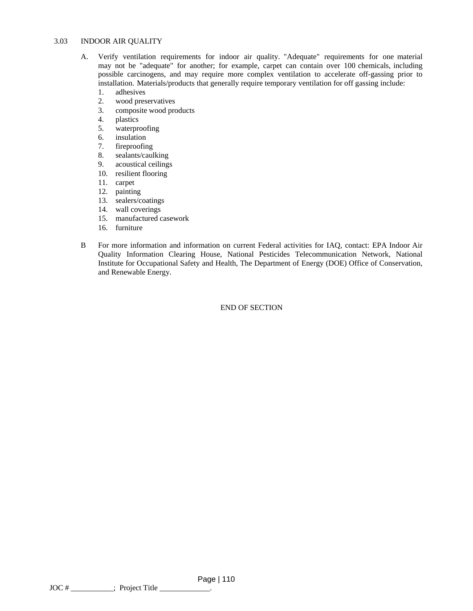#### 3.03 INDOOR AIR QUALITY

- A. Verify ventilation requirements for indoor air quality. "Adequate" requirements for one material may not be "adequate" for another; for example, carpet can contain over 100 chemicals, including possible carcinogens, and may require more complex ventilation to accelerate off-gassing prior to installation. Materials/products that generally require temporary ventilation for off gassing include:
	- 1. adhesives
	- 2. wood preservatives<br>3. composite wood pro
	- composite wood products
	- 4. plastics
	- 5. waterproofing
	- 6. insulation
	- 7. fireproofing
	- 8. sealants/caulking
	- 9. acoustical ceilings
	- 10. resilient flooring
	- 11. carpet
	- 12. painting
	- 13. sealers/coatings
	- 14. wall coverings
	- 15. manufactured casework
	- 16. furniture
- B For more information and information on current Federal activities for IAQ, contact: EPA Indoor Air Quality Information Clearing House, National Pesticides Telecommunication Network, National Institute for Occupational Safety and Health, The Department of Energy (DOE) Office of Conservation, and Renewable Energy.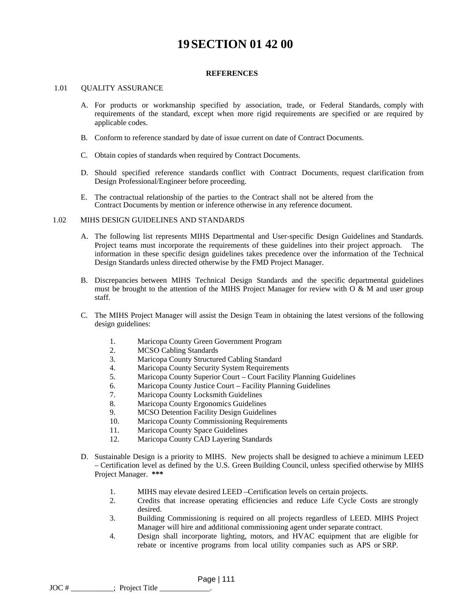# **19SECTION 01 42 00**

### **REFERENCES**

#### 1.01 OUALITY ASSURANCE

- A. For products or workmanship specified by association, trade, or Federal Standards, comply with requirements of the standard, except when more rigid requirements are specified or are required by applicable codes.
- B. Conform to reference standard by date of issue current on date of Contract Documents.
- C. Obtain copies of standards when required by Contract Documents.
- D. Should specified reference standards conflict with Contract Documents, request clarification from Design Professional/Engineer before proceeding.
- E. The contractual relationship of the parties to the Contract shall not be altered from the Contract Documents by mention or inference otherwise in any reference document.

#### 1.02 MIHS DESIGN GUIDELINES AND STANDARDS

- A. The following list represents MIHS Departmental and User-specific Design Guidelines and Standards. Project teams must incorporate the requirements of these guidelines into their project approach. The information in these specific design guidelines takes precedence over the information of the Technical Design Standards unless directed otherwise by the FMD Project Manager.
- B. Discrepancies between MIHS Technical Design Standards and the specific departmental guidelines must be brought to the attention of the MIHS Project Manager for review with  $O \& M$  and user group staff.
- C. The MIHS Project Manager will assist the Design Team in obtaining the latest versions of the following design guidelines:
	- 1. Maricopa County Green Government Program
	- 2. MCSO Cabling Standards
	- 3. Maricopa County Structured Cabling Standard
	- 4. Maricopa County Security System Requirements
	- 5. Maricopa County Superior Court Court Facility Planning Guidelines
	- 6. Maricopa County Justice Court Facility Planning Guidelines
	- 7. Maricopa County Locksmith Guidelines
	- 8. Maricopa County Ergonomics Guidelines
	- 9. MCSO Detention Facility Design Guidelines
	- 10. Maricopa County Commissioning Requirements
	- 11. Maricopa County Space Guidelines
	- 12. Maricopa County CAD Layering Standards
- D. Sustainable Design is a priority to MIHS. New projects shall be designed to achieve a minimum LEED – Certification level as defined by the U.S. Green Building Council, unless specified otherwise by MIHS Project Manager. **\*\*\*** 
	- 1. MIHS may elevate desired LEED –Certification levels on certain projects.
	- 2. Credits that increase operating efficiencies and reduce Life Cycle Costs are strongly desired.
	- 3. Building Commissioning is required on all projects regardless of LEED. MIHS Project Manager will hire and additional commissioning agent under separate contract.
	- 4. Design shall incorporate lighting, motors, and HVAC equipment that are eligible for rebate or incentive programs from local utility companies such as APS or SRP.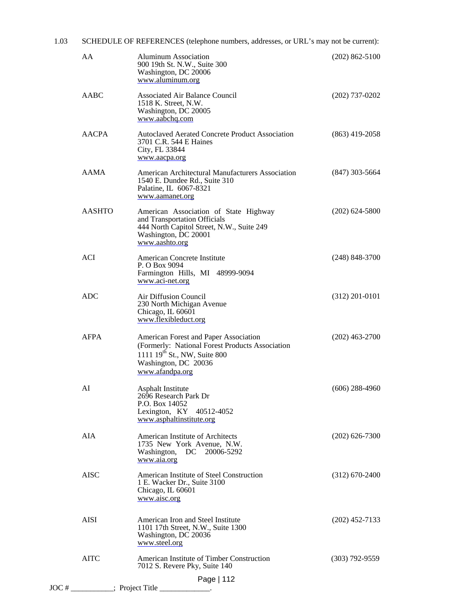| 1.03 | SCHEDULE OF REFERENCES (telephone numbers, addresses, or URL's may not be current): |                                                                                                                                                                                 |                  |  |
|------|-------------------------------------------------------------------------------------|---------------------------------------------------------------------------------------------------------------------------------------------------------------------------------|------------------|--|
|      | AA                                                                                  | <b>Aluminum Association</b><br>900 19th St. N.W., Suite 300<br>Washington, DC 20006<br>www.aluminum.org                                                                         | $(202)$ 862-5100 |  |
|      | AABC                                                                                | <b>Associated Air Balance Council</b><br>1518 K. Street, N.W.<br>Washington, DC 20005<br>www.aabchq.com                                                                         | $(202)$ 737-0202 |  |
|      | <b>AACPA</b>                                                                        | <b>Autoclaved Aerated Concrete Product Association</b><br>3701 C.R. 544 E Haines<br>City, FL 33844<br>www.aacpa.org                                                             | $(863)$ 419-2058 |  |
|      | <b>AAMA</b>                                                                         | American Architectural Manufacturers Association<br>1540 E. Dundee Rd., Suite 310<br>Palatine, IL 6067-8321<br>www.aamanet.org                                                  | $(847)$ 303-5664 |  |
|      | <b>AASHTO</b>                                                                       | American Association of State Highway<br>and Transportation Officials<br>444 North Capitol Street, N.W., Suite 249<br>Washington, DC 20001<br>www.aashto.org                    | $(202)$ 624-5800 |  |
|      | <b>ACI</b>                                                                          | American Concrete Institute<br>P. O Box 9094<br>Farmington Hills, MI 48999-9094<br>www.aci-net.org                                                                              | $(248)$ 848-3700 |  |
|      | <b>ADC</b>                                                                          | Air Diffusion Council<br>230 North Michigan Avenue<br>Chicago, IL 60601<br>www.flexibleduct.org                                                                                 | $(312)$ 201-0101 |  |
|      | <b>AFPA</b>                                                                         | American Forest and Paper Association<br>(Formerly: National Forest Products Association<br>1111 19 <sup>th</sup> St., NW, Suite 800<br>Washington, DC 20036<br>www.afandpa.org | $(202)$ 463-2700 |  |
|      | AI                                                                                  | <b>Asphalt Institute</b><br>2696 Research Park Dr<br>P.O. Box 14052<br>Lexington, KY 40512-4052<br>www.asphaltinstitute.org                                                     | $(606)$ 288-4960 |  |
|      | AIA                                                                                 | American Institute of Architects<br>1735 New York Avenue, N.W.<br>Washington, DC 20006-5292<br>www.aia.org                                                                      | $(202)$ 626-7300 |  |
|      | <b>AISC</b>                                                                         | American Institute of Steel Construction<br>1 E. Wacker Dr., Suite 3100<br>Chicago, IL 60601<br>www.aisc.org                                                                    | $(312)$ 670-2400 |  |
|      | <b>AISI</b>                                                                         | American Iron and Steel Institute<br>1101 17th Street, N.W., Suite 1300<br>Washington, DC 20036<br>www.steel.org                                                                | $(202)$ 452-7133 |  |
|      | <b>AITC</b>                                                                         | American Institute of Timber Construction<br>7012 S. Revere Pky, Suite 140                                                                                                      | $(303)$ 792-9559 |  |
|      |                                                                                     | Page   112<br>$\text{JOC} \#$ __________; Project Title ____________.                                                                                                           |                  |  |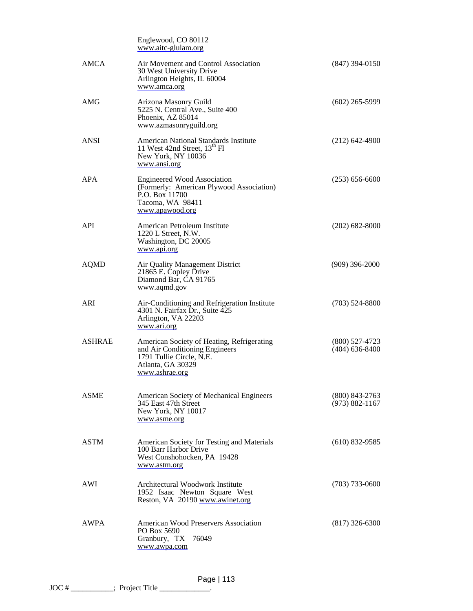|               | Englewood, CO 80112<br>www.aitc-glulam.org                                                                                                      |                                        |
|---------------|-------------------------------------------------------------------------------------------------------------------------------------------------|----------------------------------------|
| <b>AMCA</b>   | Air Movement and Control Association<br>30 West University Drive<br>Arlington Heights, IL 60004<br>www.amca.org                                 | $(847)$ 394-0150                       |
| <b>AMG</b>    | Arizona Masonry Guild<br>5225 N. Central Ave., Suite 400<br>Phoenix, AZ 85014<br>www.azmasonryguild.org                                         | $(602)$ 265-5999                       |
| <b>ANSI</b>   | American National Standards Institute<br>11 West 42nd Street, 13 <sup>th</sup> Fl<br>New York, NY 10036<br>www.ansi.org                         | $(212)$ 642-4900                       |
| APA           | <b>Engineered Wood Association</b><br>(Formerly: American Plywood Association)<br>P.O. Box 11700<br>Tacoma, WA 98411<br>www.apawood.org         | $(253) 656-6600$                       |
| <b>API</b>    | American Petroleum Institute<br>1220 L Street, N.W.<br>Washington, DC 20005<br>www.api.org                                                      | $(202)$ 682-8000                       |
| AQMD          | Air Quality Management District<br>21865 E. Copley Drive<br>Diamond Bar, CA 91765<br>www.aqmd.gov                                               | $(909)$ 396-2000                       |
| ARI           | Air-Conditioning and Refrigeration Institute<br>4301 N. Fairfax Dr., Suite 425<br>Arlington, VA 22203<br>www.ari.org                            | $(703)$ 524-8800                       |
| <b>ASHRAE</b> | American Society of Heating, Refrigerating<br>and Air Conditioning Engineers<br>1791 Tullie Circle, N.E.<br>Atlanta, GA 30329<br>www.ashrae.org | $(800)$ 527-4723<br>$(404)$ 636-8400   |
| <b>ASME</b>   | American Society of Mechanical Engineers<br>345 East 47th Street<br>New York, NY 10017<br>www.asme.org                                          | $(800)$ 843-2763<br>$(973) 882 - 1167$ |
| <b>ASTM</b>   | American Society for Testing and Materials<br>100 Barr Harbor Drive<br>West Conshohocken, PA 19428<br>www.astm.org                              | $(610)$ 832-9585                       |
| AWI           | Architectural Woodwork Institute<br>1952 Isaac Newton Square West<br>Reston, VA 20190 www.awinet.org                                            | $(703)$ 733-0600                       |
| AWPA          | American Wood Preservers Association<br>PO Box 5690<br>Granbury, TX<br>76049<br>www.awpa.com                                                    | $(817)$ 326-6300                       |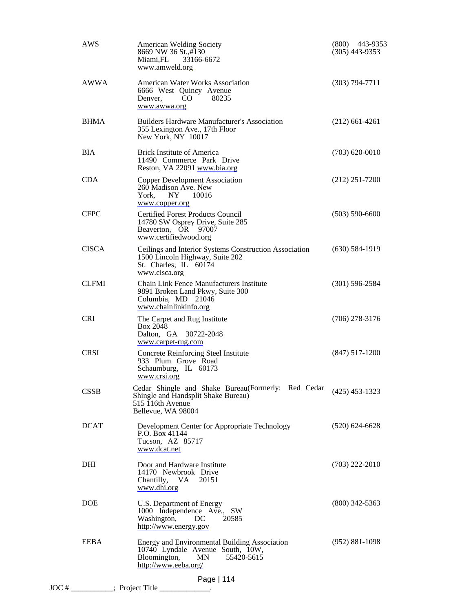| <b>AWS</b>   | <b>American Welding Society</b><br>8669 NW 36 St.,#130<br>Miami, FL<br>33166-6672<br>www.amweld.org                                           | $(800)$ 443-9353<br>$(305)$ 443-9353 |
|--------------|-----------------------------------------------------------------------------------------------------------------------------------------------|--------------------------------------|
| <b>AWWA</b>  | <b>American Water Works Association</b><br>6666 West Quincy Avenue<br>80235<br>Denver,<br>CO.<br>www.awwa.org                                 | $(303)$ 794-7711                     |
| <b>BHMA</b>  | <b>Builders Hardware Manufacturer's Association</b><br>355 Lexington Ave., 17th Floor<br>New York, NY 10017                                   | $(212)$ 661-4261                     |
| <b>BIA</b>   | <b>Brick Institute of America</b><br>11490 Commerce Park Drive<br>Reston, VA 22091 www.bia.org                                                | $(703) 620 - 0010$                   |
| <b>CDA</b>   | <b>Copper Development Association</b><br>260 Madison Ave. New<br>York,<br>NY<br>10016<br>www.copper.org                                       | $(212)$ 251-7200                     |
| <b>CFPC</b>  | <b>Certified Forest Products Council</b><br>14780 SW Osprey Drive, Suite 285<br>Beaverton, OR 97007<br>www.certifiedwood.org                  | $(503) 590 - 6600$                   |
| <b>CISCA</b> | Ceilings and Interior Systems Construction Association<br>1500 Lincoln Highway, Suite 202<br>St. Charles, IL 60174<br>www.cisca.org           | $(630)$ 584-1919                     |
| <b>CLFMI</b> | Chain Link Fence Manufacturers Institute<br>9891 Broken Land Pkwy, Suite 300<br>Columbia, MD 21046<br>www.chainlinkinfo.org                   | $(301)$ 596-2584                     |
| <b>CRI</b>   | The Carpet and Rug Institute<br><b>Box 2048</b><br>Dalton, GA 30722-2048<br>www.carpet-rug.com                                                | $(706)$ 278-3176                     |
| <b>CRSI</b>  | <b>Concrete Reinforcing Steel Institute</b><br>933 Plum Grove Road<br>Schaumburg, IL 60173<br>www.crsi.org                                    | $(847)$ 517-1200                     |
| <b>CSSB</b>  | Cedar Shingle and Shake Bureau (Formerly: Red Cedar<br>Shingle and Handsplit Shake Bureau)<br>515 116th Avenue<br>Bellevue, WA 98004          | $(425)$ 453-1323                     |
| <b>DCAT</b>  | Development Center for Appropriate Technology<br>P.O. Box 41144<br>Tucson, AZ 85717<br>www.dcat.net                                           | $(520)$ 624-6628                     |
| DHI          | Door and Hardware Institute<br>14170 Newbrook Drive<br>Chantilly, VA 20151<br>www.dhi.org                                                     | $(703)$ 222-2010                     |
| <b>DOE</b>   | U.S. Department of Energy<br>1000 Independence Ave., SW<br>Washington, DC<br>20585<br>http://www.energy.gov                                   | $(800)$ 342-5363                     |
| <b>EEBA</b>  | Energy and Environmental Building Association<br>10740 Lyndale Avenue South, 10W,<br>Bloomington,<br>MN<br>55420-5615<br>http://www.eeba.org/ | $(952) 881 - 1098$                   |
|              | Page   114<br>$\text{JOC} \#$ __________; Project Title ____________.                                                                         |                                      |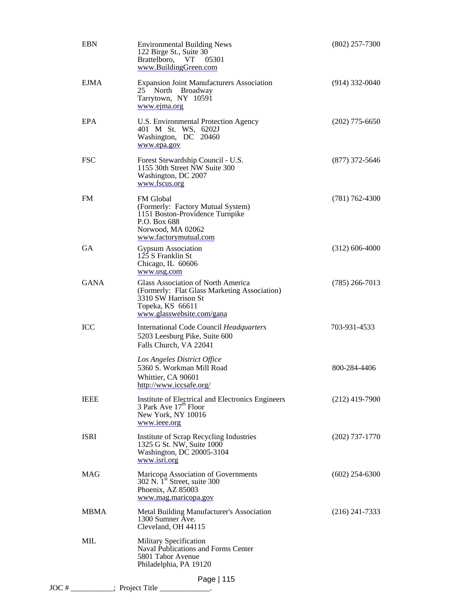| <b>EBN</b>  | <b>Environmental Building News</b><br>122 Birge St., Suite 30<br>Brattelboro, VT<br>05301<br>www.BuildingGreen.com                                         | $(802)$ 257-7300   |
|-------------|------------------------------------------------------------------------------------------------------------------------------------------------------------|--------------------|
| EJMA        | <b>Expansion Joint Manufacturers Association</b><br>25 North Broadway<br>Tarrytown, NY 10591<br>www.ejma.org                                               | $(914)$ 332-0040   |
| EPA         | U.S. Environmental Protection Agency<br>401 M St. WS, 6202J<br>Washington, DC 20460<br>www.epa.gov                                                         | $(202)$ 775-6650   |
| <b>FSC</b>  | Forest Stewardship Council - U.S.<br>1155 30th Street NW Suite 300<br>Washington, DC 2007<br>www.fscus.org                                                 | $(877)$ 372-5646   |
| <b>FM</b>   | FM Global<br>(Formerly: Factory Mutual System)<br>1151 Boston-Providence Turnpike<br>P.O. Box 688<br>Norwood, MA 02062<br>www.factorymutual.com            | $(781) 762 - 4300$ |
| <b>GA</b>   | <b>Gypsum Association</b><br>125 S Franklin St<br>Chicago, IL 60606<br>www.usg.com                                                                         | $(312)$ 606-4000   |
| <b>GANA</b> | Glass Association of North America<br>(Formerly: Flat Glass Marketing Association)<br>3310 SW Harrison St<br>Topeka, KS 66611<br>www.glasswebsite.com/gana | $(785)$ 266-7013   |
| <b>ICC</b>  | International Code Council Headquarters<br>5203 Leesburg Pike, Suite 600<br>Falls Church, VA 22041                                                         | 703-931-4533       |
|             | Los Angeles District Office<br>5360 S. Workman Mill Road<br>Whittier, CA 90601<br>http://www.iccsafe.org/                                                  | 800-284-4406       |
| <b>IEEE</b> | Institute of Electrical and Electronics Engineers<br>3 Park Ave $17^{\text{th}}$ Floor<br>New York, NY 10016<br>www.ieee.org                               | $(212)$ 419-7900   |
| <b>ISRI</b> | Institute of Scrap Recycling Industries<br>1325 G St. NW, Suite 1000<br>Washington, DC 20005-3104<br>www.isri.org                                          | $(202)$ 737-1770   |
| <b>MAG</b>  | Maricopa Association of Governments<br>302 N. 1 <sup>st</sup> Street, suite 300<br>Phoenix, AZ 85003<br>www.mag.maricopa.gov                               | $(602)$ 254-6300   |
| <b>MBMA</b> | Metal Building Manufacturer's Association<br>1300 Sumner Ave.<br>Cleveland, OH 44115                                                                       | $(216)$ 241-7333   |
| <b>MIL</b>  | Military Specification<br>Naval Publications and Forms Center<br>5801 Tabor Avenue<br>Philadelphia, PA 19120                                               |                    |
|             | Page   115<br>JOC # _________; Project Title ____________.                                                                                                 |                    |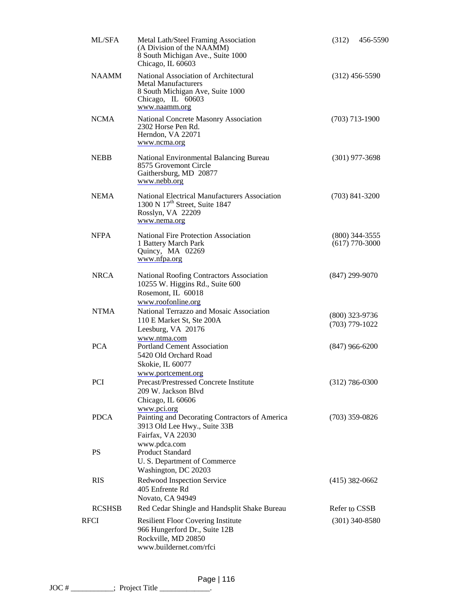| ML/SFA        | Metal Lath/Steel Framing Association<br>(A Division of the NAAMM)<br>8 South Michigan Ave., Suite 1000<br>Chicago, IL 60603                   | (312)                                | 456-5590                             |
|---------------|-----------------------------------------------------------------------------------------------------------------------------------------------|--------------------------------------|--------------------------------------|
| <b>NAAMM</b>  | National Association of Architectural<br><b>Metal Manufacturers</b><br>8 South Michigan Ave, Suite 1000<br>Chicago, IL 60603<br>www.naamm.org |                                      | $(312)$ 456-5590                     |
| <b>NCMA</b>   | National Concrete Masonry Association<br>2302 Horse Pen Rd.<br>Herndon, VA 22071<br>www.ncma.org                                              |                                      | $(703)$ 713-1900                     |
| <b>NEBB</b>   | National Environmental Balancing Bureau<br>8575 Grovemont Circle<br>Gaithersburg, MD 20877<br>www.nebb.org                                    |                                      | $(301)$ 977-3698                     |
| <b>NEMA</b>   | National Electrical Manufacturers Association<br>1300 N 17 <sup>th</sup> Street, Suite 1847<br>Rosslyn, VA 22209<br>www.nema.org              |                                      | $(703)$ 841-3200                     |
| <b>NFPA</b>   | <b>National Fire Protection Association</b><br>1 Battery March Park<br>Quincy, MA 02269<br>www.nfpa.org                                       |                                      | $(800)$ 344-3555<br>$(617)$ 770-3000 |
| <b>NRCA</b>   | National Roofing Contractors Association<br>10255 W. Higgins Rd., Suite 600<br>Rosemont, IL 60018<br>www.roofonline.org                       | $(847)$ 299-9070                     |                                      |
| <b>NTMA</b>   | National Terrazzo and Mosaic Association<br>110 E Market St, Ste 200A<br>Leesburg, VA 20176                                                   | $(800)$ 323-9736<br>$(703)$ 779-1022 |                                      |
| <b>PCA</b>    | www.ntma.com<br><b>Portland Cement Association</b><br>5420 Old Orchard Road<br>Skokie, IL 60077                                               | $(847)$ 966-6200                     |                                      |
| PCI           | www.portcement.org<br>Precast/Prestressed Concrete Institute<br>209 W. Jackson Blvd<br>Chicago, IL 60606                                      | $(312)$ 786-0300                     |                                      |
| <b>PDCA</b>   | www.pci.org<br>Painting and Decorating Contractors of America<br>3913 Old Lee Hwy., Suite 33B<br>Fairfax, VA 22030                            | $(703)$ 359-0826                     |                                      |
| <b>PS</b>     | www.pdca.com<br><b>Product Standard</b><br>U. S. Department of Commerce<br>Washington, DC 20203                                               |                                      |                                      |
| <b>RIS</b>    | Redwood Inspection Service<br>405 Enfrente Rd<br>Novato, CA 94949                                                                             | $(415)$ 382-0662                     |                                      |
| <b>RCSHSB</b> | Red Cedar Shingle and Handsplit Shake Bureau                                                                                                  | Refer to CSSB                        |                                      |
| RFCI          | <b>Resilient Floor Covering Institute</b><br>966 Hungerford Dr., Suite 12B<br>Rockville, MD 20850<br>www.buildernet.com/rfci                  |                                      | $(301)$ 340-8580                     |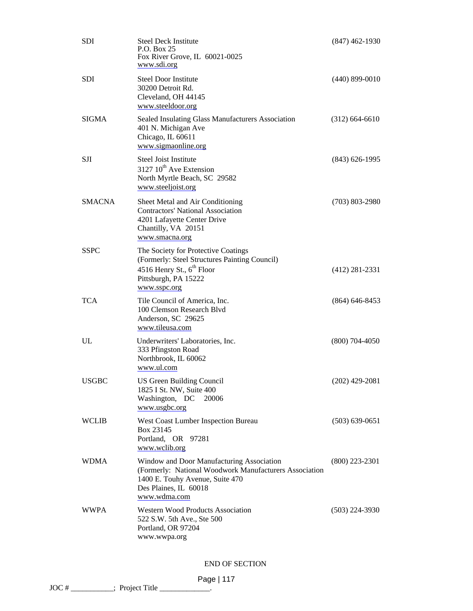| <b>SDI</b>    | <b>Steel Deck Institute</b><br>P.O. Box 25<br>Fox River Grove, IL 60021-0025<br>www.sdi.org                                                                                     | $(847)$ 462-1930   |
|---------------|---------------------------------------------------------------------------------------------------------------------------------------------------------------------------------|--------------------|
| <b>SDI</b>    | <b>Steel Door Institute</b><br>30200 Detroit Rd.<br>Cleveland, OH 44145<br>www.steeldoor.org                                                                                    | $(440)$ 899-0010   |
| <b>SIGMA</b>  | Sealed Insulating Glass Manufacturers Association<br>401 N. Michigan Ave<br>Chicago, IL 60611<br>www.sigmaonline.org                                                            | $(312) 664 - 6610$ |
| <b>SJI</b>    | Steel Joist Institute<br>3127 10 <sup>th</sup> Ave Extension<br>North Myrtle Beach, SC 29582<br>www.steeljoist.org                                                              | $(843)$ 626-1995   |
| <b>SMACNA</b> | Sheet Metal and Air Conditioning<br><b>Contractors' National Association</b><br>4201 Lafayette Center Drive<br>Chantilly, VA 20151<br>www.smacna.org                            | $(703)$ 803-2980   |
| <b>SSPC</b>   | The Society for Protective Coatings<br>(Formerly: Steel Structures Painting Council)<br>4516 Henry St., $6^{th}$ Floor<br>Pittsburgh, PA 15222<br>www.sspc.org                  | $(412)$ 281-2331   |
| <b>TCA</b>    | Tile Council of America, Inc.<br>100 Clemson Research Blvd<br>Anderson, SC 29625<br>www.tileusa.com                                                                             | $(864)$ 646-8453   |
| UL            | Underwriters' Laboratories, Inc.<br>333 Pfingston Road<br>Northbrook, IL 60062<br>www.ul.com                                                                                    | $(800)$ 704-4050   |
| <b>USGBC</b>  | US Green Building Council<br>1825 I St. NW, Suite 400<br>Washington, DC<br>20006<br>www.usgbc.org                                                                               | $(202)$ 429-2081   |
| <b>WCLIB</b>  | West Coast Lumber Inspection Bureau<br>Box 23145<br>Portland, OR 97281<br>www.wclib.org                                                                                         | $(503) 639 - 0651$ |
| <b>WDMA</b>   | Window and Door Manufacturing Association<br>(Formerly: National Woodwork Manufacturers Association<br>1400 E. Touhy Avenue, Suite 470<br>Des Plaines, IL 60018<br>www.wdma.com | $(800)$ 223-2301   |
| <b>WWPA</b>   | <b>Western Wood Products Association</b><br>522 S.W. 5th Ave., Ste 500<br>Portland, OR 97204<br>www.wwpa.org                                                                    | $(503)$ 224-3930   |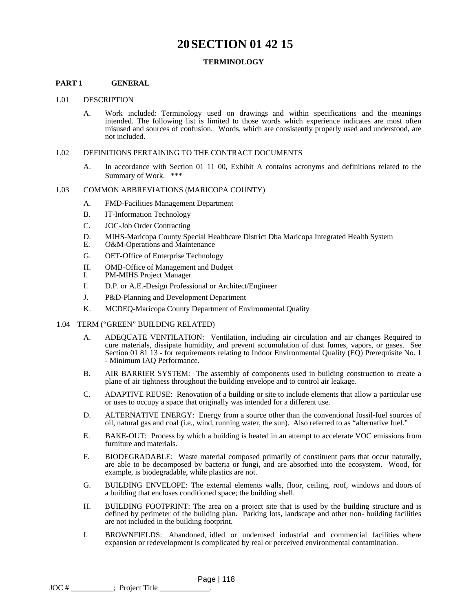# **20SECTION 01 42 15**

### **TERMINOLOGY**

### **PART 1 GENERAL**

#### 1.01 DESCRIPTION

A. Work included: Terminology used on drawings and within specifications and the meanings intended. The following list is limited to those words which experience indicates are most often misused and sources of confusion. Words, which are consistently properly used and understood, are not included.

#### 1.02 DEFINITIONS PERTAINING TO THE CONTRACT DOCUMENTS

A. In accordance with Section 01 11 00, Exhibit A contains acronyms and definitions related to the Summary of Work. \*\*\*

#### 1.03 COMMON ABBREVIATIONS (MARICOPA COUNTY)

- A. FMD-Facilities Management Department
- B. IT-Information Technology
- C. JOC-Job Order Contracting
- D. MIHS-Maricopa County Special Healthcare District Dba Maricopa Integrated Health System
- E. O&M-Operations and Maintenance
- G. OET-Office of Enterprise Technology
- H. OMB-Office of Management and Budget
- I. PM-MIHS Project Manager
- I. D.P. or A.E.-Design Professional or Architect/Engineer
- J. P&D-Planning and Development Department
- K. MCDEQ-Maricopa County Department of Environmental Quality
- 1.04 TERM ("GREEN" BUILDING RELATED)
	- A. ADEQUATE VENTILATION: Ventilation, including air circulation and air changes Required to cure materials, dissipate humidity, and prevent accumulation of dust fumes, vapors, or gases. See Section 01 81 13 - for requirements relating to Indoor Environmental Quality (EQ) Prerequisite No. 1 - Minimum IAQ Performance.
	- B. AIR BARRIER SYSTEM: The assembly of components used in building construction to create a plane of air tightness throughout the building envelope and to control air leakage.
	- C. ADAPTIVE REUSE: Renovation of a building or site to include elements that allow a particular use or uses to occupy a space that originally was intended for a different use.
	- D. ALTERNATIVE ENERGY: Energy from a source other than the conventional fossil-fuel sources of oil, natural gas and coal (i.e., wind, running water, the sun). Also referred to as "alternative fuel."
	- E. BAKE-OUT: Process by which a building is heated in an attempt to accelerate VOC emissions from furniture and materials.
	- F. BIODEGRADABLE: Waste material composed primarily of constituent parts that occur naturally, are able to be decomposed by bacteria or fungi, and are absorbed into the ecosystem. Wood, for example, is biodegradable, while plastics are not.
	- G. BUILDING ENVELOPE: The external elements walls, floor, ceiling, roof, windows and doors of a building that encloses conditioned space; the building shell.
	- H. BUILDING FOOTPRINT: The area on a project site that is used by the building structure and is defined by perimeter of the building plan. Parking lots, landscape and other non- building facilities are not included in the building footprint.
	- I. BROWNFIELDS: Abandoned, idled or underused industrial and commercial facilities where expansion or redevelopment is complicated by real or perceived environmental contamination.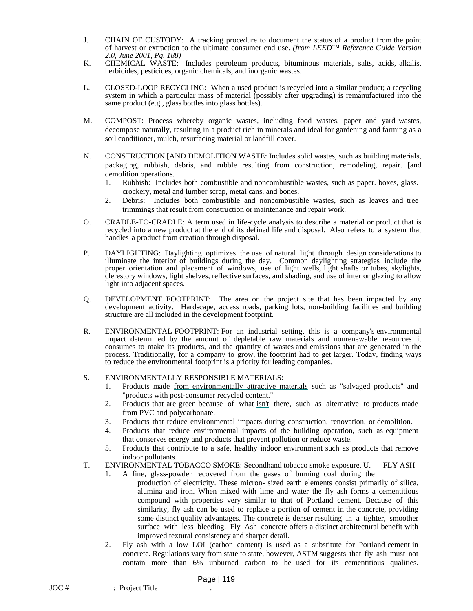- J. CHAIN OF CUSTODY: A tracking procedure to document the status of a product from the point of harvest or extraction to the ultimate consumer end use. *(from LEED™ Reference Guide Version 2.0, June 2001, Pg. 188)*
- K. CHEMICAL WASTE: Includes petroleum products, bituminous materials, salts, acids, alkalis, herbicides, pesticides, organic chemicals, and inorganic wastes.
- L. CLOSED-LOOP RECYCLING: When a used product is recycled into a similar product; a recycling system in which a particular mass of material (possibly after upgrading) is remanufactured into the same product (e.g., glass bottles into glass bottles).
- M. COMPOST: Process whereby organic wastes, including food wastes, paper and yard wastes, decompose naturally, resulting in a product rich in minerals and ideal for gardening and farming as a soil conditioner, mulch, resurfacing material or landfill cover.
- N. CONSTRUCTION [AND DEMOLITION WASTE: Includes solid wastes, such as building materials, packaging, rubbish, debris, and rubble resulting from construction, remodeling, repair. [and demolition operations.
	- 1. Rubbish: Includes both combustible and noncombustible wastes, such as paper. boxes, glass. crockery, metal and lumber scrap, metal cans. and bones.
	- 2. Debris: Includes both combustible and noncombustible wastes, such as leaves and tree trimmings that result from construction or maintenance and repair work.
- O. CRADLE-TO-CRADLE: A term used in life-cycle analysis to describe a material or product that is recycled into a new product at the end of its defined life and disposal. Also refers to a system that handles a product from creation through disposal.
- P. DAYLIGHTING: Daylighting optimizes the use of natural light through design considerations to illuminate the interior of buildings during the day. Common daylighting strategies include the proper orientation and placement of windows, use of light wells, light shafts or tubes, skylights, clerestory windows, light shelves, reflective surfaces, and shading, and use of interior glazing to allow light into adjacent spaces.
- Q. DEVELOPMENT FOOTPRINT: The area on the project site that has been impacted by any development activity. Hardscape, access roads, parking lots, non-building facilities and building structure are all included in the development footprint.
- R. ENVIRONMENTAL FOOTPRINT: For an industrial setting, this is a company's environmental impact determined by the amount of depletable raw materials and nonrenewable resources it consumes to make its products, and the quantity of wastes and emissions that are generated in the process. Traditionally, for a company to grow, the footprint had to get larger. Today, finding ways to reduce the environmental footprint is a priority for leading companies.

# S. ENVIRONMENTALLY RESPONSIBLE MATERIALS:

- 1. Products made from environmentally attractive materials such as "salvaged products" and "products with post-consumer recycled content."
- 2. Products that are green because of what isn't there, such as alternative to products made from PVC and polycarbonate.
- 3. Products that reduce environmental impacts during construction, renovation, or demolition.
- 4. Products that reduce environmental impacts of the building operation, such as equipment that conserves energy and products that prevent pollution or reduce waste.
- 5. Products that contribute to a safe, healthy indoor environment such as products that remove indoor pollutants.
- T. ENVIRONMENTAL TOBACCO SMOKE: Secondhand tobacco smoke exposure. U. FLY ASH
	- 1. A fine, glass-powder recovered from the gases of burning coal during the production of electricity. These micron- sized earth elements consist primarily of silica, alumina and iron. When mixed with lime and water the fly ash forms a cementitious compound with properties very similar to that of Portland cement. Because of this similarity, fly ash can be used to replace a portion of cement in the concrete, providing some distinct quality advantages. The concrete is denser resulting in a tighter, smoother surface with less bleeding. Fly Ash concrete offers a distinct architectural benefit with improved textural consistency and sharper detail.
	- 2. Fly ash with a low LOI (carbon content) is used as a substitute for Portland cement in concrete. Regulations vary from state to state, however, ASTM suggests that fly ash must not contain more than 6% unburned carbon to be used for its cementitious qualities.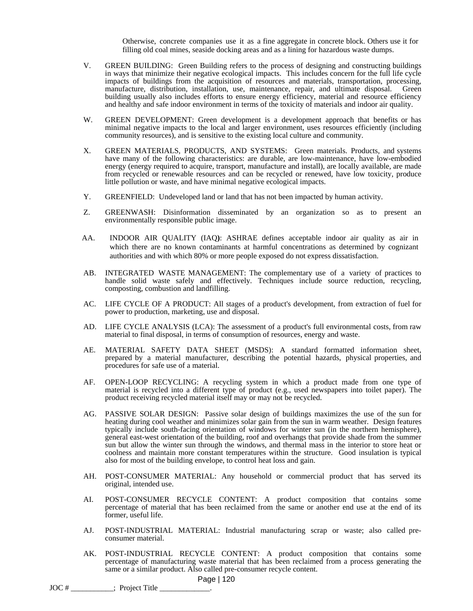Otherwise, concrete companies use it as a fine aggregate in concrete block. Others use it for filling old coal mines, seaside docking areas and as a lining for hazardous waste dumps.

- V. GREEN BUILDING: Green Building refers to the process of designing and constructing buildings in ways that minimize their negative ecological impacts. This includes concern for the full life cycle impacts of buildings from the acquisition of resources and materials, transportation, processing, manufacture, distribution, installation, use, maintenance, repair, and ultimate disposal. Green building usually also includes efforts to ensure energy efficiency, material and resource efficiency and healthy and safe indoor environment in terms of the toxicity of materials and indoor air quality.
- W. GREEN DEVELOPMENT: Green development is a development approach that benefits or has minimal negative impacts to the local and larger environment, uses resources efficiently (including community resources), and is sensitive to the existing local culture and community.
- X. GREEN MATERIALS, PRODUCTS, AND SYSTEMS: Green materials. Products, and systems have many of the following characteristics: are durable, are low-maintenance, have low-embodied energy (energy required to acquire, transport, manufacture and install), are locally available, are made from recycled or renewable resources and can be recycled or renewed, have low toxicity, produce little pollution or waste, and have minimal negative ecological impacts.
- Y. GREENFIELD: Undeveloped land or land that has not been impacted by human activity.
- Z. GREENWASH: Disinformation disseminated by an organization so as to present an environmentally responsible public image.
- AA. INDOOR AIR QUALITY (IAQ**)**: ASHRAE defines acceptable indoor air quality as air in which there are no known contaminants at harmful concentrations as determined by cognizant authorities and with which 80% or more people exposed do not express dissatisfaction.
- AB. INTEGRATED WASTE MANAGEMENT: The complementary use of a variety of practices to handle solid waste safely and effectively. Techniques include source reduction, recycling, composting, combustion and landfilling.
- AC. LIFE CYCLE OF A PRODUCT: All stages of a product's development, from extraction of fuel for power to production, marketing, use and disposal.
- AD. LIFE CYCLE ANALYSIS (LCA): The assessment of a product's full environmental costs, from raw material to final disposal, in terms of consumption of resources, energy and waste.
- AE. MATERIAL SAFETY DATA SHEET (MSDS): A standard formatted information sheet, prepared by a material manufacturer, describing the potential hazards, physical properties, and procedures for safe use of a material.
- AF. OPEN-LOOP RECYCLING: A recycling system in which a product made from one type of material is recycled into a different type of product (e.g., used newspapers into toilet paper). The product receiving recycled material itself may or may not be recycled.
- AG. PASSIVE SOLAR DESIGN: Passive solar design of buildings maximizes the use of the sun for heating during cool weather and minimizes solar gain from the sun in warm weather. Design features typically include south-facing orientation of windows for winter sun (in the northern hemisphere), general east-west orientation of the building, roof and overhangs that provide shade from the summer sun but allow the winter sun through the windows, and thermal mass in the interior to store heat or coolness and maintain more constant temperatures within the structure. Good insulation is typical also for most of the building envelope, to control heat loss and gain.
- AH. POST-CONSUMER MATERIAL: Any household or commercial product that has served its original, intended use.
- AI. POST-CONSUMER RECYCLE CONTENT: A product composition that contains some percentage of material that has been reclaimed from the same or another end use at the end of its former, useful life.
- AJ. POST-INDUSTRIAL MATERIAL: Industrial manufacturing scrap or waste; also called preconsumer material.
- AK. POST-INDUSTRIAL RECYCLE CONTENT: A product composition that contains some percentage of manufacturing waste material that has been reclaimed from a process generating the same or a similar product. Also called pre-consumer recycle content.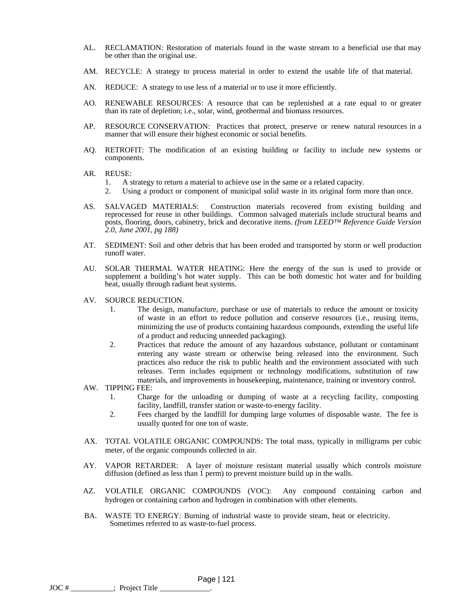- AL. RECLAMATION: Restoration of materials found in the waste stream to a beneficial use that may be other than the original use.
- AM. RECYCLE: A strategy to process material in order to extend the usable life of that material.
- AN. REDUCE: A strategy to use less of a material or to use it more efficiently.
- AO. RENEWABLE RESOURCES: A resource that can be replenished at a rate equal to or greater than its rate of depletion; i.e., solar, wind, geothermal and biomass resources.
- AP. RESOURCE CONSERVATION: Practices that protect, preserve or renew natural resources in a manner that will ensure their highest economic or social benefits.
- AQ. RETROFIT: The modification of an existing building or facility to include new systems or components.
- AR. REUSE:
	- 1. A strategy to return a material to achieve use in the same or a related capacity.
	- 2. Using a product or component of municipal solid waste in its original form more than once.
- AS. SALVAGED MATERIALS: Construction materials recovered from existing building and reprocessed for reuse in other buildings. Common salvaged materials include structural beams and posts, flooring, doors, cabinetry, brick and decorative items. *(from LEED™ Reference Guide Version 2.0, June 2001, pg 188)*
- AT. SEDIMENT: Soil and other debris that has been eroded and transported by storm or well production runoff water.
- AU. SOLAR THERMAL WATER HEATING: Here the energy of the sun is used to provide or supplement a building's hot water supply. This can be both domestic hot water and for building heat, usually through radiant heat systems.
- AV. SOURCE REDUCTION.
	- 1. The design, manufacture, purchase or use of materials to reduce the amount or toxicity of waste in an effort to reduce pollution and conserve resources (i.e., reusing items, minimizing the use of products containing hazardous compounds, extending the useful life of a product and reducing unneeded packaging).
	- 2. Practices that reduce the amount of any hazardous substance, pollutant or contaminant entering any waste stream or otherwise being released into the environment. Such practices also reduce the risk to public health and the environment associated with such releases. Term includes equipment or technology modifications, substitution of raw materials, and improvements in housekeeping, maintenance, training or inventory control.

AW. TIPPING FEE:

- 1. Charge for the unloading or dumping of waste at a recycling facility, composting facility, landfill, transfer station or waste-to-energy facility.
- 2. Fees charged by the landfill for dumping large volumes of disposable waste. The fee is usually quoted for one ton of waste.
- AX. TOTAL VOLATILE ORGANIC COMPOUNDS: The total mass, typically in milligrams per cubic meter, of the organic compounds collected in air.
- AY. VAPOR RETARDER: A layer of moisture resistant material usually which controls moisture diffusion (defined as less than 1 perm) to prevent moisture build up in the walls.
- AZ. VOLATILE ORGANIC COMPOUNDS (VOC): Any compound containing carbon and hydrogen or containing carbon and hydrogen in combination with other elements.
- BA. WASTE TO ENERGY: Burning of industrial waste to provide steam, heat or electricity. Sometimes referred to as waste-to-fuel process.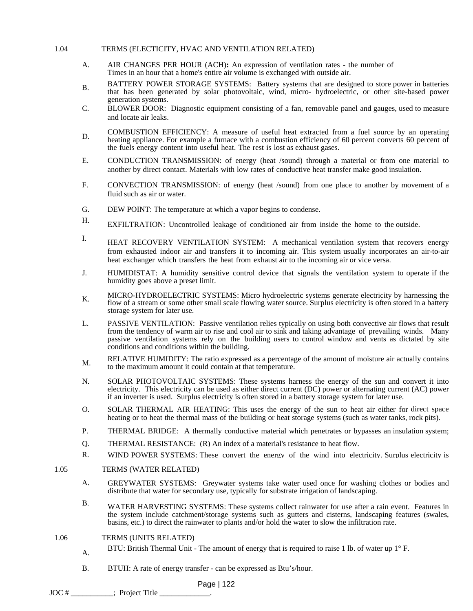#### 1.04 TERMS (ELECTICITY, HVAC AND VENTILATION RELATED)

- A. AIR CHANGES PER HOUR (ACH)**:** An expression of ventilation rates - the number of Times in an hour that a home's entire air volume is exchanged with outside air.
- B. BATTERY POWER STORAGE SYSTEMS: Battery systems that are designed to store power in batteries that has been generated by solar photovoltaic, wind, micro- hydroelectric, or other site-based power generation systems.
- C. BLOWER DOOR: Diagnostic equipment consisting of a fan, removable panel and gauges, used to measure and locate air leaks.
- D. COMBUSTION EFFICIENCY: A measure of useful heat extracted from a fuel source by an operating D. heating appliance. For example a furnace with a combustion efficiency of 60 percent converts 60 percent of the fuels energy content into useful heat. The rest is lost as exhaust gases.
- E. CONDUCTION TRANSMISSION: of energy (heat /sound) through a material or from one material to another by direct contact. Materials with low rates of conductive heat transfer make good insulation.
- F. CONVECTION TRANSMISSION: of energy (heat /sound) from one place to another by movement of a fluid such as air or water.
- G. DEW POINT: The temperature at which a vapor begins to condense.
- H. EXFILTRATION: Uncontrolled leakage of conditioned air from inside the home to the outside.
- I. HEAT RECOVERY VENTILATION SYSTEM: A mechanical ventilation system that recovers energy from exhausted indoor air and transfers it to incoming air. This system usually incorporates an air-to-air heat exchanger which transfers the heat from exhaust air to the incoming air or vice versa.
- J. HUMIDISTAT: A humidity sensitive control device that signals the ventilation system to operate if the humidity goes above a preset limit.
- K. MICRO-HYDROELECTRIC SYSTEMS: Micro hydroelectric systems generate electricity by harnessing the flow of a stream or some other small scale flowing water source. Surplus electricity is often stored in a battery storage system for later use.
- L. PASSIVE VENTILATION: Passive ventilation relies typically on using both convective air flows that result from the tendency of warm air to rise and cool air to sink and taking advantage of prevailing winds. Many passive ventilation systems rely on the building users to control window and vents as dictated by site conditions and conditions within the building.
- M. RELATIVE HUMIDITY: The ratio expressed as a percentage of the amount of moisture air actually contains to the maximum amount it could contain at that temperature.
- N. SOLAR PHOTOVOLTAIC SYSTEMS: These systems harness the energy of the sun and convert it into electricity. This electricity can be used as either direct current (DC) power or alternating current (AC) power if an inverter is used. Surplus electricity is often stored in a battery storage system for later use.
- O. SOLAR THERMAL AIR HEATING: This uses the energy of the sun to heat air either for direct space heating or to heat the thermal mass of the building or heat storage systems (such as water tanks, rock pits).
- P. THERMAL BRIDGE: A thermally conductive material which penetrates or bypasses an insulation system;
- Q. THERMAL RESISTANCE: (R) An index of a material's resistance to heat flow.
- R. WIND POWER SYSTEMS: These convert the energy of the wind into electricity. Surplus electricity is

#### 1.05 TERMS (WATER RELATED)

- A. GREYWATER SYSTEMS: Greywater systems take water used once for washing clothes or bodies and distribute that water for secondary use, typically for substrate irrigation of landscaping.
- B. WATER HARVESTING SYSTEMS: These systems collect rainwater for use after a rain event. Features in the system include catchment/storage systems such as gutters and cisterns, landscaping features (swales, basins, etc.) to direct the rainwater to plants and/or hold the water to slow the infiltration rate.
- 1.06 TERMS (UNITS RELATED)
	- A. BTU: British Thermal Unit The amount of energy that is required to raise 1 lb. of water up 1° F.
	- B. BTUH: A rate of energy transfer can be expressed as Btu's/hour.

 $JOC \#$  \_\_\_\_\_\_\_\_\_\_\_\_\_; Project Title \_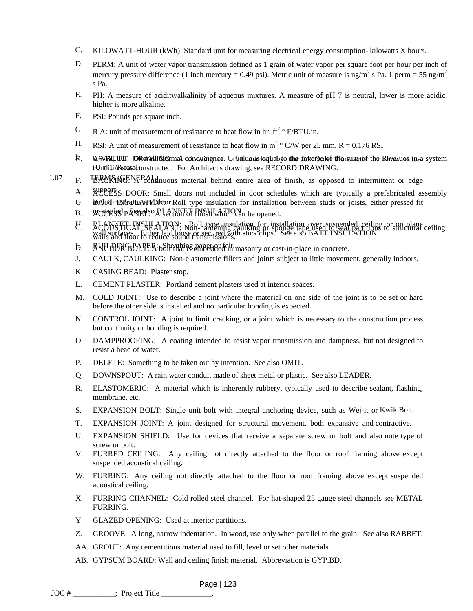- C. KILOWATT-HOUR (kWh): Standard unit for measuring electrical energy consumption- kilowatts X hours.
- D. PERM: A unit of water vapor transmission defined as 1 grain of water vapor per square foot per hour per inch of mercury pressure difference (1 inch mercury = 0.49 psi). Metric unit of measure is ng/m<sup>2</sup> s Pa. 1 perm = 55 ng/m<sup>2</sup> s Pa.
- E. PH: A measure of acidity/alkalinity of aqueous mixtures. A measure of pH 7 is neutral, lower is more acidic, higher is more alkaline.
- F. PSI: Pounds per square inch.
- G R A: unit of measurement of resistance to heat flow in hr.  $ft^2 \circ F/BTU.in.$
- H. RSI: A unit of measurement of resistance to heat flow in  $m^2 \circ C/W$  per 25 mm. R = 0.176 RSI
- E. MSVBUULT: DRexWING: mal conductance: Grintlumarkeduabyo the Inverse of the munatof the Rheaduescinal system comditions at abonstructed. For Architect's drawing, see RECORD DRAWING.
- 1.07 F. TERMS (GENERAL) nuous material behind entire area of finish, as opposed to intermittent or edge
	- A. ACCESS DOOR: Small doors not included in door schedules which are typically a prefabricated assembly
	- G. BATT INSULATION: ON THE insulation for installation between studs or joists, either pressed fit
	- B. ACCERSS PARTELS: ALANKET INSULATION be opened.
	- C. ACOUSTICAL SEALANT: Non-hardening caulking or sponge tape used to seal partitions to structural ceiling, wall suffaces. Entire flate loose of secured with walls and floor to reduce sound transmissions. H. BLANKET INSULATION: Roll type insulation for installation over suspended ceiling or on plane wall surfaces. Either laid loose or secured with stick clips. See also BATT INSULATION.
	- **D. RNUHUNG BALLER:** Sheathing paper of the masonry or cast-in-place in concrete.
	- J. CAULK, CAULKING: Non-elastomeric fillers and joints subject to little movement, generally indoors.
	- K. CASING BEAD: Plaster stop.
	- L. CEMENT PLASTER: Portland cement plasters used at interior spaces.
	- M. COLD JOINT: Use to describe a joint where the material on one side of the joint is to be set or hard before the other side is installed and no particular bonding is expected.
	- N. CONTROL JOINT: A joint to limit cracking, or a joint which is necessary to the construction process but continuity or bonding is required.
	- O. DAMPPROOFING: A coating intended to resist vapor transmission and dampness, but not designed to resist a head of water.
	- P. DELETE: Something to be taken out by intention. See also OMIT.
	- Q. DOWNSPOUT: A rain water conduit made of sheet metal or plastic. See also LEADER.
	- R. ELASTOMERIC: A material which is inherently rubbery, typically used to describe sealant, flashing, membrane, etc.
	- S. EXPANSION BOLT: Single unit bolt with integral anchoring device, such as Wej-it or Kwik Bolt.
	- T. EXPANSION JOINT: A joint designed for structural movement, both expansive and contractive.
	- U. EXPANSION SHIELD: Use for devices that receive a separate screw or bolt and also note type of screw or bolt.
	- V. FURRED CEILING: Any ceiling not directly attached to the floor or roof framing above except suspended acoustical ceiling.
	- W. FURRING: Any ceiling not directly attached to the floor or roof framing above except suspended acoustical ceiling.
	- X. FURRING CHANNEL: Cold rolled steel channel. For hat-shaped 25 gauge steel channels see METAL FURRING.
	- Y. GLAZED OPENING: Used at interior partitions.
	- Z. GROOVE: A long, narrow indentation. In wood, use only when parallel to the grain. See also RABBET.
	- AA. GROUT: Any cementitious material used to fill, level or set other materials.
	- AB. GYPSUM BOARD: Wall and ceiling finish material. Abbreviation is GYP.BD.

Page | 123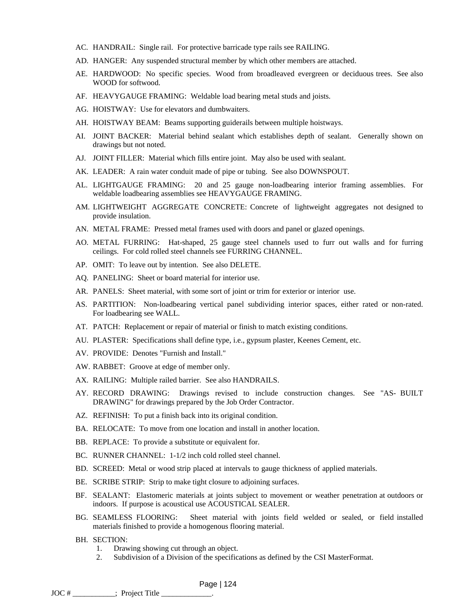- AC. HANDRAIL: Single rail. For protective barricade type rails see RAILING.
- AD. HANGER: Any suspended structural member by which other members are attached.
- AE. HARDWOOD: No specific species. Wood from broadleaved evergreen or deciduous trees. See also WOOD for softwood.
- AF. HEAVYGAUGE FRAMING: Weldable load bearing metal studs and joists.
- AG. HOISTWAY: Use for elevators and dumbwaiters.
- AH. HOISTWAY BEAM: Beams supporting guiderails between multiple hoistways.
- AI. JOINT BACKER: Material behind sealant which establishes depth of sealant. Generally shown on drawings but not noted.
- AJ. JOINT FILLER: Material which fills entire joint. May also be used with sealant.
- AK. LEADER: A rain water conduit made of pipe or tubing. See also DOWNSPOUT.
- AL. LIGHTGAUGE FRAMING: 20 and 25 gauge non-loadbearing interior framing assemblies. For weldable loadbearing assemblies see HEAVYGAUGE FRAMING.
- AM. LIGHTWEIGHT AGGREGATE CONCRETE: Concrete of lightweight aggregates not designed to provide insulation.
- AN. METAL FRAME: Pressed metal frames used with doors and panel or glazed openings.
- AO. METAL FURRING: Hat-shaped, 25 gauge steel channels used to furr out walls and for furring ceilings. For cold rolled steel channels see FURRING CHANNEL.
- AP. OMIT: To leave out by intention. See also DELETE.
- AQ. PANELING: Sheet or board material for interior use.
- AR. PANELS: Sheet material, with some sort of joint or trim for exterior or interior use.
- AS. PARTITION: Non-loadbearing vertical panel subdividing interior spaces, either rated or non-rated. For loadbearing see WALL.
- AT. PATCH: Replacement or repair of material or finish to match existing conditions.
- AU. PLASTER: Specifications shall define type, i.e., gypsum plaster, Keenes Cement, etc.
- AV. PROVIDE: Denotes "Furnish and Install."
- AW. RABBET: Groove at edge of member only.
- AX. RAILING: Multiple railed barrier. See also HANDRAILS.
- AY. RECORD DRAWING: Drawings revised to include construction changes. See "AS- BUILT DRAWING" for drawings prepared by the Job Order Contractor.
- AZ. REFINISH: To put a finish back into its original condition.
- BA. RELOCATE: To move from one location and install in another location.
- BB. REPLACE: To provide a substitute or equivalent for.
- BC. RUNNER CHANNEL: 1-1/2 inch cold rolled steel channel.
- BD. SCREED: Metal or wood strip placed at intervals to gauge thickness of applied materials.
- BE. SCRIBE STRIP: Strip to make tight closure to adjoining surfaces.
- BF. SEALANT: Elastomeric materials at joints subject to movement or weather penetration at outdoors or indoors. If purpose is acoustical use ACOUSTICAL SEALER.
- BG. SEAMLESS FLOORING: Sheet material with joints field welded or sealed, or field installed materials finished to provide a homogenous flooring material.
- BH. SECTION:
	- 1. Drawing showing cut through an object.
	- 2. Subdivision of a Division of the specifications as defined by the CSI MasterFormat.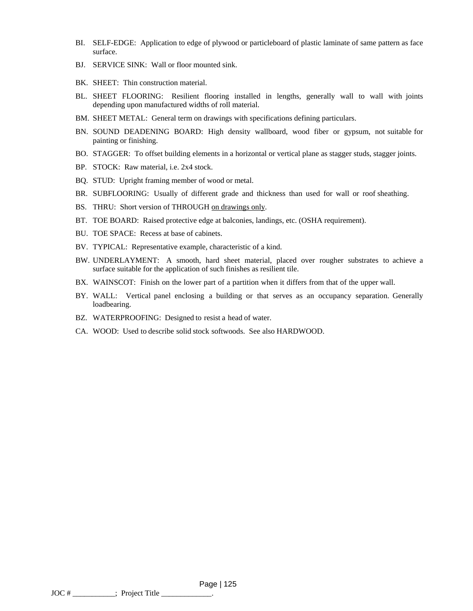- BI. SELF-EDGE: Application to edge of plywood or particleboard of plastic laminate of same pattern as face surface.
- BJ. SERVICE SINK: Wall or floor mounted sink.
- BK. SHEET: Thin construction material.
- BL. SHEET FLOORING: Resilient flooring installed in lengths, generally wall to wall with joints depending upon manufactured widths of roll material.
- BM. SHEET METAL: General term on drawings with specifications defining particulars.
- BN. SOUND DEADENING BOARD: High density wallboard, wood fiber or gypsum, not suitable for painting or finishing.
- BO. STAGGER: To offset building elements in a horizontal or vertical plane as stagger studs, stagger joints.
- BP. STOCK: Raw material, i.e. 2x4 stock.
- BQ. STUD: Upright framing member of wood or metal.
- BR. SUBFLOORING: Usually of different grade and thickness than used for wall or roof sheathing.
- BS. THRU: Short version of THROUGH on drawings only.
- BT. TOE BOARD: Raised protective edge at balconies, landings, etc. (OSHA requirement).
- BU. TOE SPACE: Recess at base of cabinets.
- BV. TYPICAL: Representative example, characteristic of a kind.
- BW. UNDERLAYMENT: A smooth, hard sheet material, placed over rougher substrates to achieve a surface suitable for the application of such finishes as resilient tile.
- BX. WAINSCOT: Finish on the lower part of a partition when it differs from that of the upper wall.
- BY. WALL: Vertical panel enclosing a building or that serves as an occupancy separation. Generally loadbearing.
- BZ. WATERPROOFING: Designed to resist a head of water.
- CA. WOOD: Used to describe solid stock softwoods. See also HARDWOOD.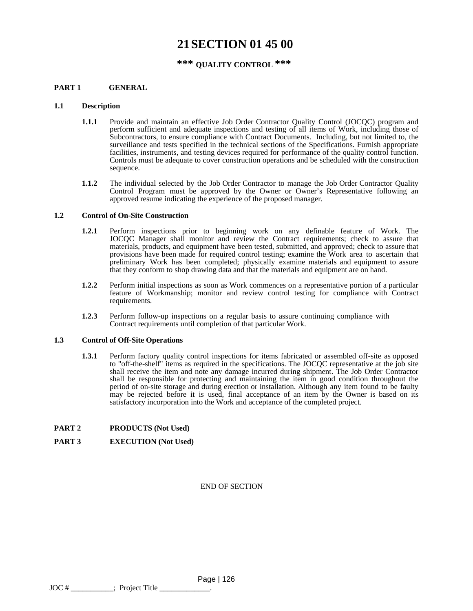# **21SECTION 01 45 00**

# **\*\*\* QUALITY CONTROL \*\*\***

### **PART 1 GENERAL**

#### **1.1 Description**

- **1.1.1** Provide and maintain an effective Job Order Contractor Quality Control (JOCQC) program and perform sufficient and adequate inspections and testing of all items of Work, including those of Subcontractors, to ensure compliance with Contract Documents. Including, but not limited to, the surveillance and tests specified in the technical sections of the Specifications. Furnish appropriate facilities, instruments, and testing devices required for performance of the quality control function. Controls must be adequate to cover construction operations and be scheduled with the construction sequence.
- **1.1.2** The individual selected by the Job Order Contractor to manage the Job Order Contractor Quality Control Program must be approved by the Owner or Owner's Representative following an approved resume indicating the experience of the proposed manager.

#### **1.2 Control of On-Site Construction**

- **1.2.1** Perform inspections prior to beginning work on any definable feature of Work. The JOCQC Manager shall monitor and review the Contract requirements; check to assure that materials, products, and equipment have been tested, submitted, and approved; check to assure that provisions have been made for required control testing; examine the Work area to ascertain that preliminary Work has been completed; physically examine materials and equipment to assure that they conform to shop drawing data and that the materials and equipment are on hand.
- **1.2.2** Perform initial inspections as soon as Work commences on a representative portion of a particular feature of Workmanship; monitor and review control testing for compliance with Contract requirements.
- **1.2.3** Perform follow-up inspections on a regular basis to assure continuing compliance with Contract requirements until completion of that particular Work.

#### **1.3 Control of Off-Site Operations**

**1.3.1** Perform factory quality control inspections for items fabricated or assembled off-site as opposed to "off-the-shelf" items as required in the specifications. The JOCQC representative at the job site shall receive the item and note any damage incurred during shipment. The Job Order Contractor shall be responsible for protecting and maintaining the item in good condition throughout the period of on-site storage and during erection or installation. Although any item found to be faulty may be rejected before it is used, final acceptance of an item by the Owner is based on its satisfactory incorporation into the Work and acceptance of the completed project.

#### **PART 2 PRODUCTS (Not Used)**

#### **PART 3 EXECUTION (Not Used)**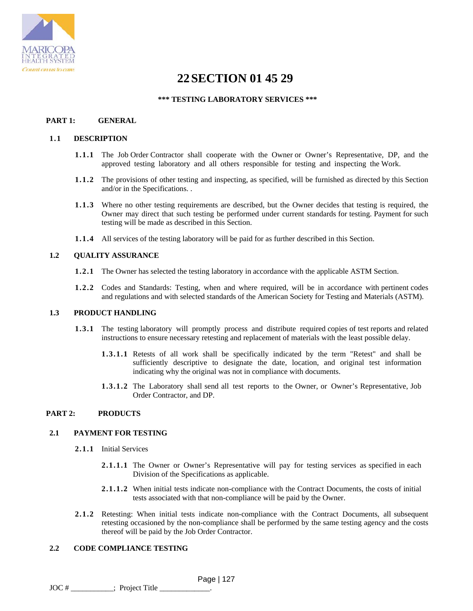

# **22SECTION 01 45 29**

# **\*\*\* TESTING LABORATORY SERVICES \*\*\***

# **PART 1: GENERAL**

#### **1.1 DESCRIPTION**

- **1.1.1** The Job Order Contractor shall cooperate with the Owner or Owner's Representative, DP, and the approved testing laboratory and all others responsible for testing and inspecting the Work.
- **1.1.2** The provisions of other testing and inspecting, as specified, will be furnished as directed by this Section and/or in the Specifications. .
- **1.1.3** Where no other testing requirements are described, but the Owner decides that testing is required, the Owner may direct that such testing be performed under current standards for testing. Payment for such testing will be made as described in this Section.
- **1.1.4** All services of the testing laboratory will be paid for as further described in this Section.

### **1.2 QUALITY ASSURANCE**

- **1.2.1** The Owner has selected the testing laboratory in accordance with the applicable ASTM Section.
- **1.2.2** Codes and Standards: Testing, when and where required, will be in accordance with pertinent codes and regulations and with selected standards of the American Society for Testing and Materials (ASTM).

# **1.3 PRODUCT HANDLING**

- **1.3.1** The testing laboratory will promptly process and distribute required copies of test reports and related instructions to ensure necessary retesting and replacement of materials with the least possible delay.
	- **1.3.1.1** Retests of all work shall be specifically indicated by the term "Retest" and shall be sufficiently descriptive to designate the date, location, and original test information indicating why the original was not in compliance with documents.
	- **1.3.1.2** The Laboratory shall send all test reports to the Owner, or Owner's Representative, Job Order Contractor, and DP.

# **PART 2: PRODUCTS**

### **2.1 PAYMENT FOR TESTING**

- **2.1.1** Initial Services
	- **2.1.1.1** The Owner or Owner's Representative will pay for testing services as specified in each Division of the Specifications as applicable.
	- **2.1.1.2** When initial tests indicate non-compliance with the Contract Documents, the costs of initial tests associated with that non-compliance will be paid by the Owner.
- **2.1.2** Retesting: When initial tests indicate non-compliance with the Contract Documents, all subsequent retesting occasioned by the non-compliance shall be performed by the same testing agency and the costs thereof will be paid by the Job Order Contractor.

# **2.2 CODE COMPLIANCE TESTING**

 Page | 127 JOC # \_\_\_\_\_\_\_\_\_\_\_; Project Title \_\_\_\_\_\_\_\_\_\_\_\_\_.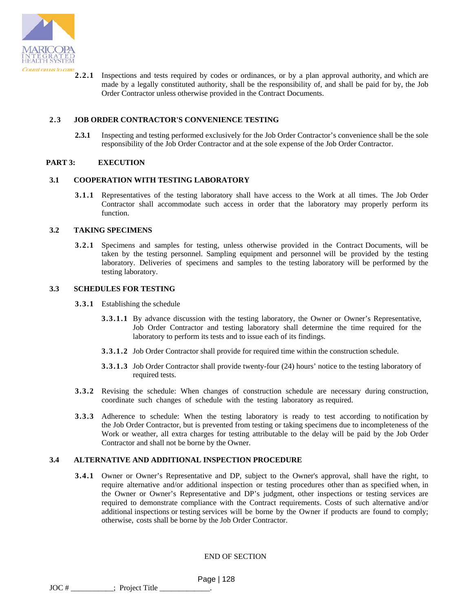

**2.2.1** Inspections and tests required by codes or ordinances, or by a plan approval authority, and which are made by a legally constituted authority, shall be the responsibility of, and shall be paid for by, the Job Order Contractor unless otherwise provided in the Contract Documents.

## **2.3 JOB ORDER CONTRACTOR'S CONVENIENCE TESTING**

**2.3.1** Inspecting and testing performed exclusively for the Job Order Contractor's convenience shall be the sole responsibility of the Job Order Contractor and at the sole expense of the Job Order Contractor.

#### **PART 3: EXECUTION**

#### **3.1 COOPERATION WITH TESTING LABORATORY**

**3.1.1** Representatives of the testing laboratory shall have access to the Work at all times. The Job Order Contractor shall accommodate such access in order that the laboratory may properly perform its function.

#### **3.2 TAKING SPECIMENS**

**3.2.1** Specimens and samples for testing, unless otherwise provided in the Contract Documents, will be taken by the testing personnel. Sampling equipment and personnel will be provided by the testing laboratory. Deliveries of specimens and samples to the testing laboratory will be performed by the testing laboratory.

#### **3.3 SCHEDULES FOR TESTING**

- **3.3.1** Establishing the schedule
	- **3.3.1.1** By advance discussion with the testing laboratory, the Owner or Owner's Representative, Job Order Contractor and testing laboratory shall determine the time required for the laboratory to perform its tests and to issue each of its findings.
	- **3.3.1.2** Job Order Contractor shall provide for required time within the construction schedule.
	- **3.3.1.3** Job Order Contractor shall provide twenty-four (24) hours' notice to the testing laboratory of required tests.
- **3.3.2** Revising the schedule: When changes of construction schedule are necessary during construction, coordinate such changes of schedule with the testing laboratory as required.
- **3.3.3** Adherence to schedule: When the testing laboratory is ready to test according to notification by the Job Order Contractor, but is prevented from testing or taking specimens due to incompleteness of the Work or weather, all extra charges for testing attributable to the delay will be paid by the Job Order Contractor and shall not be borne by the Owner.

#### **3.4 ALTERNATIVE AND ADDITIONAL INSPECTION PROCEDURE**

**3.4.1** Owner or Owner's Representative and DP, subject to the Owner's approval, shall have the right, to require alternative and/or additional inspection or testing procedures other than as specified when, in the Owner or Owner's Representative and DP's judgment, other inspections or testing services are required to demonstrate compliance with the Contract requirements. Costs of such alternative and/or additional inspections or testing services will be borne by the Owner if products are found to comply; otherwise, costs shall be borne by the Job Order Contractor.

END OF SECTION

 Page | 128  $\text{JOC}$  #  $\_\_\_\_\_\_\_\_\_\.\$  Project Title  $\_\_\_\_\$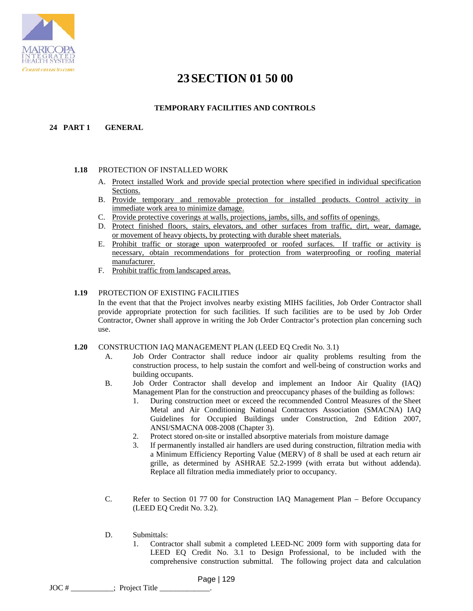

# **23SECTION 01 50 00**

# **TEMPORARY FACILITIES AND CONTROLS**

# **24 PART 1 GENERAL**

# **1.18** PROTECTION OF INSTALLED WORK

- A. Protect installed Work and provide special protection where specified in individual specification Sections.
- B. Provide temporary and removable protection for installed products. Control activity in immediate work area to minimize damage.
- C. Provide protective coverings at walls, projections, jambs, sills, and soffits of openings.
- D. Protect finished floors, stairs, elevators, and other surfaces from traffic, dirt, wear, damage, or movement of heavy objects, by protecting with durable sheet materials.
- E. Prohibit traffic or storage upon waterproofed or roofed surfaces. If traffic or activity is necessary, obtain recommendations for protection from waterproofing or roofing material manufacturer.
- F. Prohibit traffic from landscaped areas.

# **1.19** PROTECTION OF EXISTING FACILITIES

In the event that that the Project involves nearby existing MIHS facilities, Job Order Contractor shall provide appropriate protection for such facilities. If such facilities are to be used by Job Order Contractor, Owner shall approve in writing the Job Order Contractor's protection plan concerning such use.

#### **1.20** CONSTRUCTION IAQ MANAGEMENT PLAN (LEED EQ Credit No. 3.1)

- A. Job Order Contractor shall reduce indoor air quality problems resulting from the construction process, to help sustain the comfort and well-being of construction works and building occupants.
- B. Job Order Contractor shall develop and implement an Indoor Air Quality (IAQ) Management Plan for the construction and preoccupancy phases of the building as follows:
	- 1. During construction meet or exceed the recommended Control Measures of the Sheet Metal and Air Conditioning National Contractors Association (SMACNA) IAQ Guidelines for Occupied Buildings under Construction, 2nd Edition 2007, ANSI/SMACNA 008-2008 (Chapter 3).
	- 2. Protect stored on-site or installed absorptive materials from moisture damage
	- 3. If permanently installed air handlers are used during construction, filtration media with a Minimum Efficiency Reporting Value (MERV) of 8 shall be used at each return air grille, as determined by ASHRAE 52.2-1999 (with errata but without addenda). Replace all filtration media immediately prior to occupancy.
- C. Refer to Section 01 77 00 for Construction IAQ Management Plan Before Occupancy (LEED EQ Credit No. 3.2).
- D. Submittals:
	- 1. Contractor shall submit a completed LEED-NC 2009 form with supporting data for LEED EQ Credit No. 3.1 to Design Professional, to be included with the comprehensive construction submittal. The following project data and calculation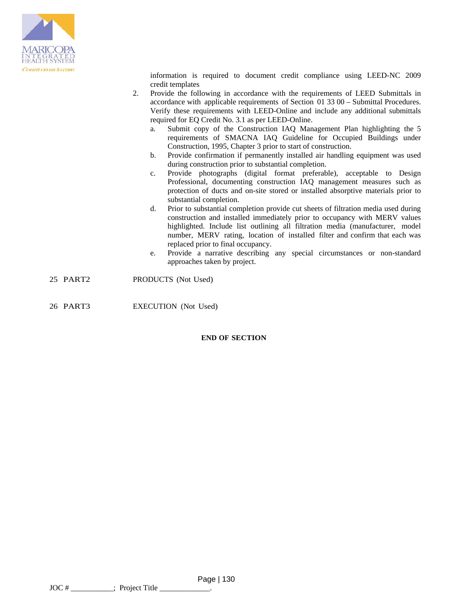

information is required to document credit compliance using LEED-NC 2009 credit templates

- 2. Provide the following in accordance with the requirements of LEED Submittals in accordance with applicable requirements of Section 01 33 00 – Submittal Procedures. Verify these requirements with LEED-Online and include any additional submittals required for EQ Credit No. 3.1 as per LEED-Online.
	- a. Submit copy of the Construction IAQ Management Plan highlighting the 5 requirements of SMACNA IAQ Guideline for Occupied Buildings under Construction, 1995, Chapter 3 prior to start of construction.
	- b. Provide confirmation if permanently installed air handling equipment was used during construction prior to substantial completion.
	- c. Provide photographs (digital format preferable), acceptable to Design Professional, documenting construction IAQ management measures such as protection of ducts and on-site stored or installed absorptive materials prior to substantial completion.
	- d. Prior to substantial completion provide cut sheets of filtration media used during construction and installed immediately prior to occupancy with MERV values highlighted. Include list outlining all filtration media (manufacturer, model number, MERV rating, location of installed filter and confirm that each was replaced prior to final occupancy.
	- e. Provide a narrative describing any special circumstances or non-standard approaches taken by project.
- 25 PART2 PRODUCTS (Not Used)
- 26 PART3 EXECUTION (Not Used)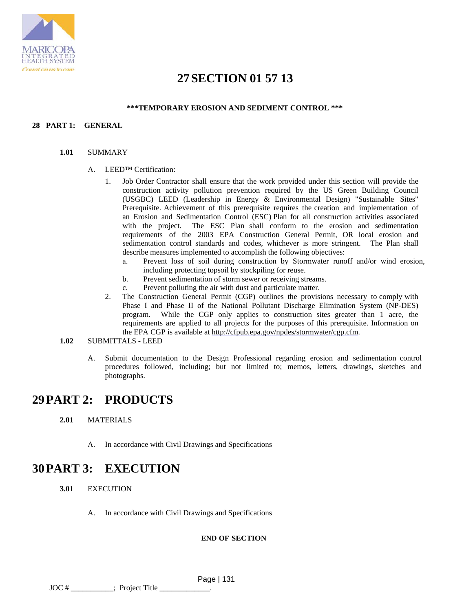

# **27SECTION 01 57 13**

# **\*\*\*TEMPORARY EROSION AND SEDIMENT CONTROL \*\*\***

# **28 PART 1: GENERAL**

#### **1.01** SUMMARY

### A. LEED™ Certification:

- 1. Job Order Contractor shall ensure that the work provided under this section will provide the construction activity pollution prevention required by the US Green Building Council (USGBC) LEED (Leadership in Energy & Environmental Design) "Sustainable Sites" Prerequisite. Achievement of this prerequisite requires the creation and implementation of an Erosion and Sedimentation Control (ESC) Plan for all construction activities associated with the project. The ESC Plan shall conform to the erosion and sedimentation requirements of the 2003 EPA Construction General Permit, OR local erosion and sedimentation control standards and codes, whichever is more stringent. The Plan shall describe measures implemented to accomplish the following objectives:
	- a. Prevent loss of soil during construction by Stormwater runoff and/or wind erosion, including protecting topsoil by stockpiling for reuse.
	- b. Prevent sedimentation of storm sewer or receiving streams.
	- c. Prevent polluting the air with dust and particulate matter.
- 2. The Construction General Permit (CGP) outlines the provisions necessary to comply with Phase I and Phase II of the National Pollutant Discharge Elimination System (NP-DES) program. While the CGP only applies to construction sites greater than 1 acre, the While the CGP only applies to construction sites greater than 1 acre, the requirements are applied to all projects for the purposes of this prerequisite. Information on the EPA CGP is available at http://cfpub.epa.gov/npdes/stormwater/cgp.cfm.

# **1.02** SUBMITTALS - LEED

A. Submit documentation to the Design Professional regarding erosion and sedimentation control procedures followed, including; but not limited to; memos, letters, drawings, sketches and photographs.

# **29PART 2: PRODUCTS**

- **2.01** MATERIALS
	- A. In accordance with Civil Drawings and Specifications

# **30PART 3: EXECUTION**

- **3.01** EXECUTION
	- A. In accordance with Civil Drawings and Specifications

# **END OF SECTION**

 Page | 131 JOC # \_\_\_\_\_\_\_\_\_\_\_; Project Title \_\_\_\_\_\_\_\_\_\_\_\_\_.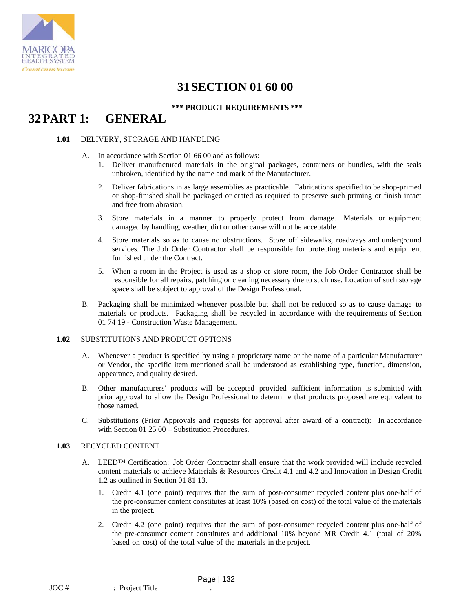

# **31SECTION 01 60 00**

**\*\*\* PRODUCT REQUIREMENTS \*\*\***

# **32PART 1: GENERAL**

### **1.01** DELIVERY, STORAGE AND HANDLING

- A. In accordance with Section 01 66 00 and as follows:
	- 1. Deliver manufactured materials in the original packages, containers or bundles, with the seals unbroken, identified by the name and mark of the Manufacturer.
	- 2. Deliver fabrications in as large assemblies as practicable. Fabrications specified to be shop-primed or shop-finished shall be packaged or crated as required to preserve such priming or finish intact and free from abrasion.
	- 3. Store materials in a manner to properly protect from damage. Materials or equipment damaged by handling, weather, dirt or other cause will not be acceptable.
	- 4. Store materials so as to cause no obstructions. Store off sidewalks, roadways and underground services. The Job Order Contractor shall be responsible for protecting materials and equipment furnished under the Contract.
	- 5. When a room in the Project is used as a shop or store room, the Job Order Contractor shall be responsible for all repairs, patching or cleaning necessary due to such use. Location of such storage space shall be subject to approval of the Design Professional.
- B. Packaging shall be minimized whenever possible but shall not be reduced so as to cause damage to materials or products. Packaging shall be recycled in accordance with the requirements of Section 01 74 19 - Construction Waste Management.

# **1.02** SUBSTITUTIONS AND PRODUCT OPTIONS

- A. Whenever a product is specified by using a proprietary name or the name of a particular Manufacturer or Vendor, the specific item mentioned shall be understood as establishing type, function, dimension, appearance, and quality desired.
- B. Other manufacturers' products will be accepted provided sufficient information is submitted with prior approval to allow the Design Professional to determine that products proposed are equivalent to those named.
- C. Substitutions (Prior Approvals and requests for approval after award of a contract): In accordance with Section 01 25 00 – Substitution Procedures.

# **1.03** RECYCLED CONTENT

- A. LEED<sup>™</sup> Certification: Job Order Contractor shall ensure that the work provided will include recycled content materials to achieve Materials & Resources Credit 4.1 and 4.2 and Innovation in Design Credit 1.2 as outlined in Section 01 81 13.
	- 1. Credit 4.1 (one point) requires that the sum of post-consumer recycled content plus one-half of the pre-consumer content constitutes at least 10% (based on cost) of the total value of the materials in the project.
	- 2. Credit 4.2 (one point) requires that the sum of post-consumer recycled content plus one-half of the pre-consumer content constitutes and additional 10% beyond MR Credit 4.1 (total of 20% based on cost) of the total value of the materials in the project.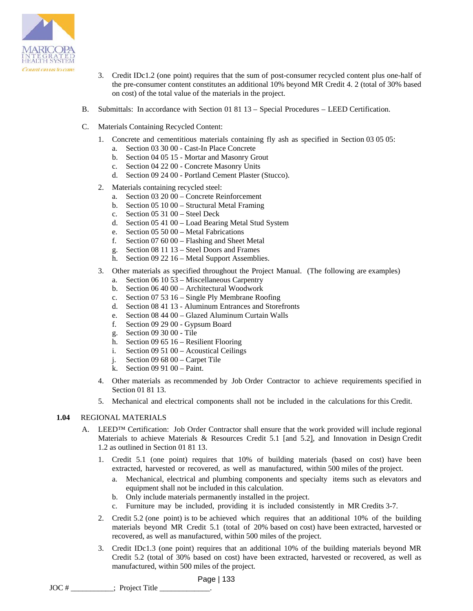

- 3. Credit IDc1.2 (one point) requires that the sum of post-consumer recycled content plus one-half of the pre-consumer content constitutes an additional 10% beyond MR Credit 4. 2 (total of 30% based on cost) of the total value of the materials in the project.
- B. Submittals: In accordance with Section 01 81 13 Special Procedures LEED Certification.
- C. Materials Containing Recycled Content:
	- 1. Concrete and cementitious materials containing fly ash as specified in Section 03 05 05: a. Section 03 30 00 - Cast-In Place Concrete
		- b. Section 04 05 15 Mortar and Masonry Grout
		- c. Section 04 22 00 Concrete Masonry Units
		- d. Section 09 24 00 Portland Cement Plaster (Stucco).
	- 2. Materials containing recycled steel:
		- a. Section 03 20 00 Concrete Reinforcement
		- b. Section 05 10 00 Structural Metal Framing
		- c. Section 05 31 00 Steel Deck
		- d. Section 05 41 00 Load Bearing Metal Stud System
		- e. Section 05 50 00 Metal Fabrications
		- f. Section 07 60 00 Flashing and Sheet Metal
		- g. Section 08 11 13 Steel Doors and Frames
		- h. Section 09 22 16 Metal Support Assemblies.
	- 3. Other materials as specified throughout the Project Manual. (The following are examples)
		- a. Section 06 10 53 Miscellaneous Carpentry
		- b. Section 06 40 00 Architectural Woodwork
		- c. Section 07 53 16 Single Ply Membrane Roofing
		- d. Section 08 41 13 Aluminum Entrances and Storefronts
		- e. Section 08 44 00 Glazed Aluminum Curtain Walls
		- f. Section 09 29 00 Gypsum Board
		- g. Section 09 30 00 Tile
		- h. Section 09 65 16 Resilient Flooring
		- i. Section 09 51 00 Acoustical Ceilings
		- j. Section 09 68 00 Carpet Tile
		- k. Section 09 91 00 Paint.
	- 4. Other materials as recommended by Job Order Contractor to achieve requirements specified in Section 01 81 13.
	- 5. Mechanical and electrical components shall not be included in the calculations for this Credit.

# **1.04** REGIONAL MATERIALS

- A. LEED<sup>™</sup> Certification: Job Order Contractor shall ensure that the work provided will include regional Materials to achieve Materials & Resources Credit 5.1 [and 5.2], and Innovation in Design Credit 1.2 as outlined in Section 01 81 13.
	- 1. Credit 5.1 (one point) requires that 10% of building materials (based on cost) have been extracted, harvested or recovered, as well as manufactured, within 500 miles of the project.
		- a. Mechanical, electrical and plumbing components and specialty items such as elevators and equipment shall not be included in this calculation.
		- b. Only include materials permanently installed in the project.
		- c. Furniture may be included, providing it is included consistently in MR Credits 3-7.
	- 2. Credit 5.2 (one point) is to be achieved which requires that an additional 10% of the building materials beyond MR Credit 5.1 (total of 20% based on cost) have been extracted, harvested or recovered, as well as manufactured*,* within 500 miles of the project.
	- 3. Credit IDc1.3 (one point) requires that an additional 10% of the building materials beyond MR Credit 5.2 (total of 30% based on cost) have been extracted, harvested or recovered, as well as manufactured, within 500 miles of the project.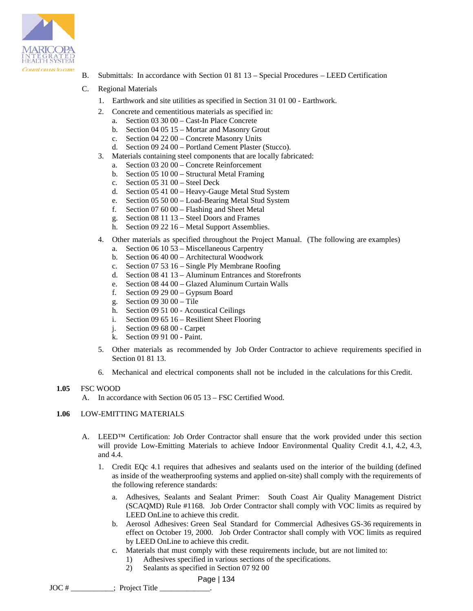

- B. Submittals: In accordance with Section 01 81 13 Special Procedures LEED Certification
- C. Regional Materials
	- 1. Earthwork and site utilities as specified in Section 31 01 00 Earthwork.
	- 2. Concrete and cementitious materials as specified in:
		- a. Section 03 30 00 Cast-In Place Concrete
		- b. Section 04 05 15 Mortar and Masonry Grout
		- c. Section 04 22 00 Concrete Masonry Units
		- d. Section 09 24 00 Portland Cement Plaster (Stucco).
	- 3. Materials containing steel components that are locally fabricated:
		- a. Section 03 20 00 Concrete Reinforcement
		- b. Section 05 10 00 Structural Metal Framing
		- c. Section 05 31 00 Steel Deck
		- d. Section 05 41 00 Heavy-Gauge Metal Stud System
		- e. Section 05 50 00 Load-Bearing Metal Stud System
		- f. Section 07 60 00 Flashing and Sheet Metal
		- g. Section 08 11 13 Steel Doors and Frames
		- h. Section 09 22 16 Metal Support Assemblies.
	- 4. Other materials as specified throughout the Project Manual. (The following are examples)
		- a. Section 06 10 53 Miscellaneous Carpentry
		- b. Section 06 40 00 Architectural Woodwork
		- c. Section 07 53 16 Single Ply Membrane Roofing
		- d. Section 08 41 13 Aluminum Entrances and Storefronts
		- e. Section 08 44 00 Glazed Aluminum Curtain Walls<br>f. Section 09 29 00 Gypsum Board
		- Section 09 29 00 Gypsum Board
		- g. Section 09 30 00 Tile
		- h. Section 09 51 00 Acoustical Ceilings
		- i. Section 09 65 16 Resilient Sheet Flooring
		- j. Section 09 68 00 Carpet
		- k. Section 09 91 00 Paint.
	- 5. Other materials as recommended by Job Order Contractor to achieve requirements specified in Section 01 81 13.
	- 6. Mechanical and electrical components shall not be included in the calculations for this Credit.

#### **1.05** FSC WOOD

A. In accordance with Section 06 05 13 – FSC Certified Wood.

# **1.06** LOW-EMITTING MATERIALS

- A. LEED<sup>TM</sup> Certification: Job Order Contractor shall ensure that the work provided under this section will provide Low-Emitting Materials to achieve Indoor Environmental Quality Credit 4.1, 4.2, 4.3, and 4.4.
	- 1. Credit EQc 4.1 requires that adhesives and sealants used on the interior of the building (defined as inside of the weatherproofing systems and applied on-site) shall comply with the requirements of the following reference standards:
		- a. Adhesives, Sealants and Sealant Primer: South Coast Air Quality Management District (SCAQMD) Rule #1168. Job Order Contractor shall comply with VOC limits as required by LEED OnLine to achieve this credit.
		- b. Aerosol Adhesives: Green Seal Standard for Commercial Adhesives GS-36 requirements in effect on October 19, 2000. Job Order Contractor shall comply with VOC limits as required by LEED OnLine to achieve this credit.
		- c. Materials that must comply with these requirements include, but are not limited to:
			- 1) Adhesives specified in various sections of the specifications.
			- 2) Sealants as specified in Section 07 92 00
				- Page | 134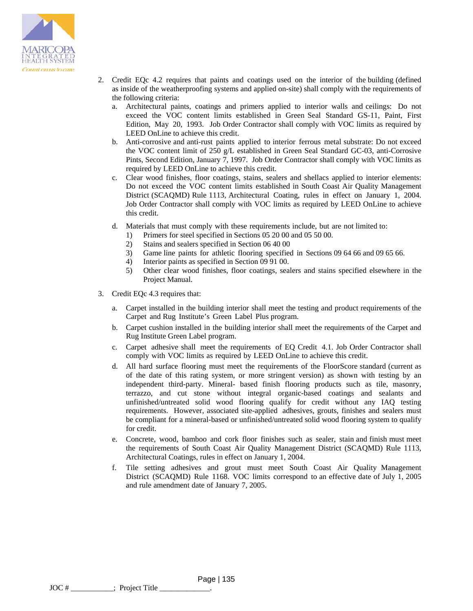

- 2. Credit EQc 4.2 requires that paints and coatings used on the interior of the building (defined as inside of the weatherproofing systems and applied on-site) shall comply with the requirements of the following criteria:
	- a. Architectural paints, coatings and primers applied to interior walls and ceilings: Do not exceed the VOC content limits established in Green Seal Standard GS-11, Paint, First Edition, May 20, 1993. Job Order Contractor shall comply with VOC limits as required by LEED OnLine to achieve this credit.
	- b. Anti-corrosive and anti-rust paints applied to interior ferrous metal substrate: Do not exceed the VOC content limit of 250 g/L established in Green Seal Standard GC-03, anti-Corrosive Pints, Second Edition, January 7, 1997. Job Order Contractor shall comply with VOC limits as required by LEED OnLine to achieve this credit.
	- c. Clear wood finishes, floor coatings, stains, sealers and shellacs applied to interior elements: Do not exceed the VOC content limits established in South Coast Air Quality Management District (SCAQMD) Rule 1113, Architectural Coating, rules in effect on January 1, 2004. Job Order Contractor shall comply with VOC limits as required by LEED OnLine to achieve this credit.
	- d. Materials that must comply with these requirements include, but are not limited to:
		- 1) Primers for steel specified in Sections 05 20 00 and 05 50 00.
		- 2) Stains and sealers specified in Section 06 40 00
		- 3) Game line paints for athletic flooring specified in Sections 09 64 66 and 09 65 66.
		- 4) Interior paints as specified in Section 09 91 00.
		- 5) Other clear wood finishes, floor coatings, sealers and stains specified elsewhere in the Project Manual.
- 3. Credit EQc 4.3 requires that:
	- a. Carpet installed in the building interior shall meet the testing and product requirements of the Carpet and Rug Institute's Green Label Plus program.
	- b. Carpet cushion installed in the building interior shall meet the requirements of the Carpet and Rug Institute Green Label program.
	- c. Carpet adhesive shall meet the requirements of EQ Credit 4.1. Job Order Contractor shall comply with VOC limits as required by LEED OnLine to achieve this credit.
	- d. All hard surface flooring must meet the requirements of the FloorScore standard (current as of the date of this rating system, or more stringent version) as shown with testing by an independent third-party. Mineral- based finish flooring products such as tile, masonry, terrazzo, and cut stone without integral organic-based coatings and sealants and unfinished/untreated solid wood flooring qualify for credit without any IAQ testing requirements. However, associated site-applied adhesives, grouts, finishes and sealers must be compliant for a mineral-based or unfinished/untreated solid wood flooring system to qualify for credit.
	- e. Concrete, wood, bamboo and cork floor finishes such as sealer, stain and finish must meet the requirements of South Coast Air Quality Management District (SCAQMD) Rule 1113, Architectural Coatings, rules in effect on January 1, 2004.
	- f. Tile setting adhesives and grout must meet South Coast Air Quality Management District (SCAQMD) Rule 1168. VOC limits correspond to an effective date of July 1, 2005 and rule amendment date of January 7, 2005.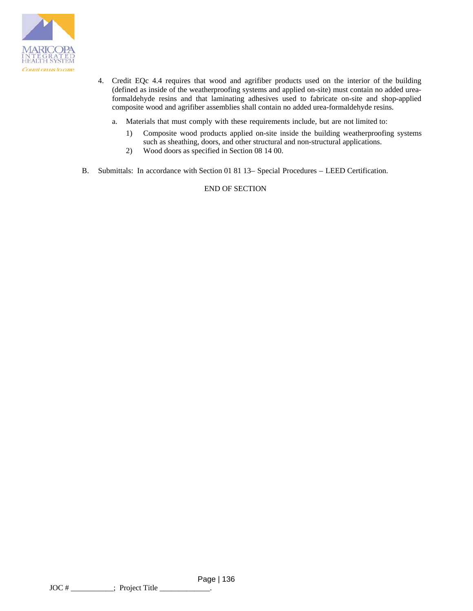

- 4. Credit EQc 4.4 requires that wood and agrifiber products used on the interior of the building (defined as inside of the weatherproofing systems and applied on-site) must contain no added ureaformaldehyde resins and that laminating adhesives used to fabricate on-site and shop-applied composite wood and agrifiber assemblies shall contain no added urea-formaldehyde resins.
	- a. Materials that must comply with these requirements include, but are not limited to:
		- 1) Composite wood products applied on-site inside the building weatherproofing systems such as sheathing, doors, and other structural and non-structural applications.
		- 2) Wood doors as specified in Section 08 14 00.
- B. Submittals: In accordance with Section 01 81 13– Special Procedures LEED Certification.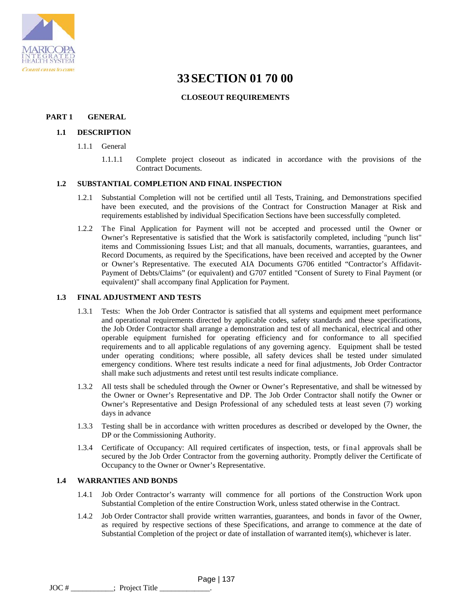

# **33SECTION 01 70 00**

# **CLOSEOUT REQUIREMENTS**

# **PART 1 GENERAL**

# **1.1 DESCRIPTION**

- 1.1.1 General
	- 1.1.1.1 Complete project closeout as indicated in accordance with the provisions of the Contract Documents.

# **1.2 SUBSTANTIAL COMPLETION AND FINAL INSPECTION**

- 1.2.1 Substantial Completion will not be certified until all Tests, Training, and Demonstrations specified have been executed, and the provisions of the Contract for Construction Manager at Risk and requirements established by individual Specification Sections have been successfully completed.
- 1.2.2 The Final Application for Payment will not be accepted and processed until the Owner or Owner's Representative is satisfied that the Work is satisfactorily completed, including "punch list" items and Commissioning Issues List; and that all manuals, documents, warranties, guarantees, and Record Documents, as required by the Specifications, have been received and accepted by the Owner or Owner's Representative. The executed AIA Documents G706 entitled "Contractor's Affidavit-Payment of Debts/Claims" (or equivalent) and G707 entitled "Consent of Surety to Final Payment (or equivalent)" shall accompany final Application for Payment.

# **1.3 FINAL ADJUSTMENT AND TESTS**

- 1.3.1 Tests: When the Job Order Contractor is satisfied that all systems and equipment meet performance and operational requirements directed by applicable codes, safety standards and these specifications, the Job Order Contractor shall arrange a demonstration and test of all mechanical, electrical and other operable equipment furnished for operating efficiency and for conformance to all specified requirements and to all applicable regulations of any governing agency. Equipment shall be tested under operating conditions; where possible, all safety devices shall be tested under simulated emergency conditions. Where test results indicate a need for final adjustments, Job Order Contractor shall make such adjustments and retest until test results indicate compliance.
- 1.3.2 All tests shall be scheduled through the Owner or Owner's Representative, and shall be witnessed by the Owner or Owner's Representative and DP. The Job Order Contractor shall notify the Owner or Owner's Representative and Design Professional of any scheduled tests at least seven (7) working days in advance
- 1.3.3 Testing shall be in accordance with written procedures as described or developed by the Owner, the DP or the Commissioning Authority.
- 1.3.4 Certificate of Occupancy: All required certificates of inspection, tests, or final approvals shall be secured by the Job Order Contractor from the governing authority. Promptly deliver the Certificate of Occupancy to the Owner or Owner's Representative.

### **1.4 WARRANTIES AND BONDS**

- 1.4.1 Job Order Contractor's warranty will commence for all portions of the Construction Work upon Substantial Completion of the entire Construction Work, unless stated otherwise in the Contract.
- 1.4.2 Job Order Contractor shall provide written warranties, guarantees, and bonds in favor of the Owner, as required by respective sections of these Specifications, and arrange to commence at the date of Substantial Completion of the project or date of installation of warranted item(s), whichever is later.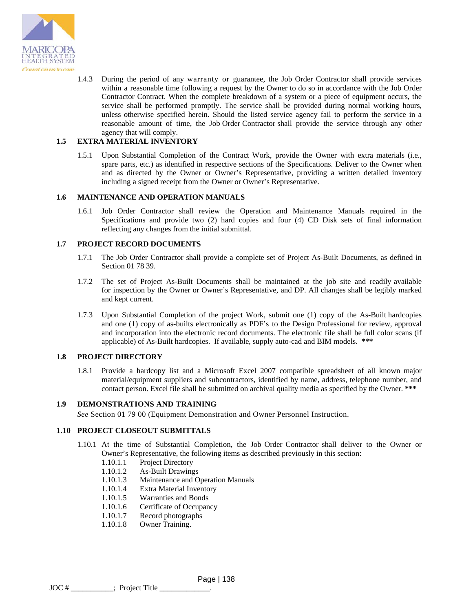

1.4.3 During the period of any warranty or guarantee, the Job Order Contractor shall provide services within a reasonable time following a request by the Owner to do so in accordance with the Job Order Contractor Contract. When the complete breakdown of a system or a piece of equipment occurs, the service shall be performed promptly. The service shall be provided during normal working hours, unless otherwise specified herein. Should the listed service agency fail to perform the service in a reasonable amount of time, the Job Order Contractor shall provide the service through any other agency that will comply.

# **1.5 EXTRA MATERIAL INVENTORY**

1.5.1 Upon Substantial Completion of the Contract Work, provide the Owner with extra materials (i.e., spare parts, etc.) as identified in respective sections of the Specifications. Deliver to the Owner when and as directed by the Owner or Owner's Representative, providing a written detailed inventory including a signed receipt from the Owner or Owner's Representative.

### **1.6 MAINTENANCE AND OPERATION MANUALS**

1.6.1 Job Order Contractor shall review the Operation and Maintenance Manuals required in the Specifications and provide two (2) hard copies and four (4) CD Disk sets of final information reflecting any changes from the initial submittal.

### **1.7 PROJECT RECORD DOCUMENTS**

- 1.7.1 The Job Order Contractor shall provide a complete set of Project As-Built Documents, as defined in Section 01 78 39.
- 1.7.2 The set of Project As-Built Documents shall be maintained at the job site and readily available for inspection by the Owner or Owner's Representative, and DP. All changes shall be legibly marked and kept current.
- 1.7.3 Upon Substantial Completion of the project Work, submit one (1) copy of the As-Built hardcopies and one (1) copy of as-builts electronically as PDF's to the Design Professional for review, approval and incorporation into the electronic record documents. The electronic file shall be full color scans (if applicable) of As-Built hardcopies. If available, supply auto-cad and BIM models. **\*\*\***

### **1.8 PROJECT DIRECTORY**

1.8.1 Provide a hardcopy list and a Microsoft Excel 2007 compatible spreadsheet of all known major material/equipment suppliers and subcontractors, identified by name, address, telephone number, and contact person. Excel file shall be submitted on archival quality media as specified by the Owner. **\*\*\***

### **1.9 DEMONSTRATIONS AND TRAINING**

*See* Section 01 79 00 (Equipment Demonstration and Owner Personnel Instruction.

# **1.10 PROJECT CLOSEOUT SUBMITTALS**

- 1.10.1 At the time of Substantial Completion, the Job Order Contractor shall deliver to the Owner or Owner's Representative, the following items as described previously in this section:
	- 1.10.1.1 Project Directory
	- 1.10.1.2 As-Built Drawings
	- 1.10.1.3 Maintenance and Operation Manuals
	- 1.10.1.4 Extra Material Inventory
	- 1.10.1.5 Warranties and Bonds
	- 1.10.1.6 Certificate of Occupancy
	- 1.10.1.7 Record photographs
	- 1.10.1.8 Owner Training.

 Page | 138  $\text{JOC}$  #  $\_\_\_\_\_\_\_\_\_\_\_\_\,\$  Project Title  $\_\_\_\_\_\_\_\$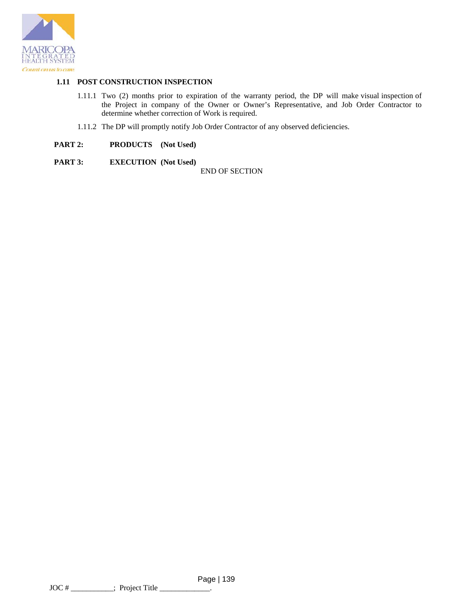

# **1.11 POST CONSTRUCTION INSPECTION**

- 1.11.1 Two (2) months prior to expiration of the warranty period, the DP will make visual inspection of the Project in company of the Owner or Owner's Representative, and Job Order Contractor to determine whether correction of Work is required.
- 1.11.2 The DP will promptly notify Job Order Contractor of any observed deficiencies.
- **PART 2: PRODUCTS (Not Used)**
- **PART 3: EXECUTION** (Not Used)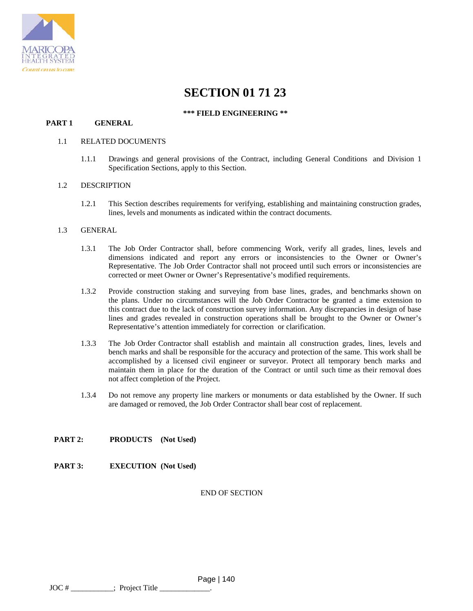

# **SECTION 01 71 23**

### **\*\*\* FIELD ENGINEERING \*\***

## **PART 1 GENERAL**

#### 1.1 RELATED DOCUMENTS

1.1.1 Drawings and general provisions of the Contract, including General Conditions and Division 1 Specification Sections, apply to this Section.

#### 1.2 DESCRIPTION

1.2.1 This Section describes requirements for verifying, establishing and maintaining construction grades, lines, levels and monuments as indicated within the contract documents.

#### 1.3 GENERAL

- 1.3.1 The Job Order Contractor shall, before commencing Work, verify all grades, lines, levels and dimensions indicated and report any errors or inconsistencies to the Owner or Owner's Representative. The Job Order Contractor shall not proceed until such errors or inconsistencies are corrected or meet Owner or Owner's Representative's modified requirements.
- 1.3.2 Provide construction staking and surveying from base lines, grades, and benchmarks shown on the plans. Under no circumstances will the Job Order Contractor be granted a time extension to this contract due to the lack of construction survey information. Any discrepancies in design of base lines and grades revealed in construction operations shall be brought to the Owner or Owner's Representative's attention immediately for correction or clarification.
- 1.3.3 The Job Order Contractor shall establish and maintain all construction grades, lines, levels and bench marks and shall be responsible for the accuracy and protection of the same. This work shall be accomplished by a licensed civil engineer or surveyor. Protect all temporary bench marks and maintain them in place for the duration of the Contract or until such time as their removal does not affect completion of the Project.
- 1.3.4 Do not remove any property line markers or monuments or data established by the Owner. If such are damaged or removed, the Job Order Contractor shall bear cost of replacement.

# **PART 2: PRODUCTS (Not Used)**

# **PART 3: EXECUTION (Not Used)**

### END OF SECTION

Page | 140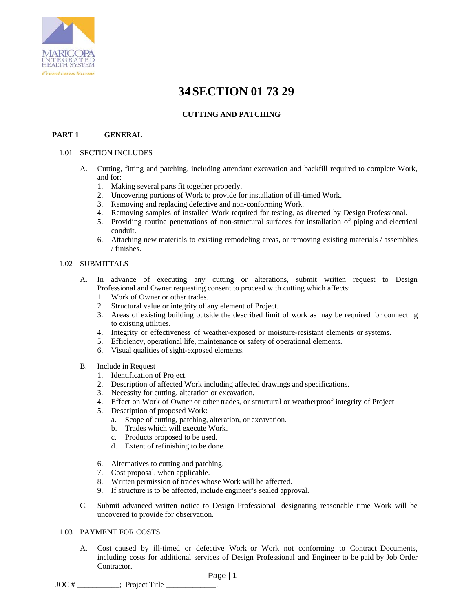

# **34SECTION 01 73 29**

# **CUTTING AND PATCHING**

# **PART 1 GENERAL**

### 1.01 SECTION INCLUDES

- A. Cutting, fitting and patching, including attendant excavation and backfill required to complete Work, and for:
	- 1. Making several parts fit together properly.
	- 2. Uncovering portions of Work to provide for installation of ill-timed Work.
	- 3. Removing and replacing defective and non-conforming Work.
	- 4. Removing samples of installed Work required for testing, as directed by Design Professional.
	- 5. Providing routine penetrations of non-structural surfaces for installation of piping and electrical conduit.
	- 6. Attaching new materials to existing remodeling areas, or removing existing materials / assemblies / finishes.

# 1.02 SUBMITTALS

- A. In advance of executing any cutting or alterations, submit written request to Design Professional and Owner requesting consent to proceed with cutting which affects:
	- 1. Work of Owner or other trades.
	- 2. Structural value or integrity of any element of Project.
	- 3. Areas of existing building outside the described limit of work as may be required for connecting to existing utilities.
	- 4. Integrity or effectiveness of weather-exposed or moisture-resistant elements or systems.
	- 5. Efficiency, operational life, maintenance or safety of operational elements.
	- 6. Visual qualities of sight-exposed elements.
- B. Include in Request
	- 1. Identification of Project.
	- 2. Description of affected Work including affected drawings and specifications.
	- 3. Necessity for cutting, alteration or excavation.
	- 4. Effect on Work of Owner or other trades, or structural or weatherproof integrity of Project
	- 5. Description of proposed Work:
		- a. Scope of cutting, patching, alteration, or excavation.
		- b. Trades which will execute Work.
		- c. Products proposed to be used.
		- d. Extent of refinishing to be done.
	- 6. Alternatives to cutting and patching.
	- 7. Cost proposal, when applicable.
	- 8. Written permission of trades whose Work will be affected.
	- 9. If structure is to be affected, include engineer's sealed approval.
- C. Submit advanced written notice to Design Professional designating reasonable time Work will be uncovered to provide for observation.

### 1.03 PAYMENT FOR COSTS

A. Cost caused by ill-timed or defective Work or Work not conforming to Contract Documents, including costs for additional services of Design Professional and Engineer to be paid by Job Order Contractor.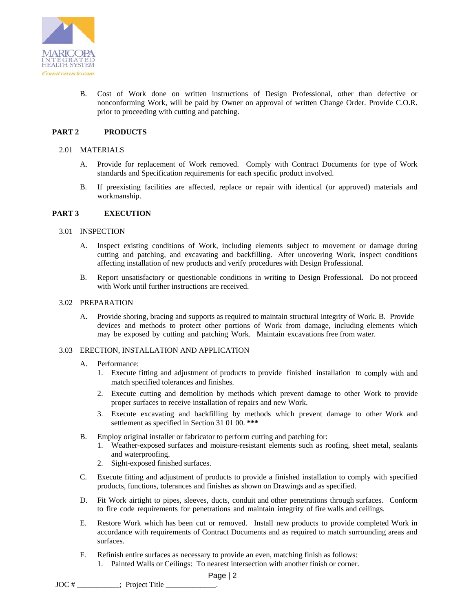

B. Cost of Work done on written instructions of Design Professional, other than defective or nonconforming Work, will be paid by Owner on approval of written Change Order. Provide C.O.R. prior to proceeding with cutting and patching.

## **PART 2 PRODUCTS**

#### 2.01 MATERIALS

- A. Provide for replacement of Work removed. Comply with Contract Documents for type of Work standards and Specification requirements for each specific product involved.
- B. If preexisting facilities are affected, replace or repair with identical (or approved) materials and workmanship.

#### **PART 3 EXECUTION**

#### 3.01 INSPECTION

- A. Inspect existing conditions of Work, including elements subject to movement or damage during cutting and patching, and excavating and backfilling. After uncovering Work, inspect conditions affecting installation of new products and verify procedures with Design Professional.
- B. Report unsatisfactory or questionable conditions in writing to Design Professional. Do not proceed with Work until further instructions are received.

#### 3.02 PREPARATION

A. Provide shoring, bracing and supports as required to maintain structural integrity of Work. B. Provide devices and methods to protect other portions of Work from damage, including elements which may be exposed by cutting and patching Work. Maintain excavations free from water.

#### 3.03 ERECTION, INSTALLATION AND APPLICATION

- A. Performance:
	- 1. Execute fitting and adjustment of products to provide finished installation to comply with and match specified tolerances and finishes.
	- 2. Execute cutting and demolition by methods which prevent damage to other Work to provide proper surfaces to receive installation of repairs and new Work.
	- 3. Execute excavating and backfilling by methods which prevent damage to other Work and settlement as specified in Section 31 01 00. **\*\*\***
- B. Employ original installer or fabricator to perform cutting and patching for:
	- 1. Weather-exposed surfaces and moisture-resistant elements such as roofing, sheet metal, sealants and waterproofing.
	- 2. Sight-exposed finished surfaces.
- C. Execute fitting and adjustment of products to provide a finished installation to comply with specified products, functions, tolerances and finishes as shown on Drawings and as specified.
- D. Fit Work airtight to pipes, sleeves, ducts, conduit and other penetrations through surfaces. Conform to fire code requirements for penetrations and maintain integrity of fire walls and ceilings.
- E. Restore Work which has been cut or removed. Install new products to provide completed Work in accordance with requirements of Contract Documents and as required to match surrounding areas and surfaces.
- F. Refinish entire surfaces as necessary to provide an even, matching finish as follows:
	- 1. Painted Walls or Ceilings: To nearest intersection with another finish or corner.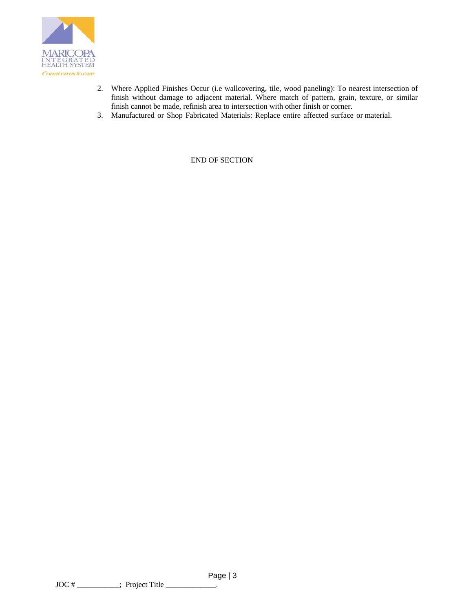

- 2. Where Applied Finishes Occur (i.e wallcovering, tile, wood paneling): To nearest intersection of finish without damage to adjacent material. Where match of pattern, grain, texture, or similar finish cannot be made, refinish area to intersection with other finish or corner.
- 3. Manufactured or Shop Fabricated Materials: Replace entire affected surface or material.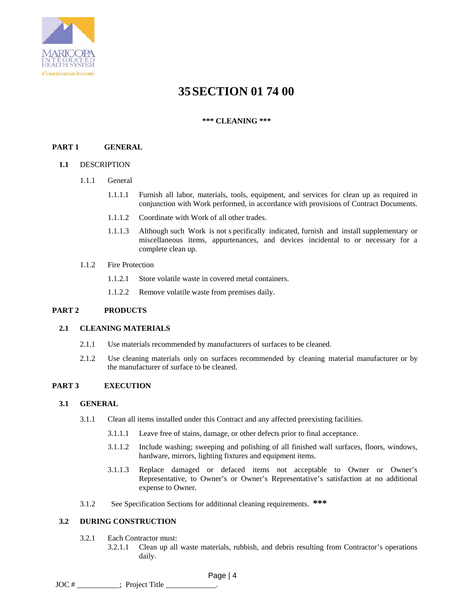

# **35SECTION 01 74 00**

# **\*\*\* CLEANING \*\*\***

# **PART 1 GENERAL**

### **1.1** DESCRIPTION

- 1.1.1 General
	- 1.1.1.1 Furnish all labor, materials, tools, equipment, and services for clean up as required in conjunction with Work performed, in accordance with provisions of Contract Documents.
	- 1.1.1.2 Coordinate with Work of all other trades.
	- 1.1.1.3 Although such Work is not s pecifically indicated, furnish and install supplementary or miscellaneous items, appurtenances, and devices incidental to or necessary for a complete clean up.
- 1.1.2 Fire Protection
	- 1.1.2.1 Store volatile waste in covered metal containers.
	- 1.1.2.2 Remove volatile waste from premises daily.

# **PART 2 PRODUCTS**

#### **2.1 CLEANING MATERIALS**

- 2.1.1 Use materials recommended by manufacturers of surfaces to be cleaned.
- 2.1.2 Use cleaning materials only on surfaces recommended by cleaning material manufacturer or by the manufacturer of surface to be cleaned.

### **PART 3 EXECUTION**

#### **3.1 GENERAL**

- 3.1.1 Clean all items installed under this Contract and any affected preexisting facilities.
	- 3.1.1.1 Leave free of stains, damage, or other defects prior to final acceptance.
	- 3.1.1.2 Include washing; sweeping and polishing of all finished wall surfaces, floors, windows, hardware, mirrors, lighting fixtures and equipment items.
	- 3.1.1.3 Replace damaged or defaced items not acceptable to Owner or Owner's Representative, to Owner's or Owner's Representative's satisfaction at no additional expense to Owner.
- 3.1.2 See Specification Sections for additional cleaning requirements. **\*\*\***

# **3.2 DURING CONSTRUCTION**

- 3.2.1 Each Contractor must:
	- 3.2.1.1 Clean up all waste materials, rubbish, and debris resulting from Contractor's operations daily.

 Page | 4  $JOC #$  : Project Title  $\_\_$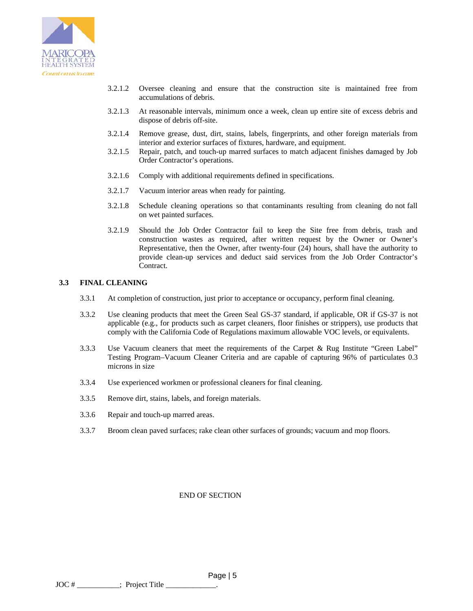

- 3.2.1.2 Oversee cleaning and ensure that the construction site is maintained free from accumulations of debris.
- 3.2.1.3 At reasonable intervals, minimum once a week, clean up entire site of excess debris and dispose of debris off-site.
- 3.2.1.4 Remove grease, dust, dirt, stains, labels, fingerprints, and other foreign materials from interior and exterior surfaces of fixtures, hardware, and equipment.
- 3.2.1.5 Repair, patch, and touch-up marred surfaces to match adjacent finishes damaged by Job Order Contractor's operations.
- 3.2.1.6 Comply with additional requirements defined in specifications.
- 3.2.1.7 Vacuum interior areas when ready for painting.
- 3.2.1.8 Schedule cleaning operations so that contaminants resulting from cleaning do not fall on wet painted surfaces.
- 3.2.1.9 Should the Job Order Contractor fail to keep the Site free from debris, trash and construction wastes as required, after written request by the Owner or Owner's Representative, then the Owner, after twenty-four (24) hours, shall have the authority to provide clean-up services and deduct said services from the Job Order Contractor's Contract.

### **3.3 FINAL CLEANING**

- 3.3.1 At completion of construction, just prior to acceptance or occupancy, perform final cleaning.
- 3.3.2 Use cleaning products that meet the Green Seal GS-37 standard, if applicable, OR if GS-37 is not applicable (e.g., for products such as carpet cleaners, floor finishes or strippers), use products that comply with the California Code of Regulations maximum allowable VOC levels, or equivalents.
- 3.3.3 Use Vacuum cleaners that meet the requirements of the Carpet & Rug Institute "Green Label" Testing Program–Vacuum Cleaner Criteria and are capable of capturing 96% of particulates 0.3 microns in size
- 3.3.4 Use experienced workmen or professional cleaners for final cleaning.
- 3.3.5 Remove dirt, stains, labels, and foreign materials.
- 3.3.6 Repair and touch-up marred areas.
- 3.3.7 Broom clean paved surfaces; rake clean other surfaces of grounds; vacuum and mop floors.

END OF SECTION

 Page | 5  $JOC \#$  \_\_\_\_\_\_\_\_\_\_\_\_\_; Project Title \_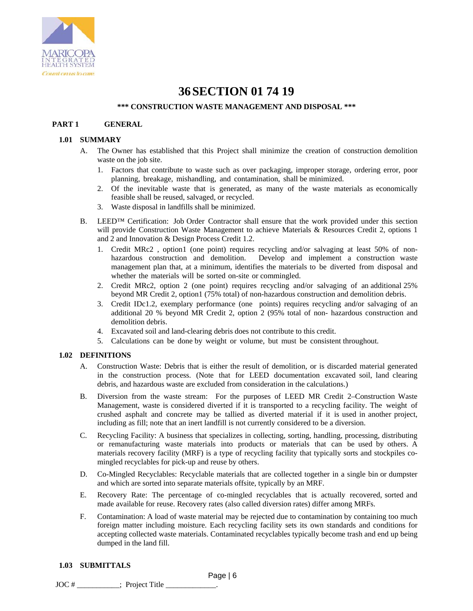

## **36SECTION 01 74 19**

### **\*\*\* CONSTRUCTION WASTE MANAGEMENT AND DISPOSAL \*\*\***

### **PART 1 GENERAL**

### **1.01 SUMMARY**

- A. The Owner has established that this Project shall minimize the creation of construction demolition waste on the job site.
	- 1. Factors that contribute to waste such as over packaging, improper storage, ordering error, poor planning, breakage, mishandling, and contamination, shall be minimized.
	- 2. Of the inevitable waste that is generated, as many of the waste materials as economically feasible shall be reused, salvaged, or recycled.
	- 3. Waste disposal in landfills shall be minimized.
- B. LEED<sup>™</sup> Certification: Job Order Contractor shall ensure that the work provided under this section will provide Construction Waste Management to achieve Materials & Resources Credit 2, options 1 and 2 and Innovation & Design Process Credit 1.2.
	- 1. Credit MRc2 , option1 (one point) requires recycling and/or salvaging at least 50% of nonhazardous construction and demolition. Develop and implement a construction waste management plan that, at a minimum, identifies the materials to be diverted from disposal and whether the materials will be sorted on-site or commingled.
	- 2. Credit MRc2, option 2 (one point) requires recycling and/or salvaging of an additional 25% beyond MR Credit 2, option1 (75% total) of non-hazardous construction and demolition debris.
	- 3. Credit IDc1.2, exemplary performance (one points) requires recycling and/or salvaging of an additional 20 % beyond MR Credit 2, option 2 (95% total of non- hazardous construction and demolition debris.
	- 4. Excavated soil and land-clearing debris does not contribute to this credit.
	- 5. Calculations can be done by weight or volume, but must be consistent throughout.

### **1.02 DEFINITIONS**

- A. Construction Waste: Debris that is either the result of demolition, or is discarded material generated in the construction process. (Note that for LEED documentation excavated soil, land clearing debris, and hazardous waste are excluded from consideration in the calculations.)
- B. Diversion from the waste stream: For the purposes of LEED MR Credit 2–Construction Waste Management, waste is considered diverted if it is transported to a recycling facility. The weight of crushed asphalt and concrete may be tallied as diverted material if it is used in another project, including as fill; note that an inert landfill is not currently considered to be a diversion.
- C. Recycling Facility: A business that specializes in collecting, sorting, handling, processing, distributing or remanufacturing waste materials into products or materials that can be used by others. A materials recovery facility (MRF) is a type of recycling facility that typically sorts and stockpiles comingled recyclables for pick-up and reuse by others.
- D. Co-Mingled Recyclables: Recyclable materials that are collected together in a single bin or dumpster and which are sorted into separate materials offsite, typically by an MRF.
- E. Recovery Rate: The percentage of co-mingled recyclables that is actually recovered, sorted and made available for reuse. Recovery rates (also called diversion rates) differ among MRFs.
- F. Contamination: A load of waste material may be rejected due to contamination by containing too much foreign matter including moisture. Each recycling facility sets its own standards and conditions for accepting collected waste materials. Contaminated recyclables typically become trash and end up being dumped in the land fill.

## **1.03 SUBMITTALS**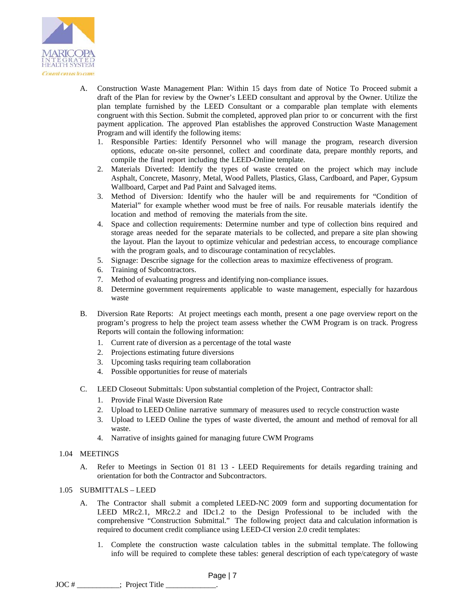

- A. Construction Waste Management Plan: Within 15 days from date of Notice To Proceed submit a draft of the Plan for review by the Owner's LEED consultant and approval by the Owner. Utilize the plan template furnished by the LEED Consultant or a comparable plan template with elements congruent with this Section. Submit the completed, approved plan prior to or concurrent with the first payment application. The approved Plan establishes the approved Construction Waste Management Program and will identify the following items:
	- 1. Responsible Parties: Identify Personnel who will manage the program, research diversion options, educate on-site personnel, collect and coordinate data, prepare monthly reports, and compile the final report including the LEED-Online template.
	- 2. Materials Diverted: Identify the types of waste created on the project which may include Asphalt, Concrete, Masonry, Metal, Wood Pallets, Plastics, Glass, Cardboard, and Paper, Gypsum Wallboard, Carpet and Pad Paint and Salvaged items.
	- 3. Method of Diversion: Identify who the hauler will be and requirements for "Condition of Material" for example whether wood must be free of nails. For reusable materials identify the location and method of removing the materials from the site.
	- 4. Space and collection requirements: Determine number and type of collection bins required and storage areas needed for the separate materials to be collected, and prepare a site plan showing the layout. Plan the layout to optimize vehicular and pedestrian access, to encourage compliance with the program goals, and to discourage contamination of recyclables.
	- 5. Signage: Describe signage for the collection areas to maximize effectiveness of program.
	- 6. Training of Subcontractors.
	- 7. Method of evaluating progress and identifying non-compliance issues.
	- 8. Determine government requirements applicable to waste management, especially for hazardous waste
- B. Diversion Rate Reports: At project meetings each month, present a one page overview report on the program's progress to help the project team assess whether the CWM Program is on track. Progress Reports will contain the following information:
	- 1. Current rate of diversion as a percentage of the total waste
	- 2. Projections estimating future diversions
	- 3. Upcoming tasks requiring team collaboration
	- 4. Possible opportunities for reuse of materials
- C. LEED Closeout Submittals: Upon substantial completion of the Project, Contractor shall:
	- 1. Provide Final Waste Diversion Rate
	- 2. Upload to LEED Online narrative summary of measures used to recycle construction waste
	- 3. Upload to LEED Online the types of waste diverted, the amount and method of removal for all waste.
	- 4. Narrative of insights gained for managing future CWM Programs

### 1.04 MEETINGS

A. Refer to Meetings in Section 01 81 13 - LEED Requirements for details regarding training and orientation for both the Contractor and Subcontractors.

### 1.05 SUBMITTALS – LEED

- A. The Contractor shall submit a completed LEED-NC 2009 form and supporting documentation for LEED MRc2.1, MRc2.2 and IDc1.2 to the Design Professional to be included with the comprehensive "Construction Submittal." The following project data and calculation information is required to document credit compliance using LEED-CI version 2.0 credit templates:
	- 1. Complete the construction waste calculation tables in the submittal template. The following info will be required to complete these tables: general description of each type/category of waste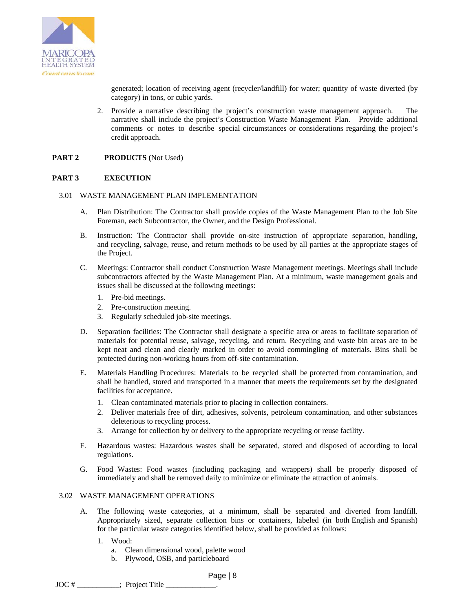

generated; location of receiving agent (recycler/landfill) for water; quantity of waste diverted (by category) in tons, or cubic yards.

2. Provide a narrative describing the project's construction waste management approach. The narrative shall include the project's Construction Waste Management Plan. Provide additional comments or notes to describe special circumstances or considerations regarding the project's credit approach.

### **PART 2 PRODUCTS (**Not Used)

### **PART 3 EXECUTION**

### 3.01 WASTE MANAGEMENT PLAN IMPLEMENTATION

- A. Plan Distribution: The Contractor shall provide copies of the Waste Management Plan to the Job Site Foreman, each Subcontractor, the Owner, and the Design Professional.
- B. Instruction: The Contractor shall provide on-site instruction of appropriate separation, handling, and recycling, salvage, reuse, and return methods to be used by all parties at the appropriate stages of the Project.
- C. Meetings: Contractor shall conduct Construction Waste Management meetings. Meetings shall include subcontractors affected by the Waste Management Plan. At a minimum, waste management goals and issues shall be discussed at the following meetings:
	- 1. Pre-bid meetings.
	- 2. Pre-construction meeting.
	- 3. Regularly scheduled job-site meetings.
- D. Separation facilities: The Contractor shall designate a specific area or areas to facilitate separation of materials for potential reuse, salvage, recycling, and return. Recycling and waste bin areas are to be kept neat and clean and clearly marked in order to avoid commingling of materials. Bins shall be protected during non-working hours from off-site contamination.
- E. Materials Handling Procedures: Materials to be recycled shall be protected from contamination, and shall be handled, stored and transported in a manner that meets the requirements set by the designated facilities for acceptance.
	- 1. Clean contaminated materials prior to placing in collection containers.
	- 2. Deliver materials free of dirt, adhesives, solvents, petroleum contamination, and other substances deleterious to recycling process.
	- 3. Arrange for collection by or delivery to the appropriate recycling or reuse facility.
- F. Hazardous wastes: Hazardous wastes shall be separated, stored and disposed of according to local regulations.
- G. Food Wastes: Food wastes (including packaging and wrappers) shall be properly disposed of immediately and shall be removed daily to minimize or eliminate the attraction of animals.

### 3.02 WASTE MANAGEMENT OPERATIONS

- A. The following waste categories, at a minimum, shall be separated and diverted from landfill. Appropriately sized, separate collection bins or containers, labeled (in both English and Spanish) for the particular waste categories identified below, shall be provided as follows:
	- 1. Wood:
		- a. Clean dimensional wood, palette wood
		- b. Plywood, OSB, and particleboard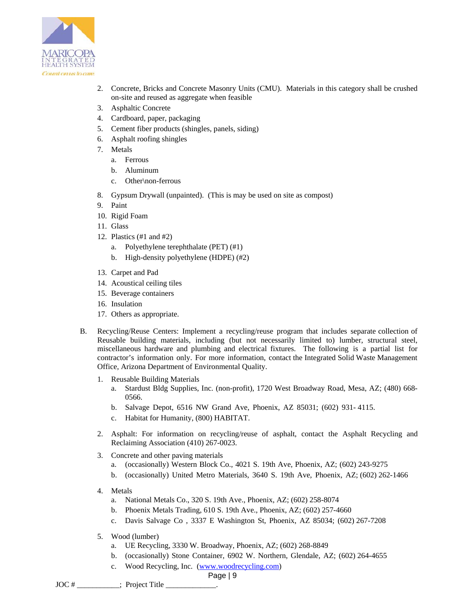

- 2. Concrete, Bricks and Concrete Masonry Units (CMU). Materials in this category shall be crushed on-site and reused as aggregate when feasible
- 3. Asphaltic Concrete
- 4. Cardboard, paper, packaging
- 5. Cement fiber products (shingles, panels, siding)
- 6. Asphalt roofing shingles
- 7. Metals
	- a. Ferrous
	- b. Aluminum
	- c. Other\non-ferrous
- 8. Gypsum Drywall (unpainted). (This is may be used on site as compost)
- 9. Paint
- 10. Rigid Foam
- 11. Glass
- 12. Plastics (#1 and #2)
	- a. Polyethylene terephthalate (PET) (#1)
	- b. High-density polyethylene (HDPE) (#2)
- 13. Carpet and Pad
- 14. Acoustical ceiling tiles
- 15. Beverage containers
- 16. Insulation
- 17. Others as appropriate.
- B. Recycling/Reuse Centers: Implement a recycling/reuse program that includes separate collection of Reusable building materials, including (but not necessarily limited to) lumber, structural steel, miscellaneous hardware and plumbing and electrical fixtures. The following is a partial list for contractor's information only. For more information, contact the Integrated Solid Waste Management Office, Arizona Department of Environmental Quality.
	- 1. Reusable Building Materials
		- a. Stardust Bldg Supplies, Inc. (non-profit), 1720 West Broadway Road, Mesa, AZ; (480) 668- 0566.
		- b. Salvage Depot, 6516 NW Grand Ave, Phoenix, AZ 85031; (602) 931- 4115.
		- c. Habitat for Humanity, (800) HABITAT.
	- 2. Asphalt: For information on recycling/reuse of asphalt, contact the Asphalt Recycling and Reclaiming Association (410) 267-0023.
	- 3. Concrete and other paving materials
		- a. (occasionally) Western Block Co., 4021 S. 19th Ave, Phoenix, AZ; (602) 243-9275
		- b. (occasionally) United Metro Materials, 3640 S. 19th Ave, Phoenix, AZ; (602) 262-1466
	- 4. Metals
		- a. National Metals Co., 320 S. 19th Ave., Phoenix, AZ; (602) 258-8074
		- b. Phoenix Metals Trading, 610 S. 19th Ave., Phoenix, AZ; (602) 257-4660
		- c. Davis Salvage Co , 3337 E Washington St, Phoenix, AZ 85034; (602) 267-7208
	- 5. Wood (lumber)
		- a. UE Recycling, 3330 W. Broadway, Phoenix, AZ; (602) 268-8849
		- b. (occasionally) Stone Container, 6902 W. Northern, Glendale, AZ; (602) 264-4655
		- c. Wood Recycling, Inc. (www.woodrecycling.com)

## Page | 9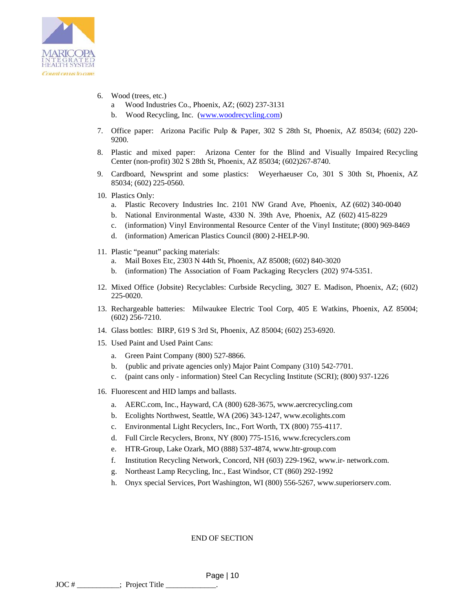

- 6. Wood (trees, etc.)
	- a Wood Industries Co., Phoenix, AZ; (602) 237-3131
	- b. Wood Recycling, Inc. (www.woodrecycling.com)
- 7. Office paper: Arizona Pacific Pulp & Paper, 302 S 28th St, Phoenix, AZ 85034; (602) 220- 9200.
- 8. Plastic and mixed paper: Arizona Center for the Blind and Visually Impaired Recycling Center (non-profit) 302 S 28th St, Phoenix, AZ 85034; (602)267-8740.
- 9. Cardboard, Newsprint and some plastics: Weyerhaeuser Co, 301 S 30th St, Phoenix, AZ 85034; (602) 225-0560.
- 10. Plastics Only:
	- a. Plastic Recovery Industries Inc. 2101 NW Grand Ave, Phoenix, AZ (602) 340-0040
	- b. National Environmental Waste, 4330 N. 39th Ave, Phoenix, AZ (602) 415-8229
	- c. (information) Vinyl Environmental Resource Center of the Vinyl Institute; (800) 969-8469
	- d. (information) American Plastics Council (800) 2-HELP-90.
- 11. Plastic "peanut" packing materials:
	- a. Mail Boxes Etc, 2303 N 44th St, Phoenix, AZ 85008; (602) 840-3020
	- b. (information) The Association of Foam Packaging Recyclers (202) 974-5351.
- 12. Mixed Office (Jobsite) Recyclables: Curbside Recycling, 3027 E. Madison, Phoenix, AZ; (602) 225-0020.
- 13. Rechargeable batteries: Milwaukee Electric Tool Corp, 405 E Watkins, Phoenix, AZ 85004; (602) 256-7210.
- 14. Glass bottles: BIRP, 619 S 3rd St, Phoenix, AZ 85004; (602) 253-6920.
- 15. Used Paint and Used Paint Cans:
	- a. Green Paint Company (800) 527-8866.
	- b. (public and private agencies only) Major Paint Company (310) 542-7701.
	- c. (paint cans only information) Steel Can Recycling Institute (SCRI); (800) 937-1226
- 16. Fluorescent and HID lamps and ballasts.
	- a. AERC.com, Inc., Hayward, CA (800) 628-3675, www.aercrecycling.com
	- b. Ecolights Northwest, Seattle, WA (206) 343-1247, www.ecolights.com
	- c. Environmental Light Recyclers, Inc., Fort Worth, TX (800) 755-4117.
	- d. Full Circle Recyclers, Bronx, NY (800) 775-1516, www.fcrecyclers.com
	- e. HTR-Group, Lake Ozark, MO (888) 537-4874, www.htr-group.com
	- f. Institution Recycling Network, Concord, NH (603) 229-1962, www.ir- network.com.
	- g. Northeast Lamp Recycling, Inc., East Windsor, CT (860) 292-1992
	- h. Onyx special Services, Port Washington, WI (800) 556-5267, www.superiorserv.com.

END OF SECTION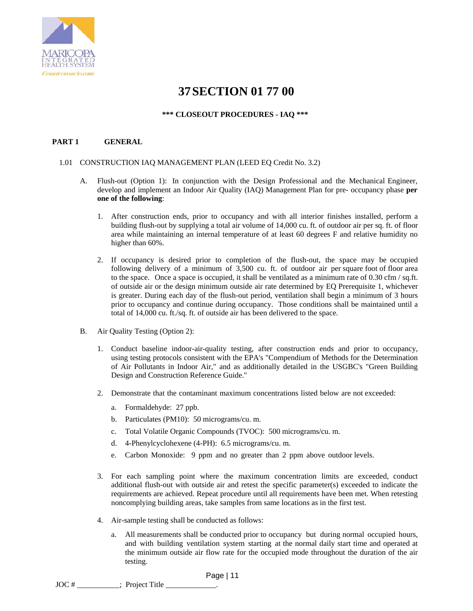

## **37SECTION 01 77 00**

### **\*\*\* CLOSEOUT PROCEDURES - IAQ \*\*\***

## **PART 1 GENERAL**

### 1.01 CONSTRUCTION IAQ MANAGEMENT PLAN (LEED EQ Credit No. 3.2)

- A. Flush-out (Option 1): In conjunction with the Design Professional and the Mechanical Engineer, develop and implement an Indoor Air Quality (IAQ) Management Plan for pre- occupancy phase **per one of the following**:
	- 1. After construction ends, prior to occupancy and with all interior finishes installed, perform a building flush-out by supplying a total air volume of 14,000 cu. ft. of outdoor air per sq. ft. of floor area while maintaining an internal temperature of at least 60 degrees F and relative humidity no higher than 60%.
	- 2. If occupancy is desired prior to completion of the flush-out, the space may be occupied following delivery of a minimum of 3,500 cu. ft. of outdoor air per square foot of floor area to the space. Once a space is occupied, it shall be ventilated as a minimum rate of 0.30 cfm / sq.ft. of outside air or the design minimum outside air rate determined by EQ Prerequisite 1, whichever is greater. During each day of the flush-out period, ventilation shall begin a minimum of 3 hours prior to occupancy and continue during occupancy. Those conditions shall be maintained until a total of 14,000 cu. ft./sq. ft. of outside air has been delivered to the space.
- B. Air Quality Testing (Option 2):
	- 1. Conduct baseline indoor-air-quality testing, after construction ends and prior to occupancy, using testing protocols consistent with the EPA's "Compendium of Methods for the Determination of Air Pollutants in Indoor Air," and as additionally detailed in the USGBC's "Green Building Design and Construction Reference Guide."
	- 2. Demonstrate that the contaminant maximum concentrations listed below are not exceeded:
		- a. Formaldehyde: 27 ppb.
		- b. Particulates (PM10): 50 micrograms/cu. m.
		- c. Total Volatile Organic Compounds (TVOC): 500 micrograms/cu. m.
		- d. 4-Phenylcyclohexene (4-PH): 6.5 micrograms/cu. m.
		- e. Carbon Monoxide: 9 ppm and no greater than 2 ppm above outdoor levels.
	- 3. For each sampling point where the maximum concentration limits are exceeded, conduct additional flush-out with outside air and retest the specific parameter(s) exceeded to indicate the requirements are achieved. Repeat procedure until all requirements have been met. When retesting noncomplying building areas, take samples from same locations as in the first test.
	- 4. Air-sample testing shall be conducted as follows:
		- a. All measurements shall be conducted prior to occupancy but during normal occupied hours, and with building ventilation system starting at the normal daily start time and operated at the minimum outside air flow rate for the occupied mode throughout the duration of the air testing.

 Page | 11 JOC #  $\qquad \qquad$ : Project Title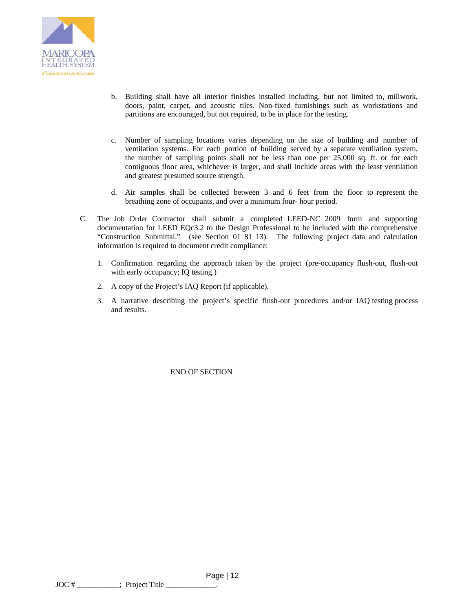

- b. Building shall have all interior finishes installed including, but not limited to, millwork, doors, paint, carpet, and acoustic tiles. Non-fixed furnishings such as workstations and partitions are encouraged, but not required, to be in place for the testing.
- c. Number of sampling locations varies depending on the size of building and number of ventilation systems. For each portion of building served by a separate ventilation system, the number of sampling points shall not be less than one per 25,000 sq. ft. or for each contiguous floor area, whichever is larger, and shall include areas with the least ventilation and greatest presumed source strength.
- d. Air samples shall be collected between 3 and 6 feet from the floor to represent the breathing zone of occupants, and over a minimum four- hour period.
- C. The Job Order Contractor shall submit a completed LEED-NC 2009 form and supporting documentation for LEED EQc3.2 to the Design Professional to be included with the comprehensive "Construction Submittal." (see Section 01 81 13). The following project data and calculation information is required to document credit compliance:
	- 1. Confirmation regarding the approach taken by the project (pre-occupancy flush-out, flush-out with early occupancy; IQ testing.)
	- 2. A copy of the Project's IAQ Report (if applicable).
	- 3. A narrative describing the project's specific flush-out procedures and/or IAQ testing process and results.

END OF SECTION

 Page | 12  $JOC #$  : Project Title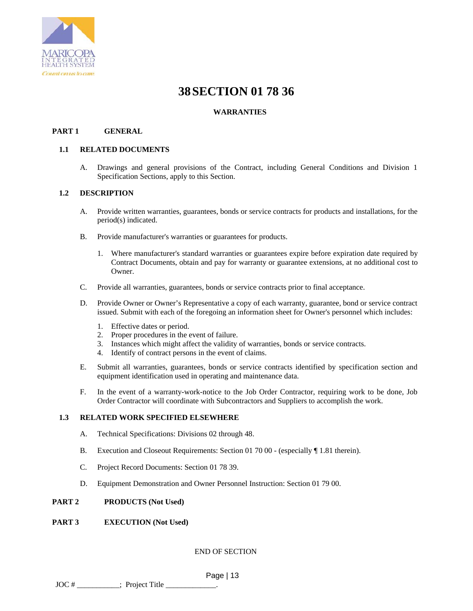

## **38SECTION 01 78 36**

## **WARRANTIES**

### **PART 1 GENERAL**

### **1.1 RELATED DOCUMENTS**

A. Drawings and general provisions of the Contract, including General Conditions and Division 1 Specification Sections, apply to this Section.

### **1.2 DESCRIPTION**

- A. Provide written warranties, guarantees, bonds or service contracts for products and installations, for the period(s) indicated.
- B. Provide manufacturer's warranties or guarantees for products.
	- 1. Where manufacturer's standard warranties or guarantees expire before expiration date required by Contract Documents, obtain and pay for warranty or guarantee extensions, at no additional cost to Owner.
- C. Provide all warranties, guarantees, bonds or service contracts prior to final acceptance.
- D. Provide Owner or Owner's Representative a copy of each warranty, guarantee, bond or service contract issued. Submit with each of the foregoing an information sheet for Owner's personnel which includes:
	- 1. Effective dates or period.
	- 2. Proper procedures in the event of failure.
	- 3. Instances which might affect the validity of warranties, bonds or service contracts.
	- 4. Identify of contract persons in the event of claims.
- E. Submit all warranties, guarantees, bonds or service contracts identified by specification section and equipment identification used in operating and maintenance data.
- F. In the event of a warranty-work-notice to the Job Order Contractor, requiring work to be done, Job Order Contractor will coordinate with Subcontractors and Suppliers to accomplish the work.

### **1.3 RELATED WORK SPECIFIED ELSEWHERE**

- A. Technical Specifications: Divisions 02 through 48.
- B. Execution and Closeout Requirements: Section 01 70 00 (especially ¶ 1.81 therein).
- C. Project Record Documents: Section 01 78 39.
- D. Equipment Demonstration and Owner Personnel Instruction: Section 01 79 00.

### **PART 2 PRODUCTS (Not Used)**

### **PART 3 EXECUTION (Not Used)**

END OF SECTION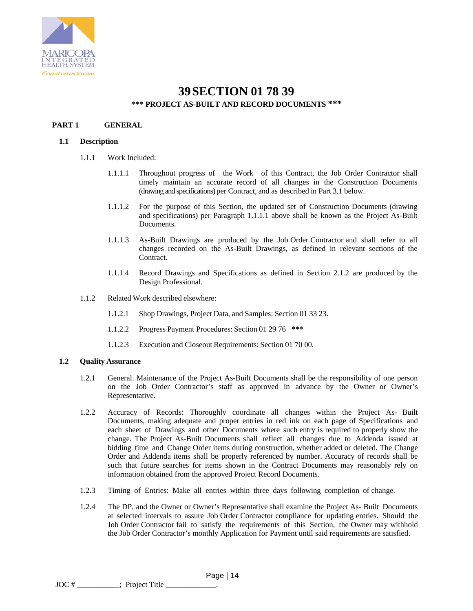

## **39SECTION 01 78 39 \*\*\* PROJECT AS-BUILT AND RECORD DOCUMENTS \*\*\***

## **PART 1 GENERAL**

### **1.1 Description**

- 1.1.1 Work Included:
	- 1.1.1.1 Throughout progress of the Work of this Contract, the Job Order Contractor shall timely maintain an accurate record of all changes in the Construction Documents (drawing and specifications) per Contract, and as described in Part 3.1 below.
	- 1.1.1.2 For the purpose of this Section, the updated set of Construction Documents (drawing and specifications) per Paragraph 1.1.1.1 above shall be known as the Project As-Built Documents.
	- 1.1.1.3 As-Built Drawings are produced by the Job Order Contractor and shall refer to all changes recorded on the As-Built Drawings, as defined in relevant sections of the Contract.
	- 1.1.1.4 Record Drawings and Specifications as defined in Section 2.1.2 are produced by the Design Professional.
- 1.1.2 Related Work described elsewhere:
	- 1.1.2.1 Shop Drawings, Project Data, and Samples: Section 01 33 23.
	- 1.1.2.2 Progress Payment Procedures: Section 01 29 76 **\*\*\***
	- 1.1.2.3 Execution and Closeout Requirements: Section 01 70 00.

### **1.2 Quality Assurance**

- 1.2.1 General. Maintenance of the Project As-Built Documents shall be the responsibility of one person on the Job Order Contractor's staff as approved in advance by the Owner or Owner's Representative.
- 1.2.2 Accuracy of Records: Thoroughly coordinate all changes within the Project As- Built Documents, making adequate and proper entries in red ink on each page of Specifications and each sheet of Drawings and other Documents where such entry is required to properly show the change. The Project As-Built Documents shall reflect all changes due to Addenda issued at bidding time and Change Order items during construction, whether added or deleted. The Change Order and Addenda items shall be properly referenced by number. Accuracy of records shall be such that future searches for items shown in the Contract Documents may reasonably rely on information obtained from the approved Project Record Documents.
- 1.2.3 Timing of Entries: Make all entries within three days following completion of change.
- 1.2.4 The DP, and the Owner or Owner's Representative shall examine the Project As- Built Documents at selected intervals to assure Job Order Contractor compliance for updating entries. Should the Job Order Contractor fail to satisfy the requirements of this Section, the Owner may withhold the Job Order Contractor's monthly Application for Payment until said requirements are satisfied.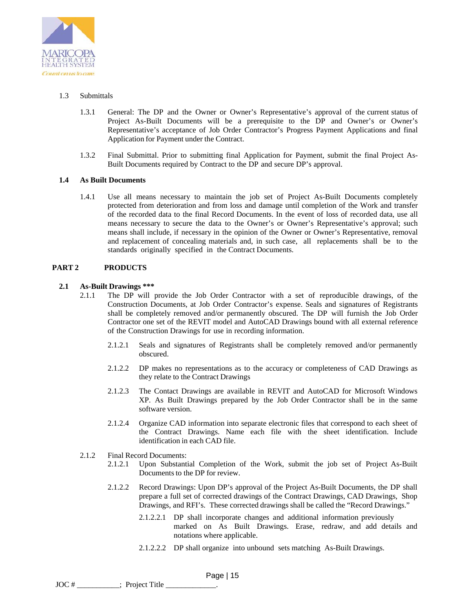

## 1.3 Submittals

- 1.3.1 General: The DP and the Owner or Owner's Representative's approval of the current status of Project As-Built Documents will be a prerequisite to the DP and Owner's or Owner's Representative's acceptance of Job Order Contractor's Progress Payment Applications and final Application for Payment under the Contract.
- 1.3.2 Final Submittal. Prior to submitting final Application for Payment, submit the final Project As-Built Documents required by Contract to the DP and secure DP's approval.

### **1.4 As Built Documents**

1.4.1 Use all means necessary to maintain the job set of Project As-Built Documents completely protected from deterioration and from loss and damage until completion of the Work and transfer of the recorded data to the final Record Documents. In the event of loss of recorded data, use all means necessary to secure the data to the Owner's or Owner's Representative's approval; such means shall include, if necessary in the opinion of the Owner or Owner's Representative, removal and replacement of concealing materials and, in such case, all replacements shall be to the standards originally specified in the Contract Documents.

## **PART 2 PRODUCTS**

### **2.1 As-Built Drawings \*\*\***

- 2.1.1 The DP will provide the Job Order Contractor with a set of reproducible drawings, of the Construction Documents, at Job Order Contractor's expense. Seals and signatures of Registrants shall be completely removed and/or permanently obscured. The DP will furnish the Job Order Contractor one set of the REVIT model and AutoCAD Drawings bound with all external reference of the Construction Drawings for use in recording information.
	- 2.1.2.1 Seals and signatures of Registrants shall be completely removed and/or permanently obscured.
	- 2.1.2.2 DP makes no representations as to the accuracy or completeness of CAD Drawings as they relate to the Contract Drawings
	- 2.1.2.3 The Contact Drawings are available in REVIT and AutoCAD for Microsoft Windows XP. As Built Drawings prepared by the Job Order Contractor shall be in the same software version.
	- 2.1.2.4 Organize CAD information into separate electronic files that correspond to each sheet of the Contract Drawings. Name each file with the sheet identification. Include identification in each CAD file.
- 2.1.2 Final Record Documents:
	- 2.1.2.1 Upon Substantial Completion of the Work, submit the job set of Project As-Built Documents to the DP for review.
	- 2.1.2.2 Record Drawings: Upon DP's approval of the Project As-Built Documents, the DP shall prepare a full set of corrected drawings of the Contract Drawings, CAD Drawings, Shop Drawings, and RFI's. These corrected drawings shall be called the "Record Drawings."
		- 2.1.2.2.1 DP shall incorporate changes and additional information previously marked on As Built Drawings. Erase, redraw, and add details and notations where applicable.
		- 2.1.2.2.2 DP shall organize into unbound sets matching As-Built Drawings.

 Page | 15 JOC #  $\qquad \qquad$ : Project Title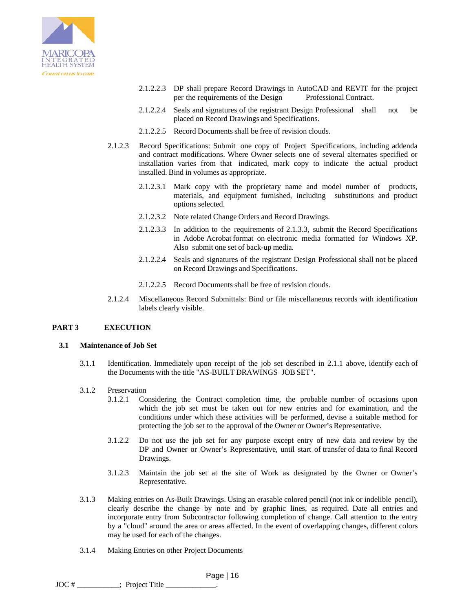

- 2.1.2.2.3 DP shall prepare Record Drawings in AutoCAD and REVIT for the project per the requirements of the Design Professional Contract.
- 2.1.2.2.4 Seals and signatures of the registrant Design Professional shall not be placed on Record Drawings and Specifications.
- 2.1.2.2.5 Record Documents shall be free of revision clouds.
- 2.1.2.3 Record Specifications: Submit one copy of Project Specifications, including addenda and contract modifications. Where Owner selects one of several alternates specified or installation varies from that indicated, mark copy to indicate the actual product installed. Bind in volumes as appropriate.
	- 2.1.2.3.1 Mark copy with the proprietary name and model number of products, materials, and equipment furnished, including substitutions and product options selected.
	- 2.1.2.3.2 Note related Change Orders and Record Drawings.
	- 2.1.2.3.3 In addition to the requirements of 2.1.3.3, submit the Record Specifications in Adobe Acrobat format on electronic media formatted for Windows XP. Also submit one set of back-up media.
	- 2.1.2.2.4 Seals and signatures of the registrant Design Professional shall not be placed on Record Drawings and Specifications.
	- 2.1.2.2.5 Record Documents shall be free of revision clouds.
- 2.1.2.4 Miscellaneous Record Submittals: Bind or file miscellaneous records with identification labels clearly visible.

### **PART 3 EXECUTION**

### **3.1 Maintenance of Job Set**

3.1.1 Identification. Immediately upon receipt of the job set described in 2.1.1 above, identify each of the Documents with the title "AS-BUILT DRAWINGS–JOB SET".

### 3.1.2 Preservation

- 3.1.2.1 Considering the Contract completion time, the probable number of occasions upon which the job set must be taken out for new entries and for examination, and the conditions under which these activities will be performed, devise a suitable method for protecting the job set to the approval of the Owner or Owner's Representative.
- 3.1.2.2 Do not use the job set for any purpose except entry of new data and review by the DP and Owner or Owner's Representative, until start of transfer of data to final Record Drawings.
- 3.1.2.3 Maintain the job set at the site of Work as designated by the Owner or Owner's Representative.
- 3.1.3 Making entries on As-Built Drawings. Using an erasable colored pencil (not ink or indelible pencil), clearly describe the change by note and by graphic lines, as required. Date all entries and incorporate entry from Subcontractor following completion of change. Call attention to the entry by a "cloud" around the area or areas affected. In the event of overlapping changes, different colors may be used for each of the changes.
- 3.1.4 Making Entries on other Project Documents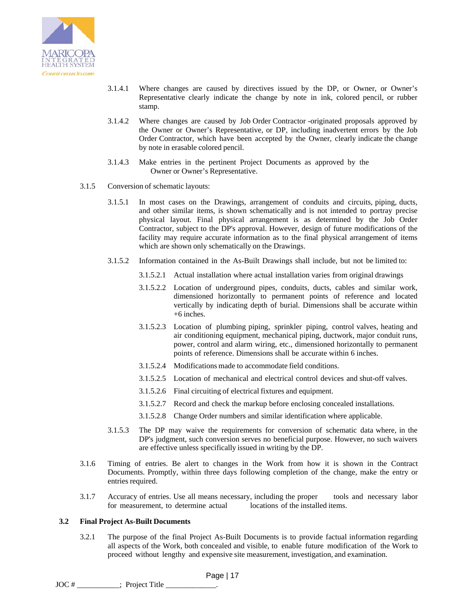

- 3.1.4.1 Where changes are caused by directives issued by the DP, or Owner, or Owner's Representative clearly indicate the change by note in ink, colored pencil, or rubber stamp.
- 3.1.4.2 Where changes are caused by Job Order Contractor -originated proposals approved by the Owner or Owner's Representative, or DP, including inadvertent errors by the Job Order Contractor, which have been accepted by the Owner, clearly indicate the change by note in erasable colored pencil.
- 3.1.4.3 Make entries in the pertinent Project Documents as approved by the Owner or Owner's Representative.
- 3.1.5 Conversion of schematic layouts:
	- 3.1.5.1 In most cases on the Drawings, arrangement of conduits and circuits, piping, ducts, and other similar items, is shown schematically and is not intended to portray precise physical layout. Final physical arrangement is as determined by the Job Order Contractor, subject to the DP's approval. However, design of future modifications of the facility may require accurate information as to the final physical arrangement of items which are shown only schematically on the Drawings.
	- 3.1.5.2 Information contained in the As-Built Drawings shall include, but not be limited to:
		- 3.1.5.2.1 Actual installation where actual installation varies from original drawings
		- 3.1.5.2.2 Location of underground pipes, conduits, ducts, cables and similar work, dimensioned horizontally to permanent points of reference and located vertically by indicating depth of burial. Dimensions shall be accurate within  $+6$  inches.
		- 3.1.5.2.3 Location of plumbing piping, sprinkler piping, control valves, heating and air conditioning equipment, mechanical piping, ductwork, major conduit runs, power, control and alarm wiring, etc., dimensioned horizontally to permanent points of reference. Dimensions shall be accurate within 6 inches.
		- 3.1.5.2.4 Modifications made to accommodate field conditions.
		- 3.1.5.2.5 Location of mechanical and electrical control devices and shut-off valves.
		- 3.1.5.2.6 Final circuiting of electrical fixtures and equipment.
		- 3.1.5.2.7 Record and check the markup before enclosing concealed installations.
		- 3.1.5.2.8 Change Order numbers and similar identification where applicable.
	- 3.1.5.3 The DP may waive the requirements for conversion of schematic data where, in the DP's judgment, such conversion serves no beneficial purpose. However, no such waivers are effective unless specifically issued in writing by the DP.
- 3.1.6 Timing of entries. Be alert to changes in the Work from how it is shown in the Contract Documents. Promptly, within three days following completion of the change, make the entry or entries required.
- 3.1.7 Accuracy of entries. Use all means necessary, including the proper tools and necessary labor for measurement, to determine actual locations of the installed items.

#### **3.2 Final Project As-Built Documents**

3.2.1 The purpose of the final Project As-Built Documents is to provide factual information regarding all aspects of the Work, both concealed and visible, to enable future modification of the Work to proceed without lengthy and expensive site measurement, investigation, and examination.

 Page | 17 JOC #  $\qquad \qquad ;$  Project Title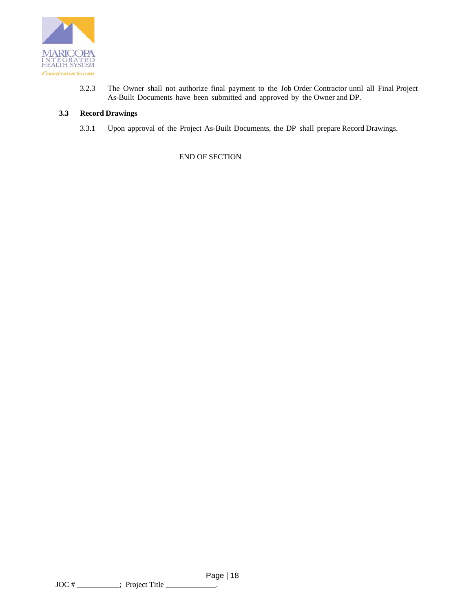

3.2.3 The Owner shall not authorize final payment to the Job Order Contractor until all Final Project As-Built Documents have been submitted and approved by the Owner and DP.

### **3.3 Record Drawings**

3.3.1 Upon approval of the Project As-Built Documents, the DP shall prepare Record Drawings.

END OF SECTION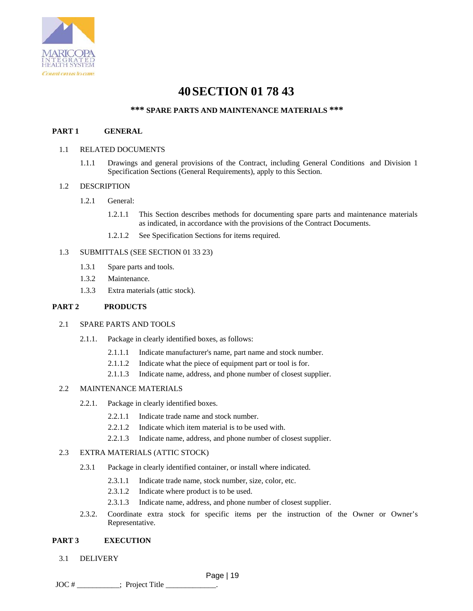

# **40SECTION 01 78 43**

## **\*\*\* SPARE PARTS AND MAINTENANCE MATERIALS \*\*\***

### **PART 1 GENERAL**

### 1.1 RELATED DOCUMENTS

1.1.1 Drawings and general provisions of the Contract, including General Conditions and Division 1 Specification Sections (General Requirements), apply to this Section.

### 1.2 DESCRIPTION

- 1.2.1 General:
	- 1.2.1.1 This Section describes methods for documenting spare parts and maintenance materials as indicated, in accordance with the provisions of the Contract Documents.
	- 1.2.1.2 See Specification Sections for items required.

### 1.3 SUBMITTALS (SEE SECTION 01 33 23)

- 1.3.1 Spare parts and tools.
- 1.3.2 Maintenance.
- 1.3.3 Extra materials (attic stock).

### **PART 2 PRODUCTS**

### 2.1 SPARE PARTS AND TOOLS

- 2.1.1. Package in clearly identified boxes, as follows:
	- 2.1.1.1 Indicate manufacturer's name, part name and stock number.
	- 2.1.1.2 Indicate what the piece of equipment part or tool is for.
	- 2.1.1.3 Indicate name, address, and phone number of closest supplier.

### 2.2 MAINTENANCE MATERIALS

- 2.2.1. Package in clearly identified boxes.
	- 2.2.1.1 Indicate trade name and stock number.
	- 2.2.1.2 Indicate which item material is to be used with.
	- 2.2.1.3 Indicate name, address, and phone number of closest supplier.

### 2.3 EXTRA MATERIALS (ATTIC STOCK)

- 2.3.1 Package in clearly identified container, or install where indicated.
	- 2.3.1.1 Indicate trade name, stock number, size, color, etc.
	- 2.3.1.2 Indicate where product is to be used.
	- 2.3.1.3 Indicate name, address, and phone number of closest supplier.
- 2.3.2. Coordinate extra stock for specific items per the instruction of the Owner or Owner's Representative.

### **PART 3 EXECUTION**

3.1 DELIVERY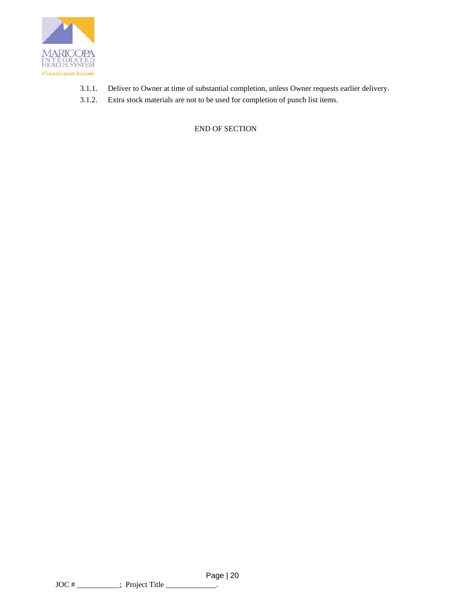

- 3.1.1. Deliver to Owner at time of substantial completion, unless Owner requests earlier delivery.
- 3.1.2. Extra stock materials are not to be used for completion of punch list items.

END OF SECTION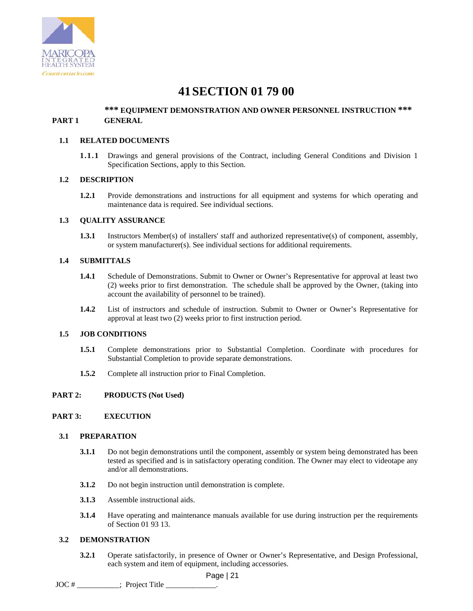

## **41SECTION 01 79 00**

## **\*\*\* EQUIPMENT DEMONSTRATION AND OWNER PERSONNEL INSTRUCTION \*\*\* PART 1 GENERAL**

### **1.1 RELATED DOCUMENTS**

**1.1.1** Drawings and general provisions of the Contract, including General Conditions and Division 1 Specification Sections, apply to this Section.

### **1.2 DESCRIPTION**

**1.2.1** Provide demonstrations and instructions for all equipment and systems for which operating and maintenance data is required. See individual sections.

### **1.3 QUALITY ASSURANCE**

**1.3.1** Instructors Member(s) of installers' staff and authorized representative(s) of component, assembly, or system manufacturer(s). See individual sections for additional requirements.

### **1.4 SUBMITTALS**

- **1.4.1** Schedule of Demonstrations. Submit to Owner or Owner's Representative for approval at least two (2) weeks prior to first demonstration. The schedule shall be approved by the Owner, (taking into account the availability of personnel to be trained).
- **1.4.2** List of instructors and schedule of instruction. Submit to Owner or Owner's Representative for approval at least two (2) weeks prior to first instruction period.

### **1.5 JOB CONDITIONS**

- **1.5.1** Complete demonstrations prior to Substantial Completion. Coordinate with procedures for Substantial Completion to provide separate demonstrations.
- **1.5.2** Complete all instruction prior to Final Completion.

### **PART 2: PRODUCTS (Not Used)**

### **PART 3: EXECUTION**

### **3.1 PREPARATION**

- **3.1.1** Do not begin demonstrations until the component, assembly or system being demonstrated has been tested as specified and is in satisfactory operating condition. The Owner may elect to videotape any and/or all demonstrations.
- **3.1.2** Do not begin instruction until demonstration is complete.
- **3.1.3** Assemble instructional aids.
- **3.1.4** Have operating and maintenance manuals available for use during instruction per the requirements of Section 01 93 13.

### **3.2 DEMONSTRATION**

**3.2.1** Operate satisfactorily, in presence of Owner or Owner's Representative, and Design Professional, each system and item of equipment, including accessories.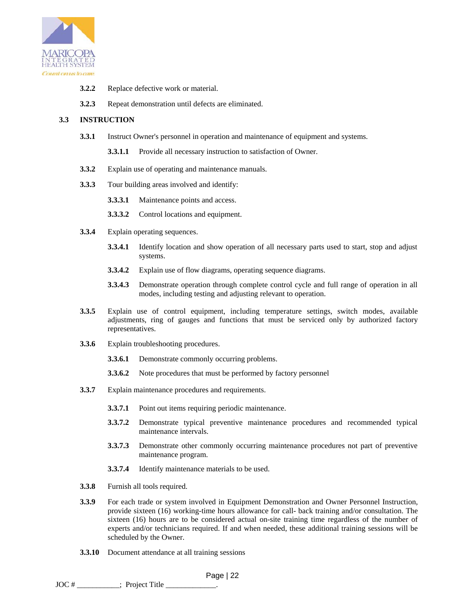

- **3.2.2** Replace defective work or material.
- **3.2.3** Repeat demonstration until defects are eliminated.

## **3.3 INSTRUCTION**

- **3.3.1** Instruct Owner's personnel in operation and maintenance of equipment and systems.
	- **3.3.1.1** Provide all necessary instruction to satisfaction of Owner.
- **3.3.2** Explain use of operating and maintenance manuals.
- **3.3.3** Tour building areas involved and identify:
	- **3.3.3.1** Maintenance points and access.
	- **3.3.3.2** Control locations and equipment.
- **3.3.4** Explain operating sequences.
	- **3.3.4.1** Identify location and show operation of all necessary parts used to start, stop and adjust systems.
	- **3.3.4.2** Explain use of flow diagrams, operating sequence diagrams.
	- **3.3.4.3** Demonstrate operation through complete control cycle and full range of operation in all modes, including testing and adjusting relevant to operation.
- **3.3.5** Explain use of control equipment, including temperature settings, switch modes, available adjustments, ring of gauges and functions that must be serviced only by authorized factory representatives.
- **3.3.6** Explain troubleshooting procedures.
	- **3.3.6.1** Demonstrate commonly occurring problems.
	- **3.3.6.2** Note procedures that must be performed by factory personnel
- **3.3.7** Explain maintenance procedures and requirements.
	- **3.3.7.1** Point out items requiring periodic maintenance.
	- **3.3.7.2** Demonstrate typical preventive maintenance procedures and recommended typical maintenance intervals.
	- **3.3.7.3** Demonstrate other commonly occurring maintenance procedures not part of preventive maintenance program.
	- **3.3.7.4** Identify maintenance materials to be used.
- **3.3.8** Furnish all tools required.
- **3.3.9** For each trade or system involved in Equipment Demonstration and Owner Personnel Instruction, provide sixteen (16) working-time hours allowance for call- back training and/or consultation. The sixteen (16) hours are to be considered actual on-site training time regardless of the number of experts and/or technicians required. If and when needed, these additional training sessions will be scheduled by the Owner.
- **3.3.10** Document attendance at all training sessions

 Page | 22 JOC #  $\qquad \qquad$ : Project Title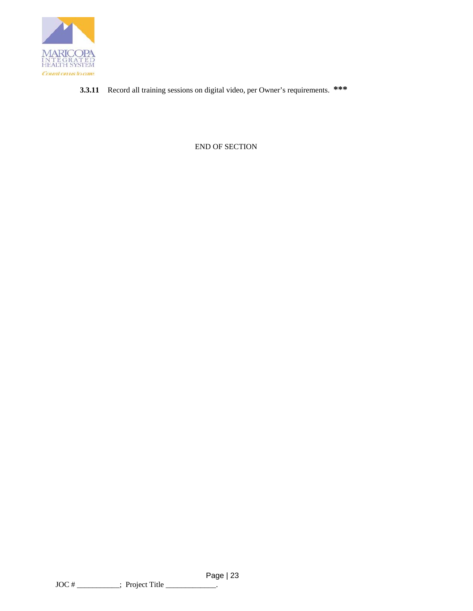

**3.3.11** Record all training sessions on digital video, per Owner's requirements. **\*\*\*** 

END OF SECTION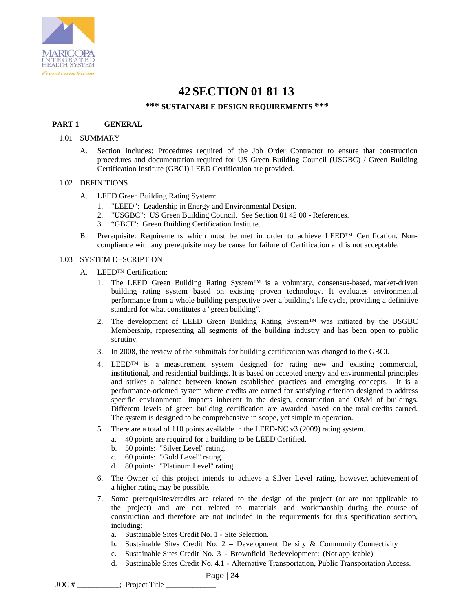

## **42SECTION 01 81 13**

### **\*\*\* SUSTAINABLE DESIGN REQUIREMENTS \*\*\***

### **PART 1 GENERAL**

### 1.01 SUMMARY

A. Section Includes: Procedures required of the Job Order Contractor to ensure that construction procedures and documentation required for US Green Building Council (USGBC) / Green Building Certification Institute (GBCI) LEED Certification are provided.

### 1.02 DEFINITIONS

- A. LEED Green Building Rating System:
	- 1. "LEED": Leadership in Energy and Environmental Design.
	- 2. "USGBC": US Green Building Council. See Section 01 42 00 References.
	- 3. "GBCI": Green Building Certification Institute.
- B. Prerequisite: Requirements which must be met in order to achieve LEED™ Certification. Noncompliance with any prerequisite may be cause for failure of Certification and is not acceptable.

### 1.03 SYSTEM DESCRIPTION

- A. LEED™ Certification:
	- 1. The LEED Green Building Rating System<sup>TM</sup> is a voluntary, consensus-based, market-driven building rating system based on existing proven technology. It evaluates environmental performance from a whole building perspective over a building's life cycle, providing a definitive standard for what constitutes a "green building".
	- 2. The development of LEED Green Building Rating System<sup>TM</sup> was initiated by the USGBC Membership, representing all segments of the building industry and has been open to public scrutiny.
	- 3. In 2008, the review of the submittals for building certification was changed to the GBCI.
	- 4. LEED<sup>™</sup> is a measurement system designed for rating new and existing commercial, institutional, and residential buildings. It is based on accepted energy and environmental principles and strikes a balance between known established practices and emerging concepts. It is a performance-oriented system where credits are earned for satisfying criterion designed to address specific environmental impacts inherent in the design, construction and O&M of buildings. Different levels of green building certification are awarded based on the total credits earned. The system is designed to be comprehensive in scope, yet simple in operation.
	- 5. There are a total of 110 points available in the LEED-NC v3 (2009) rating system.
		- a. 40 points are required for a building to be LEED Certified.
		- b. 50 points: "Silver Level" rating.
		- c. 60 points: "Gold Level" rating.
		- d. 80 points: "Platinum Level" rating
	- 6. The Owner of this project intends to achieve a Silver Level rating, however, achievement of a higher rating may be possible.
	- 7. Some prerequisites/credits are related to the design of the project (or are not applicable to the project) and are not related to materials and workmanship during the course of construction and therefore are not included in the requirements for this specification section, including:
		- a. Sustainable Sites Credit No. 1 Site Selection.
		- b. Sustainable Sites Credit No.  $2$  Development Density & Community Connectivity
		- c. Sustainable Sites Credit No. 3 Brownfield Redevelopment: (Not applicable)
		- d. Sustainable Sites Credit No. 4.1 Alternative Transportation, Public Transportation Access.

 $JOC #$   $\frac{1}{2}$  Project Title  $\frac{1}{2}$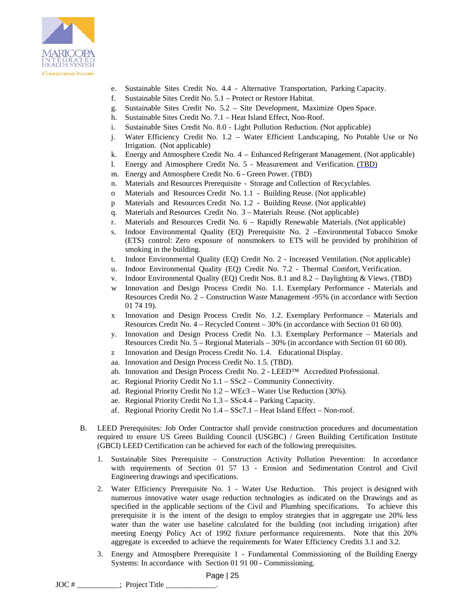

- e. Sustainable Sites Credit No. 4.4 Alternative Transportation, Parking Capacity.
- f. Sustainable Sites Credit No. 5.1 Protect or Restore Habitat.
- g. Sustainable Sites Credit No. 5.2 Site Development, Maximize Open Space.
- h. Sustainable Sites Credit No. 7.1 Heat Island Effect, Non-Roof.
- i. Sustainable Sites Credit No. 8.0 Light Pollution Reduction. (Not applicable)
- j. Water Efficiency Credit No. 1.2 Water Efficient Landscaping, No Potable Use or No Irrigation. (Not applicable)
- k. Energy and Atmosphere Credit No. 4 Enhanced Refrigerant Management. (Not applicable)
- l. Energy and Atmosphere Credit No. 5 Measurement and Verification. (TBD)
- m. Energy and Atmosphere Credit No. 6 Green Power. (TBD)
- n. Materials and Resources Prerequisite Storage and Collection of Recyclables.
- o Materials and Resources Credit No. 1.1 Building Reuse. (Not applicable)
- p Materials and Resources Credit No. 1.2 Building Reuse. (Not applicable)
- q. Materials and Resources Credit No. 3 Materials Reuse. (Not applicable)
- r. Materials and Resources Credit No. 6 Rapidly Renewable Materials. (Not applicable)
- s. Indoor Environmental Quality (EQ) Prerequisite No. 2 –Environmental Tobacco Smoke (ETS) control: Zero exposure of nonsmokers to ETS will be provided by prohibition of smoking in the building.
- t. Indoor Environmental Quality (EQ) Credit No. 2 Increased Ventilation. (Not applicable)
- u. Indoor Environmental Quality (EQ) Credit No. 7.2 Thermal Comfort, Verification.
- v. Indoor Environmental Quality (EQ) Credit Nos. 8.1 and 8.2 Daylighting & Views. (TBD)
- w Innovation and Design Process Credit No. 1.1. Exemplary Performance Materials and Resources Credit No. 2 – Construction Waste Management -95% (in accordance with Section 01 74 19).
- x Innovation and Design Process Credit No. 1.2. Exemplary Performance Materials and Resources Credit No. 4 – Recycled Content – 30% (in accordance with Section 01 60 00).
- y. Innovation and Design Process Credit No. 1.3. Exemplary Performance Materials and Resources Credit No. 5 – Regional Materials – 30% (in accordance with Section 01 60 00).
- z Innovation and Design Process Credit No. 1.4. Educational Display.
- aa. Innovation and Design Process Credit No. 1.5. (TBD).
- ab. Innovation and Design Process Credit No. 2 LEED™ Accredited Professional.
- ac. Regional Priority Credit No 1.1 SSc2 Community Connectivity.
- ad. Regional Priority Credit No 1.2 WEc3 Water Use Reduction (30%).
- ae. Regional Priority Credit No 1.3 SSc4.4 Parking Capacity.
- af. Regional Priority Credit No 1.4 SSc7.1 Heat Island Effect Non-roof.
- B. LEED Prerequisites: Job Order Contractor shall provide construction procedures and documentation required to ensure US Green Building Council (USGBC) / Green Building Certification Institute (GBCI) LEED Certification can be achieved for each of the following prerequisites.
	- 1. Sustainable Sites Prerequisite Construction Activity Pollution Prevention: In accordance with requirements of Section 01 57 13 - Erosion and Sedimentation Control and Civil Engineering drawings and specifications.
	- 2. Water Efficiency Prerequisite No. 1 Water Use Reduction. This project is designed with numerous innovative water usage reduction technologies as indicated on the Drawings and as specified in the applicable sections of the Civil and Plumbing specifications. To achieve this prerequisite it is the intent of the design to employ strategies that in aggregate use 20% less water than the water use baseline calculated for the building (not including irrigation) after meeting Energy Policy Act of 1992 fixture performance requirements. Note that this 20% aggregate is exceeded to achieve the requirements for Water Efficiency Credits 3.1 and 3.2.
	- 3. Energy and Atmosphere Prerequisite 1 Fundamental Commissioning of the Building Energy Systems: In accordance with Section 01 91 00 - Commissioning.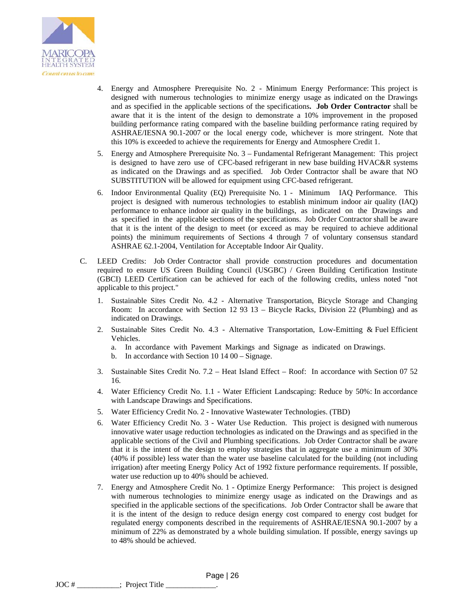

- 4. Energy and Atmosphere Prerequisite No. 2 Minimum Energy Performance: This project is designed with numerous technologies to minimize energy usage as indicated on the Drawings and as specified in the applicable sections of the specifications**. Job Order Contractor** shall be aware that it is the intent of the design to demonstrate a 10% improvement in the proposed building performance rating compared with the baseline building performance rating required by ASHRAE/IESNA 90.1-2007 or the local energy code, whichever is more stringent. Note that this 10% is exceeded to achieve the requirements for Energy and Atmosphere Credit 1.
- 5. Energy and Atmosphere Prerequisite No. 3 Fundamental Refrigerant Management: This project is designed to have zero use of CFC-based refrigerant in new base building HVAC&R systems as indicated on the Drawings and as specified. Job Order Contractor shall be aware that NO SUBSTITUTION will be allowed for equipment using CFC-based refrigerant.
- 6. Indoor Environmental Quality (EQ) Prerequisite No. 1 Minimum IAQ Performance. This project is designed with numerous technologies to establish minimum indoor air quality (IAQ) performance to enhance indoor air quality in the buildings, as indicated on the Drawings and as specified in the applicable sections of the specifications. Job Order Contractor shall be aware that it is the intent of the design to meet (or exceed as may be required to achieve additional points) the minimum requirements of Sections 4 through 7 of voluntary consensus standard ASHRAE 62.1-2004, Ventilation for Acceptable Indoor Air Quality.
- C. LEED Credits: Job Order Contractor shall provide construction procedures and documentation required to ensure US Green Building Council (USGBC) / Green Building Certification Institute (GBCI) LEED Certification can be achieved for each of the following credits, unless noted "not applicable to this project."
	- 1. Sustainable Sites Credit No. 4.2 Alternative Transportation, Bicycle Storage and Changing Room: In accordance with Section 12 93 13 – Bicycle Racks, Division 22 (Plumbing) and as indicated on Drawings.
	- 2. Sustainable Sites Credit No. 4.3 Alternative Transportation, Low-Emitting & Fuel Efficient Vehicles.
		- a. In accordance with Pavement Markings and Signage as indicated on Drawings.
		- b. In accordance with Section 10 14 00 Signage.
	- 3. Sustainable Sites Credit No. 7.2 Heat Island Effect Roof: In accordance with Section 07 52 16.
	- 4. Water Efficiency Credit No. 1.1 Water Efficient Landscaping: Reduce by 50%: In accordance with Landscape Drawings and Specifications.
	- 5. Water Efficiency Credit No. 2 Innovative Wastewater Technologies. (TBD)
	- 6. Water Efficiency Credit No. 3 Water Use Reduction. This project is designed with numerous innovative water usage reduction technologies as indicated on the Drawings and as specified in the applicable sections of the Civil and Plumbing specifications. Job Order Contractor shall be aware that it is the intent of the design to employ strategies that in aggregate use a minimum of 30% (40% if possible) less water than the water use baseline calculated for the building (not including irrigation) after meeting Energy Policy Act of 1992 fixture performance requirements. If possible, water use reduction up to 40% should be achieved.
	- 7. Energy and Atmosphere Credit No. 1 Optimize Energy Performance: This project is designed with numerous technologies to minimize energy usage as indicated on the Drawings and as specified in the applicable sections of the specifications. Job Order Contractor shall be aware that it is the intent of the design to reduce design energy cost compared to energy cost budget for regulated energy components described in the requirements of ASHRAE/IESNA 90.1-2007 by a minimum of 22% as demonstrated by a whole building simulation. If possible, energy savings up to 48% should be achieved.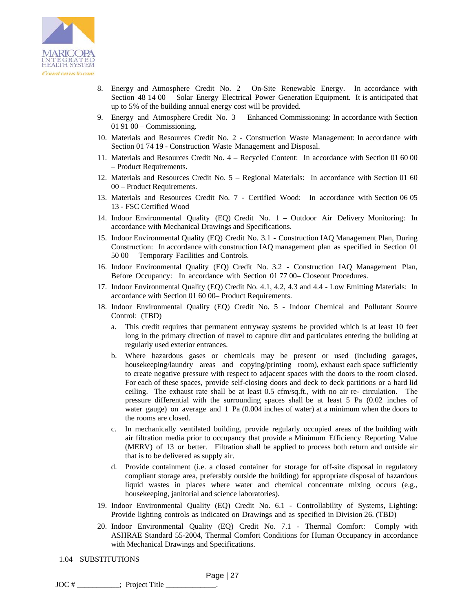

- 8. Energy and Atmosphere Credit No. 2 On-Site Renewable Energy. In accordance with Section 48 14 00 – Solar Energy Electrical Power Generation Equipment. It is anticipated that up to 5% of the building annual energy cost will be provided.
- 9. Energy and Atmosphere Credit No. 3 Enhanced Commissioning: In accordance with Section 01 91 00 – Commissioning.
- 10. Materials and Resources Credit No. 2 Construction Waste Management: In accordance with Section 01 74 19 - Construction Waste Management and Disposal.
- 11. Materials and Resources Credit No. 4 Recycled Content: In accordance with Section 01 60 00 – Product Requirements.
- 12. Materials and Resources Credit No. 5 Regional Materials: In accordance with Section 01 60 00 – Product Requirements.
- 13. Materials and Resources Credit No. 7 Certified Wood: In accordance with Section 06 05 13 - FSC Certified Wood
- 14. Indoor Environmental Quality (EQ) Credit No. 1 Outdoor Air Delivery Monitoring: In accordance with Mechanical Drawings and Specifications.
- 15. Indoor Environmental Quality (EQ) Credit No. 3.1 Construction IAQ Management Plan, During Construction: In accordance with construction IAQ management plan as specified in Section 01 50 00 – Temporary Facilities and Controls.
- 16. Indoor Environmental Quality (EQ) Credit No. 3.2 Construction IAQ Management Plan, Before Occupancy: In accordance with Section 01 77 00– Closeout Procedures.
- 17. Indoor Environmental Quality (EQ) Credit No. 4.1, 4.2, 4.3 and 4.4 Low Emitting Materials: In accordance with Section 01 60 00– Product Requirements.
- 18. Indoor Environmental Quality (EQ) Credit No. 5 Indoor Chemical and Pollutant Source Control: (TBD)
	- a. This credit requires that permanent entryway systems be provided which is at least 10 feet long in the primary direction of travel to capture dirt and particulates entering the building at regularly used exterior entrances.
	- b. Where hazardous gases or chemicals may be present or used (including garages, housekeeping/laundry areas and copying/printing room), exhaust each space sufficiently to create negative pressure with respect to adjacent spaces with the doors to the room closed. For each of these spaces, provide self-closing doors and deck to deck partitions or a hard lid ceiling. The exhaust rate shall be at least 0.5 cfm/sq.ft., with no air re- circulation. The pressure differential with the surrounding spaces shall be at least 5 Pa (0.02 inches of water gauge) on average and 1 Pa (0.004 inches of water) at a minimum when the doors to the rooms are closed.
	- c. In mechanically ventilated building, provide regularly occupied areas of the building with air filtration media prior to occupancy that provide a Minimum Efficiency Reporting Value (MERV) of 13 or better. Filtration shall be applied to process both return and outside air that is to be delivered as supply air.
	- d. Provide containment (i.e. a closed container for storage for off-site disposal in regulatory compliant storage area, preferably outside the building) for appropriate disposal of hazardous liquid wastes in places where water and chemical concentrate mixing occurs (e.g., housekeeping, janitorial and science laboratories).
- 19. Indoor Environmental Quality (EQ) Credit No. 6.1 Controllability of Systems, Lighting: Provide lighting controls as indicated on Drawings and as specified in Division 26. (TBD)
- 20. Indoor Environmental Quality (EQ) Credit No. 7.1 Thermal Comfort: Comply with ASHRAE Standard 55-2004, Thermal Comfort Conditions for Human Occupancy in accordance with Mechanical Drawings and Specifications.
- 1.04 SUBSTITUTIONS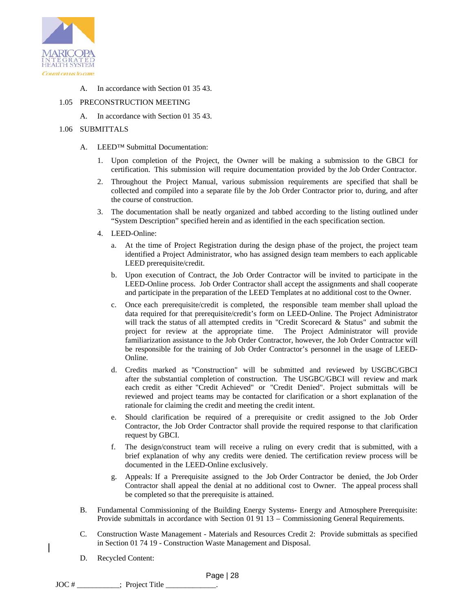

## A. In accordance with Section 01 35 43.

### 1.05 PRECONSTRUCTION MEETING

A. In accordance with Section 01 35 43.

## 1.06 SUBMITTALS

- A. LEED™ Submittal Documentation:
	- 1. Upon completion of the Project, the Owner will be making a submission to the GBCI for certification. This submission will require documentation provided by the Job Order Contractor.
	- 2. Throughout the Project Manual, various submission requirements are specified that shall be collected and compiled into a separate file by the Job Order Contractor prior to, during, and after the course of construction.
	- 3. The documentation shall be neatly organized and tabbed according to the listing outlined under "System Description" specified herein and as identified in the each specification section.
	- 4. LEED-Online:
		- a. At the time of Project Registration during the design phase of the project, the project team identified a Project Administrator, who has assigned design team members to each applicable LEED prerequisite/credit.
		- b. Upon execution of Contract, the Job Order Contractor will be invited to participate in the LEED-Online process. Job Order Contractor shall accept the assignments and shall cooperate and participate in the preparation of the LEED Templates at no additional cost to the Owner.
		- c. Once each prerequisite/credit is completed, the responsible team member shall upload the data required for that prerequisite/credit's form on LEED-Online. The Project Administrator will track the status of all attempted credits in "Credit Scorecard & Status" and submit the project for review at the appropriate time. The Project Administrator will provide familiarization assistance to the Job Order Contractor, however, the Job Order Contractor will be responsible for the training of Job Order Contractor's personnel in the usage of LEED-Online.
		- d. Credits marked as "Construction" will be submitted and reviewed by USGBC/GBCI after the substantial completion of construction. The USGBC/GBCI will review and mark each credit as either "Credit Achieved" or "Credit Denied". Project submittals will be reviewed and project teams may be contacted for clarification or a short explanation of the rationale for claiming the credit and meeting the credit intent.
		- e. Should clarification be required of a prerequisite or credit assigned to the Job Order Contractor, the Job Order Contractor shall provide the required response to that clarification request by GBCI.
		- f. The design/construct team will receive a ruling on every credit that is submitted, with a brief explanation of why any credits were denied. The certification review process will be documented in the LEED-Online exclusively.
		- g. Appeals: If a Prerequisite assigned to the Job Order Contractor be denied, the Job Order Contractor shall appeal the denial at no additional cost to Owner. The appeal process shall be completed so that the prerequisite is attained.
- B. Fundamental Commissioning of the Building Energy Systems- Energy and Atmosphere Prerequisite: Provide submittals in accordance with Section 01 91 13 – Commissioning General Requirements.
- C. Construction Waste Management Materials and Resources Credit 2: Provide submittals as specified in Section 01 74 19 - Construction Waste Management and Disposal.
- D. Recycled Content: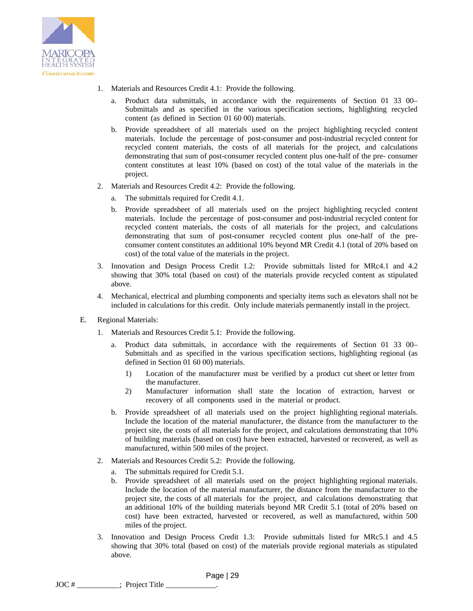

- 1. Materials and Resources Credit 4.1: Provide the following.
	- a. Product data submittals, in accordance with the requirements of Section 01 33 00– Submittals and as specified in the various specification sections, highlighting recycled content (as defined in Section 01 60 00) materials.
	- b. Provide spreadsheet of all materials used on the project highlighting recycled content materials. Include the percentage of post-consumer and post-industrial recycled content for recycled content materials, the costs of all materials for the project, and calculations demonstrating that sum of post-consumer recycled content plus one-half of the pre- consumer content constitutes at least 10% (based on cost) of the total value of the materials in the project.
- 2. Materials and Resources Credit 4.2: Provide the following.
	- a. The submittals required for Credit 4.1.
	- b. Provide spreadsheet of all materials used on the project highlighting recycled content materials. Include the percentage of post-consumer and post-industrial recycled content for recycled content materials, the costs of all materials for the project, and calculations demonstrating that sum of post-consumer recycled content plus one-half of the preconsumer content constitutes an additional 10% beyond MR Credit 4.1 (total of 20% based on cost) of the total value of the materials in the project.
- 3. Innovation and Design Process Credit 1.2: Provide submittals listed for MRc4.1 and 4.2 showing that 30% total (based on cost) of the materials provide recycled content as stipulated above.
- 4. Mechanical, electrical and plumbing components and specialty items such as elevators shall not be included in calculations for this credit. Only include materials permanently install in the project.
- E. Regional Materials:
	- 1. Materials and Resources Credit 5.1: Provide the following.
		- a. Product data submittals, in accordance with the requirements of Section 01 33 00– Submittals and as specified in the various specification sections, highlighting regional (as defined in Section 01 60 00) materials.
			- 1) Location of the manufacturer must be verified by a product cut sheet or letter from the manufacturer.
			- 2) Manufacturer information shall state the location of extraction, harvest or recovery of all components used in the material or product.
		- b. Provide spreadsheet of all materials used on the project highlighting regional materials. Include the location of the material manufacturer, the distance from the manufacturer to the project site, the costs of all materials for the project, and calculations demonstrating that 10% of building materials (based on cost) have been extracted, harvested or recovered, as well as manufactured, within 500 miles of the project.
	- 2. Materials and Resources Credit 5.2: Provide the following.
		- a. The submittals required for Credit 5.1.
		- b. Provide spreadsheet of all materials used on the project highlighting regional materials. Include the location of the material manufacturer, the distance from the manufacturer to the project site, the costs of all materials for the project, and calculations demonstrating that an additional 10% of the building materials beyond MR Credit 5.1 (total of 20% based on cost) have been extracted, harvested or recovered, as well as manufactured, within 500 miles of the project.
	- 3. Innovation and Design Process Credit 1.3: Provide submittals listed for MRc5.1 and 4.5 showing that 30% total (based on cost) of the materials provide regional materials as stipulated above.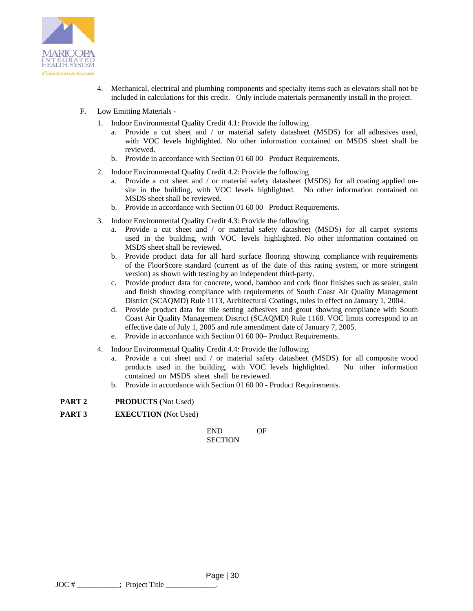

- 4. Mechanical, electrical and plumbing components and specialty items such as elevators shall not be included in calculations for this credit. Only include materials permanently install in the project.
- F. Low Emitting Materials
	- 1. Indoor Environmental Quality Credit 4.1: Provide the following
		- a. Provide a cut sheet and / or material safety datasheet (MSDS) for all adhesives used, with VOC levels highlighted. No other information contained on MSDS sheet shall be reviewed.
		- b. Provide in accordance with Section 01 60 00– Product Requirements.
	- 2. Indoor Environmental Quality Credit 4.2: Provide the following
		- a. Provide a cut sheet and / or material safety datasheet (MSDS) for all coating applied onsite in the building, with VOC levels highlighted. No other information contained on MSDS sheet shall be reviewed.
		- b. Provide in accordance with Section 01 60 00– Product Requirements.
	- 3. Indoor Environmental Quality Credit 4.3: Provide the following
		- a. Provide a cut sheet and / or material safety datasheet (MSDS) for all carpet systems used in the building, with VOC levels highlighted. No other information contained on MSDS sheet shall be reviewed.
		- b. Provide product data for all hard surface flooring showing compliance with requirements of the FloorScore standard (current as of the date of this rating system, or more stringent version) as shown with testing by an independent third-party.
		- c. Provide product data for concrete, wood, bamboo and cork floor finishes such as sealer, stain and finish showing compliance with requirements of South Coast Air Quality Management District (SCAQMD) Rule 1113, Architectural Coatings, rules in effect on January 1, 2004.
		- d. Provide product data for tile setting adhesives and grout showing compliance with South Coast Air Quality Management District (SCAQMD) Rule 1168. VOC limits correspond to an effective date of July 1, 2005 and rule amendment date of January 7, 2005.
		- e. Provide in accordance with Section 01 60 00– Product Requirements.
	- 4. Indoor Environmental Quality Credit 4.4: Provide the following
		- a. Provide a cut sheet and / or material safety datasheet (MSDS) for all composite wood products used in the building, with VOC levels highlighted. No other information contained on MSDS sheet shall be reviewed.
		- b. Provide in accordance with Section 01 60 00 Product Requirements.

**PART 2 PRODUCTS (**Not Used)

**PART 3 EXECUTION (**Not Used)

END OF **SECTION** 

 Page | 30 JOC # : Project Title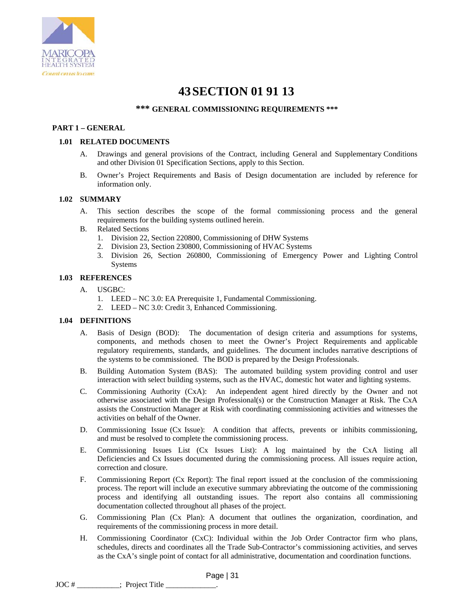

## **43SECTION 01 91 13**

## **\*\*\* GENERAL COMMISSIONING REQUIREMENTS \*\*\***

### **PART 1 – GENERAL**

### **1.01 RELATED DOCUMENTS**

- A. Drawings and general provisions of the Contract, including General and Supplementary Conditions and other Division 01 Specification Sections, apply to this Section.
- B. Owner's Project Requirements and Basis of Design documentation are included by reference for information only.

### **1.02 SUMMARY**

- A. This section describes the scope of the formal commissioning process and the general requirements for the building systems outlined herein.
- B. Related Sections
	- 1. Division 22, Section 220800, Commissioning of DHW Systems
	- 2. Division 23, Section 230800, Commissioning of HVAC Systems
	- 3. Division 26, Section 260800, Commissioning of Emergency Power and Lighting Control Systems

### **1.03 REFERENCES**

- A. USGBC:
	- 1. LEED NC 3.0: EA Prerequisite 1, Fundamental Commissioning.
	- 2. LEED NC 3.0: Credit 3, Enhanced Commissioning.

### **1.04 DEFINITIONS**

- A. Basis of Design (BOD): The documentation of design criteria and assumptions for systems, components, and methods chosen to meet the Owner's Project Requirements and applicable regulatory requirements, standards, and guidelines. The document includes narrative descriptions of the systems to be commissioned. The BOD is prepared by the Design Professionals.
- B. Building Automation System (BAS): The automated building system providing control and user interaction with select building systems, such as the HVAC, domestic hot water and lighting systems.
- C. Commissioning Authority (CxA): An independent agent hired directly by the Owner and not otherwise associated with the Design Professional(s) or the Construction Manager at Risk. The CxA assists the Construction Manager at Risk with coordinating commissioning activities and witnesses the activities on behalf of the Owner.
- D. Commissioning Issue (Cx Issue): A condition that affects, prevents or inhibits commissioning, and must be resolved to complete the commissioning process.
- E. Commissioning Issues List (Cx Issues List): A log maintained by the CxA listing all Deficiencies and Cx Issues documented during the commissioning process. All issues require action, correction and closure.
- F. Commissioning Report (Cx Report): The final report issued at the conclusion of the commissioning process. The report will include an executive summary abbreviating the outcome of the commissioning process and identifying all outstanding issues. The report also contains all commissioning documentation collected throughout all phases of the project.
- G. Commissioning Plan (Cx Plan): A document that outlines the organization, coordination, and requirements of the commissioning process in more detail.
- H. Commissioning Coordinator (CxC): Individual within the Job Order Contractor firm who plans, schedules, directs and coordinates all the Trade Sub-Contractor's commissioning activities, and serves as the CxA's single point of contact for all administrative, documentation and coordination functions.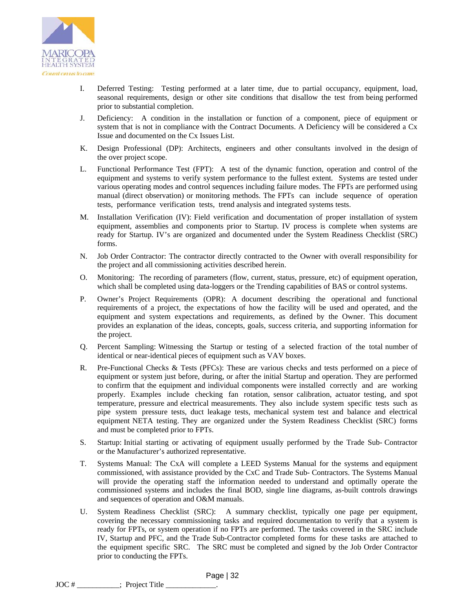

- I. Deferred Testing: Testing performed at a later time, due to partial occupancy, equipment, load, seasonal requirements, design or other site conditions that disallow the test from being performed prior to substantial completion.
- J. Deficiency: A condition in the installation or function of a component, piece of equipment or system that is not in compliance with the Contract Documents. A Deficiency will be considered a Cx Issue and documented on the Cx Issues List.
- K. Design Professional (DP): Architects, engineers and other consultants involved in the design of the over project scope.
- L. Functional Performance Test (FPT): A test of the dynamic function, operation and control of the equipment and systems to verify system performance to the fullest extent. Systems are tested under various operating modes and control sequences including failure modes. The FPTs are performed using manual (direct observation) or monitoring methods. The FPTs can include sequence of operation tests, performance verification tests, trend analysis and integrated systems tests.
- M. Installation Verification (IV): Field verification and documentation of proper installation of system equipment, assemblies and components prior to Startup. IV process is complete when systems are ready for Startup. IV's are organized and documented under the System Readiness Checklist (SRC) forms.
- N. Job Order Contractor: The contractor directly contracted to the Owner with overall responsibility for the project and all commissioning activities described herein.
- O. Monitoring: The recording of parameters (flow, current, status, pressure, etc) of equipment operation, which shall be completed using data-loggers or the Trending capabilities of BAS or control systems.
- P. Owner's Project Requirements (OPR): A document describing the operational and functional requirements of a project, the expectations of how the facility will be used and operated, and the equipment and system expectations and requirements, as defined by the Owner. This document provides an explanation of the ideas, concepts, goals, success criteria, and supporting information for the project.
- Q. Percent Sampling: Witnessing the Startup or testing of a selected fraction of the total number of identical or near-identical pieces of equipment such as VAV boxes.
- R. Pre-Functional Checks & Tests (PFCs): These are various checks and tests performed on a piece of equipment or system just before, during, or after the initial Startup and operation. They are performed to confirm that the equipment and individual components were installed correctly and are working properly. Examples include checking fan rotation, sensor calibration, actuator testing, and spot temperature, pressure and electrical measurements. They also include system specific tests such as pipe system pressure tests, duct leakage tests, mechanical system test and balance and electrical equipment NETA testing. They are organized under the System Readiness Checklist (SRC) forms and must be completed prior to FPTs.
- S. Startup: Initial starting or activating of equipment usually performed by the Trade Sub- Contractor or the Manufacturer's authorized representative.
- T. Systems Manual: The CxA will complete a LEED Systems Manual for the systems and equipment commissioned, with assistance provided by the CxC and Trade Sub- Contractors. The Systems Manual will provide the operating staff the information needed to understand and optimally operate the commissioned systems and includes the final BOD, single line diagrams, as-built controls drawings and sequences of operation and O&M manuals.
- U. System Readiness Checklist (SRC): A summary checklist, typically one page per equipment, covering the necessary commissioning tasks and required documentation to verify that a system is ready for FPTs, or system operation if no FPTs are performed. The tasks covered in the SRC include IV, Startup and PFC, and the Trade Sub-Contractor completed forms for these tasks are attached to the equipment specific SRC. The SRC must be completed and signed by the Job Order Contractor prior to conducting the FPTs.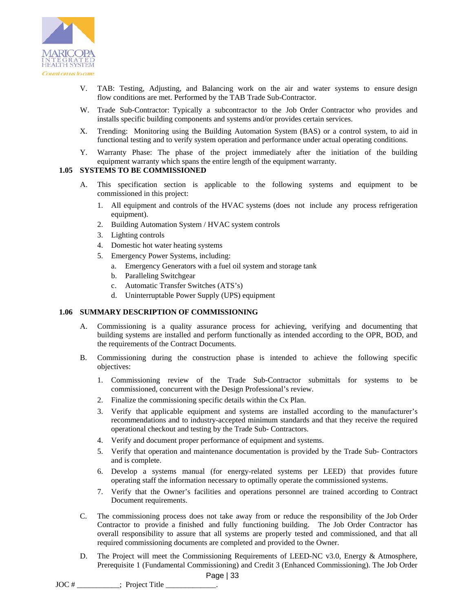

- V. TAB: Testing, Adjusting, and Balancing work on the air and water systems to ensure design flow conditions are met. Performed by the TAB Trade Sub-Contractor.
- W. Trade Sub-Contractor: Typically a subcontractor to the Job Order Contractor who provides and installs specific building components and systems and/or provides certain services.
- X. Trending: Monitoring using the Building Automation System (BAS) or a control system, to aid in functional testing and to verify system operation and performance under actual operating conditions.
- Y. Warranty Phase: The phase of the project immediately after the initiation of the building equipment warranty which spans the entire length of the equipment warranty.

## **1.05 SYSTEMS TO BE COMMISSIONED**

- A. This specification section is applicable to the following systems and equipment to be commissioned in this project:
	- 1. All equipment and controls of the HVAC systems (does not include any process refrigeration equipment).
	- 2. Building Automation System / HVAC system controls
	- 3. Lighting controls
	- 4. Domestic hot water heating systems
	- 5. Emergency Power Systems, including:
		- a. Emergency Generators with a fuel oil system and storage tank
		- b. Paralleling Switchgear
		- c. Automatic Transfer Switches (ATS's)
		- d. Uninterruptable Power Supply (UPS) equipment

#### **1.06 SUMMARY DESCRIPTION OF COMMISSIONING**

- A. Commissioning is a quality assurance process for achieving, verifying and documenting that building systems are installed and perform functionally as intended according to the OPR, BOD, and the requirements of the Contract Documents.
- B. Commissioning during the construction phase is intended to achieve the following specific objectives:
	- 1. Commissioning review of the Trade Sub-Contractor submittals for systems to be commissioned, concurrent with the Design Professional's review.
	- 2. Finalize the commissioning specific details within the Cx Plan.
	- 3. Verify that applicable equipment and systems are installed according to the manufacturer's recommendations and to industry-accepted minimum standards and that they receive the required operational checkout and testing by the Trade Sub- Contractors.
	- 4. Verify and document proper performance of equipment and systems.
	- 5. Verify that operation and maintenance documentation is provided by the Trade Sub- Contractors and is complete.
	- 6. Develop a systems manual (for energy-related systems per LEED) that provides future operating staff the information necessary to optimally operate the commissioned systems.
	- 7. Verify that the Owner's facilities and operations personnel are trained according to Contract Document requirements.
- C. The commissioning process does not take away from or reduce the responsibility of the Job Order Contractor to provide a finished and fully functioning building. The Job Order Contractor has overall responsibility to assure that all systems are properly tested and commissioned, and that all required commissioning documents are completed and provided to the Owner.
- D. The Project will meet the Commissioning Requirements of LEED-NC v3.0, Energy & Atmosphere, Prerequisite 1 (Fundamental Commissioning) and Credit 3 (Enhanced Commissioning). The Job Order

JOC #  $\qquad \qquad$ : Project Title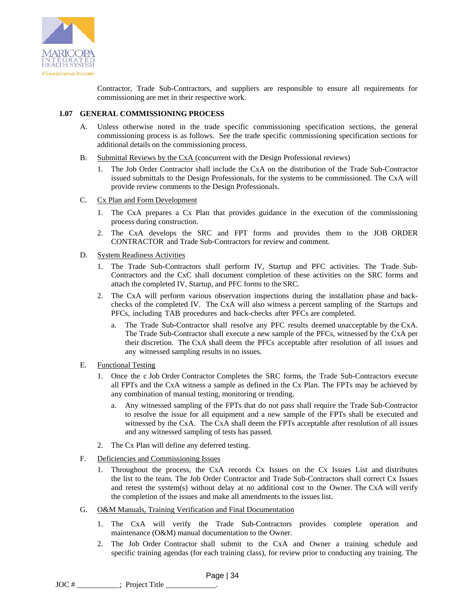

Contractor, Trade Sub-Contractors, and suppliers are responsible to ensure all requirements for commissioning are met in their respective work.

### **1.07 GENERAL COMMISSIONING PROCESS**

- A. Unless otherwise noted in the trade specific commissioning specification sections, the general commissioning process is as follows. See the trade specific commissioning specification sections for additional details on the commissioning process.
- B. Submittal Reviews by the CxA (concurrent with the Design Professional reviews)
	- 1. The Job Order Contractor shall include the CxA on the distribution of the Trade Sub-Contractor issued submittals to the Design Professionals, for the systems to be commissioned. The CxA will provide review comments to the Design Professionals.
- C. Cx Plan and Form Development
	- 1. The CxA prepares a Cx Plan that provides guidance in the execution of the commissioning process during construction.
	- 2. The CxA develops the SRC and FPT forms and provides them to the JOB ORDER CONTRACTOR and Trade Sub-Contractors for review and comment.
- D. System Readiness Activities
	- 1. The Trade Sub-Contractors shall perform IV, Startup and PFC activities. The Trade Sub-Contractors and the CxC shall document completion of these activities on the SRC forms and attach the completed IV, Startup, and PFC forms to the SRC.
	- 2. The CxA will perform various observation inspections during the installation phase and backchecks of the completed IV. The CxA will also witness a percent sampling of the Startups and PFCs, including TAB procedures and back-checks after PFCs are completed.
		- a. The Trade Sub-Contractor shall resolve any PFC results deemed unacceptable by the CxA. The Trade Sub-Contractor shall execute a new sample of the PFCs, witnessed by the CxA per their discretion. The CxA shall deem the PFCs acceptable after resolution of all issues and any witnessed sampling results in no issues.
- E. Functional Testing
	- 1. Once the c Job Order Contractor Completes the SRC forms, the Trade Sub-Contractors execute all FPTs and the CxA witness a sample as defined in the Cx Plan. The FPTs may be achieved by any combination of manual testing, monitoring or trending.
		- a. Any witnessed sampling of the FPTs that do not pass shall require the Trade Sub-Contractor to resolve the issue for all equipment and a new sample of the FPTs shall be executed and witnessed by the CxA. The CxA shall deem the FPTs acceptable after resolution of all issues and any witnessed sampling of tests has passed.
	- 2. The Cx Plan will define any deferred testing.
- F. Deficiencies and Commissioning Issues
	- 1. Throughout the process, the CxA records Cx Issues on the Cx Issues List and distributes the list to the team. The Job Order Contractor and Trade Sub-Contractors shall correct Cx Issues and retest the system(s) without delay at no additional cost to the Owner. The CxA will verify the completion of the issues and make all amendments to the issues list.
- G. O&M Manuals, Training Verification and Final Documentation
	- 1. The CxA will verify the Trade Sub-Contractors provides complete operation and maintenance (O&M) manual documentation to the Owner.
	- 2. The Job Order Contractor shall submit to the CxA and Owner a training schedule and specific training agendas (for each training class), for review prior to conducting any training. The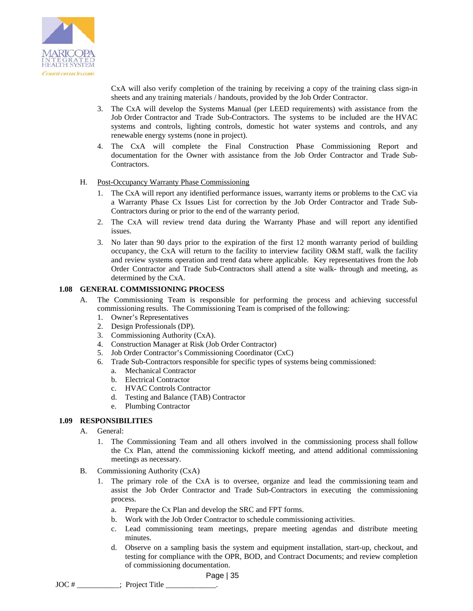

CxA will also verify completion of the training by receiving a copy of the training class sign-in sheets and any training materials / handouts, provided by the Job Order Contractor.

- 3. The CxA will develop the Systems Manual (per LEED requirements) with assistance from the Job Order Contractor and Trade Sub-Contractors. The systems to be included are the HVAC systems and controls, lighting controls, domestic hot water systems and controls, and any renewable energy systems (none in project).
- 4. The CxA will complete the Final Construction Phase Commissioning Report and documentation for the Owner with assistance from the Job Order Contractor and Trade Sub-Contractors.

### H. Post-Occupancy Warranty Phase Commissioning

- 1. The CxA will report any identified performance issues, warranty items or problems to the CxC via a Warranty Phase Cx Issues List for correction by the Job Order Contractor and Trade Sub-Contractors during or prior to the end of the warranty period.
- 2. The CxA will review trend data during the Warranty Phase and will report any identified issues.
- 3. No later than 90 days prior to the expiration of the first 12 month warranty period of building occupancy, the CxA will return to the facility to interview facility O&M staff, walk the facility and review systems operation and trend data where applicable. Key representatives from the Job Order Contractor and Trade Sub-Contractors shall attend a site walk- through and meeting, as determined by the CxA.

### **1.08 GENERAL COMMISSIONING PROCESS**

- A. The Commissioning Team is responsible for performing the process and achieving successful commissioning results. The Commissioning Team is comprised of the following:
	- 1. Owner's Representatives
	- 2. Design Professionals (DP).
	- 3. Commissioning Authority (CxA).
	- 4. Construction Manager at Risk (Job Order Contractor)
	- 5. Job Order Contractor's Commissioning Coordinator (CxC)
	- 6. Trade Sub-Contractors responsible for specific types of systems being commissioned:
		- a. Mechanical Contractor
		- b. Electrical Contractor
		- c. HVAC Controls Contractor
		- d. Testing and Balance (TAB) Contractor
		- e. Plumbing Contractor

### **1.09 RESPONSIBILITIES**

- A. General:
	- 1. The Commissioning Team and all others invol**v**ed in the commissioning process shall follow the Cx Plan, attend the commissioning kickoff meeting, and attend additional commissioning meetings as necessary.
- B. Commissioning Authority (CxA)
	- 1. The primary role of the CxA is to oversee, organize and lead the commissioning team and assist the Job Order Contractor and Trade Sub-Contractors in executing the commissioning process.
		- a. Prepare the Cx Plan and develop the SRC and FPT forms.
		- b. Work with the Job Order Contractor to schedule commissioning activities.
		- c. Lead commissioning team meetings, prepare meeting agendas and distribute meeting minutes.
		- d. Observe on a sampling basis the system and equipment installation, start-up, checkout, and testing for compliance with the OPR, BOD, and Contract Documents; and review completion of commissioning documentation.

JOC #  $\qquad \qquad$ : Project Title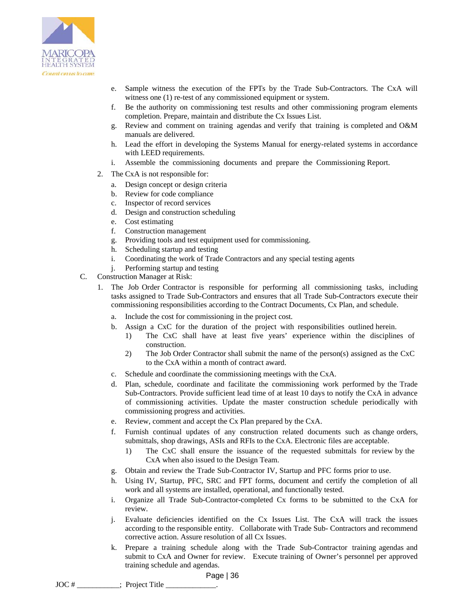

- e. Sample witness the execution of the FPTs by the Trade Sub-Contractors. The CxA will witness one (1) re-test of any commissioned equipment or system.
- f. Be the authority on commissioning test results and other commissioning program elements completion. Prepare, maintain and distribute the Cx Issues List.
- g. Review and comment on training agendas and verify that training is completed and O&M manuals are delivered.
- h. Lead the effort in developing the Systems Manual for energy-related systems in accordance with LEED requirements.
- i. Assemble the commissioning documents and prepare the Commissioning Report.
- 2. The CxA is not responsible for:
	- a. Design concept or design criteria
	- b. Review for code compliance
	- c. Inspector of record services
	- d. Design and construction scheduling
	- e. Cost estimating
	- f. Construction management
	- g. Providing tools and test equipment used for commissioning.
	- h. Scheduling startup and testing
	- i. Coordinating the work of Trade Contractors and any special testing agents
	- j. Performing startup and testing
- C. Construction Manager at Risk:
	- 1. The Job Order Contractor is responsible for performing all commissioning tasks, including tasks assigned to Trade Sub-Contractors and ensures that all Trade Sub-Contractors execute their commissioning responsibilities according to the Contract Documents, Cx Plan, and schedule.
		- a. Include the cost for commissioning in the project cost.
		- b. Assign a CxC for the duration of the project with responsibilities outlined herein.
			- 1) The CxC shall have at least five years' experience within the disciplines of construction.
			- 2) The Job Order Contractor shall submit the name of the person(s) assigned as the CxC to the CxA within a month of contract award.
		- c. Schedule and coordinate the commissioning meetings with the CxA.
		- d. Plan, schedule, coordinate and facilitate the commissioning work performed by the Trade Sub-Contractors. Provide sufficient lead time of at least 10 days to notify the CxA in advance of commissioning activities. Update the master construction schedule periodically with commissioning progress and activities.
		- e. Review, comment and accept the Cx Plan prepared by the CxA.
		- f. Furnish continual updates of any construction related documents such as change orders, submittals, shop drawings, ASIs and RFIs to the CxA. Electronic files are acceptable.
			- 1) The CxC shall ensure the issuance of the requested submittals for review by the CxA when also issued to the Design Team.
		- g. Obtain and review the Trade Sub-Contractor IV, Startup and PFC forms prior to use.
		- h. Using IV, Startup, PFC, SRC and FPT forms, document and certify the completion of all work and all systems are installed, operational, and functionally tested.
		- i. Organize all Trade Sub-Contractor-completed Cx forms to be submitted to the CxA for review.
		- j. Evaluate deficiencies identified on the Cx Issues List. The CxA will track the issues according to the responsible entity. Collaborate with Trade Sub- Contractors and recommend corrective action. Assure resolution of all Cx Issues.
		- k. Prepare a training schedule along with the Trade Sub-Contractor training agendas and submit to CxA and Owner for review. Execute training of Owner's personnel per approved training schedule and agendas.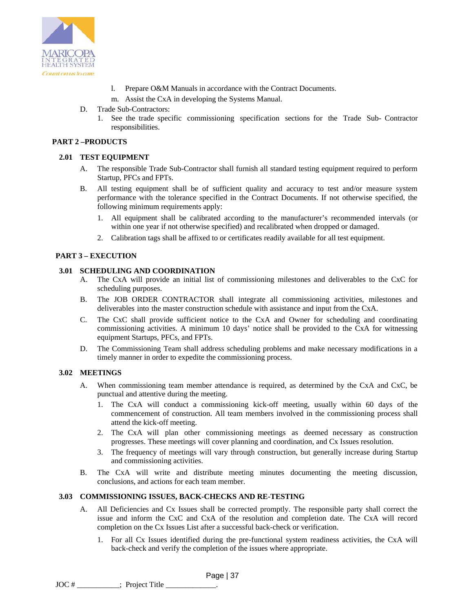

- l. Prepare O&M Manuals in accordance with the Contract Documents.
- m. Assist the CxA in developing the Systems Manual.
- D. Trade Sub-Contractors:
	- 1. See the trade specific commissioning specification sections for the Trade Sub- Contractor responsibilities.

## **PART 2 –PRODUCTS**

## **2.01 TEST EQUIPMENT**

- A. The responsible Trade Sub-Contractor shall furnish all standard testing equipment required to perform Startup, PFCs and FPTs.
- B. All testing equipment shall be of sufficient quality and accuracy to test and/or measure system performance with the tolerance specified in the Contract Documents. If not otherwise specified, the following minimum requirements apply:
	- 1. All equipment shall be calibrated according to the manufacturer's recommended intervals (or within one year if not otherwise specified) and recalibrated when dropped or damaged.
	- 2. Calibration tags shall be affixed to or certificates readily available for all test equipment.

### **PART 3 – EXECUTION**

### **3.01 SCHEDULING AND COORDINATION**

- A. The CxA will provide an initial list of commissioning milestones and deliverables to the CxC for scheduling purposes.
- B. The JOB ORDER CONTRACTOR shall integrate all commissioning activities, milestones and deliverables into the master construction schedule with assistance and input from the CxA.
- C. The CxC shall provide sufficient notice to the CxA and Owner for scheduling and coordinating commissioning activities. A minimum 10 days' notice shall be provided to the CxA for witnessing equipment Startups, PFCs, and FPTs.
- D. The Commissioning Team shall address scheduling problems and make necessary modifications in a timely manner in order to expedite the commissioning process.

### **3.02 MEETINGS**

- A. When commissioning team member attendance is required, as determined by the CxA and CxC, be punctual and attentive during the meeting.
	- 1. The CxA will conduct a commissioning kick-off meeting, usually within 60 days of the commencement of construction. All team members involved in the commissioning process shall attend the kick-off meeting.
	- 2. The CxA will plan other commissioning meetings as deemed necessary as construction progresses. These meetings will cover planning and coordination, and Cx Issues resolution.
	- 3. The frequency of meetings will vary through construction, but generally increase during Startup and commissioning activities.
- B. The CxA will write and distribute meeting minutes documenting the meeting discussion, conclusions, and actions for each team member.

### **3.03 COMMISSIONING ISSUES, BACK-CHECKS AND RE-TESTING**

- A. All Deficiencies and Cx Issues shall be corrected promptly. The responsible party shall correct the issue and inform the CxC and CxA of the resolution and completion date. The CxA will record completion on the Cx Issues List after a successful back-check or verification.
	- 1. For all Cx Issues identified during the pre-functional system readiness activities, the CxA will back-check and verify the completion of the issues where appropriate.